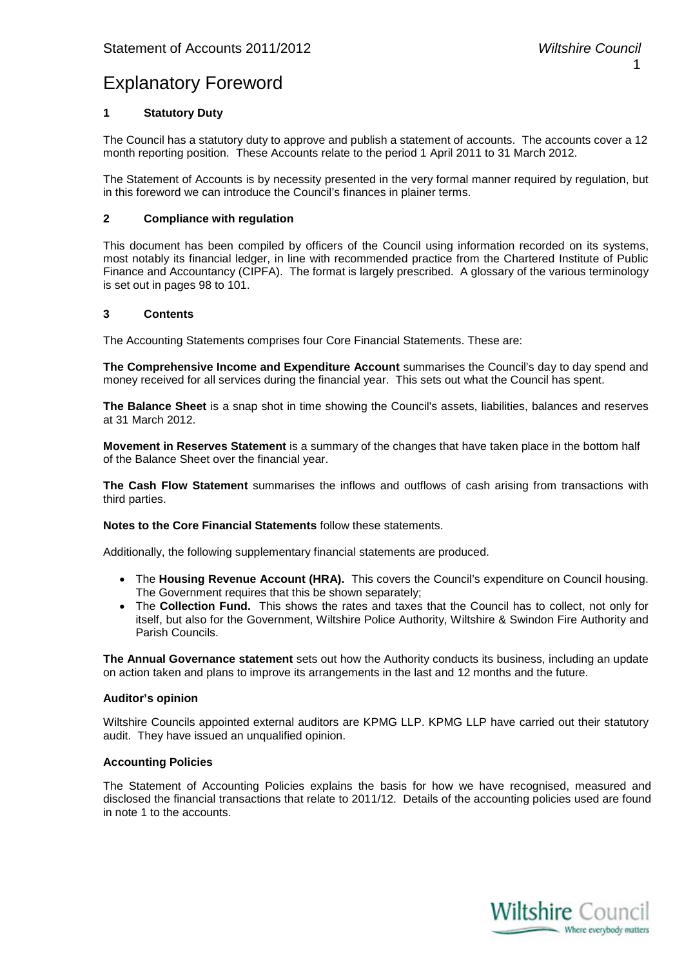### Explanatory Foreword

#### **1 Statutory Duty**

The Council has a statutory duty to approve and publish a statement of accounts. The accounts cover a 12 month reporting position. These Accounts relate to the period 1 April 2011 to 31 March 2012.

The Statement of Accounts is by necessity presented in the very formal manner required by regulation, but in this foreword we can introduce the Council's finances in plainer terms.

#### **2 Compliance with regulation**

This document has been compiled by officers of the Council using information recorded on its systems, most notably its financial ledger, in line with recommended practice from the Chartered Institute of Public Finance and Accountancy (CIPFA). The format is largely prescribed. A glossary of the various terminology is set out in pages 98 to 101.

#### **3 Contents**

The Accounting Statements comprises four Core Financial Statements. These are:

**The Comprehensive Income and Expenditure Account** summarises the Council's day to day spend and money received for all services during the financial year. This sets out what the Council has spent.

**The Balance Sheet** is a snap shot in time showing the Council's assets, liabilities, balances and reserves at 31 March 2012.

**Movement in Reserves Statement** is a summary of the changes that have taken place in the bottom half of the Balance Sheet over the financial year.

**The Cash Flow Statement** summarises the inflows and outflows of cash arising from transactions with third parties.

**Notes to the Core Financial Statements** follow these statements.

Additionally, the following supplementary financial statements are produced.

- The **Housing Revenue Account (HRA).** This covers the Council's expenditure on Council housing. The Government requires that this be shown separately;
- The **Collection Fund.** This shows the rates and taxes that the Council has to collect, not only for itself, but also for the Government, Wiltshire Police Authority, Wiltshire & Swindon Fire Authority and Parish Councils.

**The Annual Governance statement** sets out how the Authority conducts its business, including an update on action taken and plans to improve its arrangements in the last and 12 months and the future.

#### **Auditor's opinion**

Wiltshire Councils appointed external auditors are KPMG LLP. KPMG LLP have carried out their statutory audit. They have issued an unqualified opinion.

#### **Accounting Policies**

The Statement of Accounting Policies explains the basis for how we have recognised, measured and disclosed the financial transactions that relate to 2011/12. Details of the accounting policies used are found in note 1 to the accounts.

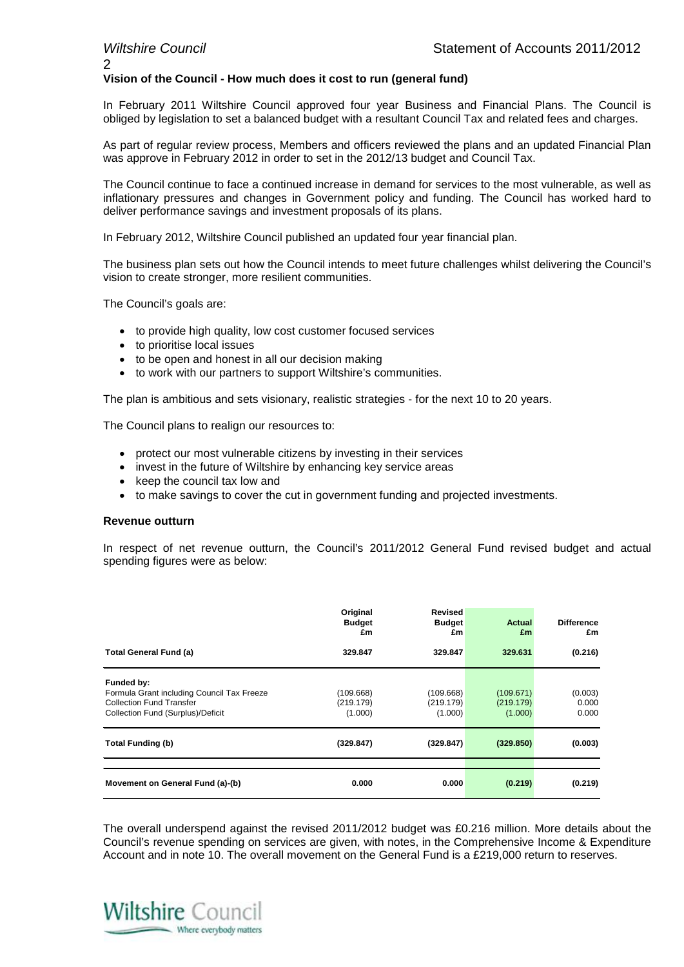# $\mathfrak{D}$

#### **Vision of the Council - How much does it cost to run (general fund)**

In February 2011 Wiltshire Council approved four year Business and Financial Plans. The Council is obliged by legislation to set a balanced budget with a resultant Council Tax and related fees and charges.

As part of regular review process, Members and officers reviewed the plans and an updated Financial Plan was approve in February 2012 in order to set in the 2012/13 budget and Council Tax.

The Council continue to face a continued increase in demand for services to the most vulnerable, as well as inflationary pressures and changes in Government policy and funding. The Council has worked hard to deliver performance savings and investment proposals of its plans.

In February 2012, Wiltshire Council published an updated four year financial plan.

The business plan sets out how the Council intends to meet future challenges whilst delivering the Council's vision to create stronger, more resilient communities.

The Council's goals are:

- to provide high quality, low cost customer focused services
- to prioritise local issues
- to be open and honest in all our decision making
- to work with our partners to support Wiltshire's communities.

The plan is ambitious and sets visionary, realistic strategies - for the next 10 to 20 years.

The Council plans to realign our resources to:

- protect our most vulnerable citizens by investing in their services
- invest in the future of Wiltshire by enhancing key service areas
- keep the council tax low and
- to make savings to cover the cut in government funding and projected investments.

#### **Revenue outturn**

In respect of net revenue outturn, the Council's 2011/2012 General Fund revised budget and actual spending figures were as below:

|                                                                                                                                  | Original<br><b>Budget</b><br>£m   | <b>Revised</b><br><b>Budget</b><br>£m | <b>Actual</b><br>£m               | <b>Difference</b><br>£m   |
|----------------------------------------------------------------------------------------------------------------------------------|-----------------------------------|---------------------------------------|-----------------------------------|---------------------------|
| <b>Total General Fund (a)</b>                                                                                                    | 329.847                           | 329.847                               | 329.631                           | (0.216)                   |
| Funded by:<br>Formula Grant including Council Tax Freeze<br><b>Collection Fund Transfer</b><br>Collection Fund (Surplus)/Deficit | (109.668)<br>(219.179)<br>(1.000) | (109.668)<br>(219.179)<br>(1.000)     | (109.671)<br>(219.179)<br>(1.000) | (0.003)<br>0.000<br>0.000 |
| <b>Total Funding (b)</b>                                                                                                         | (329.847)                         | (329.847)                             | (329.850)                         | (0.003)                   |
| Movement on General Fund (a)-(b)                                                                                                 | 0.000                             | 0.000                                 | (0.219)                           | (0.219)                   |

The overall underspend against the revised 2011/2012 budget was £0.216 million. More details about the Council's revenue spending on services are given, with notes, in the Comprehensive Income & Expenditure Account and in note 10. The overall movement on the General Fund is a £219,000 return to reserves.

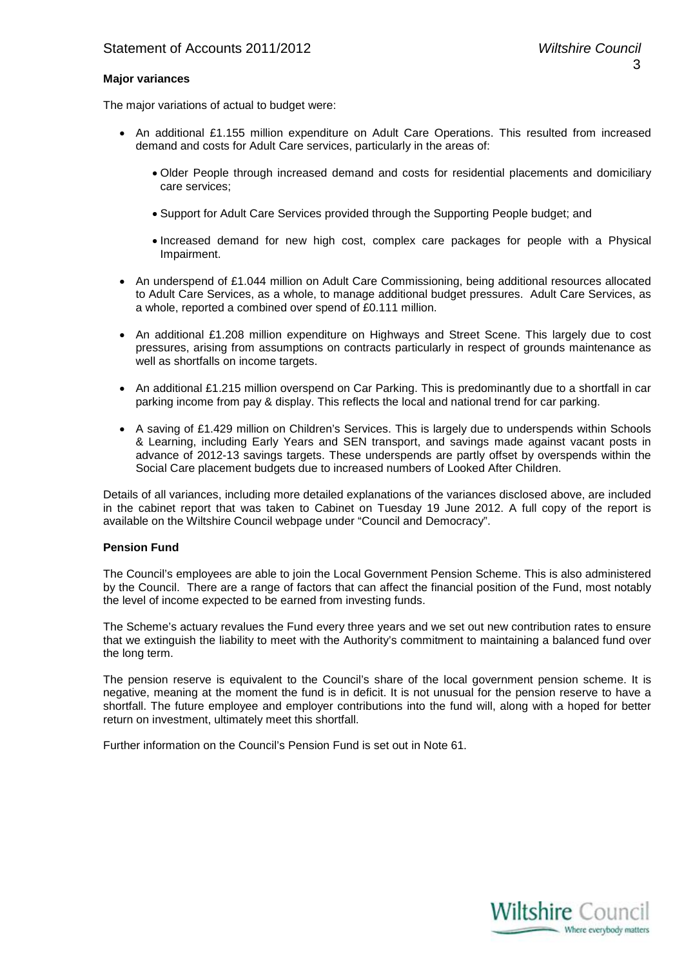#### **Major variances**

The major variations of actual to budget were:

- An additional £1.155 million expenditure on Adult Care Operations. This resulted from increased demand and costs for Adult Care services, particularly in the areas of:
	- Older People through increased demand and costs for residential placements and domiciliary care services;
	- Support for Adult Care Services provided through the Supporting People budget; and
	- Increased demand for new high cost, complex care packages for people with a Physical Impairment.
- An underspend of £1.044 million on Adult Care Commissioning, being additional resources allocated to Adult Care Services, as a whole, to manage additional budget pressures. Adult Care Services, as a whole, reported a combined over spend of £0.111 million.
- An additional £1.208 million expenditure on Highways and Street Scene. This largely due to cost pressures, arising from assumptions on contracts particularly in respect of grounds maintenance as well as shortfalls on income targets.
- An additional £1.215 million overspend on Car Parking. This is predominantly due to a shortfall in car parking income from pay & display. This reflects the local and national trend for car parking.
- A saving of £1.429 million on Children's Services. This is largely due to underspends within Schools & Learning, including Early Years and SEN transport, and savings made against vacant posts in advance of 2012-13 savings targets. These underspends are partly offset by overspends within the Social Care placement budgets due to increased numbers of Looked After Children.

Details of all variances, including more detailed explanations of the variances disclosed above, are included in the cabinet report that was taken to Cabinet on Tuesday 19 June 2012. A full copy of the report is available on the Wiltshire Council webpage under "Council and Democracy".

#### **Pension Fund**

The Council's employees are able to join the Local Government Pension Scheme. This is also administered by the Council. There are a range of factors that can affect the financial position of the Fund, most notably the level of income expected to be earned from investing funds.

The Scheme's actuary revalues the Fund every three years and we set out new contribution rates to ensure that we extinguish the liability to meet with the Authority's commitment to maintaining a balanced fund over the long term.

The pension reserve is equivalent to the Council's share of the local government pension scheme. It is negative, meaning at the moment the fund is in deficit. It is not unusual for the pension reserve to have a shortfall. The future employee and employer contributions into the fund will, along with a hoped for better return on investment, ultimately meet this shortfall.

Further information on the Council's Pension Fund is set out in Note 61.

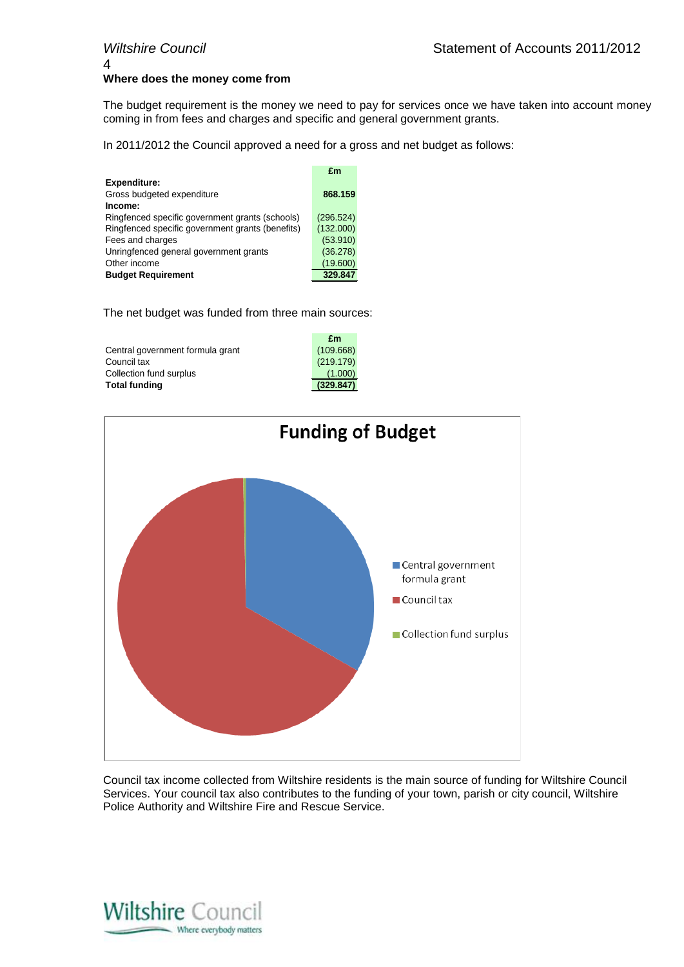## 4 **Where does the money come from**

The budget requirement is the money we need to pay for services once we have taken into account money coming in from fees and charges and specific and general government grants.

In 2011/2012 the Council approved a need for a gross and net budget as follows:

| <b>Expenditure:</b><br>Gross budgeted expenditure<br>868,159<br>Income: |  |
|-------------------------------------------------------------------------|--|
|                                                                         |  |
|                                                                         |  |
|                                                                         |  |
| (296.524)<br>Ringfenced specific government grants (schools)            |  |
| (132.000)<br>Ringfenced specific government grants (benefits)           |  |
| (53.910)<br>Fees and charges                                            |  |
| (36.278)<br>Unringfenced general government grants                      |  |
| Other income<br>(19.600)                                                |  |
| 329.847<br><b>Budget Requirement</b>                                    |  |

The net budget was funded from three main sources:

|                                  | £m        |
|----------------------------------|-----------|
| Central government formula grant | (109.668) |
| Council tax                      | (219.179) |
| Collection fund surplus          | (1.000)   |
| <b>Total funding</b>             | (329.847) |
|                                  |           |



Council tax income collected from Wiltshire residents is the main source of funding for Wiltshire Council Services. Your council tax also contributes to the funding of your town, parish or city council, Wiltshire Police Authority and Wiltshire Fire and Rescue Service.

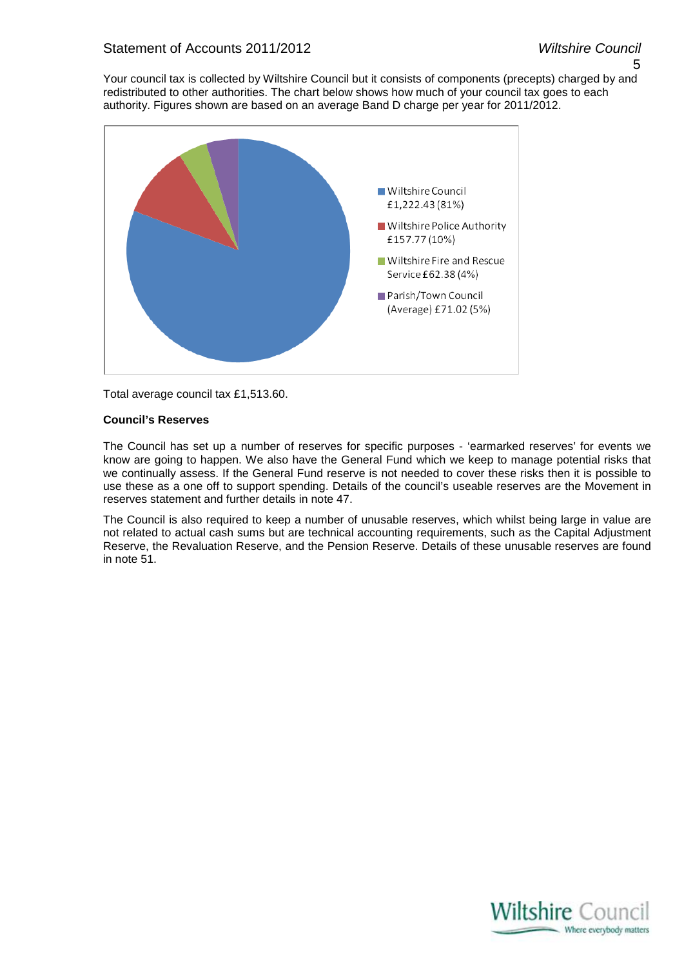5

Your council tax is collected by Wiltshire Council but it consists of components (precepts) charged by and redistributed to other authorities. The chart below shows how much of your council tax goes to each authority. Figures shown are based on an average Band D charge per year for 2011/2012.



Total average council tax £1,513.60.

#### **Council's Reserves**

The Council has set up a number of reserves for specific purposes - 'earmarked reserves' for events we know are going to happen. We also have the General Fund which we keep to manage potential risks that we continually assess. If the General Fund reserve is not needed to cover these risks then it is possible to use these as a one off to support spending. Details of the council's useable reserves are the Movement in reserves statement and further details in note 47.

The Council is also required to keep a number of unusable reserves, which whilst being large in value are not related to actual cash sums but are technical accounting requirements, such as the Capital Adjustment Reserve, the Revaluation Reserve, and the Pension Reserve. Details of these unusable reserves are found in note 51.

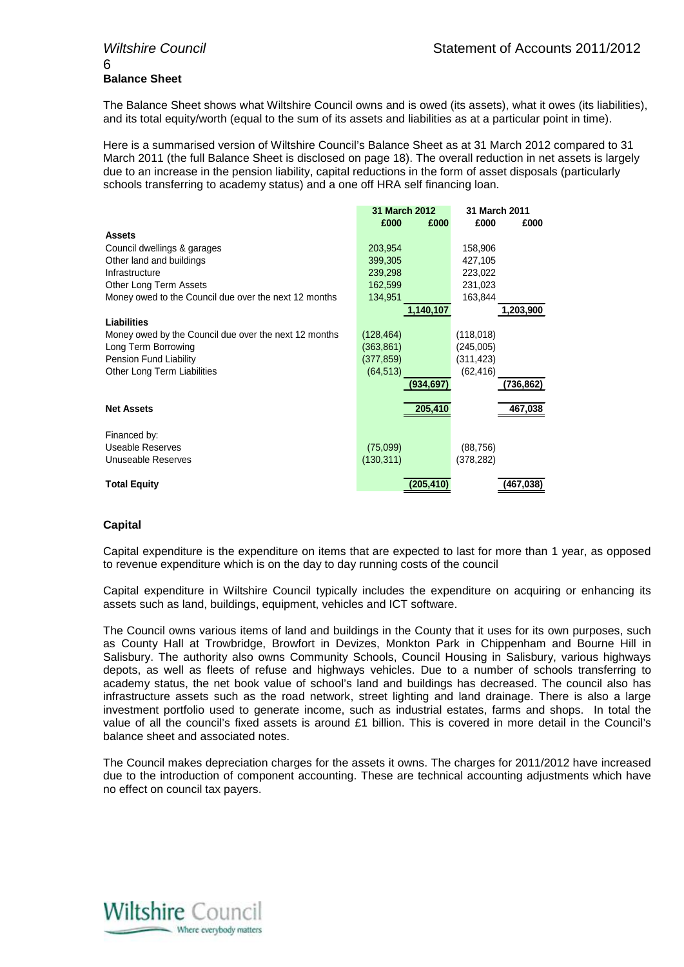## 6 **Balance Sheet**

The Balance Sheet shows what Wiltshire Council owns and is owed (its assets), what it owes (its liabilities), and its total equity/worth (equal to the sum of its assets and liabilities as at a particular point in time).

Here is a summarised version of Wiltshire Council's Balance Sheet as at 31 March 2012 compared to 31 March 2011 (the full Balance Sheet is disclosed on page 18). The overall reduction in net assets is largely due to an increase in the pension liability, capital reductions in the form of asset disposals (particularly schools transferring to academy status) and a one off HRA self financing loan.

|                                                       | <b>31 March 2012</b> | <b>31 March 2011</b> |
|-------------------------------------------------------|----------------------|----------------------|
|                                                       | £000<br>£000         | £000<br>£000         |
| <b>Assets</b>                                         |                      |                      |
| Council dwellings & garages                           | 203,954              | 158,906              |
| Other land and buildings                              | 399,305              | 427,105              |
| Infrastructure                                        | 239,298              | 223,022              |
| Other Long Term Assets                                | 162,599              | 231,023              |
| Money owed to the Council due over the next 12 months | 134.951              | 163,844              |
|                                                       | 1,140,107            | 1,203,900            |
| <b>Liabilities</b>                                    |                      |                      |
| Money owed by the Council due over the next 12 months | (128, 464)           | (118,018)            |
| Long Term Borrowing                                   | (363, 861)           | (245,005)            |
| <b>Pension Fund Liability</b>                         | (377, 859)           | (311, 423)           |
| Other Long Term Liabilities                           | (64, 513)            | (62, 416)            |
|                                                       | (934, 697)           | (736, 862)           |
| <b>Net Assets</b>                                     | 205,410              | 467.038              |
| Financed by:                                          |                      |                      |
| Useable Reserves                                      | (75,099)             | (88, 756)            |
| Unuseable Reserves                                    | (130, 311)           | (378,282)            |
| <b>Total Equity</b>                                   | (205,410)            | (467,038)            |

#### **Capital**

Capital expenditure is the expenditure on items that are expected to last for more than 1 year, as opposed to revenue expenditure which is on the day to day running costs of the council

Capital expenditure in Wiltshire Council typically includes the expenditure on acquiring or enhancing its assets such as land, buildings, equipment, vehicles and ICT software.

The Council owns various items of land and buildings in the County that it uses for its own purposes, such as County Hall at Trowbridge, Browfort in Devizes, Monkton Park in Chippenham and Bourne Hill in Salisbury. The authority also owns Community Schools, Council Housing in Salisbury, various highways depots, as well as fleets of refuse and highways vehicles. Due to a number of schools transferring to academy status, the net book value of school's land and buildings has decreased. The council also has infrastructure assets such as the road network, street lighting and land drainage. There is also a large investment portfolio used to generate income, such as industrial estates, farms and shops. In total the value of all the council's fixed assets is around £1 billion. This is covered in more detail in the Council's balance sheet and associated notes.

The Council makes depreciation charges for the assets it owns. The charges for 2011/2012 have increased due to the introduction of component accounting. These are technical accounting adjustments which have no effect on council tax payers.

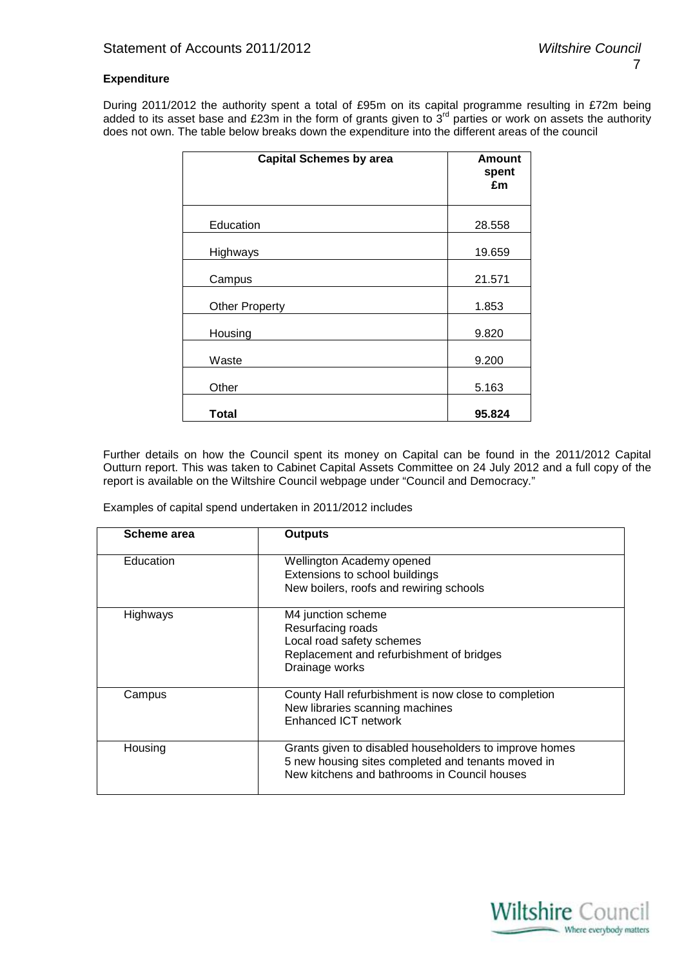#### **Expenditure**

During 2011/2012 the authority spent a total of £95m on its capital programme resulting in £72m being added to its asset base and £23m in the form of grants given to  $3<sup>rd</sup>$  parties or work on assets the authority does not own. The table below breaks down the expenditure into the different areas of the council

| <b>Capital Schemes by area</b> | <b>Amount</b><br>spent<br>£m |
|--------------------------------|------------------------------|
| Education                      | 28.558                       |
| Highways                       | 19.659                       |
| Campus                         | 21.571                       |
| <b>Other Property</b>          | 1.853                        |
| Housing                        | 9.820                        |
| Waste                          | 9.200                        |
| Other                          | 5.163                        |
| Total                          | 95.824                       |

Further details on how the Council spent its money on Capital can be found in the 2011/2012 Capital Outturn report. This was taken to Cabinet Capital Assets Committee on 24 July 2012 and a full copy of the report is available on the Wiltshire Council webpage under "Council and Democracy."

Examples of capital spend undertaken in 2011/2012 includes

| Scheme area | <b>Outputs</b>                                                                                                                                               |
|-------------|--------------------------------------------------------------------------------------------------------------------------------------------------------------|
| Education   | Wellington Academy opened<br>Extensions to school buildings<br>New boilers, roofs and rewiring schools                                                       |
| Highways    | M4 junction scheme<br>Resurfacing roads<br>Local road safety schemes<br>Replacement and refurbishment of bridges<br>Drainage works                           |
| Campus      | County Hall refurbishment is now close to completion<br>New libraries scanning machines<br>Enhanced ICT network                                              |
| Housing     | Grants given to disabled householders to improve homes<br>5 new housing sites completed and tenants moved in<br>New kitchens and bathrooms in Council houses |

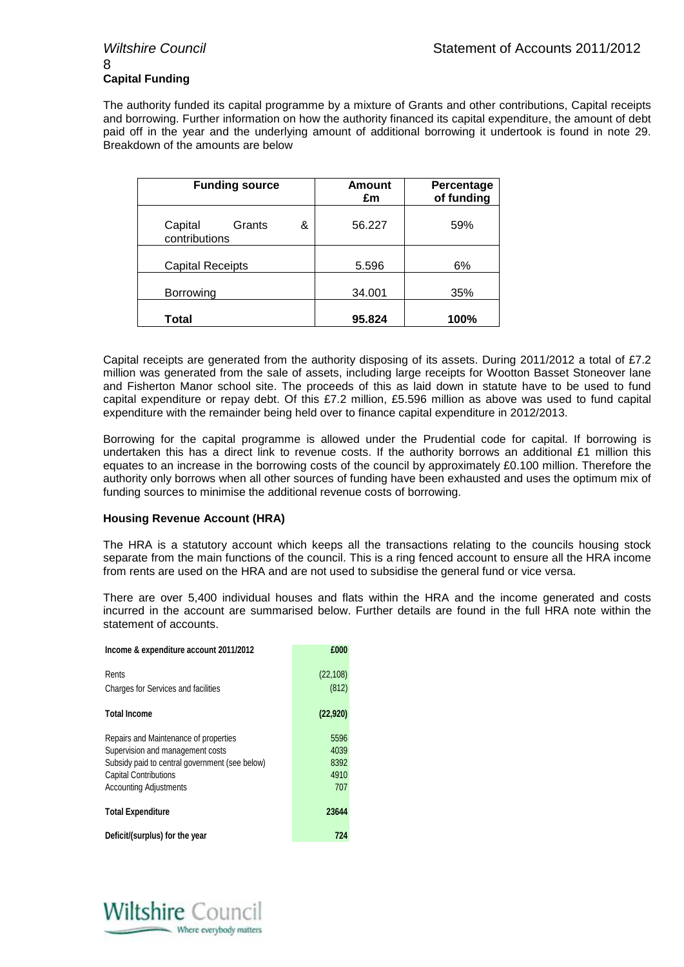## 8 **Capital Funding**

The authority funded its capital programme by a mixture of Grants and other contributions, Capital receipts and borrowing. Further information on how the authority financed its capital expenditure, the amount of debt paid off in the year and the underlying amount of additional borrowing it undertook is found in note 29. Breakdown of the amounts are below

| <b>Funding source</b>                   | <b>Amount</b><br>£m | Percentage<br>of funding |  |  |
|-----------------------------------------|---------------------|--------------------------|--|--|
| Capital<br>Grants<br>&<br>contributions | 56.227              | 59%                      |  |  |
| <b>Capital Receipts</b>                 | 5.596               | 6%                       |  |  |
| <b>Borrowing</b>                        | 34.001              | 35%                      |  |  |
| Total                                   | 95.824              | 100%                     |  |  |

Capital receipts are generated from the authority disposing of its assets. During 2011/2012 a total of £7.2 million was generated from the sale of assets, including large receipts for Wootton Basset Stoneover lane and Fisherton Manor school site. The proceeds of this as laid down in statute have to be used to fund capital expenditure or repay debt. Of this £7.2 million, £5.596 million as above was used to fund capital expenditure with the remainder being held over to finance capital expenditure in 2012/2013.

Borrowing for the capital programme is allowed under the Prudential code for capital. If borrowing is undertaken this has a direct link to revenue costs. If the authority borrows an additional £1 million this equates to an increase in the borrowing costs of the council by approximately £0.100 million. Therefore the authority only borrows when all other sources of funding have been exhausted and uses the optimum mix of funding sources to minimise the additional revenue costs of borrowing.

#### **Housing Revenue Account (HRA)**

The HRA is a statutory account which keeps all the transactions relating to the councils housing stock separate from the main functions of the council. This is a ring fenced account to ensure all the HRA income from rents are used on the HRA and are not used to subsidise the general fund or vice versa.

There are over 5,400 individual houses and flats within the HRA and the income generated and costs incurred in the account are summarised below. Further details are found in the full HRA note within the statement of accounts.

| Income & expenditure account 2011/2012                                                                                                                                                       | £000                                |
|----------------------------------------------------------------------------------------------------------------------------------------------------------------------------------------------|-------------------------------------|
| Rents<br><b>Charges for Services and facilities</b>                                                                                                                                          | (22, 108)<br>(812)                  |
| <b>Total Income</b>                                                                                                                                                                          | (22, 920)                           |
| Repairs and Maintenance of properties<br>Supervision and management costs<br>Subsidy paid to central government (see below)<br><b>Capital Contributions</b><br><b>Accounting Adjustments</b> | 5596<br>4039<br>8392<br>4910<br>707 |
| <b>Total Expenditure</b>                                                                                                                                                                     | 23644                               |
| Deficit/(surplus) for the year                                                                                                                                                               | 724                                 |

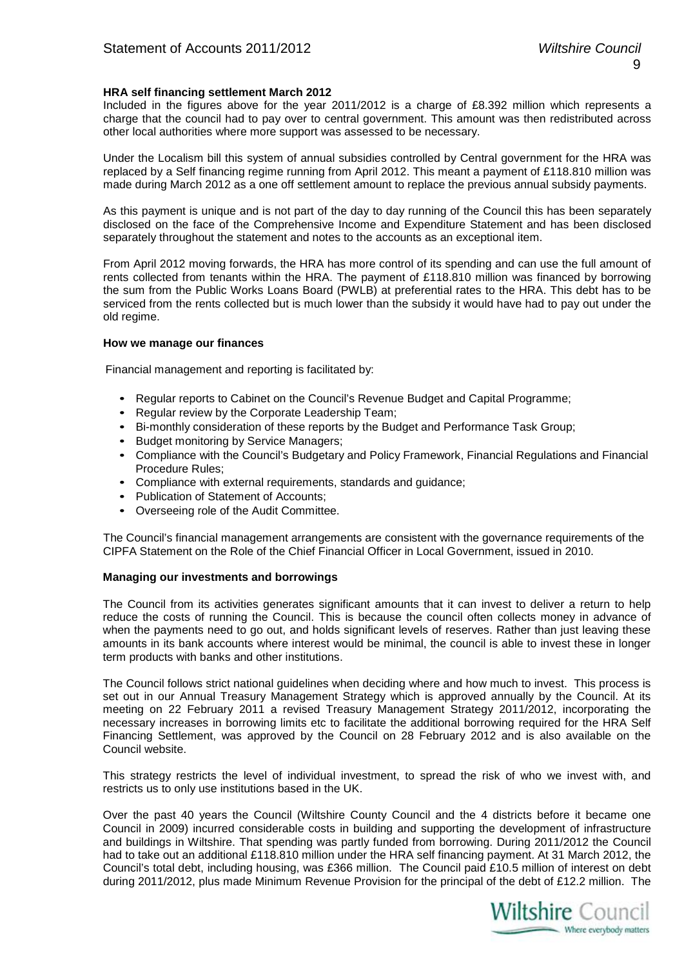#### **HRA self financing settlement March 2012**

Included in the figures above for the year 2011/2012 is a charge of £8.392 million which represents a charge that the council had to pay over to central government. This amount was then redistributed across other local authorities where more support was assessed to be necessary.

Under the Localism bill this system of annual subsidies controlled by Central government for the HRA was replaced by a Self financing regime running from April 2012. This meant a payment of £118.810 million was made during March 2012 as a one off settlement amount to replace the previous annual subsidy payments.

As this payment is unique and is not part of the day to day running of the Council this has been separately disclosed on the face of the Comprehensive Income and Expenditure Statement and has been disclosed separately throughout the statement and notes to the accounts as an exceptional item.

From April 2012 moving forwards, the HRA has more control of its spending and can use the full amount of rents collected from tenants within the HRA. The payment of £118.810 million was financed by borrowing the sum from the Public Works Loans Board (PWLB) at preferential rates to the HRA. This debt has to be serviced from the rents collected but is much lower than the subsidy it would have had to pay out under the old regime.

#### **How we manage our finances**

Financial management and reporting is facilitated by:

- Regular reports to Cabinet on the Council's Revenue Budget and Capital Programme;
- Regular review by the Corporate Leadership Team;
- Bi-monthly consideration of these reports by the Budget and Performance Task Group;
- Budget monitoring by Service Managers;
- Compliance with the Council's Budgetary and Policy Framework, Financial Regulations and Financial Procedure Rules;
- Compliance with external requirements, standards and guidance;
- Publication of Statement of Accounts;
- Overseeing role of the Audit Committee.

The Council's financial management arrangements are consistent with the governance requirements of the CIPFA Statement on the Role of the Chief Financial Officer in Local Government, issued in 2010.

#### **Managing our investments and borrowings**

The Council from its activities generates significant amounts that it can invest to deliver a return to help reduce the costs of running the Council. This is because the council often collects money in advance of when the payments need to go out, and holds significant levels of reserves. Rather than just leaving these amounts in its bank accounts where interest would be minimal, the council is able to invest these in longer term products with banks and other institutions.

The Council follows strict national guidelines when deciding where and how much to invest. This process is set out in our Annual Treasury Management Strategy which is approved annually by the Council. At its meeting on 22 February 2011 a revised Treasury Management Strategy 2011/2012, incorporating the necessary increases in borrowing limits etc to facilitate the additional borrowing required for the HRA Self Financing Settlement, was approved by the Council on 28 February 2012 and is also available on the Council website.

This strategy restricts the level of individual investment, to spread the risk of who we invest with, and restricts us to only use institutions based in the UK.

Over the past 40 years the Council (Wiltshire County Council and the 4 districts before it became one Council in 2009) incurred considerable costs in building and supporting the development of infrastructure and buildings in Wiltshire. That spending was partly funded from borrowing. During 2011/2012 the Council had to take out an additional £118.810 million under the HRA self financing payment. At 31 March 2012, the Council's total debt, including housing, was £366 million. The Council paid £10.5 million of interest on debt during 2011/2012, plus made Minimum Revenue Provision for the principal of the debt of £12.2 million. The

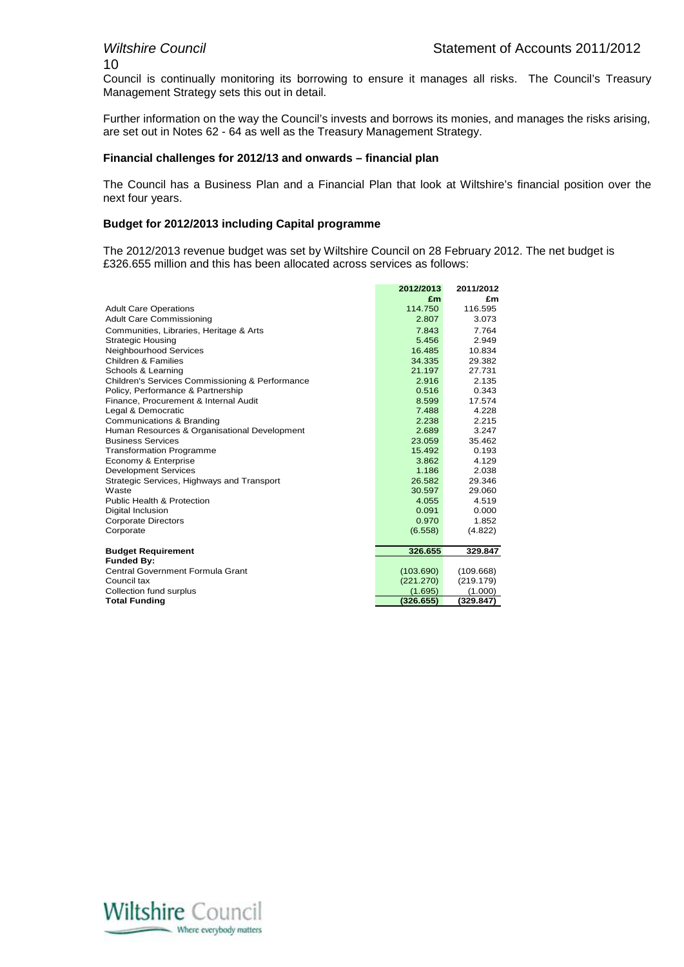# 10

Council is continually monitoring its borrowing to ensure it manages all risks. The Council's Treasury Management Strategy sets this out in detail.

Further information on the way the Council's invests and borrows its monies, and manages the risks arising, are set out in Notes 62 - 64 as well as the Treasury Management Strategy.

#### **Financial challenges for 2012/13 and onwards – financial plan**

The Council has a Business Plan and a Financial Plan that look at Wiltshire's financial position over the next four years.

#### **Budget for 2012/2013 including Capital programme**

The 2012/2013 revenue budget was set by Wiltshire Council on 28 February 2012. The net budget is £326.655 million and this has been allocated across services as follows:

|                                                 | 2012/2013 | 2011/2012 |
|-------------------------------------------------|-----------|-----------|
|                                                 | £m        | £m        |
| <b>Adult Care Operations</b>                    | 114.750   | 116.595   |
| <b>Adult Care Commissioning</b>                 | 2.807     | 3.073     |
| Communities, Libraries, Heritage & Arts         | 7.843     | 7.764     |
| <b>Strategic Housing</b>                        | 5.456     | 2.949     |
| Neighbourhood Services                          | 16.485    | 10.834    |
| Children & Families                             | 34.335    | 29.382    |
| Schools & Learning                              | 21.197    | 27.731    |
| Children's Services Commissioning & Performance | 2.916     | 2.135     |
| Policy, Performance & Partnership               | 0.516     | 0.343     |
| Finance, Procurement & Internal Audit           | 8.599     | 17.574    |
| Legal & Democratic                              | 7.488     | 4.228     |
| Communications & Branding                       | 2.238     | 2.215     |
| Human Resources & Organisational Development    | 2.689     | 3.247     |
| <b>Business Services</b>                        | 23.059    | 35.462    |
| <b>Transformation Programme</b>                 | 15.492    | 0.193     |
| Economy & Enterprise                            | 3.862     | 4.129     |
| <b>Development Services</b>                     | 1.186     | 2.038     |
| Strategic Services, Highways and Transport      | 26.582    | 29.346    |
| Waste                                           | 30.597    | 29.060    |
| <b>Public Health &amp; Protection</b>           | 4.055     | 4.519     |
| Digital Inclusion                               | 0.091     | 0.000     |
| <b>Corporate Directors</b>                      | 0.970     | 1.852     |
| Corporate                                       | (6.558)   | (4.822)   |
|                                                 |           |           |
| <b>Budget Requirement</b>                       | 326.655   | 329.847   |
| <b>Funded By:</b>                               |           |           |
| Central Government Formula Grant                | (103.690) | (109.668) |
| Council tax                                     | (221.270) | (219.179) |
| Collection fund surplus                         | (1.695)   | (1.000)   |
| <b>Total Funding</b>                            | (326.655) | (329.847) |

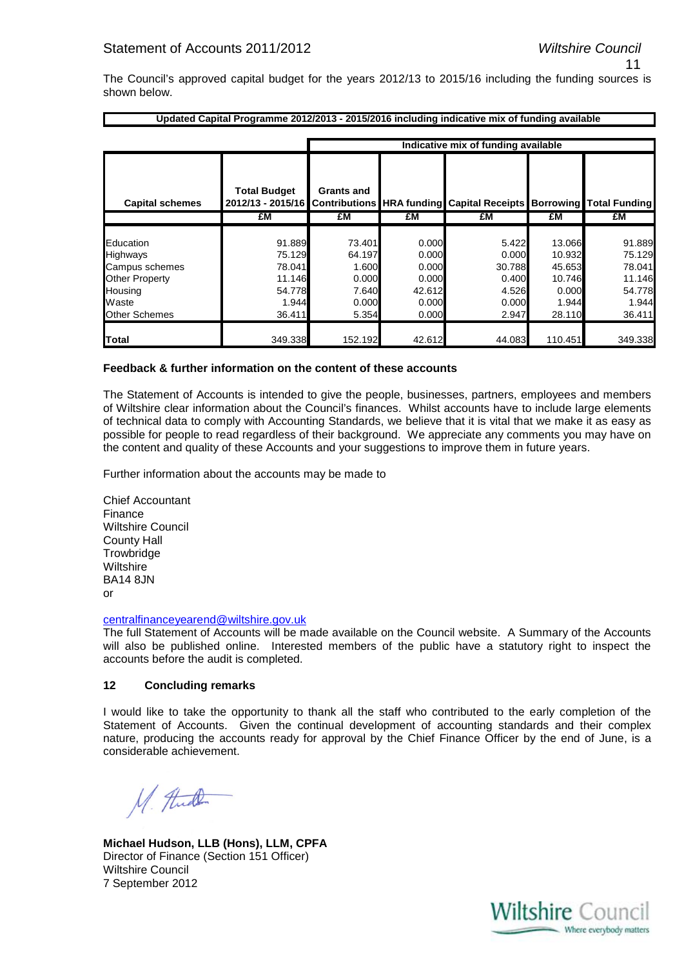11

The Council's approved capital budget for the years 2012/13 to 2015/16 including the funding sources is shown below.

|                        | Updated Capital Programme 2012/2013 - 2015/2016 including indicative mix of funding available |                                     |        |        |         |         |  |  |  |  |
|------------------------|-----------------------------------------------------------------------------------------------|-------------------------------------|--------|--------|---------|---------|--|--|--|--|
|                        |                                                                                               |                                     |        |        |         |         |  |  |  |  |
|                        |                                                                                               | Indicative mix of funding available |        |        |         |         |  |  |  |  |
|                        |                                                                                               |                                     |        |        |         |         |  |  |  |  |
|                        |                                                                                               |                                     |        |        |         |         |  |  |  |  |
|                        | <b>Total Budget</b>                                                                           | <b>Grants and</b>                   |        |        |         |         |  |  |  |  |
| <b>Capital schemes</b> | 2012/13 - 2015/16 Contributions HRA funding Capital Receipts Borrowing Total Funding          |                                     |        |        |         |         |  |  |  |  |
|                        | £M                                                                                            | £M                                  | £M     | £M     | £M      | £M      |  |  |  |  |
|                        |                                                                                               |                                     |        |        |         |         |  |  |  |  |
| Education              | 91.889                                                                                        | 73.401                              | 0.000  | 5.422  | 13.066  | 91.889  |  |  |  |  |
| Highways               | 75.129                                                                                        | 64.197                              | 0.000  | 0.000  | 10.932  | 75.129  |  |  |  |  |
| Campus schemes         | 78.041                                                                                        | 1.600                               | 0.000  | 30.788 | 45.653  | 78.041  |  |  |  |  |
| <b>Other Property</b>  | 11.146                                                                                        | 0.000                               | 0.000  | 0.400  | 10.746  | 11.146  |  |  |  |  |
| Housing                | 54.778                                                                                        | 7.640                               | 42.612 | 4.526  | 0.000   | 54.778  |  |  |  |  |
| Waste                  | 1.944                                                                                         | 0.000                               | 0.000  | 0.000  | 1.944   | 1.944   |  |  |  |  |
| <b>Other Schemes</b>   | 36.411                                                                                        | 5.354                               | 0.000  | 2.947  | 28.110  | 36.411  |  |  |  |  |
|                        |                                                                                               |                                     |        |        |         |         |  |  |  |  |
| <b>Total</b>           | 349.338                                                                                       | 152.192                             | 42.612 | 44.083 | 110.451 | 349.338 |  |  |  |  |

#### **Feedback & further information on the content of these accounts**

The Statement of Accounts is intended to give the people, businesses, partners, employees and members of Wiltshire clear information about the Council's finances. Whilst accounts have to include large elements of technical data to comply with Accounting Standards, we believe that it is vital that we make it as easy as possible for people to read regardless of their background. We appreciate any comments you may have on the content and quality of these Accounts and your suggestions to improve them in future years.

Further information about the accounts may be made to

Chief Accountant Finance Wiltshire Council County Hall **Trowbridge** Wiltshire BA14 8JN or

#### centralfinanceyearend@wiltshire.gov.uk

The full Statement of Accounts will be made available on the Council website. A Summary of the Accounts will also be published online. Interested members of the public have a statutory right to inspect the accounts before the audit is completed.

#### **12 Concluding remarks**

I would like to take the opportunity to thank all the staff who contributed to the early completion of the Statement of Accounts. Given the continual development of accounting standards and their complex nature, producing the accounts ready for approval by the Chief Finance Officer by the end of June, is a considerable achievement.

M. And

**Michael Hudson, LLB (Hons), LLM, CPFA** Director of Finance (Section 151 Officer) Wiltshire Council 7 September 2012

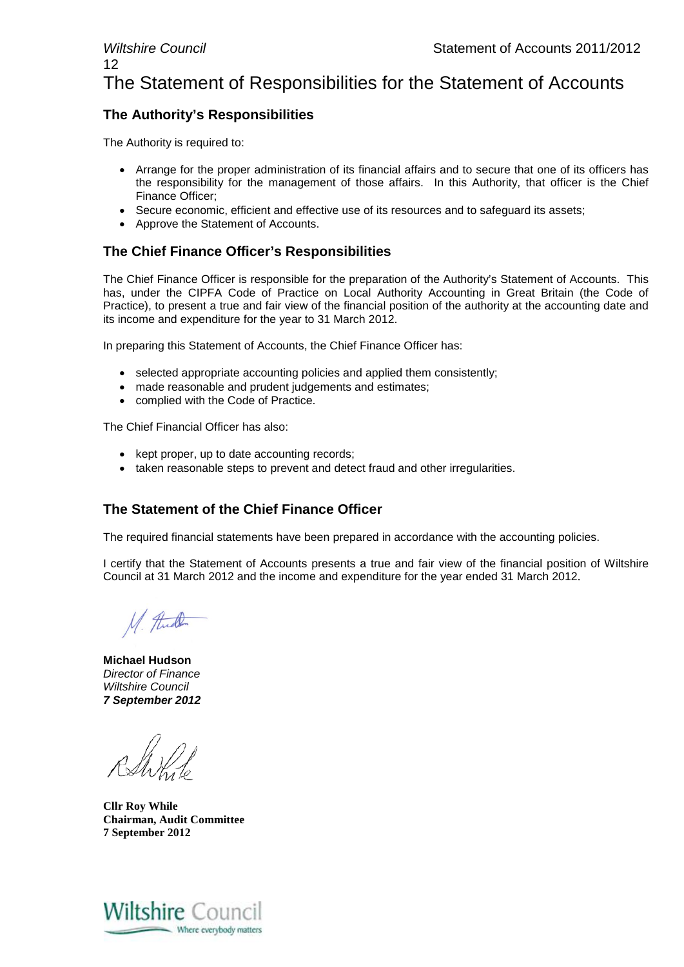#### *Wiltshire Council* Statement of Accounts 2011/2012 12 The Statement of Responsibilities for the Statement of Accounts

#### **The Authority's Responsibilities**

The Authority is required to:

- Arrange for the proper administration of its financial affairs and to secure that one of its officers has the responsibility for the management of those affairs. In this Authority, that officer is the Chief Finance Officer;
- Secure economic, efficient and effective use of its resources and to safeguard its assets;
- Approve the Statement of Accounts.

#### **The Chief Finance Officer's Responsibilities**

The Chief Finance Officer is responsible for the preparation of the Authority's Statement of Accounts. This has, under the CIPFA Code of Practice on Local Authority Accounting in Great Britain (the Code of Practice), to present a true and fair view of the financial position of the authority at the accounting date and its income and expenditure for the year to 31 March 2012.

In preparing this Statement of Accounts, the Chief Finance Officer has:

- selected appropriate accounting policies and applied them consistently;
- made reasonable and prudent judgements and estimates;
- complied with the Code of Practice.

The Chief Financial Officer has also:

- kept proper, up to date accounting records:
- taken reasonable steps to prevent and detect fraud and other irregularities.

#### **The Statement of the Chief Finance Officer**

The required financial statements have been prepared in accordance with the accounting policies.

I certify that the Statement of Accounts presents a true and fair view of the financial position of Wiltshire Council at 31 March 2012 and the income and expenditure for the year ended 31 March 2012.

M. Full

**Michael Hudson** *Director of Finance Wiltshire Council 7 September 2012*

**Cllr Roy While Chairman, Audit Committee 7 September 2012**

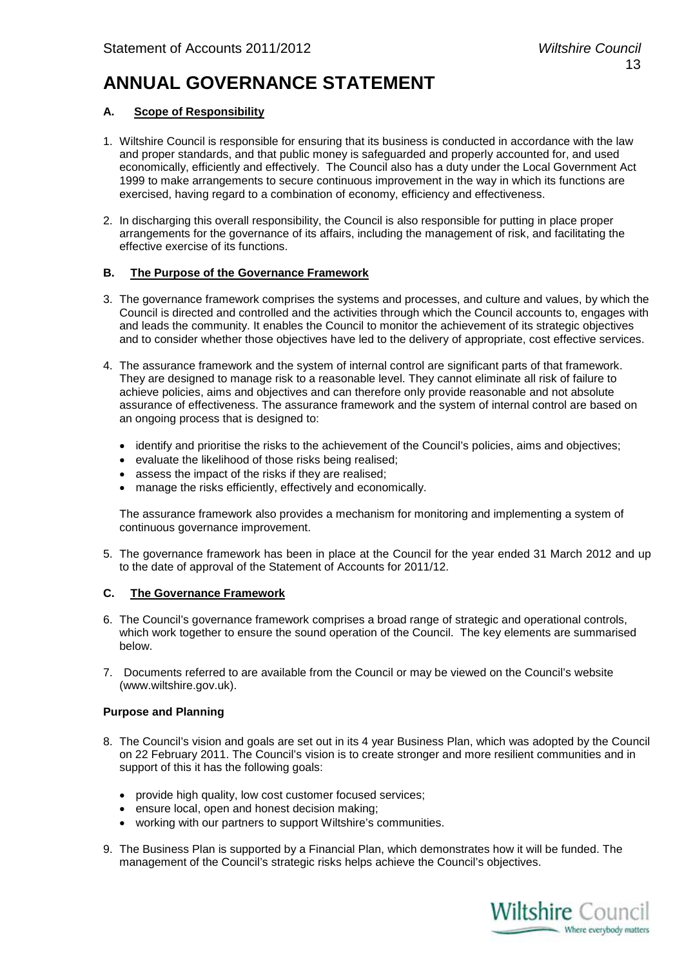## **ANNUAL GOVERNANCE STATEMENT**

#### **A. Scope of Responsibility**

- 1. Wiltshire Council is responsible for ensuring that its business is conducted in accordance with the law and proper standards, and that public money is safeguarded and properly accounted for, and used economically, efficiently and effectively. The Council also has a duty under the Local Government Act 1999 to make arrangements to secure continuous improvement in the way in which its functions are exercised, having regard to a combination of economy, efficiency and effectiveness.
- 2. In discharging this overall responsibility, the Council is also responsible for putting in place proper arrangements for the governance of its affairs, including the management of risk, and facilitating the effective exercise of its functions.

#### **B. The Purpose of the Governance Framework**

- 3. The governance framework comprises the systems and processes, and culture and values, by which the Council is directed and controlled and the activities through which the Council accounts to, engages with and leads the community. It enables the Council to monitor the achievement of its strategic objectives and to consider whether those objectives have led to the delivery of appropriate, cost effective services.
- 4. The assurance framework and the system of internal control are significant parts of that framework. They are designed to manage risk to a reasonable level. They cannot eliminate all risk of failure to achieve policies, aims and objectives and can therefore only provide reasonable and not absolute assurance of effectiveness. The assurance framework and the system of internal control are based on an ongoing process that is designed to:
	- identify and prioritise the risks to the achievement of the Council's policies, aims and objectives;
	- evaluate the likelihood of those risks being realised;
	- assess the impact of the risks if they are realised;
	- manage the risks efficiently, effectively and economically.

The assurance framework also provides a mechanism for monitoring and implementing a system of continuous governance improvement.

5. The governance framework has been in place at the Council for the year ended 31 March 2012 and up to the date of approval of the Statement of Accounts for 2011/12.

#### **C. The Governance Framework**

- 6. The Council's governance framework comprises a broad range of strategic and operational controls, which work together to ensure the sound operation of the Council. The key elements are summarised below.
- 7. Documents referred to are available from the Council or may be viewed on the Council's website (www.wiltshire.gov.uk).

#### **Purpose and Planning**

- 8. The Council's vision and goals are set out in its 4 year Business Plan, which was adopted by the Council on 22 February 2011. The Council's vision is to create stronger and more resilient communities and in support of this it has the following goals:
	- provide high quality, low cost customer focused services;
	- ensure local, open and honest decision making;
	- working with our partners to support Wiltshire's communities.
- 9. The Business Plan is supported by a Financial Plan, which demonstrates how it will be funded. The management of the Council's strategic risks helps achieve the Council's objectives.

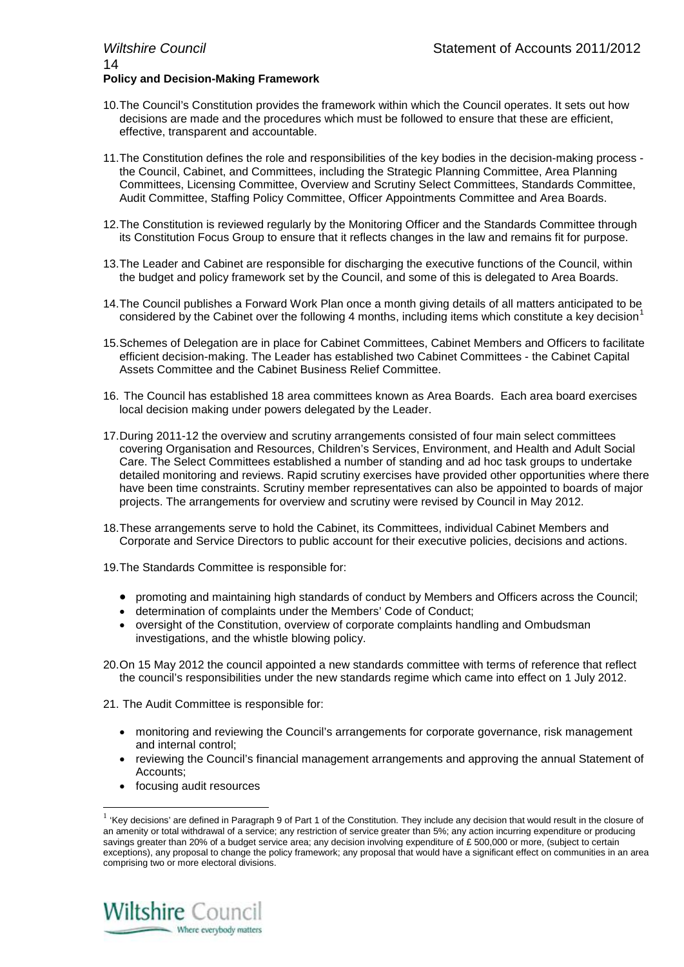- 10.The Council's Constitution provides the framework within which the Council operates. It sets out how decisions are made and the procedures which must be followed to ensure that these are efficient, effective, transparent and accountable.
- 11.The Constitution defines the role and responsibilities of the key bodies in the decision-making process the Council, Cabinet, and Committees, including the Strategic Planning Committee, Area Planning Committees, Licensing Committee, Overview and Scrutiny Select Committees, Standards Committee, Audit Committee, Staffing Policy Committee, Officer Appointments Committee and Area Boards.
- 12.The Constitution is reviewed regularly by the Monitoring Officer and the Standards Committee through its Constitution Focus Group to ensure that it reflects changes in the law and remains fit for purpose.
- 13.The Leader and Cabinet are responsible for discharging the executive functions of the Council, within the budget and policy framework set by the Council, and some of this is delegated to Area Boards.
- 14.The Council publishes a Forward Work Plan once a month giving details of all matters anticipated to be considered by the Cabinet over the following 4 months, including items which constitute a key decision<sup>[1](#page-13-0)</sup>
- 15.Schemes of Delegation are in place for Cabinet Committees, Cabinet Members and Officers to facilitate efficient decision-making. The Leader has established two Cabinet Committees - the Cabinet Capital Assets Committee and the Cabinet Business Relief Committee.
- 16. The Council has established 18 area committees known as Area Boards. Each area board exercises local decision making under powers delegated by the Leader.
- 17.During 2011-12 the overview and scrutiny arrangements consisted of four main select committees covering Organisation and Resources, Children's Services, Environment, and Health and Adult Social Care. The Select Committees established a number of standing and ad hoc task groups to undertake detailed monitoring and reviews. Rapid scrutiny exercises have provided other opportunities where there have been time constraints. Scrutiny member representatives can also be appointed to boards of major projects. The arrangements for overview and scrutiny were revised by Council in May 2012.
- 18.These arrangements serve to hold the Cabinet, its Committees, individual Cabinet Members and Corporate and Service Directors to public account for their executive policies, decisions and actions.
- 19.The Standards Committee is responsible for:
	- promoting and maintaining high standards of conduct by Members and Officers across the Council;
	- determination of complaints under the Members' Code of Conduct;
	- oversight of the Constitution, overview of corporate complaints handling and Ombudsman investigations, and the whistle blowing policy.
- 20.On 15 May 2012 the council appointed a new standards committee with terms of reference that reflect the council's responsibilities under the new standards regime which came into effect on 1 July 2012.
- 21. The Audit Committee is responsible for:
	- monitoring and reviewing the Council's arrangements for corporate governance, risk management and internal control;
	- reviewing the Council's financial management arrangements and approving the annual Statement of Accounts;
	- focusing audit resources

<span id="page-13-0"></span> $1$  'Kev decisions' are defined in Paragraph 9 of Part 1 of the Constitution. They include any decision that would result in the closure of an amenity or total withdrawal of a service; any restriction of service greater than 5%; any action incurring expenditure or producing savings greater than 20% of a budget service area; any decision involving expenditure of £ 500,000 or more, (subject to certain exceptions), any proposal to change the policy framework; any proposal that would have a significant effect on communities in an area comprising two or more electoral divisions.

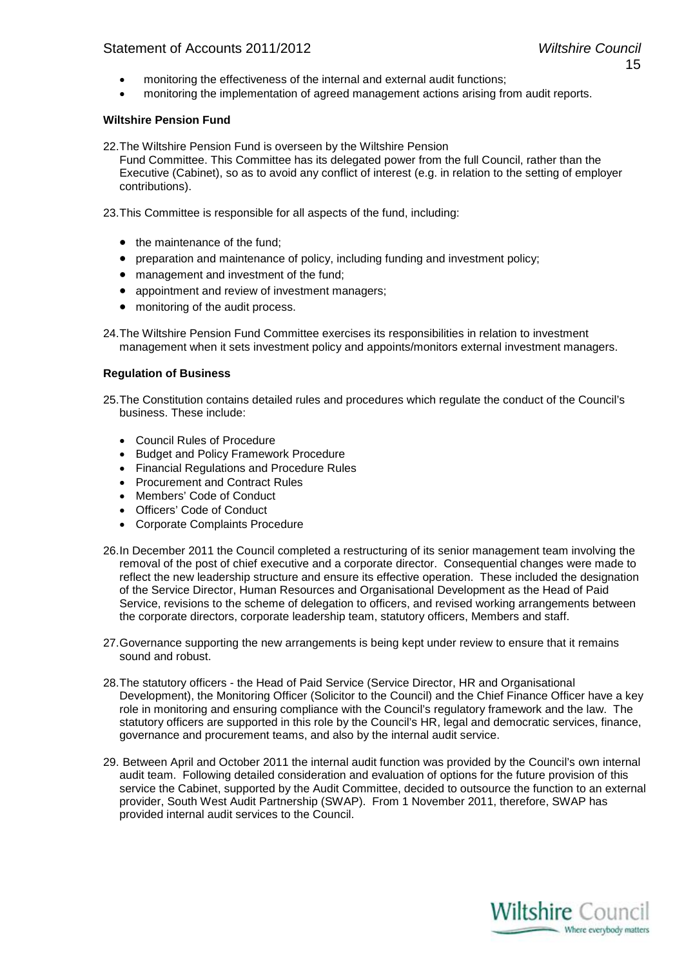- monitoring the effectiveness of the internal and external audit functions;
- monitoring the implementation of agreed management actions arising from audit reports.

#### **Wiltshire Pension Fund**

22.The Wiltshire Pension Fund is overseen by the Wiltshire Pension Fund Committee. This Committee has its delegated power from the full Council, rather than the Executive (Cabinet), so as to avoid any conflict of interest (e.g. in relation to the setting of employer contributions).

23.This Committee is responsible for all aspects of the fund, including:

- the maintenance of the fund:
- preparation and maintenance of policy, including funding and investment policy;
- management and investment of the fund;
- appointment and review of investment managers;
- monitoring of the audit process.

24.The Wiltshire Pension Fund Committee exercises its responsibilities in relation to investment management when it sets investment policy and appoints/monitors external investment managers.

#### **Regulation of Business**

25.The Constitution contains detailed rules and procedures which regulate the conduct of the Council's business. These include:

- Council Rules of Procedure
- Budget and Policy Framework Procedure
- Financial Regulations and Procedure Rules
- Procurement and Contract Rules
- Members' Code of Conduct
- Officers' Code of Conduct
- Corporate Complaints Procedure
- 26.In December 2011 the Council completed a restructuring of its senior management team involving the removal of the post of chief executive and a corporate director. Consequential changes were made to reflect the new leadership structure and ensure its effective operation. These included the designation of the Service Director, Human Resources and Organisational Development as the Head of Paid Service, revisions to the scheme of delegation to officers, and revised working arrangements between the corporate directors, corporate leadership team, statutory officers, Members and staff.
- 27.Governance supporting the new arrangements is being kept under review to ensure that it remains sound and robust.
- 28.The statutory officers the Head of Paid Service (Service Director, HR and Organisational Development), the Monitoring Officer (Solicitor to the Council) and the Chief Finance Officer have a key role in monitoring and ensuring compliance with the Council's regulatory framework and the law. The statutory officers are supported in this role by the Council's HR, legal and democratic services, finance, governance and procurement teams, and also by the internal audit service.
- 29. Between April and October 2011 the internal audit function was provided by the Council's own internal audit team. Following detailed consideration and evaluation of options for the future provision of this service the Cabinet, supported by the Audit Committee, decided to outsource the function to an external provider, South West Audit Partnership (SWAP). From 1 November 2011, therefore, SWAP has provided internal audit services to the Council.

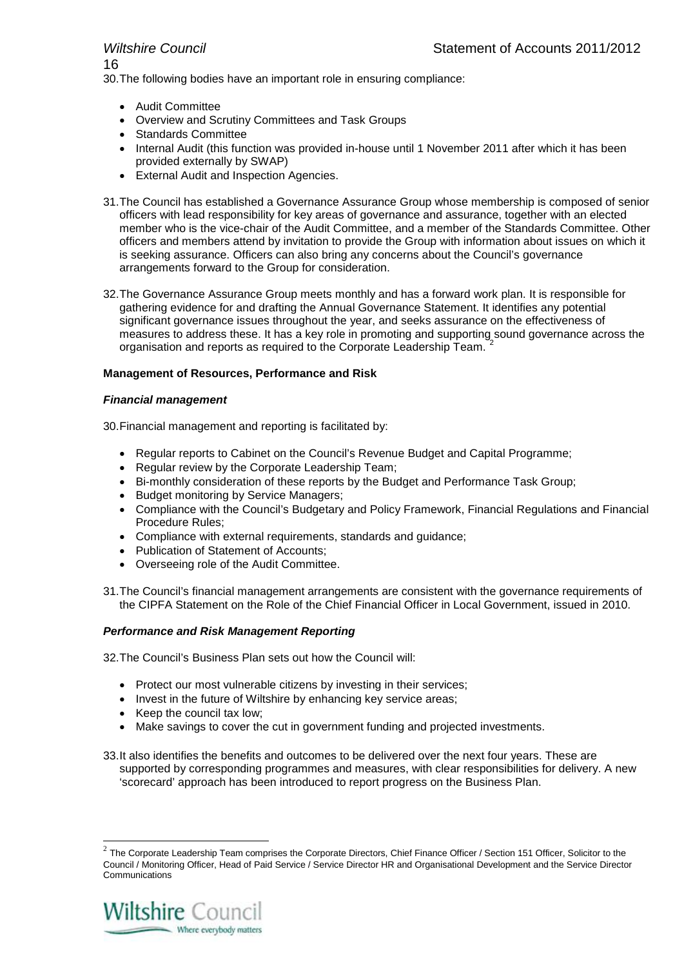16

30.The following bodies have an important role in ensuring compliance:

- Audit Committee
- Overview and Scrutiny Committees and Task Groups
- Standards Committee
- Internal Audit (this function was provided in-house until 1 November 2011 after which it has been provided externally by SWAP)
- External Audit and Inspection Agencies.
- 31.The Council has established a Governance Assurance Group whose membership is composed of senior officers with lead responsibility for key areas of governance and assurance, together with an elected member who is the vice-chair of the Audit Committee, and a member of the Standards Committee. Other officers and members attend by invitation to provide the Group with information about issues on which it is seeking assurance. Officers can also bring any concerns about the Council's governance arrangements forward to the Group for consideration.
- 32.The Governance Assurance Group meets monthly and has a forward work plan. It is responsible for gathering evidence for and drafting the Annual Governance Statement. It identifies any potential significant governance issues throughout the year, and seeks assurance on the effectiveness of measures to address these. It has a key role in promoting and supporting sound governance across the organisation and reports as required to the Corporate Leadership Team. [2](#page-15-0)

#### **Management of Resources, Performance and Risk**

#### *Financial management*

30.Financial management and reporting is facilitated by:

- Regular reports to Cabinet on the Council's Revenue Budget and Capital Programme;
- Regular review by the Corporate Leadership Team;
- Bi-monthly consideration of these reports by the Budget and Performance Task Group;
- Budget monitoring by Service Managers;
- Compliance with the Council's Budgetary and Policy Framework, Financial Regulations and Financial Procedure Rules;
- Compliance with external requirements, standards and guidance;
- Publication of Statement of Accounts;
- Overseeing role of the Audit Committee.
- 31.The Council's financial management arrangements are consistent with the governance requirements of the CIPFA Statement on the Role of the Chief Financial Officer in Local Government, issued in 2010.

#### *Performance and Risk Management Reporting*

32.The Council's Business Plan sets out how the Council will:

- Protect our most vulnerable citizens by investing in their services;
- Invest in the future of Wiltshire by enhancing key service areas;
- Keep the council tax low;
- Make savings to cover the cut in government funding and projected investments.
- 33.It also identifies the benefits and outcomes to be delivered over the next four years. These are supported by corresponding programmes and measures, with clear responsibilities for delivery. A new 'scorecard' approach has been introduced to report progress on the Business Plan.

<span id="page-15-0"></span> $2$  The Corporate Leadership Team comprises the Corporate Directors, Chief Finance Officer / Section 151 Officer, Solicitor to the Council / Monitoring Officer, Head of Paid Service / Service Director HR and Organisational Development and the Service Director Communications

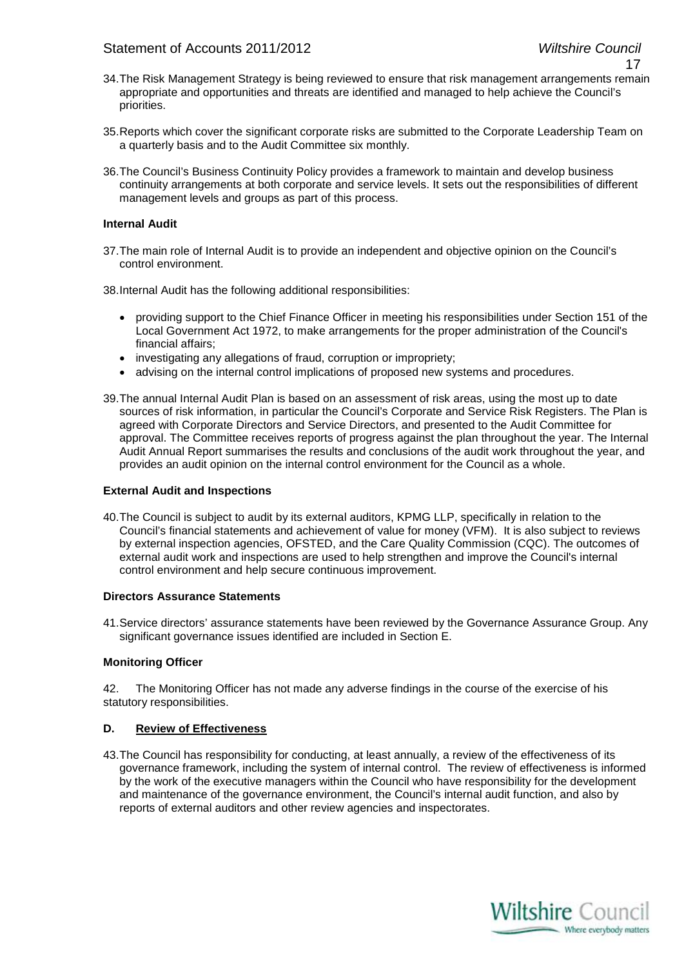- 17
- 34.The Risk Management Strategy is being reviewed to ensure that risk management arrangements remain appropriate and opportunities and threats are identified and managed to help achieve the Council's priorities.
- 35.Reports which cover the significant corporate risks are submitted to the Corporate Leadership Team on a quarterly basis and to the Audit Committee six monthly.
- 36.The Council's Business Continuity Policy provides a framework to maintain and develop business continuity arrangements at both corporate and service levels. It sets out the responsibilities of different management levels and groups as part of this process.

#### **Internal Audit**

37.The main role of Internal Audit is to provide an independent and objective opinion on the Council's control environment.

38.Internal Audit has the following additional responsibilities:

- providing support to the Chief Finance Officer in meeting his responsibilities under Section 151 of the Local Government Act 1972, to make arrangements for the proper administration of the Council's financial affairs;
- investigating any allegations of fraud, corruption or impropriety;
- advising on the internal control implications of proposed new systems and procedures.
- 39.The annual Internal Audit Plan is based on an assessment of risk areas, using the most up to date sources of risk information, in particular the Council's Corporate and Service Risk Registers. The Plan is agreed with Corporate Directors and Service Directors, and presented to the Audit Committee for approval. The Committee receives reports of progress against the plan throughout the year. The Internal Audit Annual Report summarises the results and conclusions of the audit work throughout the year, and provides an audit opinion on the internal control environment for the Council as a whole.

#### **External Audit and Inspections**

40.The Council is subject to audit by its external auditors, KPMG LLP, specifically in relation to the Council's financial statements and achievement of value for money (VFM). It is also subject to reviews by external inspection agencies, OFSTED, and the Care Quality Commission (CQC). The outcomes of external audit work and inspections are used to help strengthen and improve the Council's internal control environment and help secure continuous improvement.

#### **Directors Assurance Statements**

41.Service directors' assurance statements have been reviewed by the Governance Assurance Group. Any significant governance issues identified are included in Section E.

#### **Monitoring Officer**

42. The Monitoring Officer has not made any adverse findings in the course of the exercise of his statutory responsibilities.

#### **D. Review of Effectiveness**

43.The Council has responsibility for conducting, at least annually, a review of the effectiveness of its governance framework, including the system of internal control. The review of effectiveness is informed by the work of the executive managers within the Council who have responsibility for the development and maintenance of the governance environment, the Council's internal audit function, and also by reports of external auditors and other review agencies and inspectorates.

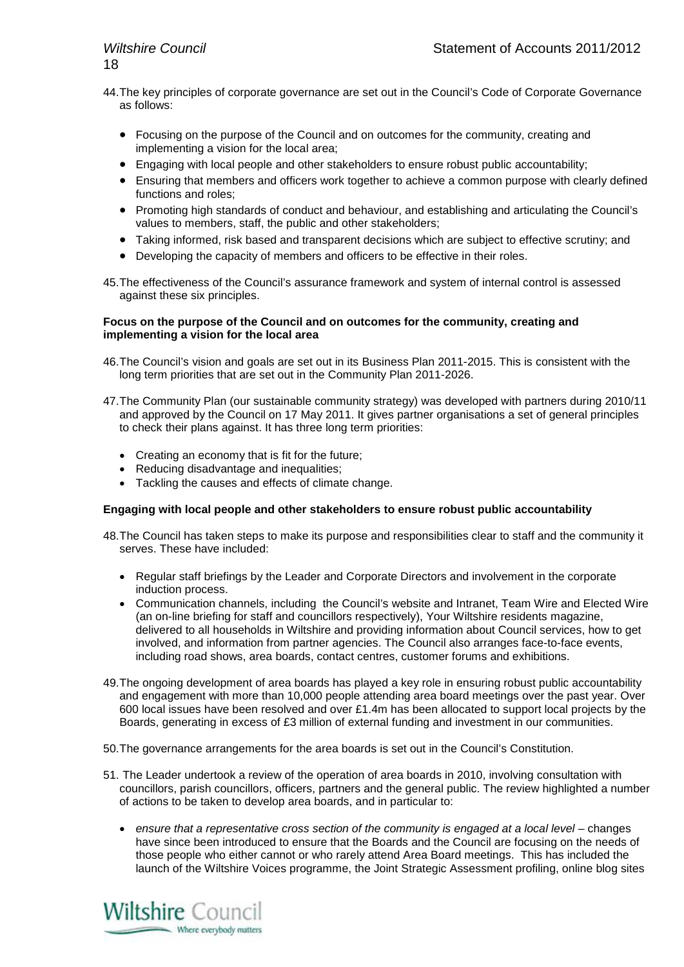- 44.The key principles of corporate governance are set out in the Council's Code of Corporate Governance as follows:
	- Focusing on the purpose of the Council and on outcomes for the community, creating and implementing a vision for the local area;
	- Engaging with local people and other stakeholders to ensure robust public accountability;
	- Ensuring that members and officers work together to achieve a common purpose with clearly defined functions and roles;
	- Promoting high standards of conduct and behaviour, and establishing and articulating the Council's values to members, staff, the public and other stakeholders;
	- Taking informed, risk based and transparent decisions which are subject to effective scrutiny; and
	- Developing the capacity of members and officers to be effective in their roles.
- 45.The effectiveness of the Council's assurance framework and system of internal control is assessed against these six principles.

#### **Focus on the purpose of the Council and on outcomes for the community, creating and implementing a vision for the local area**

- 46.The Council's vision and goals are set out in its Business Plan 2011-2015. This is consistent with the long term priorities that are set out in the Community Plan 2011-2026.
- 47.The Community Plan (our sustainable community strategy) was developed with partners during 2010/11 and approved by the Council on 17 May 2011. It gives partner organisations a set of general principles to check their plans against. It has three long term priorities:
	- Creating an economy that is fit for the future;
	- Reducing disadvantage and inequalities;
	- Tackling the causes and effects of climate change.

#### **Engaging with local people and other stakeholders to ensure robust public accountability**

- 48.The Council has taken steps to make its purpose and responsibilities clear to staff and the community it serves. These have included:
	- Regular staff briefings by the Leader and Corporate Directors and involvement in the corporate induction process.
	- Communication channels, including the Council's website and Intranet, Team Wire and Elected Wire (an on-line briefing for staff and councillors respectively), Your Wiltshire residents magazine, delivered to all households in Wiltshire and providing information about Council services, how to get involved, and information from partner agencies. The Council also arranges face-to-face events, including road shows, area boards, contact centres, customer forums and exhibitions.
- 49.The ongoing development of area boards has played a key role in ensuring robust public accountability and engagement with more than 10,000 people attending area board meetings over the past year. Over 600 local issues have been resolved and over £1.4m has been allocated to support local projects by the Boards, generating in excess of £3 million of external funding and investment in our communities.
- 50.The governance arrangements for the area boards is set out in the Council's Constitution.
- 51. The Leader undertook a review of the operation of area boards in 2010, involving consultation with councillors, parish councillors, officers, partners and the general public. The review highlighted a number of actions to be taken to develop area boards, and in particular to:
	- ensure that a representative cross section of the community is engaged at a local level changes have since been introduced to ensure that the Boards and the Council are focusing on the needs of those people who either cannot or who rarely attend Area Board meetings. This has included the launch of the Wiltshire Voices programme, the Joint Strategic Assessment profiling, online blog sites

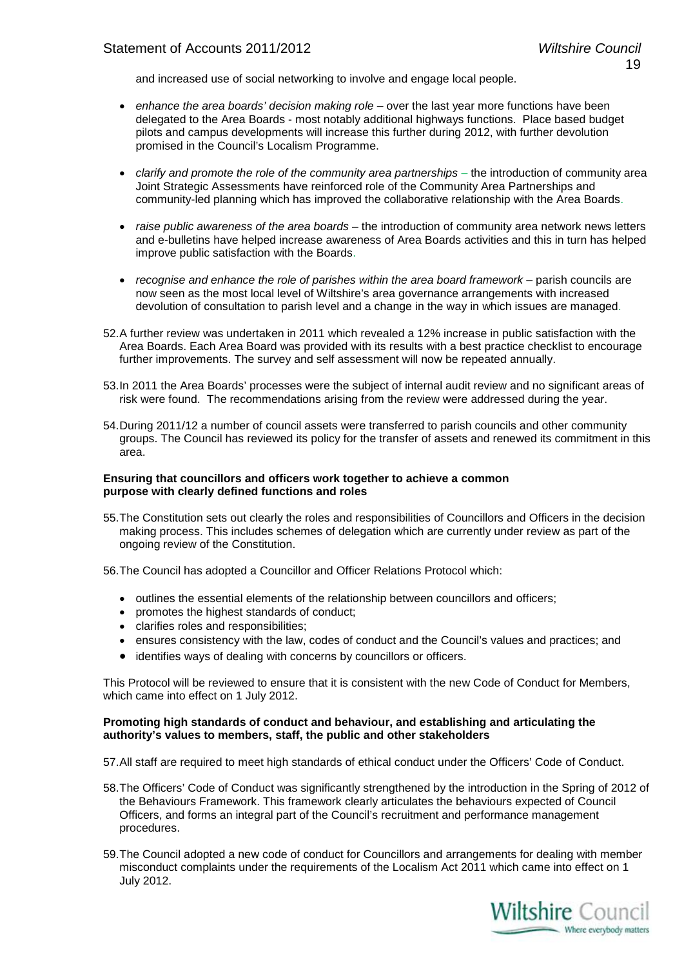and increased use of social networking to involve and engage local people.

- *enhance the area boards' decision making role –* over the last year more functions have been delegated to the Area Boards - most notably additional highways functions. Place based budget pilots and campus developments will increase this further during 2012, with further devolution promised in the Council's Localism Programme.
- *clarify and promote the role of the community area partnerships* the introduction of community area Joint Strategic Assessments have reinforced role of the Community Area Partnerships and community-led planning which has improved the collaborative relationship with the Area Boards.
- *raise public awareness of the area boards* the introduction of community area network news letters and e-bulletins have helped increase awareness of Area Boards activities and this in turn has helped improve public satisfaction with the Boards.
- *recognise and enhance the role of parishes within the area board framework* parish councils are now seen as the most local level of Wiltshire's area governance arrangements with increased devolution of consultation to parish level and a change in the way in which issues are managed.
- 52.A further review was undertaken in 2011 which revealed a 12% increase in public satisfaction with the Area Boards. Each Area Board was provided with its results with a best practice checklist to encourage further improvements. The survey and self assessment will now be repeated annually.
- 53.In 2011 the Area Boards' processes were the subject of internal audit review and no significant areas of risk were found. The recommendations arising from the review were addressed during the year.
- 54.During 2011/12 a number of council assets were transferred to parish councils and other community groups. The Council has reviewed its policy for the transfer of assets and renewed its commitment in this area.

#### **Ensuring that councillors and officers work together to achieve a common purpose with clearly defined functions and roles**

55.The Constitution sets out clearly the roles and responsibilities of Councillors and Officers in the decision making process. This includes schemes of delegation which are currently under review as part of the ongoing review of the Constitution.

56.The Council has adopted a Councillor and Officer Relations Protocol which:

- outlines the essential elements of the relationship between councillors and officers;
- promotes the highest standards of conduct;
- clarifies roles and responsibilities;
- ensures consistency with the law, codes of conduct and the Council's values and practices; and
- identifies ways of dealing with concerns by councillors or officers.

This Protocol will be reviewed to ensure that it is consistent with the new Code of Conduct for Members, which came into effect on 1 July 2012.

#### **Promoting high standards of conduct and behaviour, and establishing and articulating the authority's values to members, staff, the public and other stakeholders**

57.All staff are required to meet high standards of ethical conduct under the Officers' Code of Conduct.

- 58.The Officers' Code of Conduct was significantly strengthened by the introduction in the Spring of 2012 of the Behaviours Framework. This framework clearly articulates the behaviours expected of Council Officers, and forms an integral part of the Council's recruitment and performance management procedures.
- 59.The Council adopted a new code of conduct for Councillors and arrangements for dealing with member misconduct complaints under the requirements of the Localism Act 2011 which came into effect on 1 July 2012.

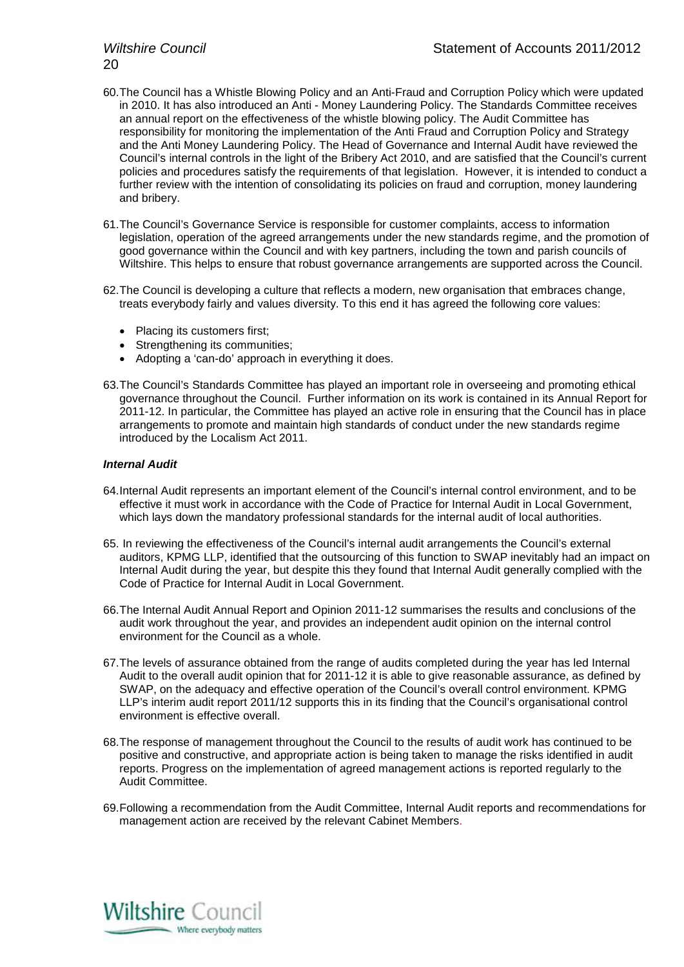- 60.The Council has a Whistle Blowing Policy and an Anti-Fraud and Corruption Policy which were updated in 2010. It has also introduced an Anti - Money Laundering Policy. The Standards Committee receives an annual report on the effectiveness of the whistle blowing policy. The Audit Committee has responsibility for monitoring the implementation of the Anti Fraud and Corruption Policy and Strategy and the Anti Money Laundering Policy. The Head of Governance and Internal Audit have reviewed the Council's internal controls in the light of the Bribery Act 2010, and are satisfied that the Council's current policies and procedures satisfy the requirements of that legislation. However, it is intended to conduct a further review with the intention of consolidating its policies on fraud and corruption, money laundering and bribery.
- 61.The Council's Governance Service is responsible for customer complaints, access to information legislation, operation of the agreed arrangements under the new standards regime, and the promotion of good governance within the Council and with key partners, including the town and parish councils of Wiltshire. This helps to ensure that robust governance arrangements are supported across the Council.
- 62.The Council is developing a culture that reflects a modern, new organisation that embraces change, treats everybody fairly and values diversity. To this end it has agreed the following core values:
	- Placing its customers first;
	- Strengthening its communities;
	- Adopting a 'can-do' approach in everything it does.
- 63.The Council's Standards Committee has played an important role in overseeing and promoting ethical governance throughout the Council. Further information on its work is contained in its Annual Report for 2011-12. In particular, the Committee has played an active role in ensuring that the Council has in place arrangements to promote and maintain high standards of conduct under the new standards regime introduced by the Localism Act 2011.

#### *Internal Audit*

- 64.Internal Audit represents an important element of the Council's internal control environment, and to be effective it must work in accordance with the Code of Practice for Internal Audit in Local Government, which lays down the mandatory professional standards for the internal audit of local authorities.
- 65. In reviewing the effectiveness of the Council's internal audit arrangements the Council's external auditors, KPMG LLP, identified that the outsourcing of this function to SWAP inevitably had an impact on Internal Audit during the year, but despite this they found that Internal Audit generally complied with the Code of Practice for Internal Audit in Local Government.
- 66.The Internal Audit Annual Report and Opinion 2011-12 summarises the results and conclusions of the audit work throughout the year, and provides an independent audit opinion on the internal control environment for the Council as a whole.
- 67.The levels of assurance obtained from the range of audits completed during the year has led Internal Audit to the overall audit opinion that for 2011-12 it is able to give reasonable assurance, as defined by SWAP, on the adequacy and effective operation of the Council's overall control environment. KPMG LLP's interim audit report 2011/12 supports this in its finding that the Council's organisational control environment is effective overall.
- 68.The response of management throughout the Council to the results of audit work has continued to be positive and constructive, and appropriate action is being taken to manage the risks identified in audit reports. Progress on the implementation of agreed management actions is reported regularly to the Audit Committee.
- 69.Following a recommendation from the Audit Committee, Internal Audit reports and recommendations for management action are received by the relevant Cabinet Members.

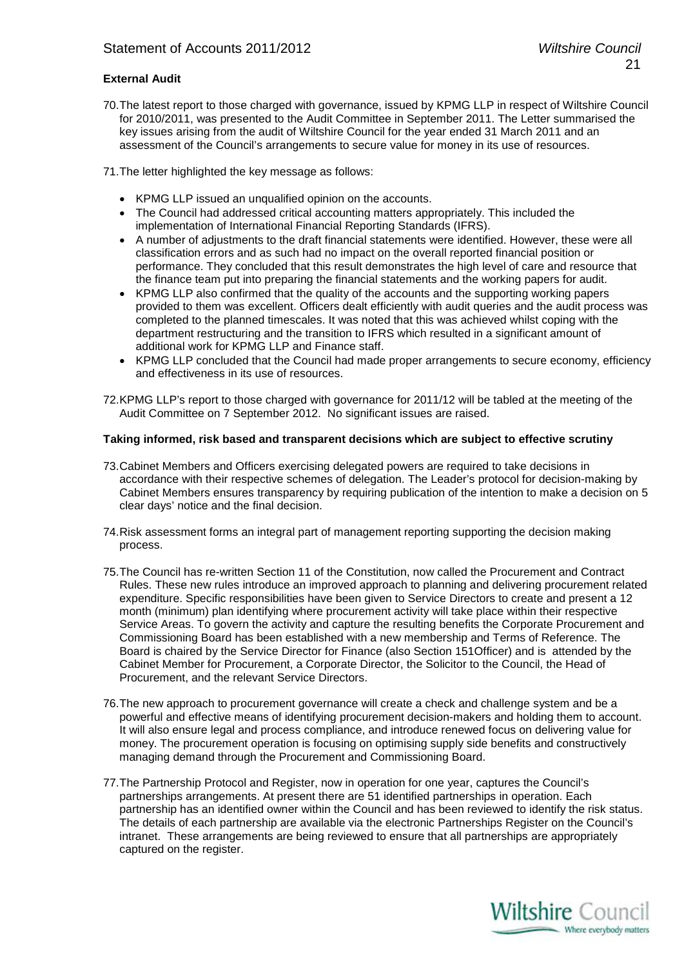#### **External Audit**

70.The latest report to those charged with governance, issued by KPMG LLP in respect of Wiltshire Council for 2010/2011, was presented to the Audit Committee in September 2011. The Letter summarised the key issues arising from the audit of Wiltshire Council for the year ended 31 March 2011 and an assessment of the Council's arrangements to secure value for money in its use of resources.

71.The letter highlighted the key message as follows:

- KPMG LLP issued an unqualified opinion on the accounts.
- The Council had addressed critical accounting matters appropriately. This included the implementation of International Financial Reporting Standards (IFRS).
- A number of adjustments to the draft financial statements were identified. However, these were all classification errors and as such had no impact on the overall reported financial position or performance. They concluded that this result demonstrates the high level of care and resource that the finance team put into preparing the financial statements and the working papers for audit.
- KPMG LLP also confirmed that the quality of the accounts and the supporting working papers provided to them was excellent. Officers dealt efficiently with audit queries and the audit process was completed to the planned timescales. It was noted that this was achieved whilst coping with the department restructuring and the transition to IFRS which resulted in a significant amount of additional work for KPMG LLP and Finance staff.
- KPMG LLP concluded that the Council had made proper arrangements to secure economy, efficiency and effectiveness in its use of resources.

72.KPMG LLP's report to those charged with governance for 2011/12 will be tabled at the meeting of the Audit Committee on 7 September 2012. No significant issues are raised.

#### **Taking informed, risk based and transparent decisions which are subject to effective scrutiny**

- 73.Cabinet Members and Officers exercising delegated powers are required to take decisions in accordance with their respective schemes of delegation. The Leader's protocol for decision-making by Cabinet Members ensures transparency by requiring publication of the intention to make a decision on 5 clear days' notice and the final decision.
- 74.Risk assessment forms an integral part of management reporting supporting the decision making process.
- 75.The Council has re-written Section 11 of the Constitution, now called the Procurement and Contract Rules. These new rules introduce an improved approach to planning and delivering procurement related expenditure. Specific responsibilities have been given to Service Directors to create and present a 12 month (minimum) plan identifying where procurement activity will take place within their respective Service Areas. To govern the activity and capture the resulting benefits the Corporate Procurement and Commissioning Board has been established with a new membership and Terms of Reference. The Board is chaired by the Service Director for Finance (also Section 151Officer) and is attended by the Cabinet Member for Procurement, a Corporate Director, the Solicitor to the Council, the Head of Procurement, and the relevant Service Directors.
- 76.The new approach to procurement governance will create a check and challenge system and be a powerful and effective means of identifying procurement decision-makers and holding them to account. It will also ensure legal and process compliance, and introduce renewed focus on delivering value for money. The procurement operation is focusing on optimising supply side benefits and constructively managing demand through the Procurement and Commissioning Board.
- 77.The Partnership Protocol and Register, now in operation for one year, captures the Council's partnerships arrangements. At present there are 51 identified partnerships in operation. Each partnership has an identified owner within the Council and has been reviewed to identify the risk status. The details of each partnership are available via the electronic Partnerships Register on the Council's intranet. These arrangements are being reviewed to ensure that all partnerships are appropriately captured on the register.

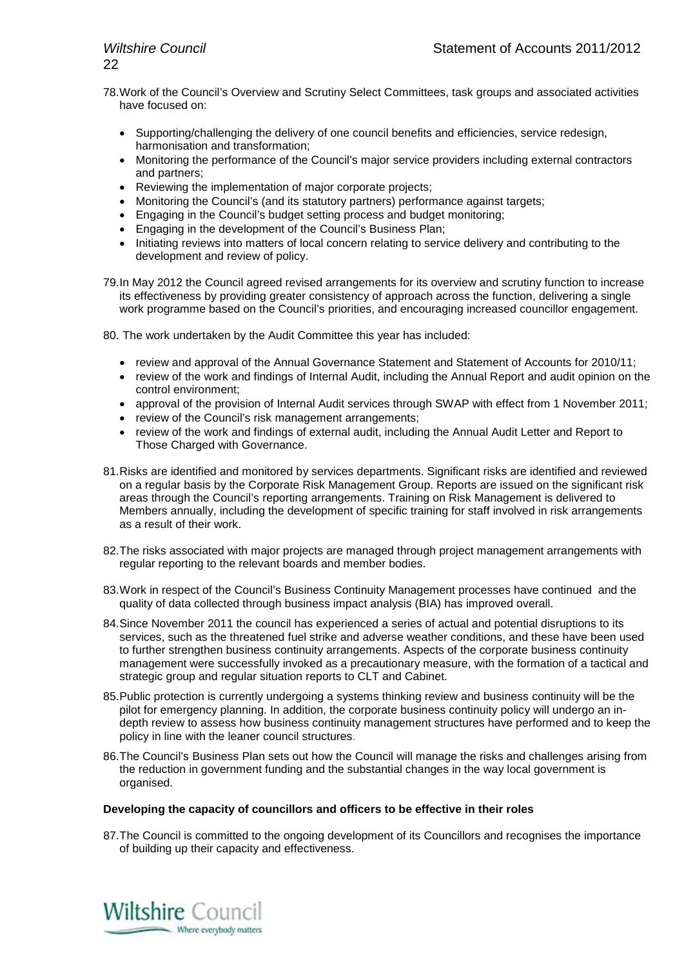- 78.Work of the Council's Overview and Scrutiny Select Committees, task groups and associated activities have focused on:
	- Supporting/challenging the delivery of one council benefits and efficiencies, service redesign, harmonisation and transformation;
	- Monitoring the performance of the Council's major service providers including external contractors and partners;
	- Reviewing the implementation of major corporate projects;
	- Monitoring the Council's (and its statutory partners) performance against targets;
	- Engaging in the Council's budget setting process and budget monitoring;
	- Engaging in the development of the Council's Business Plan;
	- Initiating reviews into matters of local concern relating to service delivery and contributing to the development and review of policy.
- 79.In May 2012 the Council agreed revised arrangements for its overview and scrutiny function to increase its effectiveness by providing greater consistency of approach across the function, delivering a single work programme based on the Council's priorities, and encouraging increased councillor engagement.
- 80. The work undertaken by the Audit Committee this year has included:
	- review and approval of the Annual Governance Statement and Statement of Accounts for 2010/11;
	- review of the work and findings of Internal Audit, including the Annual Report and audit opinion on the control environment;
	- approval of the provision of Internal Audit services through SWAP with effect from 1 November 2011;
	- review of the Council's risk management arrangements;
	- review of the work and findings of external audit, including the Annual Audit Letter and Report to Those Charged with Governance.
- 81.Risks are identified and monitored by services departments. Significant risks are identified and reviewed on a regular basis by the Corporate Risk Management Group. Reports are issued on the significant risk areas through the Council's reporting arrangements. Training on Risk Management is delivered to Members annually, including the development of specific training for staff involved in risk arrangements as a result of their work.
- 82.The risks associated with major projects are managed through project management arrangements with regular reporting to the relevant boards and member bodies.
- 83.Work in respect of the Council's Business Continuity Management processes have continued and the quality of data collected through business impact analysis (BIA) has improved overall.
- 84.Since November 2011 the council has experienced a series of actual and potential disruptions to its services, such as the threatened fuel strike and adverse weather conditions, and these have been used to further strengthen business continuity arrangements. Aspects of the corporate business continuity management were successfully invoked as a precautionary measure, with the formation of a tactical and strategic group and regular situation reports to CLT and Cabinet.
- 85.Public protection is currently undergoing a systems thinking review and business continuity will be the pilot for emergency planning. In addition, the corporate business continuity policy will undergo an indepth review to assess how business continuity management structures have performed and to keep the policy in line with the leaner council structures.
- 86.The Council's Business Plan sets out how the Council will manage the risks and challenges arising from the reduction in government funding and the substantial changes in the way local government is organised.

#### **Developing the capacity of councillors and officers to be effective in their roles**

87.The Council is committed to the ongoing development of its Councillors and recognises the importance of building up their capacity and effectiveness.

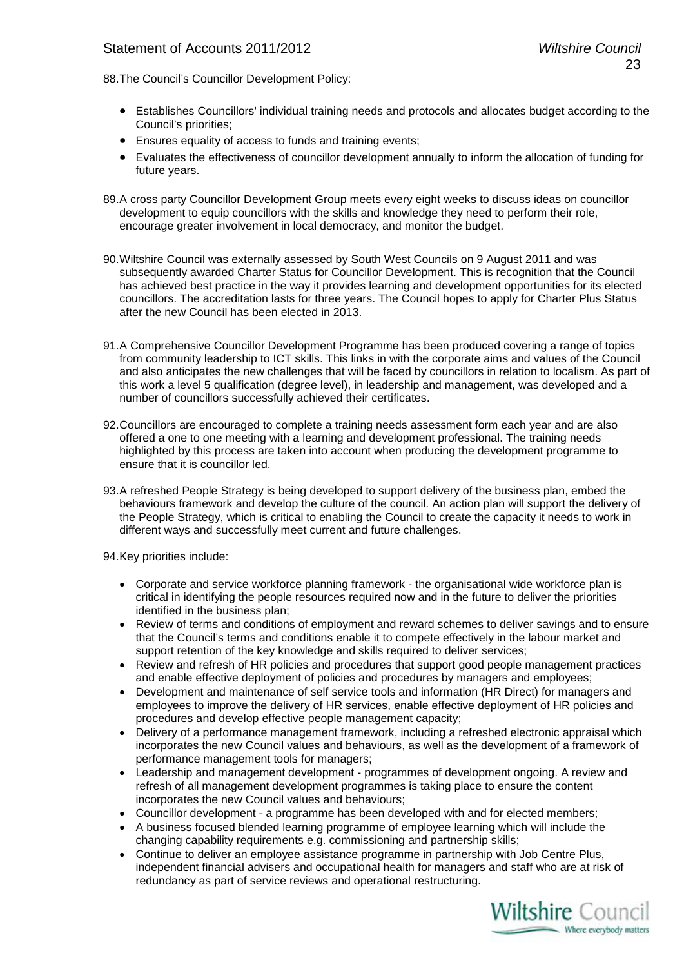88.The Council's Councillor Development Policy:

- Establishes Councillors' individual training needs and protocols and allocates budget according to the Council's priorities;
- Ensures equality of access to funds and training events;
- Evaluates the effectiveness of councillor development annually to inform the allocation of funding for future years.
- 89.A cross party Councillor Development Group meets every eight weeks to discuss ideas on councillor development to equip councillors with the skills and knowledge they need to perform their role, encourage greater involvement in local democracy, and monitor the budget.
- 90.Wiltshire Council was externally assessed by South West Councils on 9 August 2011 and was subsequently awarded Charter Status for Councillor Development. This is recognition that the Council has achieved best practice in the way it provides learning and development opportunities for its elected councillors. The accreditation lasts for three years. The Council hopes to apply for Charter Plus Status after the new Council has been elected in 2013.
- 91.A Comprehensive Councillor Development Programme has been produced covering a range of topics from community leadership to ICT skills. This links in with the corporate aims and values of the Council and also anticipates the new challenges that will be faced by councillors in relation to localism. As part of this work a level 5 qualification (degree level), in leadership and management, was developed and a number of councillors successfully achieved their certificates.
- 92.Councillors are encouraged to complete a training needs assessment form each year and are also offered a one to one meeting with a learning and development professional. The training needs highlighted by this process are taken into account when producing the development programme to ensure that it is councillor led.
- 93.A refreshed People Strategy is being developed to support delivery of the business plan, embed the behaviours framework and develop the culture of the council. An action plan will support the delivery of the People Strategy, which is critical to enabling the Council to create the capacity it needs to work in different ways and successfully meet current and future challenges.

94.Key priorities include:

- Corporate and service workforce planning framework the organisational wide workforce plan is critical in identifying the people resources required now and in the future to deliver the priorities identified in the business plan;
- Review of terms and conditions of employment and reward schemes to deliver savings and to ensure that the Council's terms and conditions enable it to compete effectively in the labour market and support retention of the key knowledge and skills required to deliver services;
- Review and refresh of HR policies and procedures that support good people management practices and enable effective deployment of policies and procedures by managers and employees;
- Development and maintenance of self service tools and information (HR Direct) for managers and employees to improve the delivery of HR services, enable effective deployment of HR policies and procedures and develop effective people management capacity;
- Delivery of a performance management framework, including a refreshed electronic appraisal which incorporates the new Council values and behaviours, as well as the development of a framework of performance management tools for managers;
- Leadership and management development programmes of development ongoing. A review and refresh of all management development programmes is taking place to ensure the content incorporates the new Council values and behaviours;
- Councillor development a programme has been developed with and for elected members;
- A business focused blended learning programme of employee learning which will include the changing capability requirements e.g. commissioning and partnership skills;
- Continue to deliver an employee assistance programme in partnership with Job Centre Plus, independent financial advisers and occupational health for managers and staff who are at risk of redundancy as part of service reviews and operational restructuring.

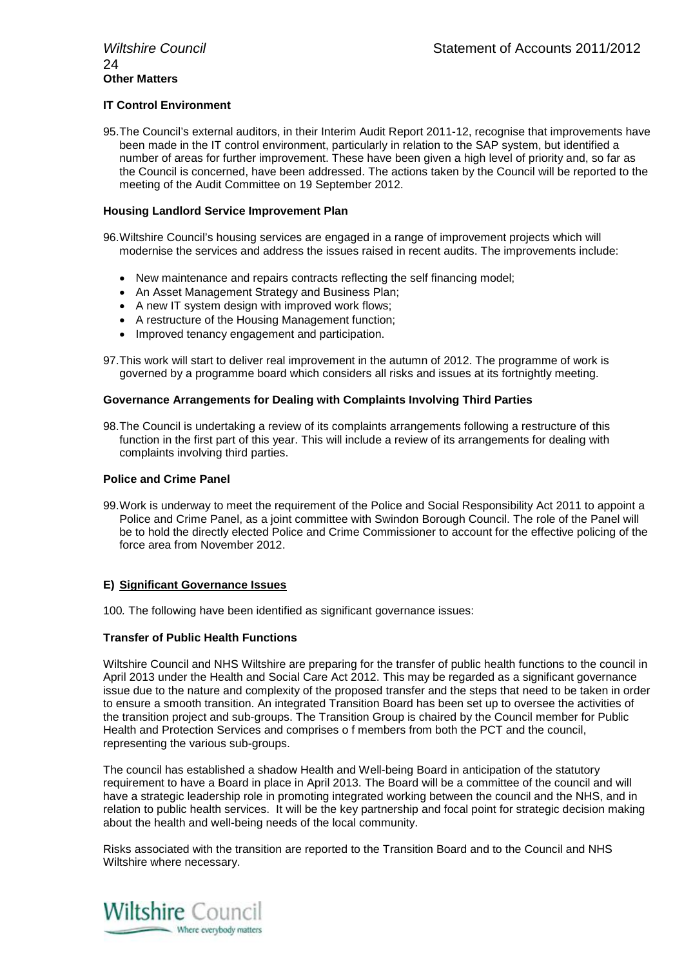#### **IT Control Environment**

95.The Council's external auditors, in their Interim Audit Report 2011-12, recognise that improvements have been made in the IT control environment, particularly in relation to the SAP system, but identified a number of areas for further improvement. These have been given a high level of priority and, so far as the Council is concerned, have been addressed. The actions taken by the Council will be reported to the meeting of the Audit Committee on 19 September 2012.

#### **Housing Landlord Service Improvement Plan**

96.Wiltshire Council's housing services are engaged in a range of improvement projects which will modernise the services and address the issues raised in recent audits. The improvements include:

- New maintenance and repairs contracts reflecting the self financing model;
- An Asset Management Strategy and Business Plan;
- A new IT system design with improved work flows;
- A restructure of the Housing Management function;
- Improved tenancy engagement and participation.

97.This work will start to deliver real improvement in the autumn of 2012. The programme of work is governed by a programme board which considers all risks and issues at its fortnightly meeting.

#### **Governance Arrangements for Dealing with Complaints Involving Third Parties**

98.The Council is undertaking a review of its complaints arrangements following a restructure of this function in the first part of this year. This will include a review of its arrangements for dealing with complaints involving third parties.

#### **Police and Crime Panel**

99.Work is underway to meet the requirement of the Police and Social Responsibility Act 2011 to appoint a Police and Crime Panel, as a joint committee with Swindon Borough Council. The role of the Panel will be to hold the directly elected Police and Crime Commissioner to account for the effective policing of the force area from November 2012.

#### **E) Significant Governance Issues**

100*.* The following have been identified as significant governance issues:

#### **Transfer of Public Health Functions**

Wiltshire Council and NHS Wiltshire are preparing for the transfer of public health functions to the council in April 2013 under the Health and Social Care Act 2012. This may be regarded as a significant governance issue due to the nature and complexity of the proposed transfer and the steps that need to be taken in order to ensure a smooth transition. An integrated Transition Board has been set up to oversee the activities of the transition project and sub-groups. The Transition Group is chaired by the Council member for Public Health and Protection Services and comprises o f members from both the PCT and the council, representing the various sub-groups.

The council has established a shadow Health and Well-being Board in anticipation of the statutory requirement to have a Board in place in April 2013. The Board will be a committee of the council and will have a strategic leadership role in promoting integrated working between the council and the NHS, and in relation to public health services. It will be the key partnership and focal point for strategic decision making about the health and well-being needs of the local community.

Risks associated with the transition are reported to the Transition Board and to the Council and NHS Wiltshire where necessary.

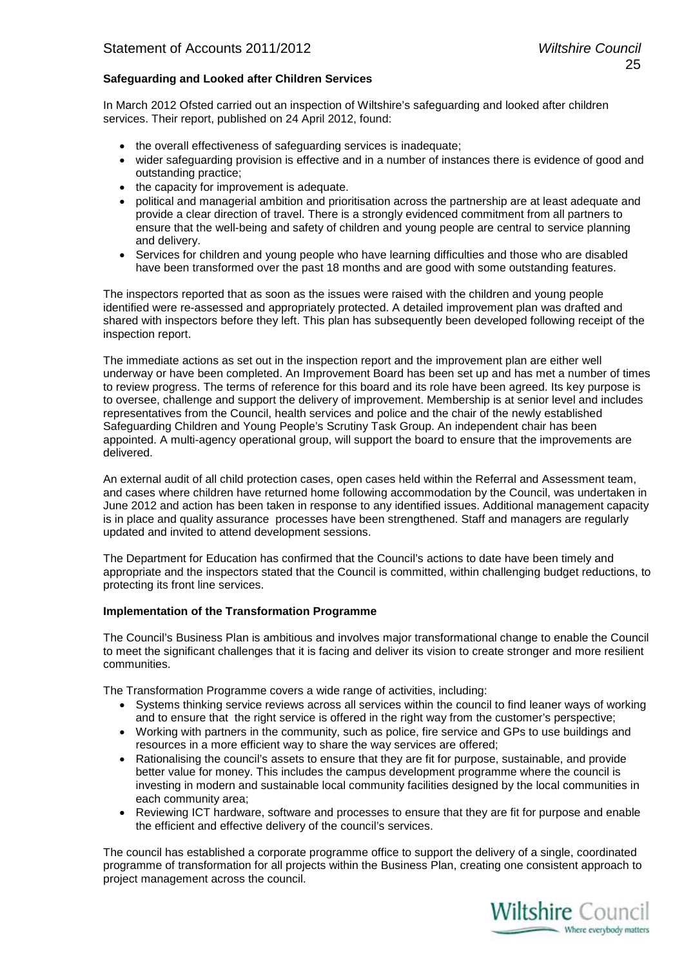#### **Safeguarding and Looked after Children Services**

In March 2012 Ofsted carried out an inspection of Wiltshire's safeguarding and looked after children services. Their report, published on 24 April 2012, found:

- the overall effectiveness of safeguarding services is inadequate;
- wider safeguarding provision is effective and in a number of instances there is evidence of good and outstanding practice;
- the capacity for improvement is adequate.
- political and managerial ambition and prioritisation across the partnership are at least adequate and provide a clear direction of travel. There is a strongly evidenced commitment from all partners to ensure that the well-being and safety of children and young people are central to service planning and delivery.
- Services for children and young people who have learning difficulties and those who are disabled have been transformed over the past 18 months and are good with some outstanding features.

The inspectors reported that as soon as the issues were raised with the children and young people identified were re-assessed and appropriately protected. A detailed improvement plan was drafted and shared with inspectors before they left. This plan has subsequently been developed following receipt of the inspection report.

The immediate actions as set out in the inspection report and the improvement plan are either well underway or have been completed. An Improvement Board has been set up and has met a number of times to review progress. The terms of reference for this board and its role have been agreed. Its key purpose is to oversee, challenge and support the delivery of improvement. Membership is at senior level and includes representatives from the Council, health services and police and the chair of the newly established Safeguarding Children and Young People's Scrutiny Task Group. An independent chair has been appointed. A multi-agency operational group, will support the board to ensure that the improvements are delivered.

An external audit of all child protection cases, open cases held within the Referral and Assessment team, and cases where children have returned home following accommodation by the Council, was undertaken in June 2012 and action has been taken in response to any identified issues. Additional management capacity is in place and quality assurance processes have been strengthened. Staff and managers are regularly updated and invited to attend development sessions.

The Department for Education has confirmed that the Council's actions to date have been timely and appropriate and the inspectors stated that the Council is committed, within challenging budget reductions, to protecting its front line services.

#### **Implementation of the Transformation Programme**

The Council's Business Plan is ambitious and involves major transformational change to enable the Council to meet the significant challenges that it is facing and deliver its vision to create stronger and more resilient communities.

The Transformation Programme covers a wide range of activities, including:

- Systems thinking service reviews across all services within the council to find leaner ways of working and to ensure that the right service is offered in the right way from the customer's perspective;
- Working with partners in the community, such as police, fire service and GPs to use buildings and resources in a more efficient way to share the way services are offered;
- Rationalising the council's assets to ensure that they are fit for purpose, sustainable, and provide better value for money. This includes the campus development programme where the council is investing in modern and sustainable local community facilities designed by the local communities in each community area;
- Reviewing ICT hardware, software and processes to ensure that they are fit for purpose and enable the efficient and effective delivery of the council's services.

The council has established a corporate programme office to support the delivery of a single, coordinated programme of transformation for all projects within the Business Plan, creating one consistent approach to project management across the council.

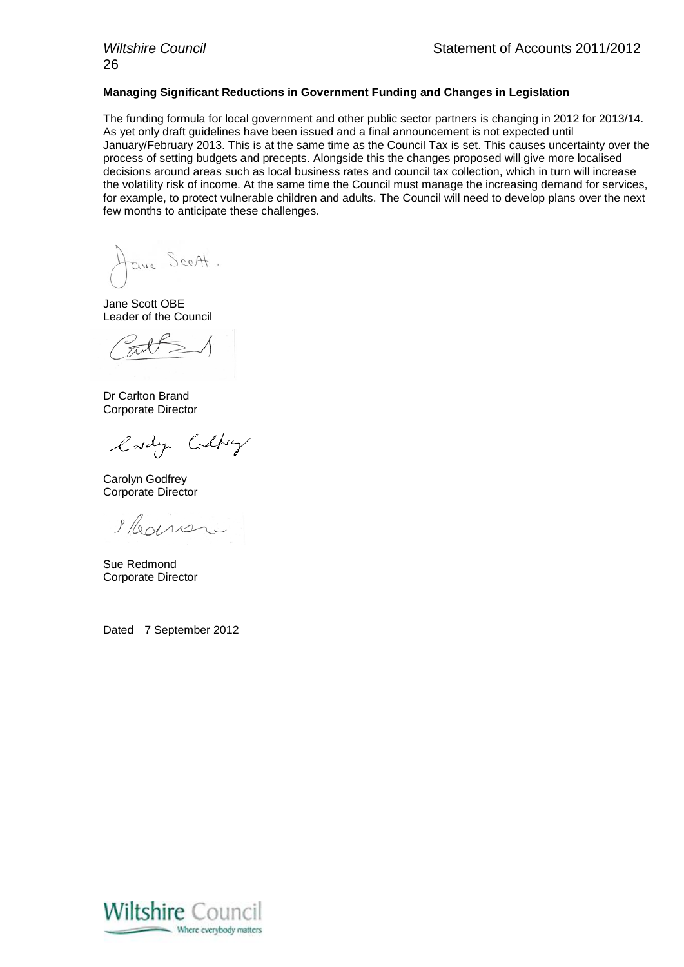#### **Managing Significant Reductions in Government Funding and Changes in Legislation**

The funding formula for local government and other public sector partners is changing in 2012 for 2013/14. As yet only draft guidelines have been issued and a final announcement is not expected until January/February 2013. This is at the same time as the Council Tax is set. This causes uncertainty over the process of setting budgets and precepts. Alongside this the changes proposed will give more localised decisions around areas such as local business rates and council tax collection, which in turn will increase the volatility risk of income. At the same time the Council must manage the increasing demand for services, for example, to protect vulnerable children and adults. The Council will need to develop plans over the next few months to anticipate these challenges.

tane Sceft.

Jane Scott OBE Leader of the Council

Dr Carlton Brand Corporate Director

lady Colly

Carolyn Godfrey Corporate Director

Ilegnar

Sue Redmond Corporate Director

Dated 7 September 2012

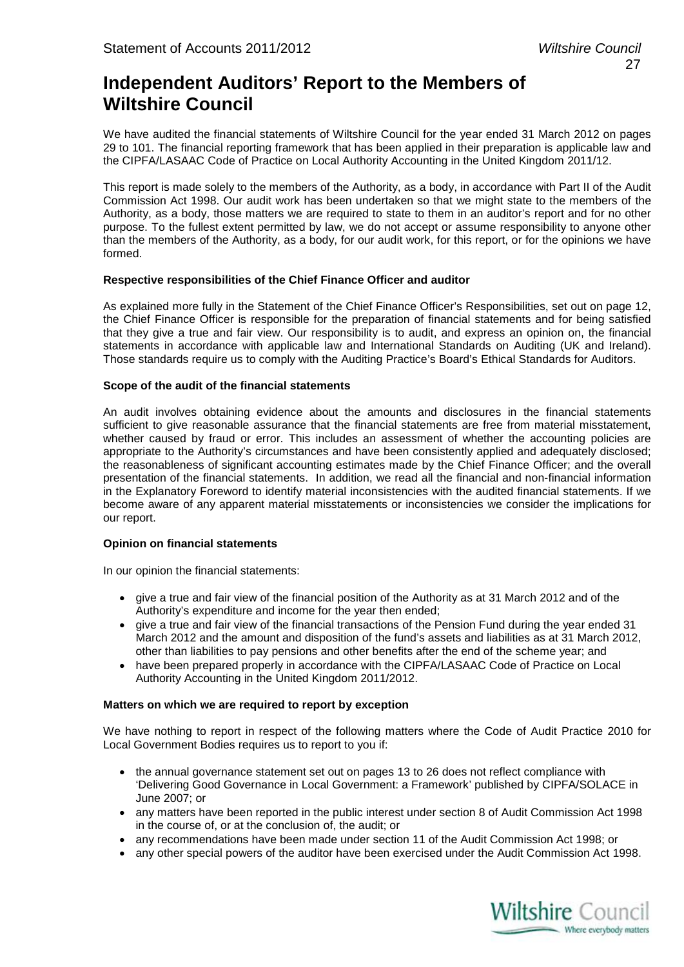## **Independent Auditors' Report to the Members of Wiltshire Council**

We have audited the financial statements of Wiltshire Council for the year ended 31 March 2012 on pages 29 to 101. The financial reporting framework that has been applied in their preparation is applicable law and the CIPFA/LASAAC Code of Practice on Local Authority Accounting in the United Kingdom 2011/12.

This report is made solely to the members of the Authority, as a body, in accordance with Part II of the Audit Commission Act 1998. Our audit work has been undertaken so that we might state to the members of the Authority, as a body, those matters we are required to state to them in an auditor's report and for no other purpose. To the fullest extent permitted by law, we do not accept or assume responsibility to anyone other than the members of the Authority, as a body, for our audit work, for this report, or for the opinions we have formed.

#### **Respective responsibilities of the Chief Finance Officer and auditor**

As explained more fully in the Statement of the Chief Finance Officer's Responsibilities, set out on page 12, the Chief Finance Officer is responsible for the preparation of financial statements and for being satisfied that they give a true and fair view. Our responsibility is to audit, and express an opinion on, the financial statements in accordance with applicable law and International Standards on Auditing (UK and Ireland). Those standards require us to comply with the Auditing Practice's Board's Ethical Standards for Auditors.

#### **Scope of the audit of the financial statements**

An audit involves obtaining evidence about the amounts and disclosures in the financial statements sufficient to give reasonable assurance that the financial statements are free from material misstatement. whether caused by fraud or error. This includes an assessment of whether the accounting policies are appropriate to the Authority's circumstances and have been consistently applied and adequately disclosed; the reasonableness of significant accounting estimates made by the Chief Finance Officer; and the overall presentation of the financial statements. In addition, we read all the financial and non-financial information in the Explanatory Foreword to identify material inconsistencies with the audited financial statements. If we become aware of any apparent material misstatements or inconsistencies we consider the implications for our report.

#### **Opinion on financial statements**

In our opinion the financial statements:

- give a true and fair view of the financial position of the Authority as at 31 March 2012 and of the Authority's expenditure and income for the year then ended;
- give a true and fair view of the financial transactions of the Pension Fund during the year ended 31 March 2012 and the amount and disposition of the fund's assets and liabilities as at 31 March 2012, other than liabilities to pay pensions and other benefits after the end of the scheme year; and
- have been prepared properly in accordance with the CIPFA/LASAAC Code of Practice on Local Authority Accounting in the United Kingdom 2011/2012.

#### **Matters on which we are required to report by exception**

We have nothing to report in respect of the following matters where the Code of Audit Practice 2010 for Local Government Bodies requires us to report to you if:

- the annual governance statement set out on pages 13 to 26 does not reflect compliance with 'Delivering Good Governance in Local Government: a Framework' published by CIPFA/SOLACE in June 2007; or
- any matters have been reported in the public interest under section 8 of Audit Commission Act 1998 in the course of, or at the conclusion of, the audit; or
- any recommendations have been made under section 11 of the Audit Commission Act 1998; or
- any other special powers of the auditor have been exercised under the Audit Commission Act 1998.

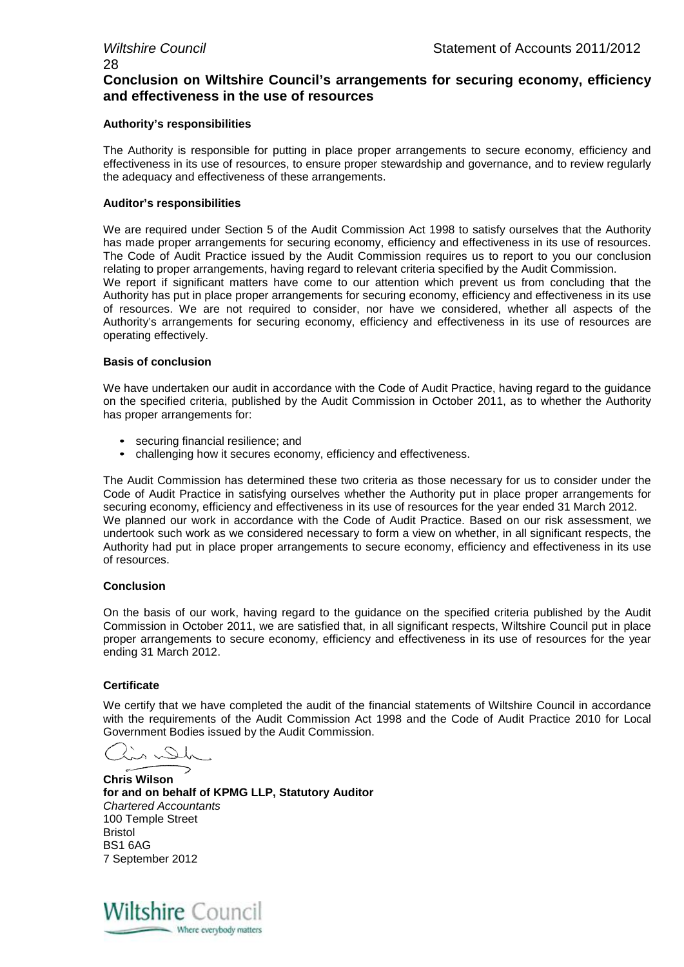#### **Conclusion on Wiltshire Council's arrangements for securing economy, efficiency and effectiveness in the use of resources**

#### **Authority's responsibilities**

The Authority is responsible for putting in place proper arrangements to secure economy, efficiency and effectiveness in its use of resources, to ensure proper stewardship and governance, and to review regularly the adequacy and effectiveness of these arrangements.

#### **Auditor's responsibilities**

We are required under Section 5 of the Audit Commission Act 1998 to satisfy ourselves that the Authority has made proper arrangements for securing economy, efficiency and effectiveness in its use of resources. The Code of Audit Practice issued by the Audit Commission requires us to report to you our conclusion relating to proper arrangements, having regard to relevant criteria specified by the Audit Commission.

We report if significant matters have come to our attention which prevent us from concluding that the Authority has put in place proper arrangements for securing economy, efficiency and effectiveness in its use of resources. We are not required to consider, nor have we considered, whether all aspects of the Authority's arrangements for securing economy, efficiency and effectiveness in its use of resources are operating effectively.

#### **Basis of conclusion**

We have undertaken our audit in accordance with the Code of Audit Practice, having regard to the guidance on the specified criteria, published by the Audit Commission in October 2011, as to whether the Authority has proper arrangements for:

- securing financial resilience; and
- challenging how it secures economy, efficiency and effectiveness.

The Audit Commission has determined these two criteria as those necessary for us to consider under the Code of Audit Practice in satisfying ourselves whether the Authority put in place proper arrangements for securing economy, efficiency and effectiveness in its use of resources for the year ended 31 March 2012. We planned our work in accordance with the Code of Audit Practice. Based on our risk assessment, we undertook such work as we considered necessary to form a view on whether, in all significant respects, the Authority had put in place proper arrangements to secure economy, efficiency and effectiveness in its use of resources.

#### **Conclusion**

On the basis of our work, having regard to the guidance on the specified criteria published by the Audit Commission in October 2011, we are satisfied that, in all significant respects, Wiltshire Council put in place proper arrangements to secure economy, efficiency and effectiveness in its use of resources for the year ending 31 March 2012.

#### **Certificate**

We certify that we have completed the audit of the financial statements of Wiltshire Council in accordance with the requirements of the Audit Commission Act 1998 and the Code of Audit Practice 2010 for Local Government Bodies issued by the Audit Commission.

in Dh

**Chris Wilson for and on behalf of KPMG LLP, Statutory Auditor** *Chartered Accountants* 100 Temple Street Bristol BS1 6AG 7 September 2012

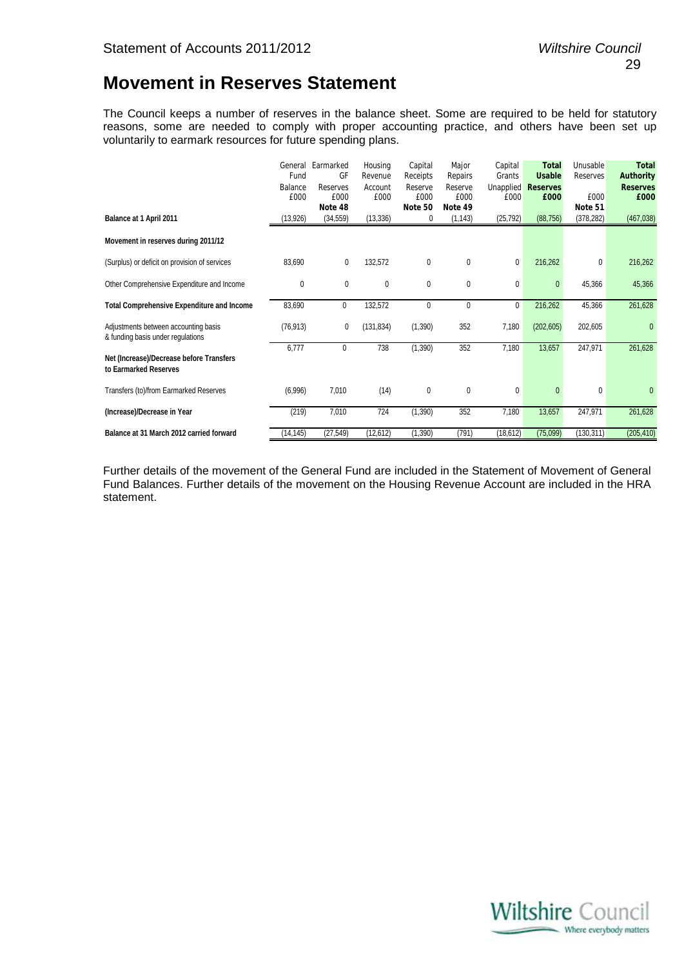## **Movement in Reserves Statement**

The Council keeps a number of reserves in the balance sheet. Some are required to be held for statutory reasons, some are needed to comply with proper accounting practice, and others have been set up voluntarily to earmark resources for future spending plans.

|                                                                           | General<br>Fund<br>Balance<br>£000 | Earmarked<br>GF<br>Reserves<br>£000<br>Note 48 | Housing<br>Revenue<br>Account<br>£000 | Capital<br>Receipts<br>Reserve<br>£000<br>Note 50 | Major<br>Repairs<br>Reserve<br>£000<br>Note 49 | Capital<br>Grants<br><b>Unapplied</b><br>£000 | <b>Total</b><br><b>Usable</b><br><b>Reserves</b><br>£000 | Unusable<br>Reserves<br>£000<br>Note 51 | <b>Total</b><br><b>Authority</b><br><b>Reserves</b><br>£000 |
|---------------------------------------------------------------------------|------------------------------------|------------------------------------------------|---------------------------------------|---------------------------------------------------|------------------------------------------------|-----------------------------------------------|----------------------------------------------------------|-----------------------------------------|-------------------------------------------------------------|
| Balance at 1 April 2011                                                   | (13, 926)                          | (34, 559)                                      | (13, 336)                             | 0                                                 | (1, 143)                                       | (25, 792)                                     | (88, 756)                                                | (378, 282)                              | (467, 038)                                                  |
| Movement in reserves during 2011/12                                       |                                    |                                                |                                       |                                                   |                                                |                                               |                                                          |                                         |                                                             |
| (Surplus) or deficit on provision of services                             | 83,690                             | 0                                              | 132,572                               | 0                                                 | 0                                              | 0                                             | 216,262                                                  | 0                                       | 216,262                                                     |
| Other Comprehensive Expenditure and Income                                | 0                                  | 0                                              | 0                                     | 0                                                 | 0                                              | 0                                             | $\mathbf{0}$                                             | 45,366                                  | 45,366                                                      |
| <b>Total Comprehensive Expenditure and Income</b>                         | 83,690                             | 0                                              | 132,572                               | 0                                                 | 0                                              | 0                                             | 216,262                                                  | 45,366                                  | 261,628                                                     |
| Adjustments between accounting basis<br>& funding basis under regulations | (76, 913)                          | 0                                              | (131, 834)                            | (1,390)                                           | 352                                            | 7,180                                         | (202, 605)                                               | 202,605                                 | $\mathbf{0}$                                                |
| Net (Increase)/Decrease before Transfers<br>to Earmarked Reserves         | 6,777                              | 0                                              | 738                                   | (1, 390)                                          | 352                                            | 7,180                                         | 13,657                                                   | 247,971                                 | 261,628                                                     |
| Transfers (to)/from Earmarked Reserves                                    | (6,996)                            | 7,010                                          | (14)                                  | 0                                                 | 0                                              | 0                                             | 0                                                        | 0                                       | 0                                                           |
| (Increase)/Decrease in Year                                               | (219)                              | 7,010                                          | 724                                   | (1, 390)                                          | 352                                            | 7,180                                         | 13,657                                                   | 247,971                                 | 261,628                                                     |
| Balance at 31 March 2012 carried forward                                  | (14, 145)                          | (27, 549)                                      | (12, 612)                             | (1, 390)                                          | (791)                                          | (18, 612)                                     | (75,099)                                                 | (130, 311)                              | (205, 410)                                                  |

Further details of the movement of the General Fund are included in the Statement of Movement of General Fund Balances. Further details of the movement on the Housing Revenue Account are included in the HRA statement.

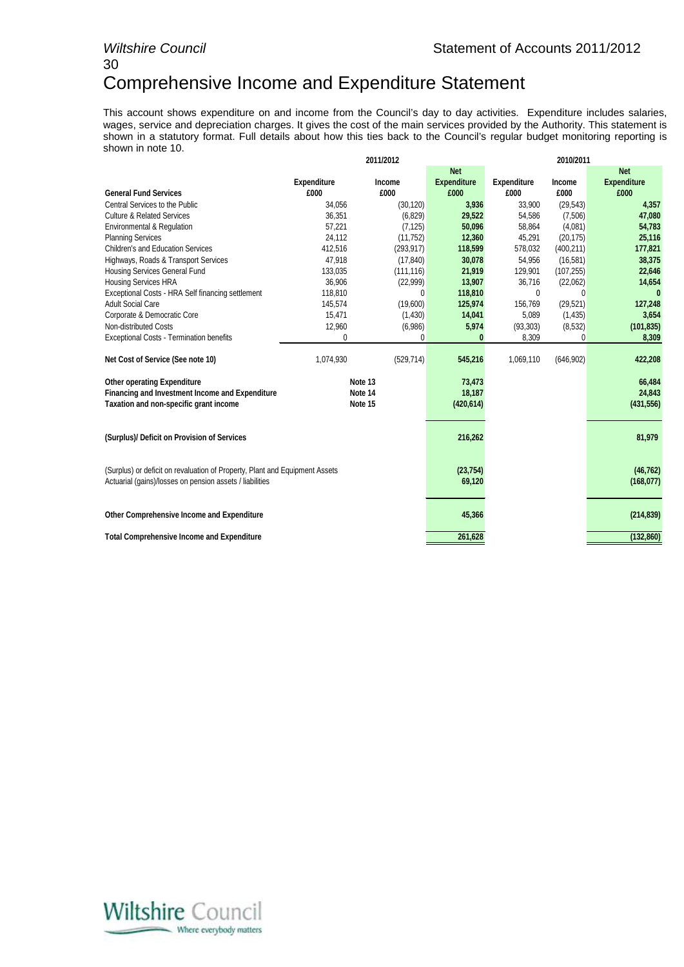# 30

## Comprehensive Income and Expenditure Statement

This account shows expenditure on and income from the Council's day to day activities. Expenditure includes salaries, wages, service and depreciation charges. It gives the cost of the main services provided by the Authority. This statement is shown in a statutory format. Full details about how this ties back to the Council's regular budget monitoring reporting is shown in note 10.

|                                                                                                                                         |                     | 2011/2012    | 2010/2011          |                         |               |                    |  |  |
|-----------------------------------------------------------------------------------------------------------------------------------------|---------------------|--------------|--------------------|-------------------------|---------------|--------------------|--|--|
|                                                                                                                                         |                     |              | <b>Net</b>         |                         |               | <b>Net</b>         |  |  |
|                                                                                                                                         | <b>Expenditure</b>  | Income       | <b>Expenditure</b> | <b>Expenditure</b>      | <b>Income</b> | <b>Expenditure</b> |  |  |
| <b>General Fund Services</b>                                                                                                            | £000                | £000         | £000               | £000                    | £000          | £000               |  |  |
| Central Services to the Public                                                                                                          | 34,056              | (30, 120)    | 3,936              | 33,900                  | (29, 543)     | 4,357              |  |  |
| <b>Culture &amp; Related Services</b>                                                                                                   | 36,351              | (6, 829)     | 29,522             | 54,586                  | (7,506)       | 47,080             |  |  |
| Environmental & Regulation                                                                                                              | 57,221              | (7, 125)     | 50,096             | 58,864                  | (4,081)       | 54,783             |  |  |
| <b>Planning Services</b>                                                                                                                | 24,112              | (11, 752)    | 12,360             | 45,291                  | (20, 175)     | 25,116             |  |  |
| <b>Children's and Education Services</b>                                                                                                | 412,516             | (293, 917)   | 118,599            | 578,032                 | (400, 211)    | 177,821            |  |  |
| Highways, Roads & Transport Services                                                                                                    | 47,918              | (17, 840)    | 30,078             | 54,956                  | (16, 581)     | 38,375             |  |  |
| Housing Services General Fund                                                                                                           | 133,035             | (111, 116)   | 21,919             | 129,901                 | (107, 255)    | 22,646             |  |  |
| <b>Housing Services HRA</b>                                                                                                             | 36,906              | (22, 999)    | 13,907             | 36,716                  | (22,062)      | 14,654             |  |  |
| Exceptional Costs - HRA Self financing settlement                                                                                       | 118,810             | $\mathbf{0}$ | 118,810            | 0                       | 0             | 0                  |  |  |
| <b>Adult Social Care</b>                                                                                                                | 145,574             | (19,600)     | 125,974            | 156,769                 | (29, 521)     | 127,248            |  |  |
| Corporate & Democratic Core                                                                                                             | 15,471              | (1,430)      | 14,041             | 5,089                   | (1, 435)      | 3,654              |  |  |
| Non-distributed Costs                                                                                                                   | 12,960              | (6,986)      | 5,974              | (93, 303)               | (8,532)       | (101, 835)         |  |  |
| <b>Exceptional Costs - Termination benefits</b>                                                                                         | 0                   | 0            | 0                  | 8,309                   | 0             | 8,309              |  |  |
| Net Cost of Service (See note 10)                                                                                                       | 1,074,930           | (529, 714)   | 545,216            | 1,069,110               | (646, 902)    | 422,208            |  |  |
| <b>Other operating Expenditure</b>                                                                                                      |                     | Note 13      | 73,473             |                         |               | 66,484             |  |  |
| Financing and Investment Income and Expenditure                                                                                         |                     | Note 14      | 18,187             |                         |               | 24,843             |  |  |
| Taxation and non-specific grant income                                                                                                  |                     | Note 15      | (420, 614)         |                         |               | (431, 556)         |  |  |
|                                                                                                                                         |                     |              |                    |                         |               |                    |  |  |
| (Surplus)/ Deficit on Provision of Services                                                                                             |                     |              | 216,262            |                         |               | 81,979             |  |  |
| (Surplus) or deficit on revaluation of Property, Plant and Equipment Assets<br>Actuarial (gains)/losses on pension assets / liabilities | (23, 754)<br>69,120 |              |                    | (46, 762)<br>(168, 077) |               |                    |  |  |
| Other Comprehensive Income and Expenditure                                                                                              | 45,366              |              |                    | (214, 839)              |               |                    |  |  |
| <b>Total Comprehensive Income and Expenditure</b>                                                                                       |                     |              | 261,628            |                         |               | (132, 860)         |  |  |

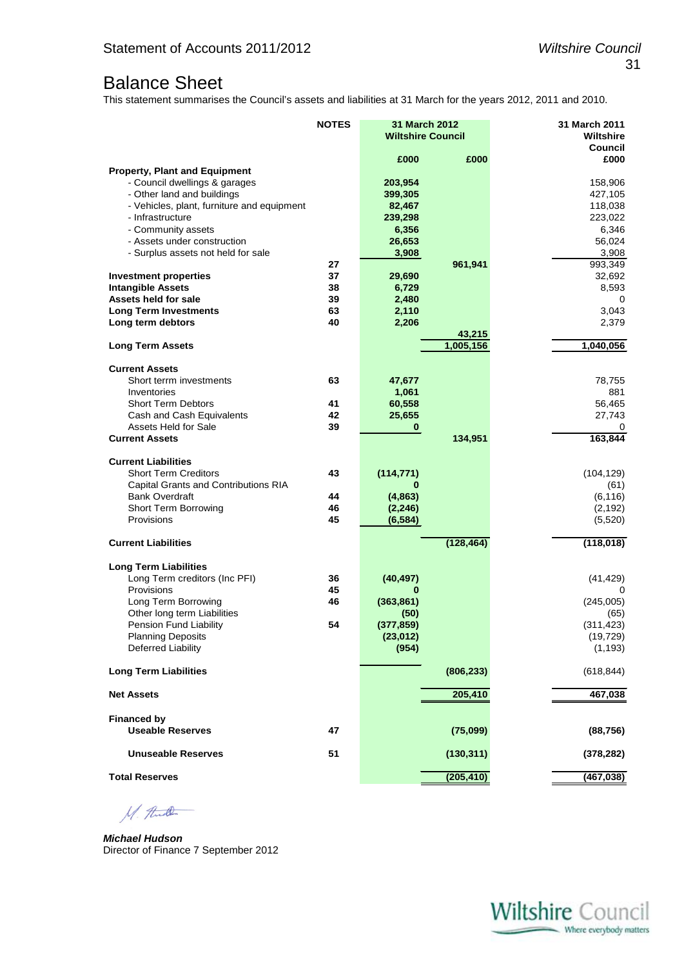## Balance Sheet

This statement summarises the Council's assets and liabilities at 31 March for the years 2012, 2011 and 2010.

|                                                                   | <b>NOTES</b> | 31 March 2012<br><b>Wiltshire Council</b> |            | 31 March 2011<br><b>Wiltshire</b> |
|-------------------------------------------------------------------|--------------|-------------------------------------------|------------|-----------------------------------|
|                                                                   |              | £000                                      | £000       | Council<br>£000                   |
| <b>Property, Plant and Equipment</b>                              |              |                                           |            |                                   |
| - Council dwellings & garages                                     |              | 203,954                                   |            | 158,906                           |
| - Other land and buildings                                        |              | 399,305                                   |            | 427,105                           |
| - Vehicles, plant, furniture and equipment                        |              | 82,467                                    |            | 118,038                           |
| - Infrastructure                                                  |              | 239,298                                   |            | 223,022                           |
| - Community assets                                                |              | 6,356                                     |            | 6,346                             |
| - Assets under construction<br>- Surplus assets not held for sale |              | 26,653<br>3,908                           |            | 56,024<br>3,908                   |
|                                                                   | 27           |                                           | 961,941    | 993,349                           |
| <b>Investment properties</b>                                      | 37           | 29,690                                    |            | 32,692                            |
| <b>Intangible Assets</b>                                          | 38           | 6,729                                     |            | 8,593                             |
| Assets held for sale                                              | 39           | 2,480                                     |            | 0                                 |
| <b>Long Term Investments</b>                                      | 63           | 2,110                                     |            | 3,043                             |
| Long term debtors                                                 | 40           | 2,206                                     |            | 2,379                             |
|                                                                   |              |                                           | 43,215     |                                   |
| <b>Long Term Assets</b>                                           |              |                                           | 1,005,156  | 1,040,056                         |
| <b>Current Assets</b>                                             |              |                                           |            |                                   |
| Short terrm investments                                           | 63           | 47,677                                    |            | 78,755                            |
| Inventories                                                       |              | 1,061                                     |            | 881                               |
| <b>Short Term Debtors</b>                                         | 41           | 60,558                                    |            | 56,465                            |
| Cash and Cash Equivalents                                         | 42           | 25,655                                    |            | 27,743                            |
| Assets Held for Sale                                              | 39           | $\bf{0}$                                  |            | 0                                 |
| <b>Current Assets</b>                                             |              |                                           | 134,951    | 163,844                           |
| <b>Current Liabilities</b>                                        |              |                                           |            |                                   |
| <b>Short Term Creditors</b>                                       | 43           | (114, 771)                                |            | (104, 129)                        |
| Capital Grants and Contributions RIA                              |              | 0                                         |            | (61)                              |
| <b>Bank Overdraft</b>                                             | 44           | (4, 863)                                  |            | (6, 116)                          |
| <b>Short Term Borrowing</b>                                       | 46           | (2, 246)                                  |            | (2, 192)                          |
| Provisions                                                        | 45           | (6, 584)                                  |            | (5,520)                           |
| <b>Current Liabilities</b>                                        |              |                                           | (128, 464) | (118, 018)                        |
| <b>Long Term Liabilities</b>                                      |              |                                           |            |                                   |
| Long Term creditors (Inc PFI)                                     | 36           | (40, 497)                                 |            | (41, 429)                         |
| Provisions                                                        | 45           | 0                                         |            | 0                                 |
| Long Term Borrowing                                               | 46           | (363, 861)                                |            | (245,005)                         |
| Other long term Liabilities                                       |              | (50)                                      |            | (65)                              |
| Pension Fund Liability                                            | 54           | (377, 859)                                |            | (311, 423)                        |
| <b>Planning Deposits</b>                                          |              | (23, 012)                                 |            | (19, 729)                         |
| <b>Deferred Liability</b>                                         |              | (954)                                     |            | (1, 193)                          |
| <b>Long Term Liabilities</b>                                      |              |                                           | (806, 233) | (618, 844)                        |
| <b>Net Assets</b>                                                 |              |                                           | 205,410    | 467,038                           |
|                                                                   |              |                                           |            |                                   |
| <b>Financed by</b><br><b>Useable Reserves</b>                     | 47           |                                           | (75,099)   | (88, 756)                         |
|                                                                   |              |                                           |            |                                   |
| <b>Unuseable Reserves</b>                                         | 51           |                                           | (130, 311) | (378, 282)                        |
| <b>Total Reserves</b>                                             |              |                                           | (205, 410) | (467, 038)                        |

M. And

*Michael Hudson*  Director of Finance 7 September 2012

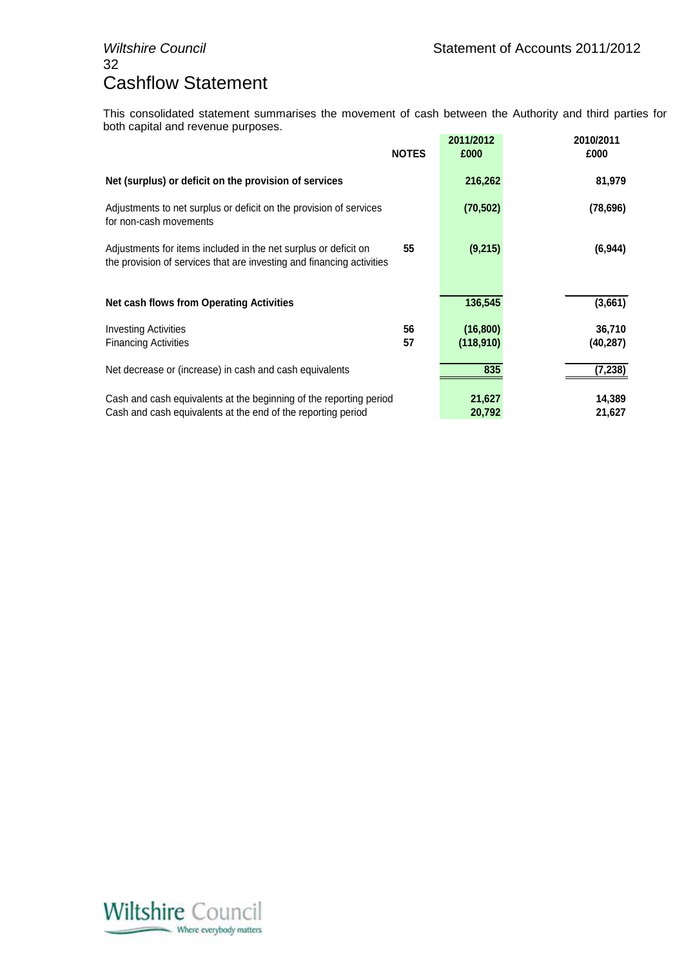## 32 Cashflow Statement

This consolidated statement summarises the movement of cash between the Authority and third parties for both capital and revenue purposes.

|                                                                                                                                          | <b>NOTES</b> | 2011/2012<br>£000      | 2010/2011<br>£000  |
|------------------------------------------------------------------------------------------------------------------------------------------|--------------|------------------------|--------------------|
| Net (surplus) or deficit on the provision of services                                                                                    |              | 216,262                | 81,979             |
| Adjustments to net surplus or deficit on the provision of services<br>for non-cash movements                                             |              | (70, 502)              | (78, 696)          |
| Adjustments for items included in the net surplus or deficit on<br>the provision of services that are investing and financing activities | 55           | (9,215)                | (6, 944)           |
| <b>Net cash flows from Operating Activities</b>                                                                                          |              | 136,545                | (3,661)            |
| <b>Investing Activities</b><br><b>Financing Activities</b>                                                                               | 56<br>57     | (16, 800)<br>(118,910) | 36,710<br>(40,287) |
| Net decrease or (increase) in cash and cash equivalents                                                                                  |              | 835                    | (7,238)            |
| Cash and cash equivalents at the beginning of the reporting period<br>Cash and cash equivalents at the end of the reporting period       |              | 21,627<br>20,792       | 14,389<br>21,627   |

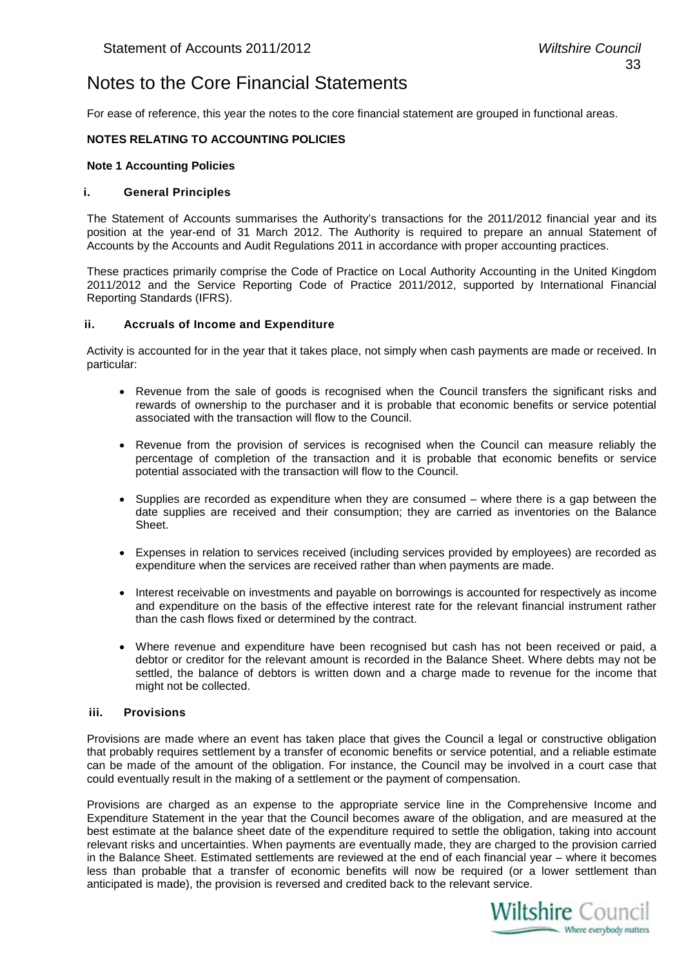## Notes to the Core Financial Statements

For ease of reference, this year the notes to the core financial statement are grouped in functional areas.

#### **NOTES RELATING TO ACCOUNTING POLICIES**

#### **Note 1 Accounting Policies**

#### **i. General Principles**

The Statement of Accounts summarises the Authority's transactions for the 2011/2012 financial year and its position at the year-end of 31 March 2012. The Authority is required to prepare an annual Statement of Accounts by the Accounts and Audit Regulations 2011 in accordance with proper accounting practices.

These practices primarily comprise the Code of Practice on Local Authority Accounting in the United Kingdom 2011/2012 and the Service Reporting Code of Practice 2011/2012, supported by International Financial Reporting Standards (IFRS).

#### **ii. Accruals of Income and Expenditure**

Activity is accounted for in the year that it takes place, not simply when cash payments are made or received. In particular:

- Revenue from the sale of goods is recognised when the Council transfers the significant risks and rewards of ownership to the purchaser and it is probable that economic benefits or service potential associated with the transaction will flow to the Council.
- Revenue from the provision of services is recognised when the Council can measure reliably the percentage of completion of the transaction and it is probable that economic benefits or service potential associated with the transaction will flow to the Council.
- Supplies are recorded as expenditure when they are consumed where there is a gap between the date supplies are received and their consumption; they are carried as inventories on the Balance Sheet.
- Expenses in relation to services received (including services provided by employees) are recorded as expenditure when the services are received rather than when payments are made.
- Interest receivable on investments and payable on borrowings is accounted for respectively as income and expenditure on the basis of the effective interest rate for the relevant financial instrument rather than the cash flows fixed or determined by the contract.
- Where revenue and expenditure have been recognised but cash has not been received or paid, a debtor or creditor for the relevant amount is recorded in the Balance Sheet. Where debts may not be settled, the balance of debtors is written down and a charge made to revenue for the income that might not be collected.

#### **iii. Provisions**

Provisions are made where an event has taken place that gives the Council a legal or constructive obligation that probably requires settlement by a transfer of economic benefits or service potential, and a reliable estimate can be made of the amount of the obligation. For instance, the Council may be involved in a court case that could eventually result in the making of a settlement or the payment of compensation.

Provisions are charged as an expense to the appropriate service line in the Comprehensive Income and Expenditure Statement in the year that the Council becomes aware of the obligation, and are measured at the best estimate at the balance sheet date of the expenditure required to settle the obligation, taking into account relevant risks and uncertainties. When payments are eventually made, they are charged to the provision carried in the Balance Sheet. Estimated settlements are reviewed at the end of each financial year – where it becomes less than probable that a transfer of economic benefits will now be required (or a lower settlement than anticipated is made), the provision is reversed and credited back to the relevant service.

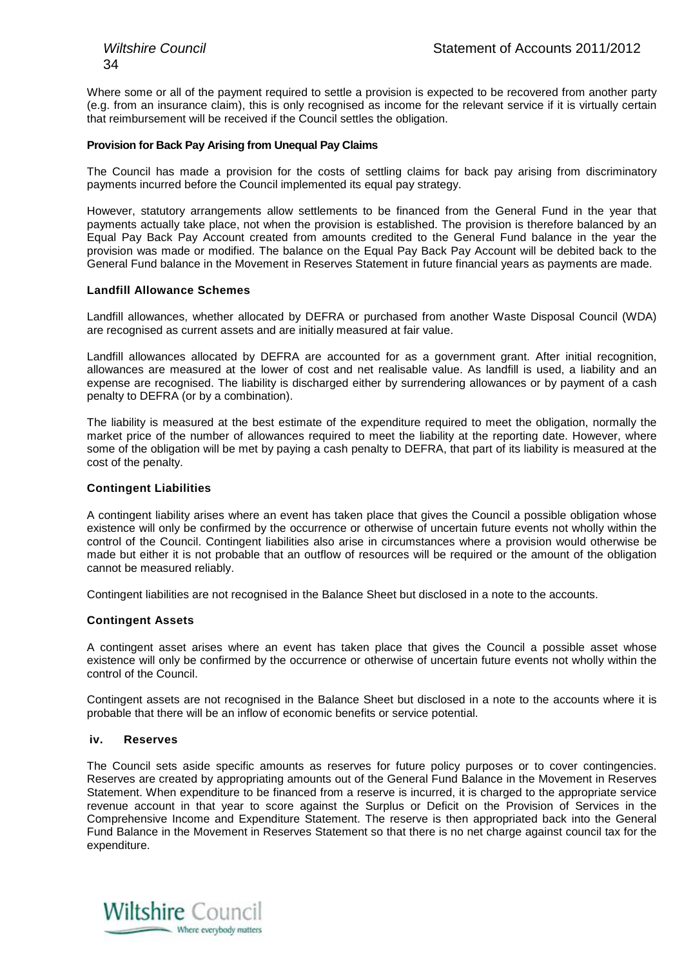Where some or all of the payment required to settle a provision is expected to be recovered from another party (e.g. from an insurance claim), this is only recognised as income for the relevant service if it is virtually certain that reimbursement will be received if the Council settles the obligation.

#### **Provision for Back Pay Arising from Unequal Pay Claims**

The Council has made a provision for the costs of settling claims for back pay arising from discriminatory payments incurred before the Council implemented its equal pay strategy.

However, statutory arrangements allow settlements to be financed from the General Fund in the year that payments actually take place, not when the provision is established. The provision is therefore balanced by an Equal Pay Back Pay Account created from amounts credited to the General Fund balance in the year the provision was made or modified. The balance on the Equal Pay Back Pay Account will be debited back to the General Fund balance in the Movement in Reserves Statement in future financial years as payments are made.

#### **Landfill Allowance Schemes**

Landfill allowances, whether allocated by DEFRA or purchased from another Waste Disposal Council (WDA) are recognised as current assets and are initially measured at fair value.

Landfill allowances allocated by DEFRA are accounted for as a government grant. After initial recognition, allowances are measured at the lower of cost and net realisable value. As landfill is used, a liability and an expense are recognised. The liability is discharged either by surrendering allowances or by payment of a cash penalty to DEFRA (or by a combination).

The liability is measured at the best estimate of the expenditure required to meet the obligation, normally the market price of the number of allowances required to meet the liability at the reporting date. However, where some of the obligation will be met by paying a cash penalty to DEFRA, that part of its liability is measured at the cost of the penalty.

#### **Contingent Liabilities**

A contingent liability arises where an event has taken place that gives the Council a possible obligation whose existence will only be confirmed by the occurrence or otherwise of uncertain future events not wholly within the control of the Council. Contingent liabilities also arise in circumstances where a provision would otherwise be made but either it is not probable that an outflow of resources will be required or the amount of the obligation cannot be measured reliably.

Contingent liabilities are not recognised in the Balance Sheet but disclosed in a note to the accounts.

#### **Contingent Assets**

A contingent asset arises where an event has taken place that gives the Council a possible asset whose existence will only be confirmed by the occurrence or otherwise of uncertain future events not wholly within the control of the Council.

Contingent assets are not recognised in the Balance Sheet but disclosed in a note to the accounts where it is probable that there will be an inflow of economic benefits or service potential.

#### **iv. Reserves**

The Council sets aside specific amounts as reserves for future policy purposes or to cover contingencies. Reserves are created by appropriating amounts out of the General Fund Balance in the Movement in Reserves Statement. When expenditure to be financed from a reserve is incurred, it is charged to the appropriate service revenue account in that year to score against the Surplus or Deficit on the Provision of Services in the Comprehensive Income and Expenditure Statement. The reserve is then appropriated back into the General Fund Balance in the Movement in Reserves Statement so that there is no net charge against council tax for the expenditure.

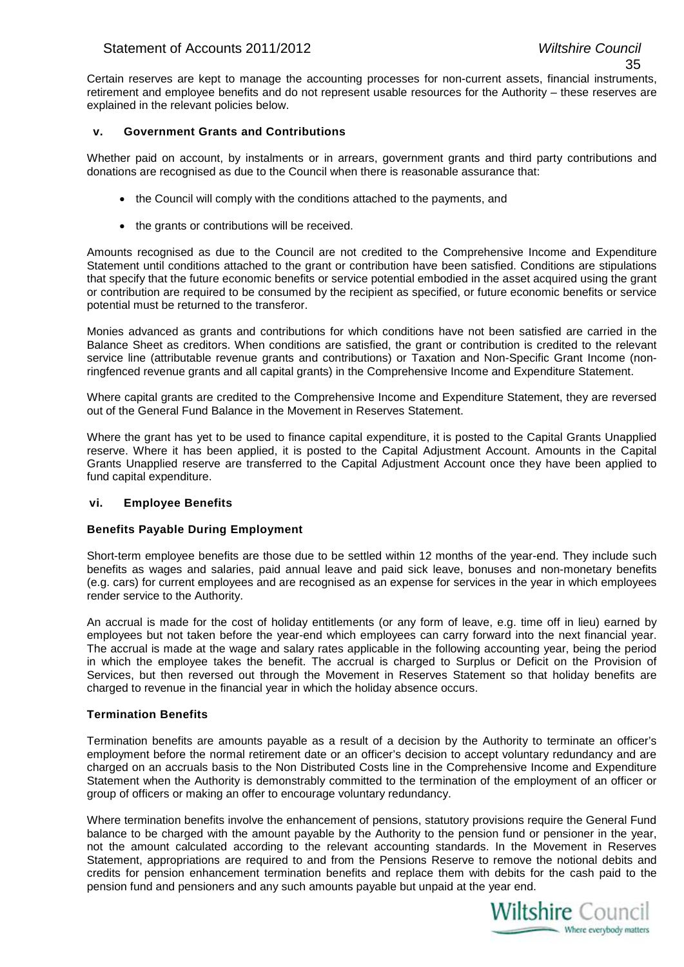Certain reserves are kept to manage the accounting processes for non-current assets, financial instruments, retirement and employee benefits and do not represent usable resources for the Authority – these reserves are explained in the relevant policies below.

#### **v. Government Grants and Contributions**

Whether paid on account, by instalments or in arrears, government grants and third party contributions and donations are recognised as due to the Council when there is reasonable assurance that:

- the Council will comply with the conditions attached to the payments, and
- the grants or contributions will be received.

Amounts recognised as due to the Council are not credited to the Comprehensive Income and Expenditure Statement until conditions attached to the grant or contribution have been satisfied. Conditions are stipulations that specify that the future economic benefits or service potential embodied in the asset acquired using the grant or contribution are required to be consumed by the recipient as specified, or future economic benefits or service potential must be returned to the transferor.

Monies advanced as grants and contributions for which conditions have not been satisfied are carried in the Balance Sheet as creditors. When conditions are satisfied, the grant or contribution is credited to the relevant service line (attributable revenue grants and contributions) or Taxation and Non-Specific Grant Income (nonringfenced revenue grants and all capital grants) in the Comprehensive Income and Expenditure Statement.

Where capital grants are credited to the Comprehensive Income and Expenditure Statement, they are reversed out of the General Fund Balance in the Movement in Reserves Statement.

Where the grant has yet to be used to finance capital expenditure, it is posted to the Capital Grants Unapplied reserve. Where it has been applied, it is posted to the Capital Adjustment Account. Amounts in the Capital Grants Unapplied reserve are transferred to the Capital Adjustment Account once they have been applied to fund capital expenditure.

#### **vi. Employee Benefits**

#### **Benefits Payable During Employment**

Short-term employee benefits are those due to be settled within 12 months of the year-end. They include such benefits as wages and salaries, paid annual leave and paid sick leave, bonuses and non-monetary benefits (e.g. cars) for current employees and are recognised as an expense for services in the year in which employees render service to the Authority.

An accrual is made for the cost of holiday entitlements (or any form of leave, e.g. time off in lieu) earned by employees but not taken before the year-end which employees can carry forward into the next financial year. The accrual is made at the wage and salary rates applicable in the following accounting year, being the period in which the employee takes the benefit. The accrual is charged to Surplus or Deficit on the Provision of Services, but then reversed out through the Movement in Reserves Statement so that holiday benefits are charged to revenue in the financial year in which the holiday absence occurs.

#### **Termination Benefits**

Termination benefits are amounts payable as a result of a decision by the Authority to terminate an officer's employment before the normal retirement date or an officer's decision to accept voluntary redundancy and are charged on an accruals basis to the Non Distributed Costs line in the Comprehensive Income and Expenditure Statement when the Authority is demonstrably committed to the termination of the employment of an officer or group of officers or making an offer to encourage voluntary redundancy.

Where termination benefits involve the enhancement of pensions, statutory provisions require the General Fund balance to be charged with the amount payable by the Authority to the pension fund or pensioner in the year, not the amount calculated according to the relevant accounting standards. In the Movement in Reserves Statement, appropriations are required to and from the Pensions Reserve to remove the notional debits and credits for pension enhancement termination benefits and replace them with debits for the cash paid to the pension fund and pensioners and any such amounts payable but unpaid at the year end.

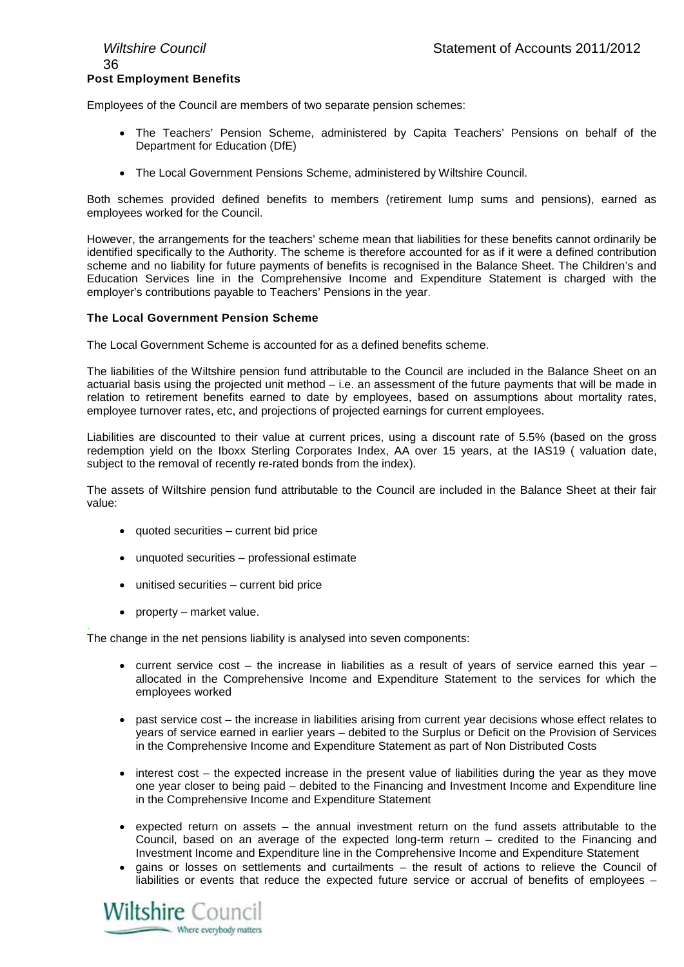## 36 **Post Employment Benefits**

Employees of the Council are members of two separate pension schemes:

- The Teachers' Pension Scheme, administered by Capita Teachers' Pensions on behalf of the Department for Education (DfE)
- The Local Government Pensions Scheme, administered by Wiltshire Council.

Both schemes provided defined benefits to members (retirement lump sums and pensions), earned as employees worked for the Council.

However, the arrangements for the teachers' scheme mean that liabilities for these benefits cannot ordinarily be identified specifically to the Authority. The scheme is therefore accounted for as if it were a defined contribution scheme and no liability for future payments of benefits is recognised in the Balance Sheet. The Children's and Education Services line in the Comprehensive Income and Expenditure Statement is charged with the employer's contributions payable to Teachers' Pensions in the year.

#### **The Local Government Pension Scheme**

The Local Government Scheme is accounted for as a defined benefits scheme.

The liabilities of the Wiltshire pension fund attributable to the Council are included in the Balance Sheet on an actuarial basis using the projected unit method – i.e. an assessment of the future payments that will be made in relation to retirement benefits earned to date by employees, based on assumptions about mortality rates, employee turnover rates, etc, and projections of projected earnings for current employees.

Liabilities are discounted to their value at current prices, using a discount rate of 5.5% (based on the gross redemption yield on the Iboxx Sterling Corporates Index, AA over 15 years, at the IAS19 ( valuation date, subject to the removal of recently re-rated bonds from the index).

The assets of Wiltshire pension fund attributable to the Council are included in the Balance Sheet at their fair value:

- quoted securities current bid price
- unquoted securities professional estimate
- unitised securities current bid price
- property market value.

. The change in the net pensions liability is analysed into seven components:

- current service cost  $-$  the increase in liabilities as a result of years of service earned this year  $$ allocated in the Comprehensive Income and Expenditure Statement to the services for which the employees worked
- past service cost the increase in liabilities arising from current year decisions whose effect relates to years of service earned in earlier years – debited to the Surplus or Deficit on the Provision of Services in the Comprehensive Income and Expenditure Statement as part of Non Distributed Costs
- interest cost the expected increase in the present value of liabilities during the year as they move one year closer to being paid – debited to the Financing and Investment Income and Expenditure line in the Comprehensive Income and Expenditure Statement
- expected return on assets the annual investment return on the fund assets attributable to the Council, based on an average of the expected long-term return – credited to the Financing and Investment Income and Expenditure line in the Comprehensive Income and Expenditure Statement
- gains or losses on settlements and curtailments the result of actions to relieve the Council of liabilities or events that reduce the expected future service or accrual of benefits of employees –

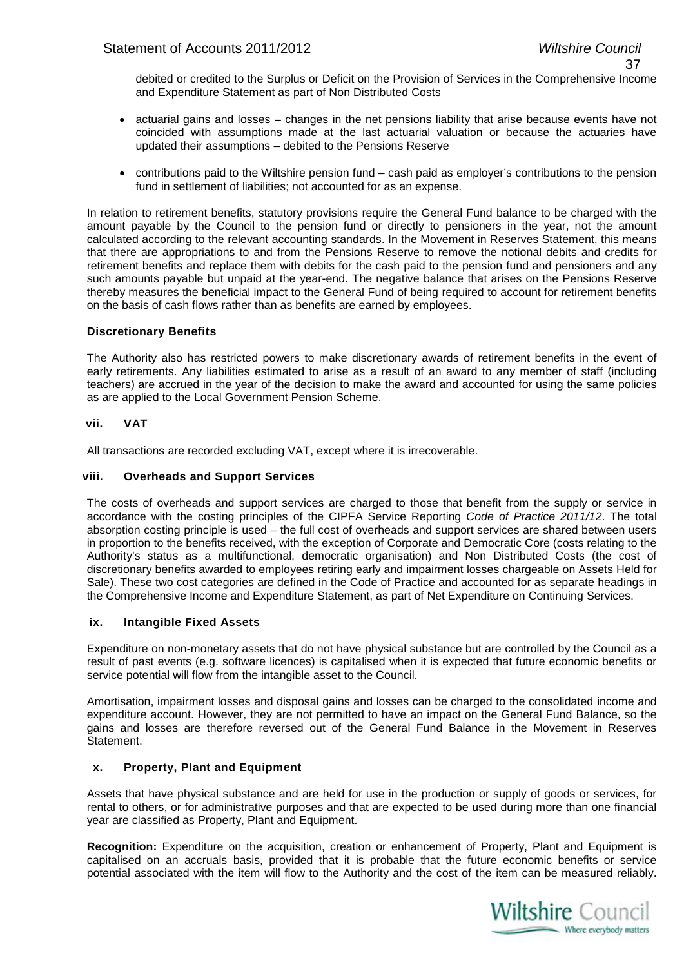debited or credited to the Surplus or Deficit on the Provision of Services in the Comprehensive Income and Expenditure Statement as part of Non Distributed Costs

- actuarial gains and losses changes in the net pensions liability that arise because events have not coincided with assumptions made at the last actuarial valuation or because the actuaries have updated their assumptions – debited to the Pensions Reserve
- contributions paid to the Wiltshire pension fund cash paid as employer's contributions to the pension fund in settlement of liabilities; not accounted for as an expense.

In relation to retirement benefits, statutory provisions require the General Fund balance to be charged with the amount payable by the Council to the pension fund or directly to pensioners in the year, not the amount calculated according to the relevant accounting standards. In the Movement in Reserves Statement, this means that there are appropriations to and from the Pensions Reserve to remove the notional debits and credits for retirement benefits and replace them with debits for the cash paid to the pension fund and pensioners and any such amounts payable but unpaid at the year-end. The negative balance that arises on the Pensions Reserve thereby measures the beneficial impact to the General Fund of being required to account for retirement benefits on the basis of cash flows rather than as benefits are earned by employees.

# **Discretionary Benefits**

The Authority also has restricted powers to make discretionary awards of retirement benefits in the event of early retirements. Any liabilities estimated to arise as a result of an award to any member of staff (including teachers) are accrued in the year of the decision to make the award and accounted for using the same policies as are applied to the Local Government Pension Scheme.

# **vii. VAT**

All transactions are recorded excluding VAT, except where it is irrecoverable.

# **viii. Overheads and Support Services**

The costs of overheads and support services are charged to those that benefit from the supply or service in accordance with the costing principles of the CIPFA Service Reporting *Code of Practice 2011/12*. The total absorption costing principle is used – the full cost of overheads and support services are shared between users in proportion to the benefits received, with the exception of Corporate and Democratic Core (costs relating to the Authority's status as a multifunctional, democratic organisation) and Non Distributed Costs (the cost of discretionary benefits awarded to employees retiring early and impairment losses chargeable on Assets Held for Sale). These two cost categories are defined in the Code of Practice and accounted for as separate headings in the Comprehensive Income and Expenditure Statement, as part of Net Expenditure on Continuing Services.

# **ix. Intangible Fixed Assets**

Expenditure on non-monetary assets that do not have physical substance but are controlled by the Council as a result of past events (e.g. software licences) is capitalised when it is expected that future economic benefits or service potential will flow from the intangible asset to the Council.

Amortisation, impairment losses and disposal gains and losses can be charged to the consolidated income and expenditure account. However, they are not permitted to have an impact on the General Fund Balance, so the gains and losses are therefore reversed out of the General Fund Balance in the Movement in Reserves Statement.

# **x. Property, Plant and Equipment**

Assets that have physical substance and are held for use in the production or supply of goods or services, for rental to others, or for administrative purposes and that are expected to be used during more than one financial year are classified as Property, Plant and Equipment.

**Recognition:** Expenditure on the acquisition, creation or enhancement of Property, Plant and Equipment is capitalised on an accruals basis, provided that it is probable that the future economic benefits or service potential associated with the item will flow to the Authority and the cost of the item can be measured reliably.

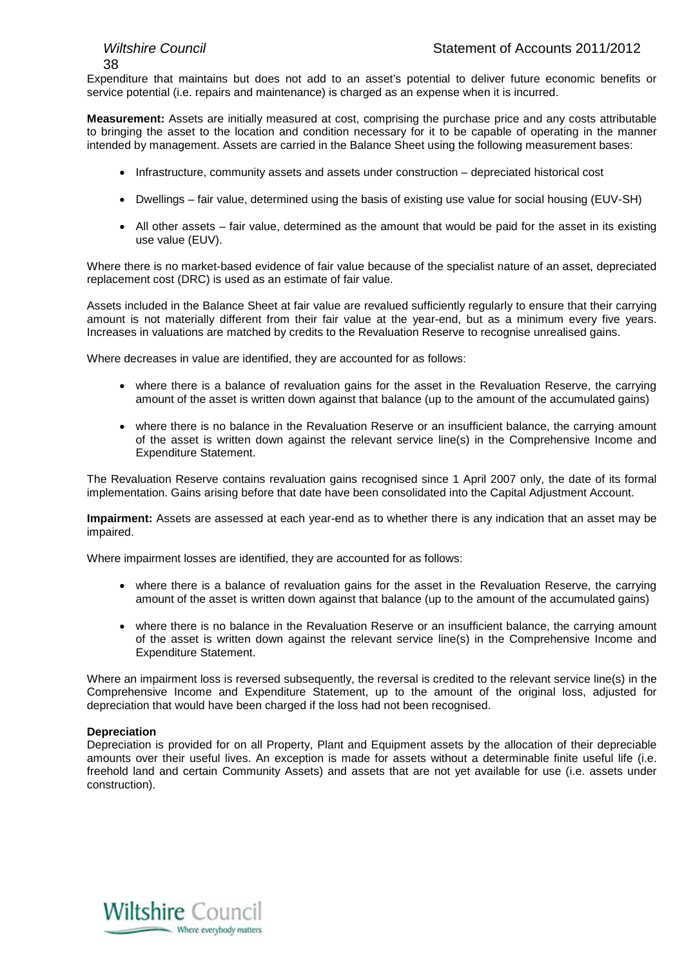Expenditure that maintains but does not add to an asset's potential to deliver future economic benefits or service potential (i.e. repairs and maintenance) is charged as an expense when it is incurred.

**Measurement:** Assets are initially measured at cost, comprising the purchase price and any costs attributable to bringing the asset to the location and condition necessary for it to be capable of operating in the manner intended by management. Assets are carried in the Balance Sheet using the following measurement bases:

- Infrastructure, community assets and assets under construction depreciated historical cost
- Dwellings fair value, determined using the basis of existing use value for social housing (EUV-SH)
- All other assets fair value, determined as the amount that would be paid for the asset in its existing use value (EUV).

Where there is no market-based evidence of fair value because of the specialist nature of an asset, depreciated replacement cost (DRC) is used as an estimate of fair value.

Assets included in the Balance Sheet at fair value are revalued sufficiently regularly to ensure that their carrying amount is not materially different from their fair value at the year-end, but as a minimum every five years. Increases in valuations are matched by credits to the Revaluation Reserve to recognise unrealised gains.

Where decreases in value are identified, they are accounted for as follows:

- where there is a balance of revaluation gains for the asset in the Revaluation Reserve, the carrying amount of the asset is written down against that balance (up to the amount of the accumulated gains)
- where there is no balance in the Revaluation Reserve or an insufficient balance, the carrying amount of the asset is written down against the relevant service line(s) in the Comprehensive Income and Expenditure Statement.

The Revaluation Reserve contains revaluation gains recognised since 1 April 2007 only, the date of its formal implementation. Gains arising before that date have been consolidated into the Capital Adjustment Account.

**Impairment:** Assets are assessed at each year-end as to whether there is any indication that an asset may be impaired.

Where impairment losses are identified, they are accounted for as follows:

- where there is a balance of revaluation gains for the asset in the Revaluation Reserve, the carrying amount of the asset is written down against that balance (up to the amount of the accumulated gains)
- where there is no balance in the Revaluation Reserve or an insufficient balance, the carrying amount of the asset is written down against the relevant service line(s) in the Comprehensive Income and Expenditure Statement.

Where an impairment loss is reversed subsequently, the reversal is credited to the relevant service line(s) in the Comprehensive Income and Expenditure Statement, up to the amount of the original loss, adjusted for depreciation that would have been charged if the loss had not been recognised.

# **Depreciation**

Depreciation is provided for on all Property, Plant and Equipment assets by the allocation of their depreciable amounts over their useful lives. An exception is made for assets without a determinable finite useful life (i.e. freehold land and certain Community Assets) and assets that are not yet available for use (i.e. assets under construction).

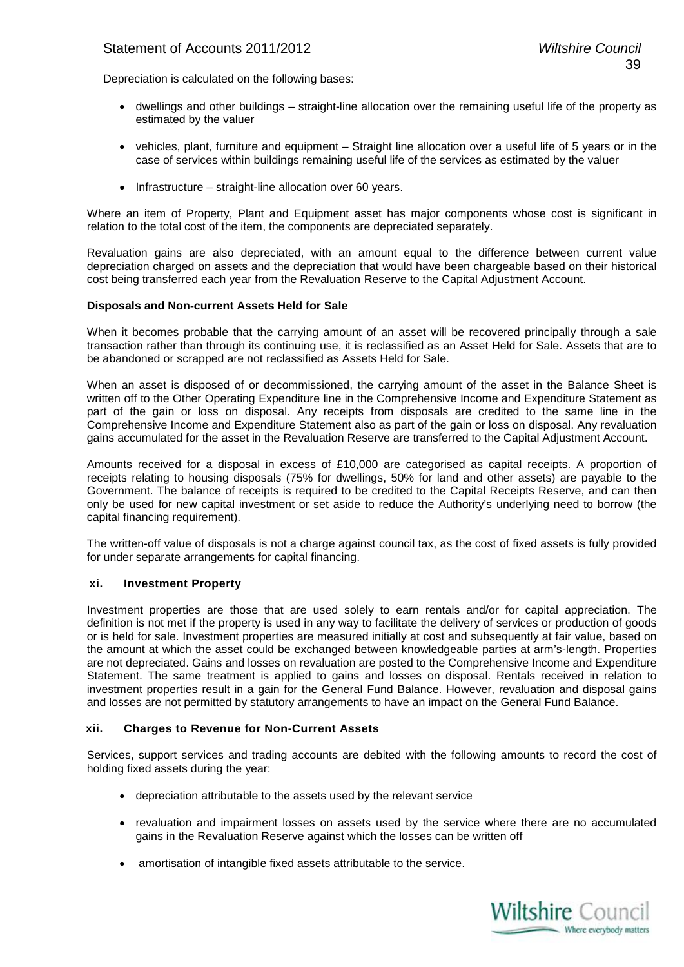# Statement of Accounts 2011/2012 *Wiltshire Council*

Depreciation is calculated on the following bases:

- dwellings and other buildings straight-line allocation over the remaining useful life of the property as estimated by the valuer
- vehicles, plant, furniture and equipment Straight line allocation over a useful life of 5 years or in the case of services within buildings remaining useful life of the services as estimated by the valuer
- Infrastructure straight-line allocation over 60 years.

Where an item of Property. Plant and Equipment asset has major components whose cost is significant in relation to the total cost of the item, the components are depreciated separately.

Revaluation gains are also depreciated, with an amount equal to the difference between current value depreciation charged on assets and the depreciation that would have been chargeable based on their historical cost being transferred each year from the Revaluation Reserve to the Capital Adjustment Account.

# **Disposals and Non-current Assets Held for Sale**

When it becomes probable that the carrying amount of an asset will be recovered principally through a sale transaction rather than through its continuing use, it is reclassified as an Asset Held for Sale. Assets that are to be abandoned or scrapped are not reclassified as Assets Held for Sale.

When an asset is disposed of or decommissioned, the carrying amount of the asset in the Balance Sheet is written off to the Other Operating Expenditure line in the Comprehensive Income and Expenditure Statement as part of the gain or loss on disposal. Any receipts from disposals are credited to the same line in the Comprehensive Income and Expenditure Statement also as part of the gain or loss on disposal. Any revaluation gains accumulated for the asset in the Revaluation Reserve are transferred to the Capital Adjustment Account.

Amounts received for a disposal in excess of £10,000 are categorised as capital receipts. A proportion of receipts relating to housing disposals (75% for dwellings, 50% for land and other assets) are payable to the Government. The balance of receipts is required to be credited to the Capital Receipts Reserve, and can then only be used for new capital investment or set aside to reduce the Authority's underlying need to borrow (the capital financing requirement).

The written-off value of disposals is not a charge against council tax, as the cost of fixed assets is fully provided for under separate arrangements for capital financing.

# **xi. Investment Property**

Investment properties are those that are used solely to earn rentals and/or for capital appreciation. The definition is not met if the property is used in any way to facilitate the delivery of services or production of goods or is held for sale. Investment properties are measured initially at cost and subsequently at fair value, based on the amount at which the asset could be exchanged between knowledgeable parties at arm's-length. Properties are not depreciated. Gains and losses on revaluation are posted to the Comprehensive Income and Expenditure Statement. The same treatment is applied to gains and losses on disposal. Rentals received in relation to investment properties result in a gain for the General Fund Balance. However, revaluation and disposal gains and losses are not permitted by statutory arrangements to have an impact on the General Fund Balance.

# **xii. Charges to Revenue for Non-Current Assets**

Services, support services and trading accounts are debited with the following amounts to record the cost of holding fixed assets during the year:

- depreciation attributable to the assets used by the relevant service
- revaluation and impairment losses on assets used by the service where there are no accumulated gains in the Revaluation Reserve against which the losses can be written off
- amortisation of intangible fixed assets attributable to the service.

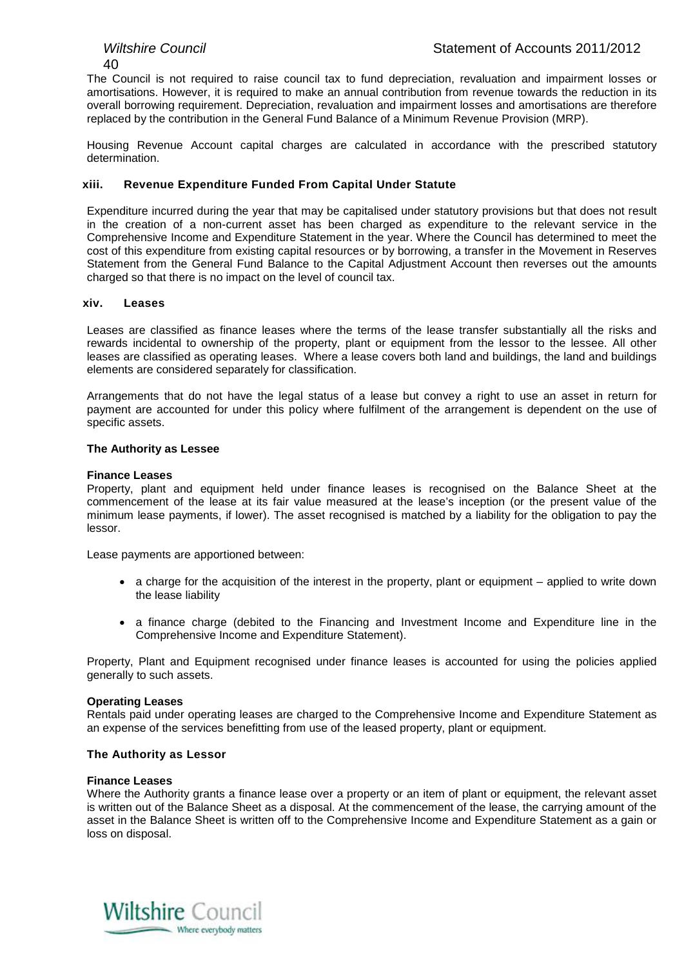The Council is not required to raise council tax to fund depreciation, revaluation and impairment losses or amortisations. However, it is required to make an annual contribution from revenue towards the reduction in its overall borrowing requirement. Depreciation, revaluation and impairment losses and amortisations are therefore replaced by the contribution in the General Fund Balance of a Minimum Revenue Provision (MRP).

Housing Revenue Account capital charges are calculated in accordance with the prescribed statutory determination.

# **xiii. Revenue Expenditure Funded From Capital Under Statute**

Expenditure incurred during the year that may be capitalised under statutory provisions but that does not result in the creation of a non-current asset has been charged as expenditure to the relevant service in the Comprehensive Income and Expenditure Statement in the year. Where the Council has determined to meet the cost of this expenditure from existing capital resources or by borrowing, a transfer in the Movement in Reserves Statement from the General Fund Balance to the Capital Adjustment Account then reverses out the amounts charged so that there is no impact on the level of council tax.

# **xiv. Leases**

Leases are classified as finance leases where the terms of the lease transfer substantially all the risks and rewards incidental to ownership of the property, plant or equipment from the lessor to the lessee. All other leases are classified as operating leases. Where a lease covers both land and buildings, the land and buildings elements are considered separately for classification.

Arrangements that do not have the legal status of a lease but convey a right to use an asset in return for payment are accounted for under this policy where fulfilment of the arrangement is dependent on the use of specific assets.

# **The Authority as Lessee**

# **Finance Leases**

Property, plant and equipment held under finance leases is recognised on the Balance Sheet at the commencement of the lease at its fair value measured at the lease's inception (or the present value of the minimum lease payments, if lower). The asset recognised is matched by a liability for the obligation to pay the lessor.

Lease payments are apportioned between:

- a charge for the acquisition of the interest in the property, plant or equipment applied to write down the lease liability
- a finance charge (debited to the Financing and Investment Income and Expenditure line in the Comprehensive Income and Expenditure Statement).

Property, Plant and Equipment recognised under finance leases is accounted for using the policies applied generally to such assets.

# **Operating Leases**

Rentals paid under operating leases are charged to the Comprehensive Income and Expenditure Statement as an expense of the services benefitting from use of the leased property, plant or equipment.

# **The Authority as Lessor**

# **Finance Leases**

Where the Authority grants a finance lease over a property or an item of plant or equipment, the relevant asset is written out of the Balance Sheet as a disposal. At the commencement of the lease, the carrying amount of the asset in the Balance Sheet is written off to the Comprehensive Income and Expenditure Statement as a gain or loss on disposal.

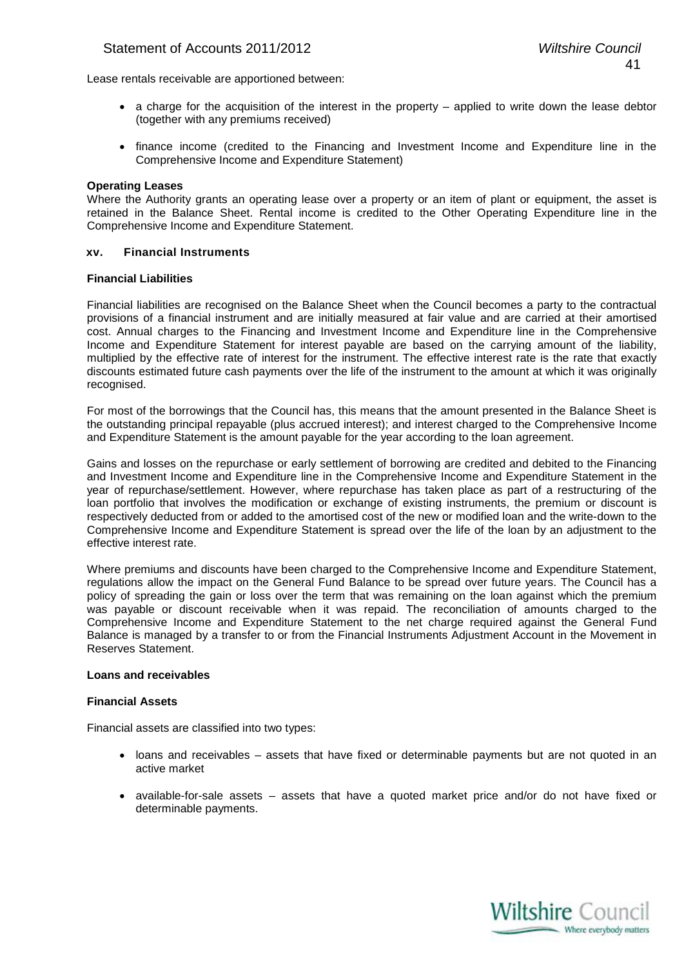# Statement of Accounts 2011/2012 *Wiltshire Council*

Lease rentals receivable are apportioned between:

- a charge for the acquisition of the interest in the property applied to write down the lease debtor (together with any premiums received)
- finance income (credited to the Financing and Investment Income and Expenditure line in the Comprehensive Income and Expenditure Statement)

#### **Operating Leases**

Where the Authority grants an operating lease over a property or an item of plant or equipment, the asset is retained in the Balance Sheet. Rental income is credited to the Other Operating Expenditure line in the Comprehensive Income and Expenditure Statement.

#### **xv. Financial Instruments**

#### **Financial Liabilities**

Financial liabilities are recognised on the Balance Sheet when the Council becomes a party to the contractual provisions of a financial instrument and are initially measured at fair value and are carried at their amortised cost. Annual charges to the Financing and Investment Income and Expenditure line in the Comprehensive Income and Expenditure Statement for interest payable are based on the carrying amount of the liability, multiplied by the effective rate of interest for the instrument. The effective interest rate is the rate that exactly discounts estimated future cash payments over the life of the instrument to the amount at which it was originally recognised.

For most of the borrowings that the Council has, this means that the amount presented in the Balance Sheet is the outstanding principal repayable (plus accrued interest); and interest charged to the Comprehensive Income and Expenditure Statement is the amount payable for the year according to the loan agreement.

Gains and losses on the repurchase or early settlement of borrowing are credited and debited to the Financing and Investment Income and Expenditure line in the Comprehensive Income and Expenditure Statement in the year of repurchase/settlement. However, where repurchase has taken place as part of a restructuring of the loan portfolio that involves the modification or exchange of existing instruments, the premium or discount is respectively deducted from or added to the amortised cost of the new or modified loan and the write-down to the Comprehensive Income and Expenditure Statement is spread over the life of the loan by an adjustment to the effective interest rate.

Where premiums and discounts have been charged to the Comprehensive Income and Expenditure Statement, regulations allow the impact on the General Fund Balance to be spread over future years. The Council has a policy of spreading the gain or loss over the term that was remaining on the loan against which the premium was payable or discount receivable when it was repaid. The reconciliation of amounts charged to the Comprehensive Income and Expenditure Statement to the net charge required against the General Fund Balance is managed by a transfer to or from the Financial Instruments Adjustment Account in the Movement in Reserves Statement.

# **Loans and receivables**

#### **Financial Assets**

Financial assets are classified into two types:

- loans and receivables assets that have fixed or determinable payments but are not quoted in an active market
- available-for-sale assets assets that have a quoted market price and/or do not have fixed or determinable payments.

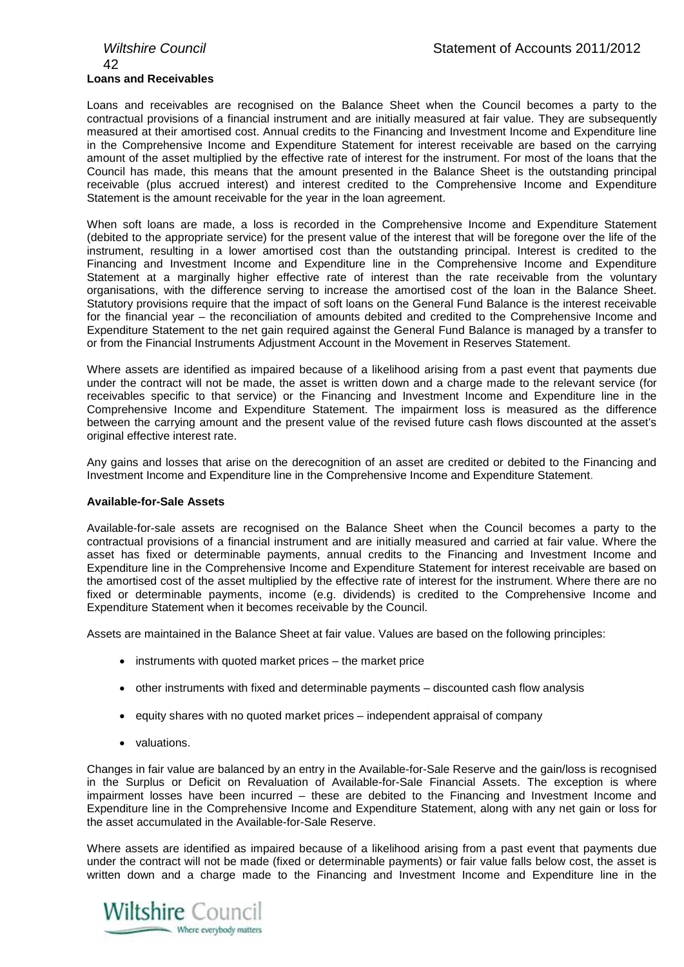# 42 **Loans and Receivables**

Loans and receivables are recognised on the Balance Sheet when the Council becomes a party to the contractual provisions of a financial instrument and are initially measured at fair value. They are subsequently measured at their amortised cost. Annual credits to the Financing and Investment Income and Expenditure line in the Comprehensive Income and Expenditure Statement for interest receivable are based on the carrying amount of the asset multiplied by the effective rate of interest for the instrument. For most of the loans that the Council has made, this means that the amount presented in the Balance Sheet is the outstanding principal receivable (plus accrued interest) and interest credited to the Comprehensive Income and Expenditure Statement is the amount receivable for the year in the loan agreement.

When soft loans are made, a loss is recorded in the Comprehensive Income and Expenditure Statement (debited to the appropriate service) for the present value of the interest that will be foregone over the life of the instrument, resulting in a lower amortised cost than the outstanding principal. Interest is credited to the Financing and Investment Income and Expenditure line in the Comprehensive Income and Expenditure Statement at a marginally higher effective rate of interest than the rate receivable from the voluntary organisations, with the difference serving to increase the amortised cost of the loan in the Balance Sheet. Statutory provisions require that the impact of soft loans on the General Fund Balance is the interest receivable for the financial year – the reconciliation of amounts debited and credited to the Comprehensive Income and Expenditure Statement to the net gain required against the General Fund Balance is managed by a transfer to or from the Financial Instruments Adjustment Account in the Movement in Reserves Statement.

Where assets are identified as impaired because of a likelihood arising from a past event that payments due under the contract will not be made, the asset is written down and a charge made to the relevant service (for receivables specific to that service) or the Financing and Investment Income and Expenditure line in the Comprehensive Income and Expenditure Statement. The impairment loss is measured as the difference between the carrying amount and the present value of the revised future cash flows discounted at the asset's original effective interest rate.

Any gains and losses that arise on the derecognition of an asset are credited or debited to the Financing and Investment Income and Expenditure line in the Comprehensive Income and Expenditure Statement.

# **Available-for-Sale Assets**

Available-for-sale assets are recognised on the Balance Sheet when the Council becomes a party to the contractual provisions of a financial instrument and are initially measured and carried at fair value. Where the asset has fixed or determinable payments, annual credits to the Financing and Investment Income and Expenditure line in the Comprehensive Income and Expenditure Statement for interest receivable are based on the amortised cost of the asset multiplied by the effective rate of interest for the instrument. Where there are no fixed or determinable payments, income (e.g. dividends) is credited to the Comprehensive Income and Expenditure Statement when it becomes receivable by the Council.

Assets are maintained in the Balance Sheet at fair value. Values are based on the following principles:

- instruments with quoted market prices the market price
- other instruments with fixed and determinable payments discounted cash flow analysis
- equity shares with no quoted market prices independent appraisal of company
- valuations.

Changes in fair value are balanced by an entry in the Available-for-Sale Reserve and the gain/loss is recognised in the Surplus or Deficit on Revaluation of Available-for-Sale Financial Assets. The exception is where impairment losses have been incurred – these are debited to the Financing and Investment Income and Expenditure line in the Comprehensive Income and Expenditure Statement, along with any net gain or loss for the asset accumulated in the Available-for-Sale Reserve.

Where assets are identified as impaired because of a likelihood arising from a past event that payments due under the contract will not be made (fixed or determinable payments) or fair value falls below cost, the asset is written down and a charge made to the Financing and Investment Income and Expenditure line in the

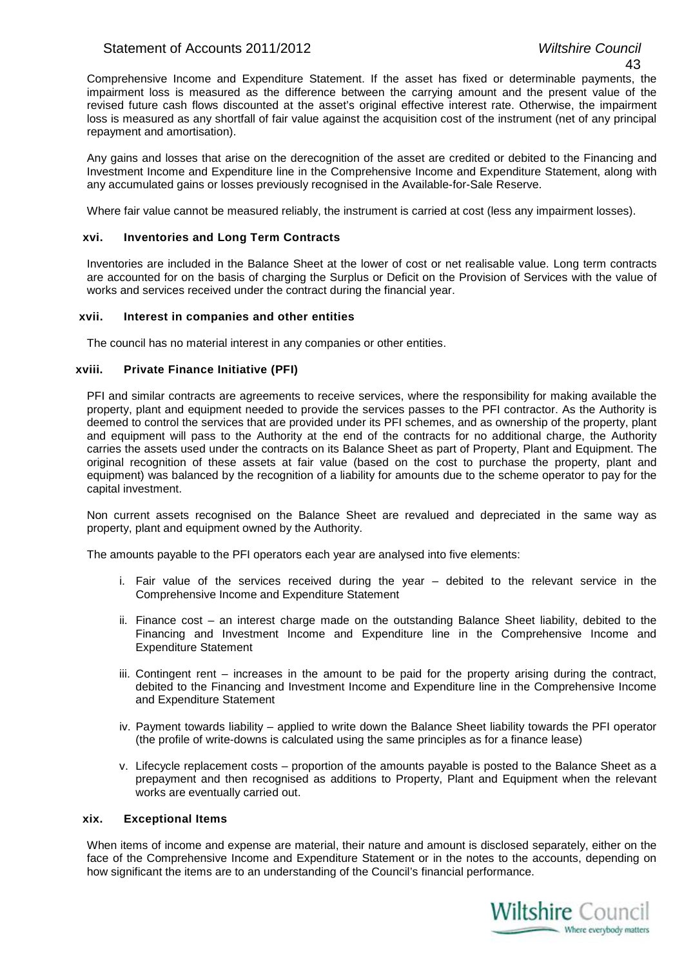# Statement of Accounts 2011/2012 *Wiltshire Council*

Comprehensive Income and Expenditure Statement. If the asset has fixed or determinable payments, the impairment loss is measured as the difference between the carrying amount and the present value of the revised future cash flows discounted at the asset's original effective interest rate. Otherwise, the impairment loss is measured as any shortfall of fair value against the acquisition cost of the instrument (net of any principal repayment and amortisation).

Any gains and losses that arise on the derecognition of the asset are credited or debited to the Financing and Investment Income and Expenditure line in the Comprehensive Income and Expenditure Statement, along with any accumulated gains or losses previously recognised in the Available-for-Sale Reserve.

Where fair value cannot be measured reliably, the instrument is carried at cost (less any impairment losses).

# **xvi. Inventories and Long Term Contracts**

Inventories are included in the Balance Sheet at the lower of cost or net realisable value. Long term contracts are accounted for on the basis of charging the Surplus or Deficit on the Provision of Services with the value of works and services received under the contract during the financial year.

# **xvii. Interest in companies and other entities**

The council has no material interest in any companies or other entities.

# **xviii. Private Finance Initiative (PFI)**

PFI and similar contracts are agreements to receive services, where the responsibility for making available the property, plant and equipment needed to provide the services passes to the PFI contractor. As the Authority is deemed to control the services that are provided under its PFI schemes, and as ownership of the property, plant and equipment will pass to the Authority at the end of the contracts for no additional charge, the Authority carries the assets used under the contracts on its Balance Sheet as part of Property, Plant and Equipment. The original recognition of these assets at fair value (based on the cost to purchase the property, plant and equipment) was balanced by the recognition of a liability for amounts due to the scheme operator to pay for the capital investment.

Non current assets recognised on the Balance Sheet are revalued and depreciated in the same way as property, plant and equipment owned by the Authority.

The amounts payable to the PFI operators each year are analysed into five elements:

- i. Fair value of the services received during the year debited to the relevant service in the Comprehensive Income and Expenditure Statement
- ii. Finance cost an interest charge made on the outstanding Balance Sheet liability, debited to the Financing and Investment Income and Expenditure line in the Comprehensive Income and Expenditure Statement
- iii. Contingent rent increases in the amount to be paid for the property arising during the contract, debited to the Financing and Investment Income and Expenditure line in the Comprehensive Income and Expenditure Statement
- iv. Payment towards liability applied to write down the Balance Sheet liability towards the PFI operator (the profile of write-downs is calculated using the same principles as for a finance lease)
- v. Lifecycle replacement costs proportion of the amounts payable is posted to the Balance Sheet as a prepayment and then recognised as additions to Property, Plant and Equipment when the relevant works are eventually carried out.

# **xix. Exceptional Items**

When items of income and expense are material, their nature and amount is disclosed separately, either on the face of the Comprehensive Income and Expenditure Statement or in the notes to the accounts, depending on how significant the items are to an understanding of the Council's financial performance.

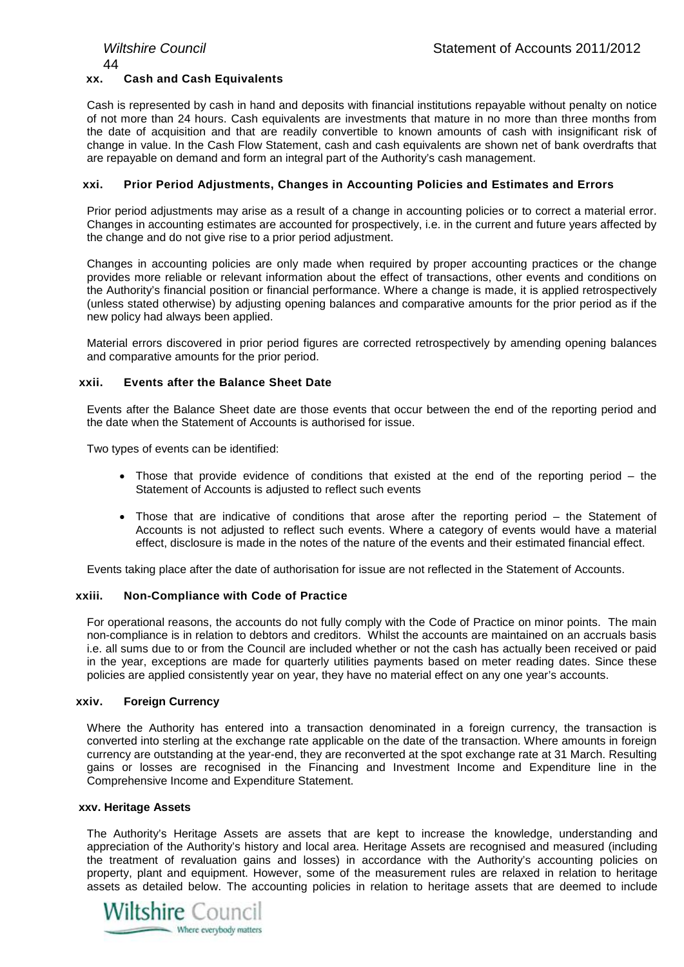# 44 **xx. Cash and Cash Equivalents**

Cash is represented by cash in hand and deposits with financial institutions repayable without penalty on notice of not more than 24 hours. Cash equivalents are investments that mature in no more than three months from the date of acquisition and that are readily convertible to known amounts of cash with insignificant risk of change in value. In the Cash Flow Statement, cash and cash equivalents are shown net of bank overdrafts that are repayable on demand and form an integral part of the Authority's cash management.

# **xxi. Prior Period Adjustments, Changes in Accounting Policies and Estimates and Errors**

Prior period adjustments may arise as a result of a change in accounting policies or to correct a material error. Changes in accounting estimates are accounted for prospectively, i.e. in the current and future years affected by the change and do not give rise to a prior period adjustment.

Changes in accounting policies are only made when required by proper accounting practices or the change provides more reliable or relevant information about the effect of transactions, other events and conditions on the Authority's financial position or financial performance. Where a change is made, it is applied retrospectively (unless stated otherwise) by adjusting opening balances and comparative amounts for the prior period as if the new policy had always been applied.

Material errors discovered in prior period figures are corrected retrospectively by amending opening balances and comparative amounts for the prior period.

# **xxii. Events after the Balance Sheet Date**

Events after the Balance Sheet date are those events that occur between the end of the reporting period and the date when the Statement of Accounts is authorised for issue.

Two types of events can be identified:

- Those that provide evidence of conditions that existed at the end of the reporting period the Statement of Accounts is adjusted to reflect such events
- Those that are indicative of conditions that arose after the reporting period the Statement of Accounts is not adjusted to reflect such events. Where a category of events would have a material effect, disclosure is made in the notes of the nature of the events and their estimated financial effect.

Events taking place after the date of authorisation for issue are not reflected in the Statement of Accounts.

# **xxiii. Non-Compliance with Code of Practice**

For operational reasons, the accounts do not fully comply with the Code of Practice on minor points. The main non-compliance is in relation to debtors and creditors. Whilst the accounts are maintained on an accruals basis i.e. all sums due to or from the Council are included whether or not the cash has actually been received or paid in the year, exceptions are made for quarterly utilities payments based on meter reading dates. Since these policies are applied consistently year on year, they have no material effect on any one year's accounts.

# **xxiv. Foreign Currency**

Where the Authority has entered into a transaction denominated in a foreign currency, the transaction is converted into sterling at the exchange rate applicable on the date of the transaction. Where amounts in foreign currency are outstanding at the year-end, they are reconverted at the spot exchange rate at 31 March. Resulting gains or losses are recognised in the Financing and Investment Income and Expenditure line in the Comprehensive Income and Expenditure Statement.

# **xxv. Heritage Assets**

The Authority's Heritage Assets are assets that are kept to increase the knowledge, understanding and appreciation of the Authority's history and local area. Heritage Assets are recognised and measured (including the treatment of revaluation gains and losses) in accordance with the Authority's accounting policies on property, plant and equipment. However, some of the measurement rules are relaxed in relation to heritage assets as detailed below. The accounting policies in relation to heritage assets that are deemed to include

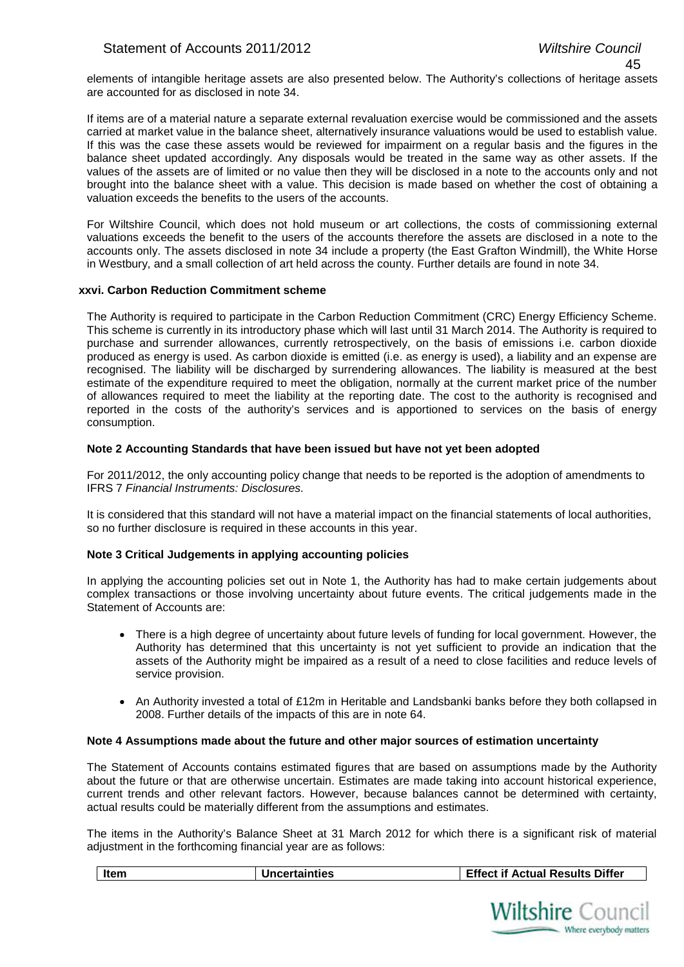elements of intangible heritage assets are also presented below. The Authority's collections of heritage assets are accounted for as disclosed in note 34.

If items are of a material nature a separate external revaluation exercise would be commissioned and the assets carried at market value in the balance sheet, alternatively insurance valuations would be used to establish value. If this was the case these assets would be reviewed for impairment on a regular basis and the figures in the balance sheet updated accordingly. Any disposals would be treated in the same way as other assets. If the values of the assets are of limited or no value then they will be disclosed in a note to the accounts only and not brought into the balance sheet with a value. This decision is made based on whether the cost of obtaining a valuation exceeds the benefits to the users of the accounts.

For Wiltshire Council, which does not hold museum or art collections, the costs of commissioning external valuations exceeds the benefit to the users of the accounts therefore the assets are disclosed in a note to the accounts only. The assets disclosed in note 34 include a property (the East Grafton Windmill), the White Horse in Westbury, and a small collection of art held across the county. Further details are found in note 34.

# **xxvi. Carbon Reduction Commitment scheme**

The Authority is required to participate in the Carbon Reduction Commitment (CRC) Energy Efficiency Scheme. This scheme is currently in its introductory phase which will last until 31 March 2014. The Authority is required to purchase and surrender allowances, currently retrospectively, on the basis of emissions i.e. carbon dioxide produced as energy is used. As carbon dioxide is emitted (i.e. as energy is used), a liability and an expense are recognised. The liability will be discharged by surrendering allowances. The liability is measured at the best estimate of the expenditure required to meet the obligation, normally at the current market price of the number of allowances required to meet the liability at the reporting date. The cost to the authority is recognised and reported in the costs of the authority's services and is apportioned to services on the basis of energy consumption.

# **Note 2 Accounting Standards that have been issued but have not yet been adopted**

For 2011/2012, the only accounting policy change that needs to be reported is the adoption of amendments to IFRS 7 *Financial Instruments: Disclosures.* 

It is considered that this standard will not have a material impact on the financial statements of local authorities, so no further disclosure is required in these accounts in this year.

# **Note 3 Critical Judgements in applying accounting policies**

In applying the accounting policies set out in Note 1, the Authority has had to make certain judgements about complex transactions or those involving uncertainty about future events. The critical judgements made in the Statement of Accounts are:

- There is a high degree of uncertainty about future levels of funding for local government. However, the Authority has determined that this uncertainty is not yet sufficient to provide an indication that the assets of the Authority might be impaired as a result of a need to close facilities and reduce levels of service provision.
- An Authority invested a total of £12m in Heritable and Landsbanki banks before they both collapsed in 2008. Further details of the impacts of this are in note 64.

# **Note 4 Assumptions made about the future and other major sources of estimation uncertainty**

The Statement of Accounts contains estimated figures that are based on assumptions made by the Authority about the future or that are otherwise uncertain. Estimates are made taking into account historical experience, current trends and other relevant factors. However, because balances cannot be determined with certainty, actual results could be materially different from the assumptions and estimates.

The items in the Authority's Balance Sheet at 31 March 2012 for which there is a significant risk of material adjustment in the forthcoming financial year are as follows:

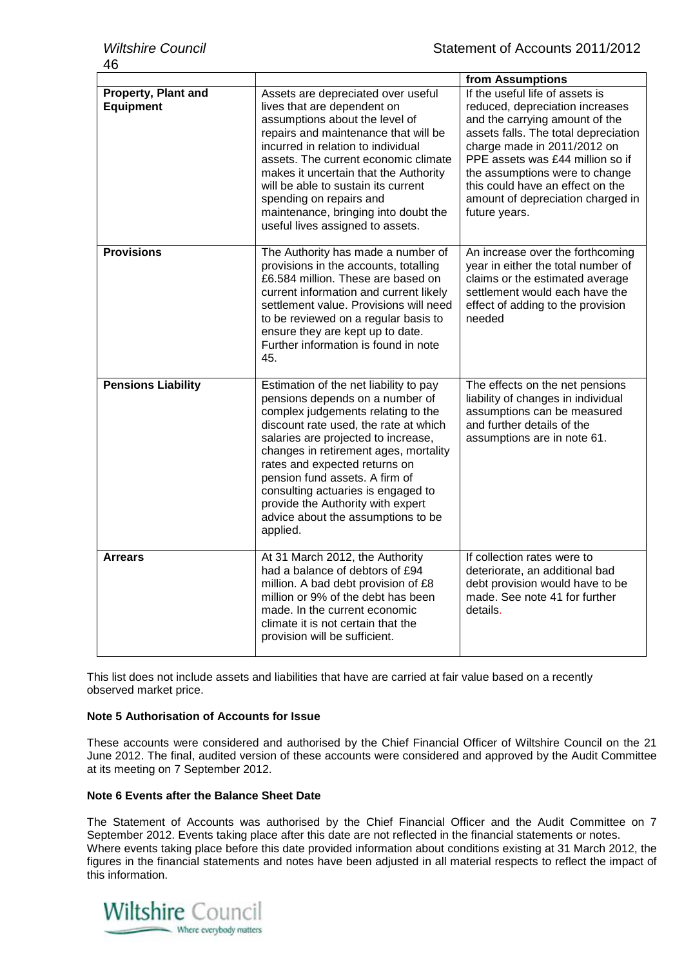|                                         | from Assumptions                                                                                                                                                                                                                                                                                                                                                                                                                         |                                                                                                                                                                                                                                                                                                                                             |  |  |  |  |  |
|-----------------------------------------|------------------------------------------------------------------------------------------------------------------------------------------------------------------------------------------------------------------------------------------------------------------------------------------------------------------------------------------------------------------------------------------------------------------------------------------|---------------------------------------------------------------------------------------------------------------------------------------------------------------------------------------------------------------------------------------------------------------------------------------------------------------------------------------------|--|--|--|--|--|
| Property, Plant and<br><b>Equipment</b> | Assets are depreciated over useful<br>lives that are dependent on<br>assumptions about the level of<br>repairs and maintenance that will be<br>incurred in relation to individual<br>assets. The current economic climate<br>makes it uncertain that the Authority<br>will be able to sustain its current<br>spending on repairs and<br>maintenance, bringing into doubt the<br>useful lives assigned to assets.                         | If the useful life of assets is<br>reduced, depreciation increases<br>and the carrying amount of the<br>assets falls. The total depreciation<br>charge made in 2011/2012 on<br>PPE assets was £44 million so if<br>the assumptions were to change<br>this could have an effect on the<br>amount of depreciation charged in<br>future years. |  |  |  |  |  |
| <b>Provisions</b>                       | The Authority has made a number of<br>provisions in the accounts, totalling<br>£6.584 million. These are based on<br>current information and current likely<br>settlement value. Provisions will need<br>to be reviewed on a regular basis to<br>ensure they are kept up to date.<br>Further information is found in note<br>45.                                                                                                         | An increase over the forthcoming<br>year in either the total number of<br>claims or the estimated average<br>settlement would each have the<br>effect of adding to the provision<br>needed                                                                                                                                                  |  |  |  |  |  |
| <b>Pensions Liability</b>               | Estimation of the net liability to pay<br>pensions depends on a number of<br>complex judgements relating to the<br>discount rate used, the rate at which<br>salaries are projected to increase,<br>changes in retirement ages, mortality<br>rates and expected returns on<br>pension fund assets. A firm of<br>consulting actuaries is engaged to<br>provide the Authority with expert<br>advice about the assumptions to be<br>applied. | The effects on the net pensions<br>liability of changes in individual<br>assumptions can be measured<br>and further details of the<br>assumptions are in note 61.                                                                                                                                                                           |  |  |  |  |  |
| <b>Arrears</b>                          | At 31 March 2012, the Authority<br>had a balance of debtors of £94<br>million. A bad debt provision of £8<br>million or 9% of the debt has been<br>made. In the current economic<br>climate it is not certain that the<br>provision will be sufficient.                                                                                                                                                                                  | If collection rates were to<br>deteriorate, an additional bad<br>debt provision would have to be<br>made. See note 41 for further<br>details.                                                                                                                                                                                               |  |  |  |  |  |

This list does not include assets and liabilities that have are carried at fair value based on a recently observed market price.

# **Note 5 Authorisation of Accounts for Issue**

These accounts were considered and authorised by the Chief Financial Officer of Wiltshire Council on the 21 June 2012. The final, audited version of these accounts were considered and approved by the Audit Committee at its meeting on 7 September 2012.

# **Note 6 Events after the Balance Sheet Date**

The Statement of Accounts was authorised by the Chief Financial Officer and the Audit Committee on 7 September 2012. Events taking place after this date are not reflected in the financial statements or notes. Where events taking place before this date provided information about conditions existing at 31 March 2012, the figures in the financial statements and notes have been adjusted in all material respects to reflect the impact of this information.

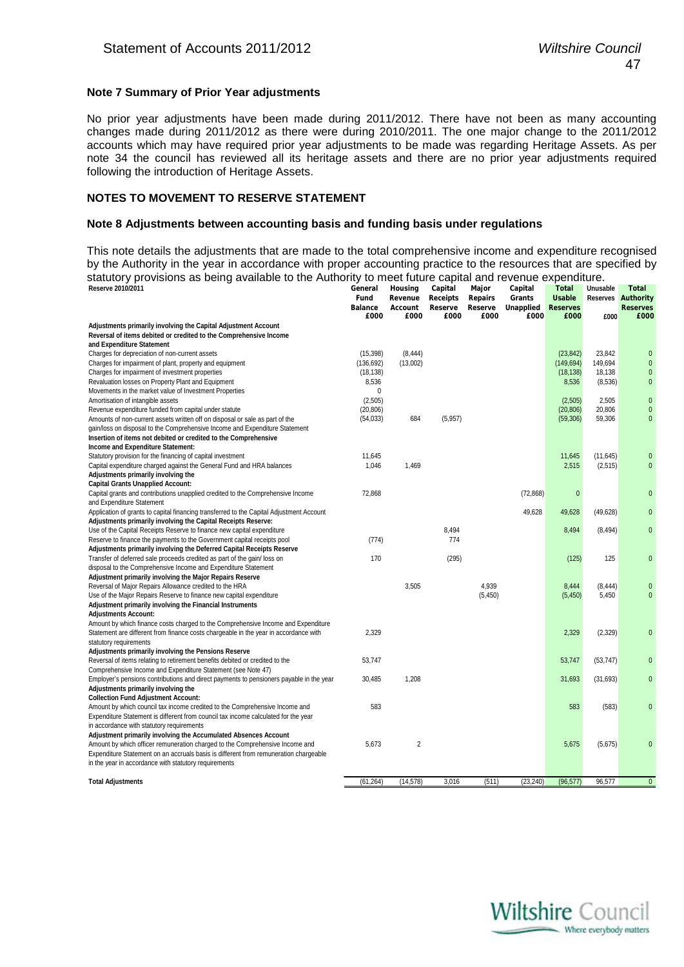# **Note 7 Summary of Prior Year adjustments**

No prior year adjustments have been made during 2011/2012. There have not been as many accounting changes made during 2011/2012 as there were during 2010/2011. The one major change to the 2011/2012 accounts which may have required prior year adjustments to be made was regarding Heritage Assets. As per note 34 the council has reviewed all its heritage assets and there are no prior year adjustments required following the introduction of Heritage Assets.

# **NOTES TO MOVEMENT TO RESERVE STATEMENT**

# **Note 8 Adjustments between accounting basis and funding basis under regulations**

This note details the adjustments that are made to the total comprehensive income and expenditure recognised by the Authority in the year in accordance with proper accounting practice to the resources that are specified by statutory provisions as being available to the Authority to meet future capital and revenue expenditure.

| Reserve 2010/2011                                                                        | General                | Housing         | Capital         | Major           | Capital           | <b>Total</b>            | Unusable  | <b>Total</b>              |
|------------------------------------------------------------------------------------------|------------------------|-----------------|-----------------|-----------------|-------------------|-------------------------|-----------|---------------------------|
|                                                                                          | Fund                   | Revenue         | <b>Receipts</b> | <b>Repairs</b>  | Grants            | <b>Usable</b>           |           | <b>Reserves Authority</b> |
|                                                                                          | <b>Balance</b><br>£000 | Account<br>£000 | Reserve<br>£000 | Reserve<br>£000 | Unapplied<br>£000 | <b>Reserves</b><br>£000 | £000      | <b>Reserves</b><br>£000   |
| Adjustments primarily involving the Capital Adjustment Account                           |                        |                 |                 |                 |                   |                         |           |                           |
| Reversal of items debited or credited to the Comprehensive Income                        |                        |                 |                 |                 |                   |                         |           |                           |
| and Expenditure Statement                                                                |                        |                 |                 |                 |                   |                         |           |                           |
| Charges for depreciation of non-current assets                                           | (15, 398)              | (8, 444)        |                 |                 |                   | (23, 842)               | 23,842    | $\pmb{0}$                 |
| Charges for impairment of plant, property and equipment                                  | (136, 692)             | (13,002)        |                 |                 |                   | (149, 694)              | 149,694   | $\pmb{0}$                 |
| Charges for impairment of investment properties                                          | (18, 138)              |                 |                 |                 |                   | (18, 138)               | 18,138    | 0                         |
| Revaluation losses on Property Plant and Equipment                                       | 8,536                  |                 |                 |                 |                   | 8,536                   | (8,536)   | $\pmb{0}$                 |
| Movements in the market value of Investment Properties                                   | 0                      |                 |                 |                 |                   |                         |           |                           |
| Amortisation of intangible assets                                                        | (2, 505)               |                 |                 |                 |                   | (2,505)                 | 2,505     | $\pmb{0}$                 |
| Revenue expenditure funded from capital under statute                                    | (20, 806)              |                 |                 |                 |                   | (20, 806)               | 20,806    | $\pmb{0}$                 |
| Amounts of non-current assets written off on disposal or sale as part of the             | (54, 033)              | 684             | (5,957)         |                 |                   | (59, 306)               | 59,306    | 0                         |
| gain/loss on disposal to the Comprehensive Income and Expenditure Statement              |                        |                 |                 |                 |                   |                         |           |                           |
| Insertion of items not debited or credited to the Comprehensive                          |                        |                 |                 |                 |                   |                         |           |                           |
| Income and Expenditure Statement:                                                        |                        |                 |                 |                 |                   |                         |           |                           |
| Statutory provision for the financing of capital investment                              | 11,645                 |                 |                 |                 |                   | 11,645                  | (11, 645) | $\mathbf{0}$              |
| Capital expenditure charged against the General Fund and HRA balances                    | 1,046                  | 1,469           |                 |                 |                   | 2,515                   | (2,515)   | $\pmb{0}$                 |
| Adjustments primarily involving the                                                      |                        |                 |                 |                 |                   |                         |           |                           |
| <b>Capital Grants Unapplied Account:</b>                                                 |                        |                 |                 |                 |                   |                         |           |                           |
| Capital grants and contributions unapplied credited to the Comprehensive Income          | 72,868                 |                 |                 |                 | (72, 868)         | $\mathbf{0}$            |           | 0                         |
| and Expenditure Statement                                                                |                        |                 |                 |                 |                   |                         |           |                           |
| Application of grants to capital financing transferred to the Capital Adjustment Account |                        |                 |                 |                 | 49,628            | 49,628                  | (49, 628) | $\mathbf 0$               |
| Adjustments primarily involving the Capital Receipts Reserve:                            |                        |                 |                 |                 |                   |                         |           |                           |
| Use of the Capital Receipts Reserve to finance new capital expenditure                   |                        |                 | 8,494           |                 |                   | 8,494                   | (8, 494)  | $\pmb{0}$                 |
| Reserve to finance the payments to the Government capital receipts pool                  | (774)                  |                 | 774             |                 |                   |                         |           |                           |
| Adjustments primarily involving the Deferred Capital Receipts Reserve                    |                        |                 |                 |                 |                   |                         |           |                           |
| Transfer of deferred sale proceeds credited as part of the gain/loss on                  | 170                    |                 | (295)           |                 |                   | (125)                   | 125       | $\overline{0}$            |
| disposal to the Comprehensive Income and Expenditure Statement                           |                        |                 |                 |                 |                   |                         |           |                           |
| Adjustment primarily involving the Major Repairs Reserve                                 |                        |                 |                 |                 |                   |                         |           |                           |
| Reversal of Major Repairs Allowance credited to the HRA                                  |                        | 3,505           |                 | 4,939           |                   | 8,444                   | (8, 444)  | $\mathbf 0$               |
| Use of the Major Repairs Reserve to finance new capital expenditure                      |                        |                 |                 | (5, 450)        |                   | (5, 450)                | 5,450     | $\pmb{0}$                 |
| Adjustment primarily involving the Financial Instruments                                 |                        |                 |                 |                 |                   |                         |           |                           |
| <b>Adjustments Account:</b>                                                              |                        |                 |                 |                 |                   |                         |           |                           |
| Amount by which finance costs charged to the Comprehensive Income and Expenditure        |                        |                 |                 |                 |                   |                         |           |                           |
| Statement are different from finance costs chargeable in the year in accordance with     | 2,329                  |                 |                 |                 |                   | 2,329                   | (2, 329)  | $\pmb{0}$                 |
| statutory requirements                                                                   |                        |                 |                 |                 |                   |                         |           |                           |
| Adjustments primarily involving the Pensions Reserve                                     |                        |                 |                 |                 |                   |                         |           |                           |
| Reversal of items relating to retirement benefits debited or credited to the             | 53,747                 |                 |                 |                 |                   | 53,747                  | (53, 747) | 0                         |
| Comprehensive Income and Expenditure Statement (see Note 47)                             |                        |                 |                 |                 |                   |                         |           |                           |
| Employer's pensions contributions and direct payments to pensioners payable in the year  | 30,485                 | 1,208           |                 |                 |                   | 31,693                  | (31, 693) | 0                         |
| Adjustments primarily involving the                                                      |                        |                 |                 |                 |                   |                         |           |                           |
| <b>Collection Fund Adjustment Account:</b>                                               |                        |                 |                 |                 |                   |                         |           |                           |
| Amount by which council tax income credited to the Comprehensive Income and              | 583                    |                 |                 |                 |                   | 583                     | (583)     | 0                         |
| Expenditure Statement is different from council tax income calculated for the year       |                        |                 |                 |                 |                   |                         |           |                           |
| in accordance with statutory requirements                                                |                        |                 |                 |                 |                   |                         |           |                           |
| Adjustment primarily involving the Accumulated Absences Account                          |                        |                 |                 |                 |                   |                         |           |                           |
| Amount by which officer remuneration charged to the Comprehensive Income and             | 5,673                  | $\overline{2}$  |                 |                 |                   | 5,675                   | (5,675)   | 0                         |
| Expenditure Statement on an accruals basis is different from remuneration chargeable     |                        |                 |                 |                 |                   |                         |           |                           |
| in the year in accordance with statutory requirements                                    |                        |                 |                 |                 |                   |                         |           |                           |
|                                                                                          |                        |                 |                 |                 |                   |                         |           |                           |
| <b>Total Adjustments</b>                                                                 | (61, 264)              | (14, 578)       | 3,016           | (511)           | (23, 240)         | (96, 577)               | 96,577    | $\mathbf{0}$              |
|                                                                                          |                        |                 |                 |                 |                   |                         |           |                           |

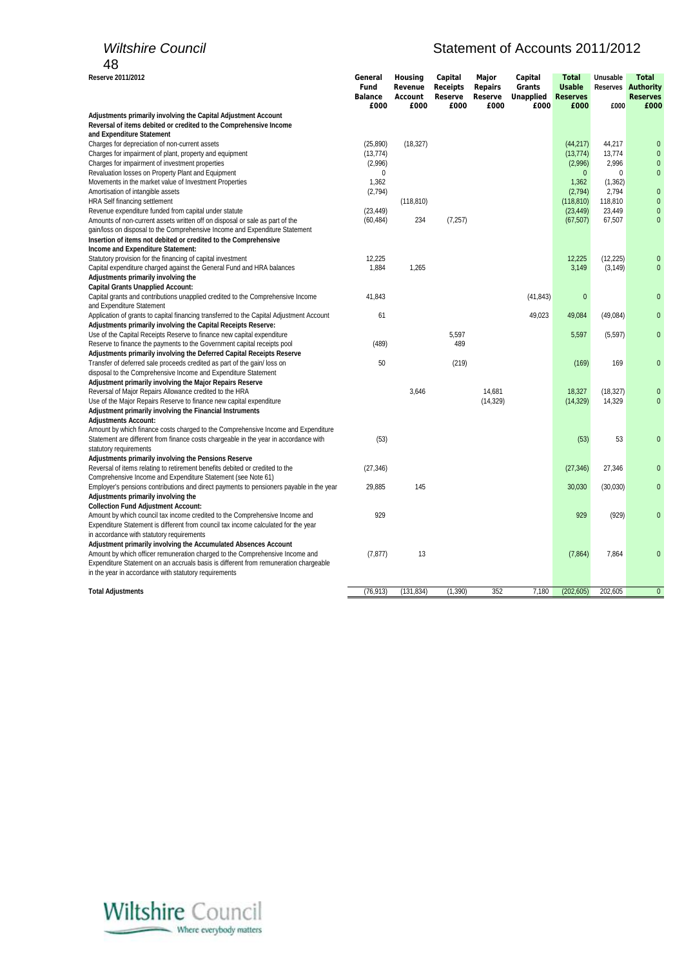# *Wiltshire Council* Matement of Accounts 2011/2012

| Reserve 2011/2012                                                                                                                                                    | General<br>Fund        | Housing<br>Revenue | Capital<br>Receipts | Major<br><b>Repairs</b> | Capital<br>Grants | <b>Total</b><br><b>Usable</b> | Unusable          | <b>Total</b><br><b>Reserves Authority</b> |
|----------------------------------------------------------------------------------------------------------------------------------------------------------------------|------------------------|--------------------|---------------------|-------------------------|-------------------|-------------------------------|-------------------|-------------------------------------------|
|                                                                                                                                                                      | <b>Balance</b><br>£000 | Account<br>£000    | Reserve<br>£000     | Reserve<br>£000         | Unapplied<br>£000 | <b>Reserves</b><br>£000       | £000              | <b>Reserves</b><br>£000                   |
| Adjustments primarily involving the Capital Adjustment Account                                                                                                       |                        |                    |                     |                         |                   |                               |                   |                                           |
| Reversal of items debited or credited to the Comprehensive Income                                                                                                    |                        |                    |                     |                         |                   |                               |                   |                                           |
| and Expenditure Statement                                                                                                                                            |                        |                    |                     |                         |                   |                               |                   |                                           |
| Charges for depreciation of non-current assets                                                                                                                       | (25, 890)              | (18, 327)          |                     |                         |                   | (44, 217)                     | 44,217            | $\mathbf{0}$                              |
| Charges for impairment of plant, property and equipment                                                                                                              | (13, 774)              |                    |                     |                         |                   | (13, 774)                     | 13,774            | $\pmb{0}$                                 |
| Charges for impairment of investment properties                                                                                                                      | (2,996)                |                    |                     |                         |                   | (2,996)                       | 2,996             | $\pmb{0}$<br>$\pmb{0}$                    |
| Revaluation losses on Property Plant and Equipment                                                                                                                   | 0                      |                    |                     |                         |                   | $\mathbf{0}$                  | 0                 |                                           |
| Movements in the market value of Investment Properties<br>Amortisation of intangible assets                                                                          | 1,362<br>(2,794)       |                    |                     |                         |                   | 1,362<br>(2,794)              | (1, 362)<br>2,794 | $\pmb{0}$                                 |
| HRA Self financing settlement                                                                                                                                        |                        | (118, 810)         |                     |                         |                   | (118, 810)                    | 118,810           | $\pmb{0}$                                 |
| Revenue expenditure funded from capital under statute                                                                                                                | (23, 449)              |                    |                     |                         |                   | (23, 449)                     | 23,449            | $\pmb{0}$                                 |
| Amounts of non-current assets written off on disposal or sale as part of the                                                                                         | (60, 484)              | 234                | (7, 257)            |                         |                   | (67, 507)                     | 67,507            | $\pmb{0}$                                 |
| gain/loss on disposal to the Comprehensive Income and Expenditure Statement                                                                                          |                        |                    |                     |                         |                   |                               |                   |                                           |
| Insertion of items not debited or credited to the Comprehensive                                                                                                      |                        |                    |                     |                         |                   |                               |                   |                                           |
| Income and Expenditure Statement:                                                                                                                                    |                        |                    |                     |                         |                   |                               |                   |                                           |
| Statutory provision for the financing of capital investment                                                                                                          | 12,225                 |                    |                     |                         |                   | 12,225                        | (12, 225)         | $\pmb{0}$                                 |
| Capital expenditure charged against the General Fund and HRA balances                                                                                                | 1,884                  | 1,265              |                     |                         |                   | 3,149                         | (3, 149)          | $\pmb{0}$                                 |
| Adjustments primarily involving the                                                                                                                                  |                        |                    |                     |                         |                   |                               |                   |                                           |
| <b>Capital Grants Unapplied Account:</b>                                                                                                                             |                        |                    |                     |                         |                   |                               |                   |                                           |
| Capital grants and contributions unapplied credited to the Comprehensive Income                                                                                      | 41,843                 |                    |                     |                         | (41, 843)         | $\mathbf{0}$                  |                   | $\overline{0}$                            |
| and Expenditure Statement                                                                                                                                            |                        |                    |                     |                         |                   |                               |                   |                                           |
| Application of grants to capital financing transferred to the Capital Adjustment Account                                                                             | 61                     |                    |                     |                         | 49,023            | 49,084                        | (49, 084)         | 0                                         |
| Adjustments primarily involving the Capital Receipts Reserve:                                                                                                        |                        |                    |                     |                         |                   |                               |                   |                                           |
| Use of the Capital Receipts Reserve to finance new capital expenditure                                                                                               |                        |                    | 5,597               |                         |                   | 5,597                         | (5, 597)          | $\pmb{0}$                                 |
| Reserve to finance the payments to the Government capital receipts pool                                                                                              | (489)                  |                    | 489                 |                         |                   |                               |                   |                                           |
| Adjustments primarily involving the Deferred Capital Receipts Reserve                                                                                                |                        |                    |                     |                         |                   |                               |                   |                                           |
| Transfer of deferred sale proceeds credited as part of the gain/loss on                                                                                              | 50                     |                    | (219)               |                         |                   | (169)                         | 169               | $\pmb{0}$                                 |
| disposal to the Comprehensive Income and Expenditure Statement                                                                                                       |                        |                    |                     |                         |                   |                               |                   |                                           |
| Adjustment primarily involving the Major Repairs Reserve                                                                                                             |                        |                    |                     |                         |                   |                               |                   |                                           |
| Reversal of Major Repairs Allowance credited to the HRA                                                                                                              |                        | 3.646              |                     | 14,681                  |                   | 18,327                        | (18, 327)         | $\pmb{0}$                                 |
| Use of the Major Repairs Reserve to finance new capital expenditure                                                                                                  |                        |                    |                     | (14, 329)               |                   | (14, 329)                     | 14,329            | $\mathbf{0}$                              |
| Adjustment primarily involving the Financial Instruments                                                                                                             |                        |                    |                     |                         |                   |                               |                   |                                           |
| <b>Adjustments Account:</b>                                                                                                                                          |                        |                    |                     |                         |                   |                               |                   |                                           |
| Amount by which finance costs charged to the Comprehensive Income and Expenditure                                                                                    |                        |                    |                     |                         |                   |                               |                   |                                           |
| Statement are different from finance costs chargeable in the year in accordance with                                                                                 | (53)                   |                    |                     |                         |                   | (53)                          | 53                | $\pmb{0}$                                 |
| statutory requirements                                                                                                                                               |                        |                    |                     |                         |                   |                               |                   |                                           |
| Adjustments primarily involving the Pensions Reserve                                                                                                                 |                        |                    |                     |                         |                   |                               |                   |                                           |
| Reversal of items relating to retirement benefits debited or credited to the                                                                                         | (27, 346)              |                    |                     |                         |                   | (27, 346)                     | 27,346            | 0                                         |
| Comprehensive Income and Expenditure Statement (see Note 61)                                                                                                         |                        |                    |                     |                         |                   |                               |                   |                                           |
| Employer's pensions contributions and direct payments to pensioners payable in the year                                                                              | 29,885                 | 145                |                     |                         |                   | 30,030                        | (30,030)          | $\mathbf{0}$                              |
| Adjustments primarily involving the                                                                                                                                  |                        |                    |                     |                         |                   |                               |                   |                                           |
| <b>Collection Fund Adjustment Account:</b>                                                                                                                           |                        |                    |                     |                         |                   |                               |                   |                                           |
| Amount by which council tax income credited to the Comprehensive Income and                                                                                          | 929                    |                    |                     |                         |                   | 929                           | (929)             | $\pmb{0}$                                 |
| Expenditure Statement is different from council tax income calculated for the year                                                                                   |                        |                    |                     |                         |                   |                               |                   |                                           |
| in accordance with statutory requirements                                                                                                                            |                        |                    |                     |                         |                   |                               |                   |                                           |
| Adjustment primarily involving the Accumulated Absences Account                                                                                                      |                        | 13                 |                     |                         |                   |                               | 7,864             | $\mathbf{0}$                              |
| Amount by which officer remuneration charged to the Comprehensive Income and<br>Expenditure Statement on an accruals basis is different from remuneration chargeable | (7, 877)               |                    |                     |                         |                   | (7, 864)                      |                   |                                           |
|                                                                                                                                                                      |                        |                    |                     |                         |                   |                               |                   |                                           |
| in the year in accordance with statutory requirements                                                                                                                |                        |                    |                     |                         |                   |                               |                   |                                           |
| <b>Total Adjustments</b>                                                                                                                                             | (76, 913)              | (131, 834)         | (1, 390)            | 352                     | 7.180             | (202, 605)                    | 202.605           | $\overline{0}$                            |

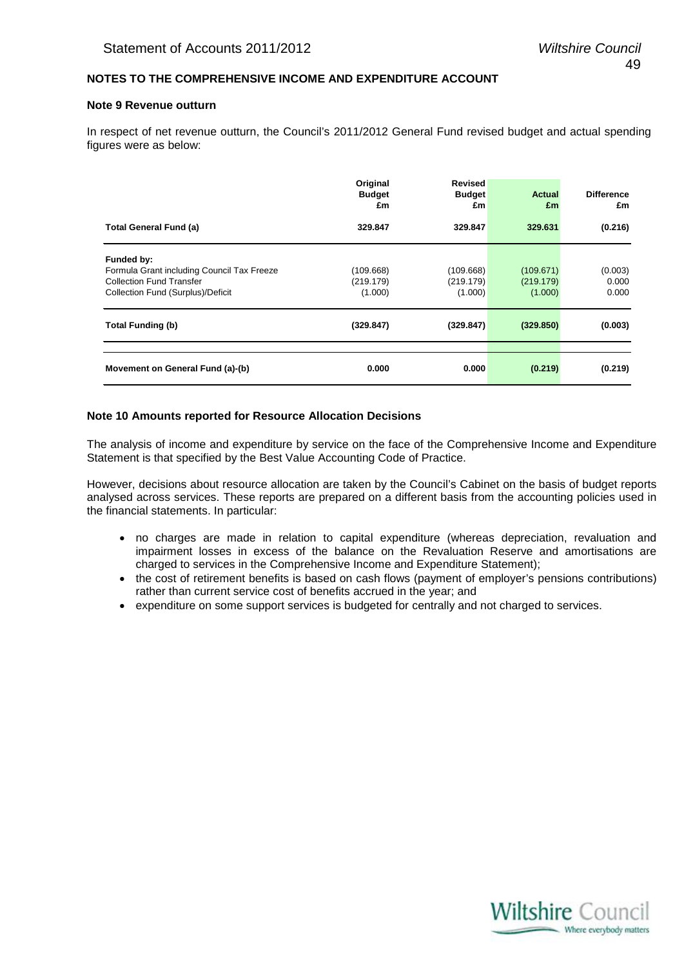# **NOTES TO THE COMPREHENSIVE INCOME AND EXPENDITURE ACCOUNT**

# **Note 9 Revenue outturn**

In respect of net revenue outturn, the Council's 2011/2012 General Fund revised budget and actual spending figures were as below:

|                                                                                                                                  | Original<br><b>Budget</b><br>£m   | <b>Revised</b><br><b>Budget</b><br>£m | <b>Actual</b><br>£m               | <b>Difference</b><br>£m   |
|----------------------------------------------------------------------------------------------------------------------------------|-----------------------------------|---------------------------------------|-----------------------------------|---------------------------|
| <b>Total General Fund (a)</b>                                                                                                    | 329.847                           | 329.847                               | 329.631                           | (0.216)                   |
| Funded by:<br>Formula Grant including Council Tax Freeze<br><b>Collection Fund Transfer</b><br>Collection Fund (Surplus)/Deficit | (109.668)<br>(219.179)<br>(1.000) | (109.668)<br>(219.179)<br>(1.000)     | (109.671)<br>(219.179)<br>(1.000) | (0.003)<br>0.000<br>0.000 |
| <b>Total Funding (b)</b>                                                                                                         | (329.847)                         | (329.847)                             | (329.850)                         | (0.003)                   |
| Movement on General Fund (a)-(b)                                                                                                 | 0.000                             | 0.000                                 | (0.219)                           | (0.219)                   |

# **Note 10 Amounts reported for Resource Allocation Decisions**

The analysis of income and expenditure by service on the face of the Comprehensive Income and Expenditure Statement is that specified by the Best Value Accounting Code of Practice.

However, decisions about resource allocation are taken by the Council's Cabinet on the basis of budget reports analysed across services. These reports are prepared on a different basis from the accounting policies used in the financial statements. In particular:

- no charges are made in relation to capital expenditure (whereas depreciation, revaluation and impairment losses in excess of the balance on the Revaluation Reserve and amortisations are charged to services in the Comprehensive Income and Expenditure Statement);
- the cost of retirement benefits is based on cash flows (payment of employer's pensions contributions) rather than current service cost of benefits accrued in the year; and
- expenditure on some support services is budgeted for centrally and not charged to services.

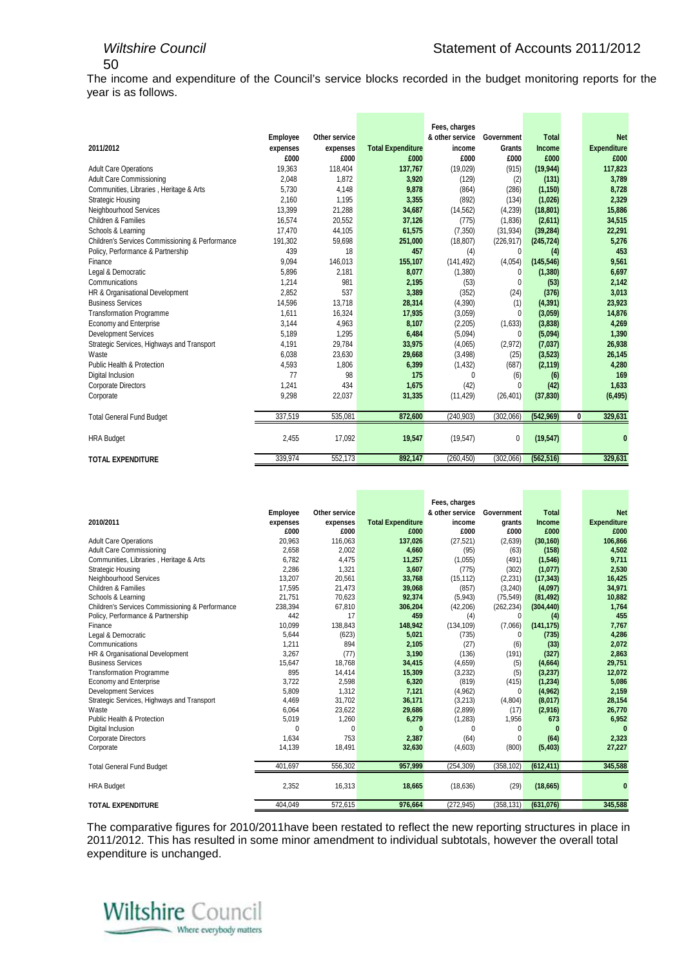The income and expenditure of the Council's service blocks recorded in the budget monitoring reports for the year is as follows.

|                                                 |          |               |                          | Fees, charges   |              |              |   |                    |
|-------------------------------------------------|----------|---------------|--------------------------|-----------------|--------------|--------------|---|--------------------|
|                                                 | Employee | Other service |                          | & other service | Government   | <b>Total</b> |   | <b>Net</b>         |
| 2011/2012                                       | expenses | expenses      | <b>Total Expenditure</b> | income          | Grants       | Income       |   | <b>Expenditure</b> |
|                                                 | £000     | £000          | £000                     | £000            | £000         | £000         |   | £000               |
| <b>Adult Care Operations</b>                    | 19,363   | 118,404       | 137,767                  | (19,029)        | (915)        | (19, 944)    |   | 117,823            |
| <b>Adult Care Commissioning</b>                 | 2,048    | 1,872         | 3,920                    | (129)           | (2)          | (131)        |   | 3,789              |
| Communities, Libraries, Heritage & Arts         | 5,730    | 4,148         | 9,878                    | (864)           | (286)        | (1, 150)     |   | 8,728              |
| <b>Strategic Housing</b>                        | 2,160    | 1,195         | 3,355                    | (892)           | (134)        | (1,026)      |   | 2,329              |
| Neighbourhood Services                          | 13,399   | 21,288        | 34,687                   | (14, 562)       | (4,239)      | (18, 801)    |   | 15,886             |
| Children & Families                             | 16.574   | 20,552        | 37,126                   | (775)           | (1,836)      | (2,611)      |   | 34,515             |
| Schools & Learning                              | 17,470   | 44,105        | 61,575                   | (7, 350)        | (31, 934)    | (39, 284)    |   | 22,291             |
| Children's Services Commissioning & Performance | 191,302  | 59,698        | 251,000                  | (18, 807)       | (226, 917)   | (245, 724)   |   | 5,276              |
| Policy, Performance & Partnership               | 439      | 18            | 457                      | (4)             | 0            | (4)          |   | 453                |
| Finance                                         | 9.094    | 146,013       | 155,107                  | (141, 492)      | (4,054)      | (145, 546)   |   | 9,561              |
| Legal & Democratic                              | 5,896    | 2,181         | 8,077                    | (1,380)         | 0            | (1,380)      |   | 6,697              |
| Communications                                  | 1,214    | 981           | 2,195                    | (53)            | $\Omega$     | (53)         |   | 2,142              |
| HR & Organisational Development                 | 2.852    | 537           | 3,389                    | (352)           | (24)         | (376)        |   | 3,013              |
| <b>Business Services</b>                        | 14,596   | 13,718        | 28,314                   | (4,390)         | (1)          | (4, 391)     |   | 23,923             |
| <b>Transformation Programme</b>                 | 1.611    | 16,324        | 17,935                   | (3,059)         | $\Omega$     | (3,059)      |   | 14,876             |
| <b>Economy and Enterprise</b>                   | 3,144    | 4,963         | 8,107                    | (2,205)         | (1,633)      | (3,838)      |   | 4,269              |
| <b>Development Services</b>                     | 5,189    | 1,295         | 6,484                    | (5,094)         | $\Omega$     | (5,094)      |   | 1,390              |
| Strategic Services, Highways and Transport      | 4,191    | 29,784        | 33,975                   | (4,065)         | (2,972)      | (7,037)      |   | 26,938             |
| Waste                                           | 6,038    | 23,630        | 29,668                   | (3, 498)        | (25)         | (3, 523)     |   | 26,145             |
| Public Health & Protection                      | 4,593    | 1,806         | 6,399                    | (1, 432)        | (687)        | (2, 119)     |   | 4,280              |
| Digital Inclusion                               | 77       | 98            | 175                      | $\Omega$        | (6)          | (6)          |   | 169                |
| <b>Corporate Directors</b>                      | 1,241    | 434           | 1,675                    | (42)            | 0            | (42)         |   | 1,633              |
| Corporate                                       | 9,298    | 22,037        | 31,335                   | (11, 429)       | (26, 401)    | (37, 830)    |   | (6, 495)           |
|                                                 | 337,519  |               |                          |                 |              |              |   |                    |
| <b>Total General Fund Budget</b>                |          | 535,081       | 872,600                  | (240, 903)      | (302,066)    | (542, 969)   | 0 | 329,631            |
| <b>HRA Budget</b>                               | 2,455    | 17,092        | 19,547                   | (19, 547)       | $\mathbf{0}$ | (19, 547)    |   | 0                  |
| <b>TOTAL EXPENDITURE</b>                        | 339,974  | 552,173       | 892,147                  | (260, 450)      | (302,066)    | (562, 516)   |   | 329,631            |

|                                                 |          |               |                          | Fees, charges   |             |              |                    |
|-------------------------------------------------|----------|---------------|--------------------------|-----------------|-------------|--------------|--------------------|
|                                                 | Employee | Other service |                          | & other service | Government  | <b>Total</b> | <b>Net</b>         |
| 2010/2011                                       | expenses | expenses      | <b>Total Expenditure</b> | income          | grants      | Income       | <b>Expenditure</b> |
|                                                 | £000     | £000          | £000                     | £000            | £000        | £000         | £000               |
| <b>Adult Care Operations</b>                    | 20,963   | 116,063       | 137,026                  | (27, 521)       | (2,639)     | (30, 160)    | 106,866            |
| Adult Care Commissioning                        | 2.658    | 2.002         | 4,660                    | (95)            | (63)        | (158)        | 4,502              |
| Communities, Libraries, Heritage & Arts         | 6,782    | 4,475         | 11,257                   | (1,055)         | (491)       | (1,546)      | 9,711              |
| Strategic Housing                               | 2.286    | 1,321         | 3,607                    | (775)           | (302)       | (1,077)      | 2,530              |
| Neighbourhood Services                          | 13.207   | 20,561        | 33,768                   | (15, 112)       | (2, 231)    | (17, 343)    | 16,425             |
| <b>Children &amp; Families</b>                  | 17,595   | 21,473        | 39,068                   | (857)           | (3,240)     | (4,097)      | 34,971             |
| Schools & Learning                              | 21,751   | 70,623        | 92,374                   | (5,943)         | (75, 549)   | (81, 492)    | 10,882             |
| Children's Services Commissioning & Performance | 238,394  | 67,810        | 306,204                  | (42, 206)       | (262, 234)  | (304, 440)   | 1,764              |
| Policy, Performance & Partnership               | 442      | 17            | 459                      | (4)             | $\Omega$    | (4)          | 455                |
| Finance                                         | 10,099   | 138,843       | 148,942                  | (134, 109)      | (7,066)     | (141, 175)   | 7,767              |
| Legal & Democratic                              | 5.644    | (623)         | 5,021                    | (735)           | $\Omega$    | (735)        | 4,286              |
| Communications                                  | 1,211    | 894           | 2,105                    | (27)            | (6)         | (33)         | 2,072              |
| HR & Organisational Development                 | 3.267    | (77)          | 3,190                    | (136)           | (191)       | (327)        | 2,863              |
| <b>Business Services</b>                        | 15,647   | 18,768        | 34,415                   | (4,659)         | (5)         | (4,664)      | 29,751             |
| <b>Transformation Programme</b>                 | 895      | 14.414        | 15,309                   | (3,232)         | (5)         | (3, 237)     | 12,072             |
| <b>Economy and Enterprise</b>                   | 3,722    | 2,598         | 6,320                    | (819)           | (415)       | (1, 234)     | 5,086              |
| <b>Development Services</b>                     | 5,809    | 1,312         | 7,121                    | (4,962)         | $\Omega$    | (4, 962)     | 2,159              |
| Strategic Services, Highways and Transport      | 4,469    | 31,702        | 36,171                   | (3,213)         | (4,804)     | (8,017)      | 28,154             |
| Waste                                           | 6,064    | 23,622        | 29,686                   | (2,899)         | (17)        | (2,916)      | 26,770             |
| Public Health & Protection                      | 5,019    | 1,260         | 6,279                    | (1, 283)        | 1,956       | 673          | 6,952              |
| Digital Inclusion                               | $\Omega$ | $\Omega$      |                          | $\Omega$        | 0           |              |                    |
| <b>Corporate Directors</b>                      | 1.634    | 753           | 2,387                    | (64)            | $\mathbf 0$ | (64)         | 2,323              |
| Corporate                                       | 14,139   | 18,491        | 32,630                   | (4,603)         | (800)       | (5, 403)     | 27,227             |
| <b>Total General Fund Budget</b>                | 401,697  | 556,302       | 957,999                  | (254, 309)      | (358, 102)  | (612, 411)   | 345,588            |
| <b>HRA Budget</b>                               | 2,352    | 16,313        | 18,665                   | (18, 636)       | (29)        | (18, 665)    |                    |
| <b>TOTAL EXPENDITURE</b>                        | 404,049  | 572,615       | 976,664                  | (272, 945)      | (358, 131)  | (631,076)    | 345,588            |

The comparative figures for 2010/2011have been restated to reflect the new reporting structures in place in 2011/2012. This has resulted in some minor amendment to individual subtotals, however the overall total expenditure is unchanged.

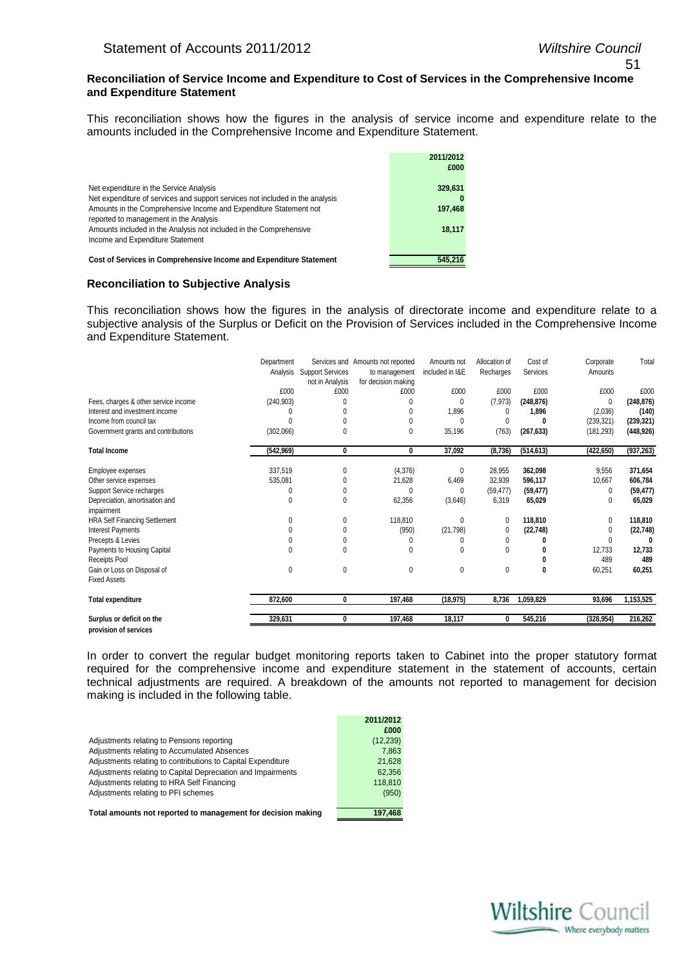#### **Reconciliation of Service Income and Expenditure to Cost of Services in the Comprehensive Income and Expenditure Statement**

This reconciliation shows how the figures in the analysis of service income and expenditure relate to the amounts included in the Comprehensive Income and Expenditure Statement.

|                                                                                                                                                                                               | 2011/2012<br>£000  |
|-----------------------------------------------------------------------------------------------------------------------------------------------------------------------------------------------|--------------------|
| Net expenditure in the Service Analysis<br>Net expenditure of services and support services not included in the analysis<br>Amounts in the Comprehensive Income and Expenditure Statement not | 329,631<br>197,468 |
| reported to management in the Analysis<br>Amounts included in the Analysis not included in the Comprehensive                                                                                  | 18,117             |
| Income and Expenditure Statement<br>Cost of Services in Comprehensive Income and Expenditure Statement                                                                                        | 545.216            |

#### **Reconciliation to Subjective Analysis**

This reconciliation shows how the figures in the analysis of directorate income and expenditure relate to a subjective analysis of the Surplus or Deficit on the Provision of Services included in the Comprehensive Income and Expenditure Statement.

|                                                    | Department | Analysis Support Services<br>not in Analysis | Services and Amounts not reported<br>to management<br>for decision making | Amounts not<br>included in I&E | Allocation of<br>Recharges | Cost of<br>Services | Corporate<br>Amounts | Total      |
|----------------------------------------------------|------------|----------------------------------------------|---------------------------------------------------------------------------|--------------------------------|----------------------------|---------------------|----------------------|------------|
|                                                    | £000       | £000                                         | £000                                                                      | £000                           | £000                       | £000                | £000                 | £000       |
| Fees, charges & other service income               | (240, 903) |                                              | 0                                                                         | 0                              | (7, 973)                   | (248, 876)          | 0                    | (248, 876) |
| Interest and investment income                     |            |                                              | $\Omega$                                                                  | 1,896                          | 0                          | 1,896               | (2,036)              | (140)      |
| Income from council tax                            |            | 0                                            | 0                                                                         |                                | $^{0}$                     | 0                   | (239, 321)           | (239, 321) |
| Government grants and contributions                | (302,066)  | 0                                            | $\mathbf{0}$                                                              | 35,196                         | (763)                      | (267, 633)          | (181, 293)           | (448, 926) |
| <b>Total Income</b>                                | (542, 969) | 0                                            | 0                                                                         | 37,092                         | (8,736)                    | (514, 613)          | (422, 650)           | (937, 263) |
| Employee expenses                                  | 337,519    | 0                                            | (4,376)                                                                   | 0                              | 28,955                     | 362,098             | 9,556                | 371,654    |
| Other service expenses                             | 535,081    | 0                                            | 21,628                                                                    | 6,469                          | 32,939                     | 596,117             | 10,667               | 606,784    |
| Support Service recharges                          |            | 0                                            | $\Omega$                                                                  | 0                              | (59, 477)                  | (59, 477)           | 0                    | (59, 477)  |
| Depreciation, amortisation and<br>impairment       | 0          | 0                                            | 62,356                                                                    | (3,646)                        | 6,319                      | 65,029              | $\Omega$             | 65,029     |
| <b>HRA Self Financing Settlement</b>               |            | 0                                            | 118,810                                                                   | $\theta$                       | 0                          | 118,810             | $\Omega$             | 118,810    |
| <b>Interest Payments</b>                           |            | 0                                            | (950)                                                                     | (21, 798)                      | 0                          | (22, 748)           | 0                    | (22, 748)  |
| Precepts & Levies                                  |            | 0                                            | 0                                                                         |                                | 0                          |                     | 0                    |            |
| Payments to Housing Capital                        |            | 0                                            | $\Omega$                                                                  | $\theta$                       | $\Omega$                   |                     | 12,733               | 12,733     |
| Receipts Pool                                      |            |                                              |                                                                           |                                |                            |                     | 489                  | 489        |
| Gain or Loss on Disposal of<br><b>Fixed Assets</b> | 0          | 0                                            | $\mathbf{0}$                                                              | 0                              | 0                          | 0                   | 60,251               | 60,251     |
| <b>Total expenditure</b>                           | 872,600    | 0                                            | 197,468                                                                   | (18, 975)                      | 8,736                      | 1,059,829           | 93,696               | 1,153,525  |
| Surplus or deficit on the                          | 329,631    | 0                                            | 197,468                                                                   | 18,117                         | 0                          | 545,216             | (328, 954)           | 216,262    |
| provision of services                              |            |                                              |                                                                           |                                |                            |                     |                      |            |

In order to convert the regular budget monitoring reports taken to Cabinet into the proper statutory format required for the comprehensive income and expenditure statement in the statement of accounts, certain technical adjustments are required. A breakdown of the amounts not reported to management for decision making is included in the following table.

|                                                              | 2011/2012 |
|--------------------------------------------------------------|-----------|
|                                                              | £000      |
| Adjustments relating to Pensions reporting                   | (12, 239) |
| Adjustments relating to Accumulated Absences                 | 7.863     |
| Adjustments relating to contributions to Capital Expenditure | 21,628    |
| Adjustments relating to Capital Depreciation and Impairments | 62.356    |
| Adjustments relating to HRA Self Financing                   | 118.810   |
| Adjustments relating to PFI schemes                          | (950)     |
|                                                              |           |
| Total amounts not reported to management for decision making | 197.468   |

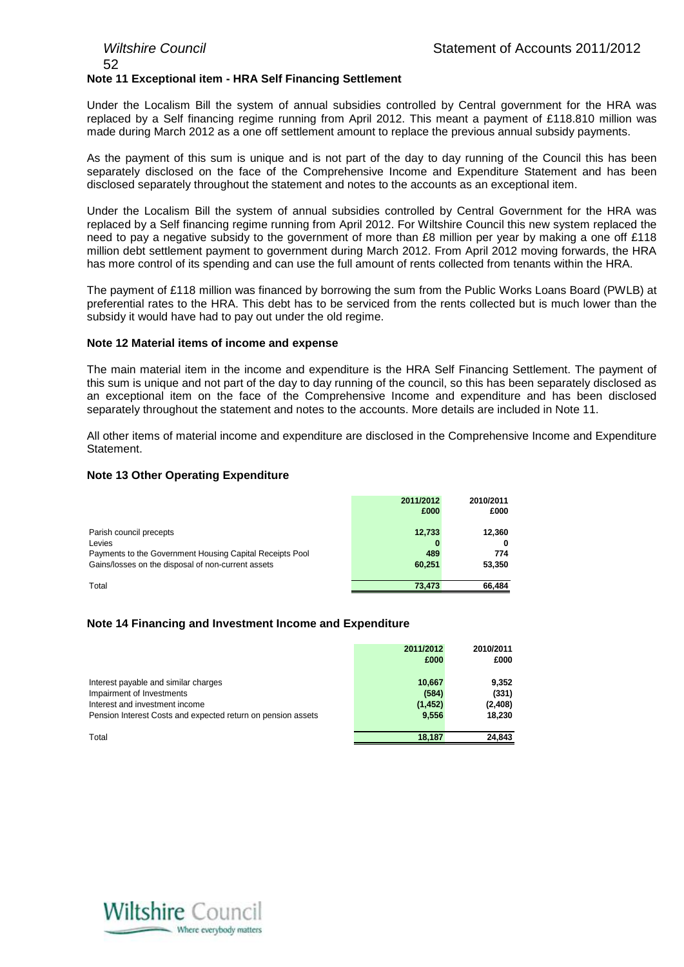# *Wiltshire Council* Statement of Accounts 2011/2012 52 **Note 11 Exceptional item - HRA Self Financing Settlement**

Under the Localism Bill the system of annual subsidies controlled by Central government for the HRA was replaced by a Self financing regime running from April 2012. This meant a payment of £118.810 million was made during March 2012 as a one off settlement amount to replace the previous annual subsidy payments.

As the payment of this sum is unique and is not part of the day to day running of the Council this has been separately disclosed on the face of the Comprehensive Income and Expenditure Statement and has been disclosed separately throughout the statement and notes to the accounts as an exceptional item.

Under the Localism Bill the system of annual subsidies controlled by Central Government for the HRA was replaced by a Self financing regime running from April 2012. For Wiltshire Council this new system replaced the need to pay a negative subsidy to the government of more than £8 million per year by making a one off £118 million debt settlement payment to government during March 2012. From April 2012 moving forwards, the HRA has more control of its spending and can use the full amount of rents collected from tenants within the HRA.

The payment of £118 million was financed by borrowing the sum from the Public Works Loans Board (PWLB) at preferential rates to the HRA. This debt has to be serviced from the rents collected but is much lower than the subsidy it would have had to pay out under the old regime.

# **Note 12 Material items of income and expense**

The main material item in the income and expenditure is the HRA Self Financing Settlement. The payment of this sum is unique and not part of the day to day running of the council, so this has been separately disclosed as an exceptional item on the face of the Comprehensive Income and expenditure and has been disclosed separately throughout the statement and notes to the accounts. More details are included in Note 11.

All other items of material income and expenditure are disclosed in the Comprehensive Income and Expenditure **Statement** 

# **Note 13 Other Operating Expenditure**

|                                                          | 2011/2012<br>£000 | 2010/2011<br>£000 |
|----------------------------------------------------------|-------------------|-------------------|
|                                                          |                   |                   |
| Parish council precepts                                  | 12,733            | 12,360            |
| Levies                                                   | 0                 |                   |
| Payments to the Government Housing Capital Receipts Pool | 489               | 774               |
| Gains/losses on the disposal of non-current assets       | 60.251            | 53,350            |
| Total                                                    | 73,473            | 66,484            |

# **Note 14 Financing and Investment Income and Expenditure**

|                                                                                                                                                                     | 2011/2012<br>£000                    | 2010/2011<br>£000                   |
|---------------------------------------------------------------------------------------------------------------------------------------------------------------------|--------------------------------------|-------------------------------------|
| Interest payable and similar charges<br>Impairment of Investments<br>Interest and investment income<br>Pension Interest Costs and expected return on pension assets | 10.667<br>(584)<br>(1, 452)<br>9.556 | 9.352<br>(331)<br>(2,408)<br>18,230 |
| Total                                                                                                                                                               | 18.187                               | 24,843                              |

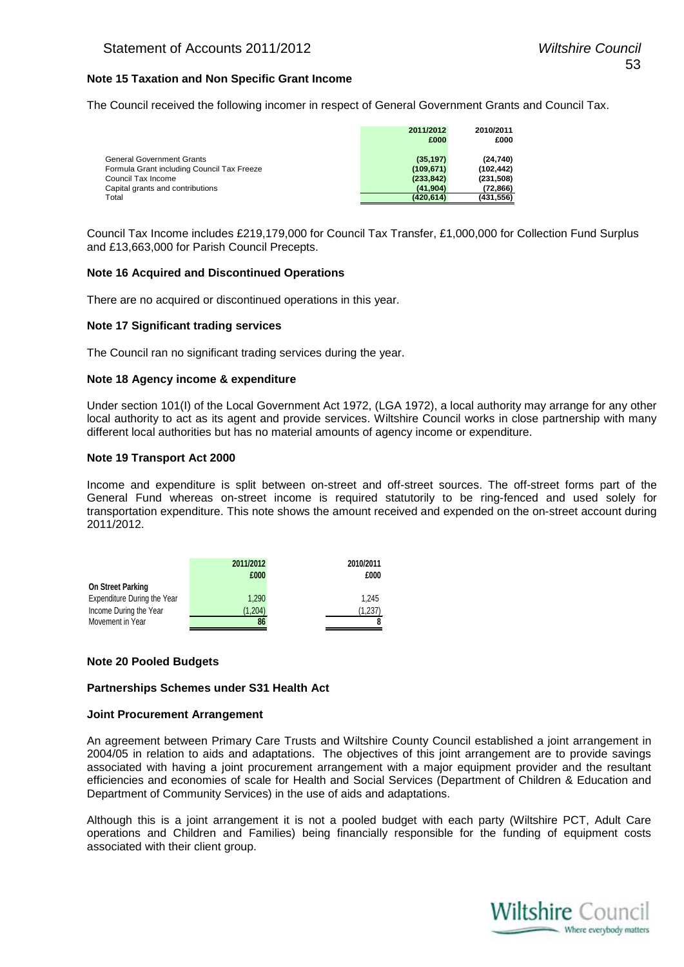# **Note 15 Taxation and Non Specific Grant Income**

The Council received the following incomer in respect of General Government Grants and Council Tax.

|                                            | 2011/2012  | 2010/2011  |
|--------------------------------------------|------------|------------|
|                                            | £000       | £000       |
| <b>General Government Grants</b>           | (35, 197)  | (24, 740)  |
| Formula Grant including Council Tax Freeze | (109, 671) | (102, 442) |
| Council Tax Income                         | (233, 842) | (231,508)  |
| Capital grants and contributions           | (41.904)   | (72, 866)  |
| Total                                      | (420.614)  | (431,556)  |

Council Tax Income includes £219,179,000 for Council Tax Transfer, £1,000,000 for Collection Fund Surplus and £13,663,000 for Parish Council Precepts.

#### **Note 16 Acquired and Discontinued Operations**

There are no acquired or discontinued operations in this year.

# **Note 17 Significant trading services**

The Council ran no significant trading services during the year.

#### **Note 18 Agency income & expenditure**

Under section 101(I) of the Local Government Act 1972, (LGA 1972), a local authority may arrange for any other local authority to act as its agent and provide services. Wiltshire Council works in close partnership with many different local authorities but has no material amounts of agency income or expenditure.

#### **Note 19 Transport Act 2000**

Income and expenditure is split between on-street and off-street sources. The off-street forms part of the General Fund whereas on-street income is required statutorily to be ring-fenced and used solely for transportation expenditure. This note shows the amount received and expended on the on-street account during 2011/2012.

|                                    | 2011/2012<br>£000 | 2010/2011<br>£000 |  |
|------------------------------------|-------------------|-------------------|--|
| <b>On Street Parking</b>           |                   |                   |  |
| <b>Expenditure During the Year</b> | 1.290             | 1.245             |  |
| Income During the Year             | (1.204)           | (1,237)           |  |
| Movement in Year                   |                   |                   |  |

# **Note 20 Pooled Budgets**

#### **Partnerships Schemes under S31 Health Act**

#### **Joint Procurement Arrangement**

An agreement between Primary Care Trusts and Wiltshire County Council established a joint arrangement in 2004/05 in relation to aids and adaptations. The objectives of this joint arrangement are to provide savings associated with having a joint procurement arrangement with a major equipment provider and the resultant efficiencies and economies of scale for Health and Social Services (Department of Children & Education and Department of Community Services) in the use of aids and adaptations.

Although this is a joint arrangement it is not a pooled budget with each party (Wiltshire PCT, Adult Care operations and Children and Families) being financially responsible for the funding of equipment costs associated with their client group.

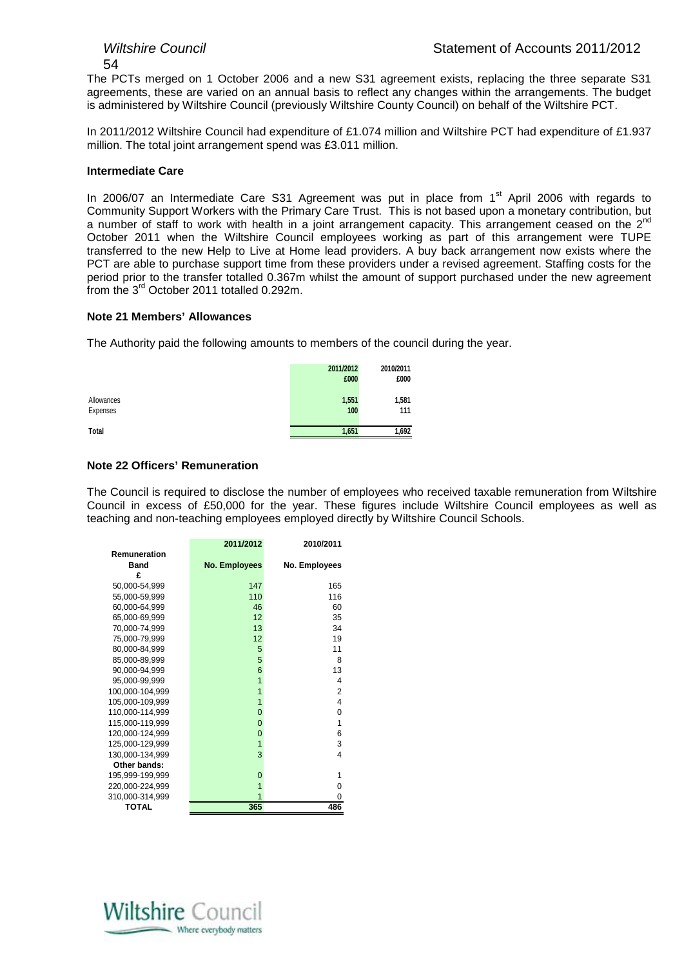The PCTs merged on 1 October 2006 and a new S31 agreement exists, replacing the three separate S31 agreements, these are varied on an annual basis to reflect any changes within the arrangements. The budget is administered by Wiltshire Council (previously Wiltshire County Council) on behalf of the Wiltshire PCT.

In 2011/2012 Wiltshire Council had expenditure of £1.074 million and Wiltshire PCT had expenditure of £1.937 million. The total joint arrangement spend was £3.011 million.

# **Intermediate Care**

In 2006/07 an Intermediate Care S31 Agreement was put in place from  $1<sup>st</sup>$  April 2006 with regards to Community Support Workers with the Primary Care Trust. This is not based upon a monetary contribution, but a number of staff to work with health in a joint arrangement capacity. This arrangement ceased on the 2<sup>nd</sup> October 2011 when the Wiltshire Council employees working as part of this arrangement were TUPE transferred to the new Help to Live at Home lead providers. A buy back arrangement now exists where the PCT are able to purchase support time from these providers under a revised agreement. Staffing costs for the period prior to the transfer totalled 0.367m whilst the amount of support purchased under the new agreement from the 3rd October 2011 totalled 0.292m.

# **Note 21 Members' Allowances**

The Authority paid the following amounts to members of the council during the year.

|                        | 2011/2012<br>£000 | 2010/2011<br>£000 |
|------------------------|-------------------|-------------------|
| Allowances<br>Expenses | 1,551<br>100      | 1,581<br>111      |
| <b>Total</b>           | 1,651             | 1,692             |

# **Note 22 Officers' Remuneration**

The Council is required to disclose the number of employees who received taxable remuneration from Wiltshire Council in excess of £50,000 for the year. These figures include Wiltshire Council employees as well as teaching and non-teaching employees employed directly by Wiltshire Council Schools.

|                 | 2011/2012     | 2010/2011     |
|-----------------|---------------|---------------|
| Remuneration    |               |               |
| Band            | No. Employees | No. Employees |
| £               |               |               |
| 50,000-54,999   | 147           | 165           |
| 55,000-59,999   | 110           | 116           |
| 60,000-64,999   | 46            | 60            |
| 65,000-69,999   | 12            | 35            |
| 70,000-74,999   | 13            | 34            |
| 75,000-79,999   | 12            | 19            |
| 80,000-84,999   | 5             | 11            |
| 85,000-89,999   | 5             | 8             |
| 90,000-94,999   | 6             | 13            |
| 95,000-99,999   | 1             | 4             |
| 100,000-104,999 | 1             | 2             |
| 105,000-109,999 | 1             | 4             |
| 110,000-114,999 | 0             | 0             |
| 115,000-119,999 | $\Omega$      | 1             |
| 120,000-124,999 | 0             | 6             |
| 125,000-129,999 | 1             | 3             |
| 130,000-134,999 | 3             | 4             |
| Other bands:    |               |               |
| 195,999-199,999 | $\Omega$      | 1             |
| 220,000-224,999 |               | 0             |
| 310,000-314,999 |               | 0             |
| <b>TOTAL</b>    | 365           | 486           |

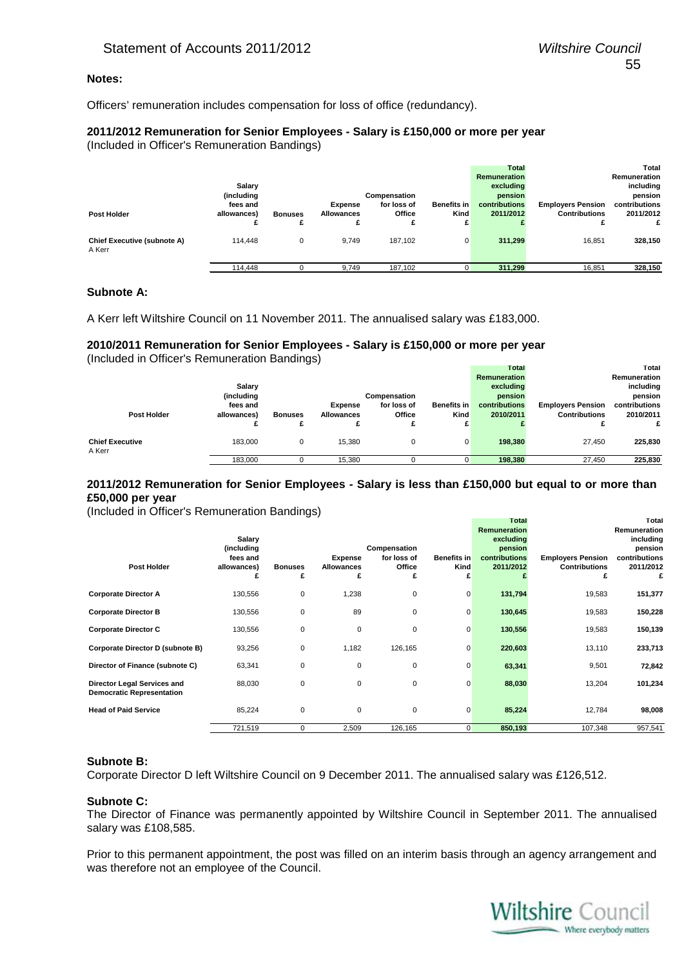# **Notes:**

Officers' remuneration includes compensation for loss of office (redundancy).

#### **2011/2012 Remuneration for Senior Employees - Salary is £150,000 or more per year** (Included in Officer's Remuneration Bandings)

|                                              | Salary<br>(including<br>fees and |                     | Expense           | Compensation<br>for loss of | <b>Benefits</b> in | Total<br><b>Remuneration</b><br>excluding<br>pension<br>contributions | <b>Employers Pension</b> | Total<br>Remuneration<br>including<br>pension<br>contributions |
|----------------------------------------------|----------------------------------|---------------------|-------------------|-----------------------------|--------------------|-----------------------------------------------------------------------|--------------------------|----------------------------------------------------------------|
| Post Holder                                  | allowances)                      | <b>Bonuses</b><br>£ | <b>Allowances</b> | Office<br>£                 | Kind               | 2011/2012                                                             | <b>Contributions</b>     | 2011/2012                                                      |
| <b>Chief Executive (subnote A)</b><br>A Kerr | 114,448                          |                     | 9.749             | 187.102                     | 0                  | 311,299                                                               | 16.851                   | 328,150                                                        |
|                                              | 114,448                          |                     | 9.749             | 187.102                     | 0                  | 311,299                                                               | 16.851                   | 328.150                                                        |

# **Subnote A:**

A Kerr left Wiltshire Council on 11 November 2011. The annualised salary was £183,000.

# **2010/2011 Remuneration for Senior Employees - Salary is £150,000 or more per year** (Included in Officer's Remuneration Bandings)

|                                  |             |                |                   |              |                    | Total         |                          | Total         |
|----------------------------------|-------------|----------------|-------------------|--------------|--------------------|---------------|--------------------------|---------------|
|                                  |             |                |                   |              |                    | Remuneration  |                          | Remuneration  |
|                                  | Salary      |                |                   |              |                    | excluding     |                          | including     |
|                                  | (including  |                |                   | Compensation |                    | pension       |                          | pension       |
|                                  | fees and    |                | <b>Expense</b>    | for loss of  | <b>Benefits in</b> | contributions | <b>Employers Pension</b> | contributions |
| Post Holder                      | allowances) | <b>Bonuses</b> | <b>Allowances</b> | Office       | Kind               | 2010/2011     | <b>Contributions</b>     | 2010/2011     |
|                                  |             |                |                   |              |                    |               |                          |               |
| <b>Chief Executive</b><br>A Kerr | 183.000     |                | 15.380            | U            | 0                  | 198.380       | 27.450                   | 225,830       |
|                                  | 183,000     |                | 15.380            |              |                    | 198,380       | 27,450                   | 225,830       |

# **2011/2012 Remuneration for Senior Employees - Salary is less than £150,000 but equal to or more than £50,000 per year**

(Included in Officer's Remuneration Bandings)

| <b>Post Holder</b>                                              | Salary<br>(including<br>fees and<br>allowances)<br>£ | <b>Bonuses</b><br>£ | <b>Expense</b><br>Allowances<br>£ | Compensation<br>for loss of<br>Office<br>£ | <b>Benefits in</b><br>Kind<br>£ | Total<br><b>Remuneration</b><br>excluding<br>pension<br>contributions<br>2011/2012 | <b>Employers Pension</b><br><b>Contributions</b><br>£ | Total<br>Remuneration<br>including<br>pension<br>contributions<br>2011/2012<br>£ |
|-----------------------------------------------------------------|------------------------------------------------------|---------------------|-----------------------------------|--------------------------------------------|---------------------------------|------------------------------------------------------------------------------------|-------------------------------------------------------|----------------------------------------------------------------------------------|
| <b>Corporate Director A</b>                                     | 130,556                                              | 0                   | 1,238                             | 0                                          | $\overline{0}$                  | 131,794                                                                            | 19,583                                                | 151,377                                                                          |
| <b>Corporate Director B</b>                                     | 130,556                                              | $\mathbf 0$         | 89                                | 0                                          | $\mathbf 0$                     | 130,645                                                                            | 19,583                                                | 150,228                                                                          |
| <b>Corporate Director C</b>                                     | 130,556                                              | $\mathbf 0$         | $\mathbf 0$                       | 0                                          | $\mathbf 0$                     | 130,556                                                                            | 19,583                                                | 150,139                                                                          |
| Corporate Director D (subnote B)                                | 93,256                                               | $\mathbf 0$         | 1,182                             | 126,165                                    | $\mathbf 0$                     | 220,603                                                                            | 13,110                                                | 233,713                                                                          |
| Director of Finance (subnote C)                                 | 63,341                                               | $\mathbf 0$         | $\mathbf 0$                       | 0                                          | $\mathbf 0$                     | 63,341                                                                             | 9,501                                                 | 72,842                                                                           |
| Director Legal Services and<br><b>Democratic Representation</b> | 88,030                                               | $\mathbf 0$         | 0                                 | 0                                          | $\mathbf 0$                     | 88,030                                                                             | 13,204                                                | 101,234                                                                          |
| <b>Head of Paid Service</b>                                     | 85,224                                               | $\mathbf 0$         | 0                                 | 0                                          | 0                               | 85,224                                                                             | 12,784                                                | 98,008                                                                           |
|                                                                 | 721,519                                              | 0                   | 2,509                             | 126,165                                    | $\overline{0}$                  | 850,193                                                                            | 107,348                                               | 957,541                                                                          |

# **Subnote B:**

Corporate Director D left Wiltshire Council on 9 December 2011. The annualised salary was £126,512.

#### **Subnote C:**

The Director of Finance was permanently appointed by Wiltshire Council in September 2011. The annualised salary was £108,585.

Prior to this permanent appointment, the post was filled on an interim basis through an agency arrangement and was therefore not an employee of the Council.

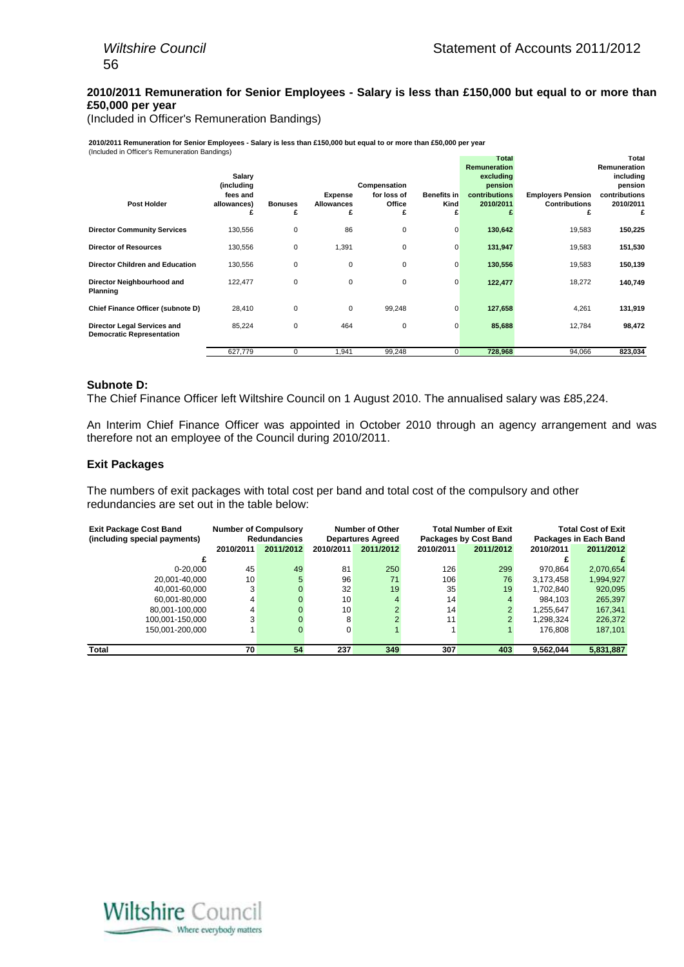# **2010/2011 Remuneration for Senior Employees - Salary is less than £150,000 but equal to or more than £50,000 per year**

(Included in Officer's Remuneration Bandings)

**2010/2011 Remuneration for Senior Employees - Salary is less than £150,000 but equal to or more than £50,000 per year** (Included in Officer's Remuneration Bandings)

|                                                                 | $\sim$ $\prime$ |                |                   |              |                    | <b>Total</b>        |                          | Total         |
|-----------------------------------------------------------------|-----------------|----------------|-------------------|--------------|--------------------|---------------------|--------------------------|---------------|
|                                                                 |                 |                |                   |              |                    | <b>Remuneration</b> |                          | Remuneration  |
|                                                                 | Salary          |                |                   |              |                    | excluding           |                          | including     |
|                                                                 | (including      |                |                   | Compensation |                    | pension             |                          | pension       |
|                                                                 | fees and        |                | <b>Expense</b>    | for loss of  | <b>Benefits in</b> | contributions       | <b>Employers Pension</b> | contributions |
| Post Holder                                                     | allowances)     | <b>Bonuses</b> | <b>Allowances</b> | Office       | Kind               | 2010/2011           | <b>Contributions</b>     | 2010/2011     |
|                                                                 |                 | £              | £                 | £            | £                  |                     | £                        | £             |
| <b>Director Community Services</b>                              | 130,556         | 0              | 86                | $\pmb{0}$    | 0                  | 130,642             | 19,583                   | 150,225       |
| <b>Director of Resources</b>                                    | 130,556         | 0              | 1,391             | 0            | $\mathbf 0$        | 131,947             | 19,583                   | 151,530       |
| <b>Director Children and Education</b>                          | 130,556         | $\mathbf 0$    | 0                 | $\mathbf 0$  | $\mathbf 0$        | 130,556             | 19,583                   | 150,139       |
| Director Neighbourhood and<br>Planning                          | 122,477         | $\mathbf 0$    | 0                 | $\mathbf 0$  | $\mathbf 0$        | 122,477             | 18,272                   | 140,749       |
| Chief Finance Officer (subnote D)                               | 28,410          | $\mathbf 0$    | 0                 | 99,248       | $\mathbf 0$        | 127,658             | 4,261                    | 131,919       |
| Director Legal Services and<br><b>Democratic Representation</b> | 85,224          | 0              | 464               | 0            | 0                  | 85,688              | 12,784                   | 98,472        |
|                                                                 | 627,779         | 0              | 1,941             | 99,248       | $\overline{0}$     | 728,968             | 94,066                   | 823,034       |

# **Subnote D:**

The Chief Finance Officer left Wiltshire Council on 1 August 2010. The annualised salary was £85,224.

An Interim Chief Finance Officer was appointed in October 2010 through an agency arrangement and was therefore not an employee of the Council during 2010/2011.

#### **Exit Packages**

The numbers of exit packages with total cost per band and total cost of the compulsory and other redundancies are set out in the table below:

| <b>Exit Package Cost Band</b><br>(including special payments) |           | <b>Number of Compulsory</b><br><b>Redundancies</b> |           | <b>Number of Other</b><br><b>Departures Agreed</b> |           | <b>Total Number of Exit</b><br><b>Packages by Cost Band</b> |           | Total Cost of Exit<br>Packages in Each Band |
|---------------------------------------------------------------|-----------|----------------------------------------------------|-----------|----------------------------------------------------|-----------|-------------------------------------------------------------|-----------|---------------------------------------------|
|                                                               | 2010/2011 | 2011/2012                                          | 2010/2011 | 2011/2012                                          | 2010/2011 | 2011/2012                                                   | 2010/2011 | 2011/2012                                   |
|                                                               |           |                                                    |           |                                                    |           |                                                             |           |                                             |
| $0 - 20.000$                                                  | 45        | 49                                                 | 81        | 250                                                | 126       | 299                                                         | 970.864   | 2,070,654                                   |
| 20.001-40.000                                                 | 10        |                                                    | 96        | 71                                                 | 106       | 76                                                          | 3,173,458 | 1,994,927                                   |
| 40.001-60.000                                                 | 3         |                                                    | 32        | 19                                                 | 35        | 19                                                          | 1.702.840 | 920,095                                     |
| 60,001-80,000                                                 | 4         |                                                    | 10        |                                                    | 14        | 4                                                           | 984.103   | 265,397                                     |
| 80.001-100.000                                                | 4         |                                                    | 10        |                                                    | 14        | ົ                                                           | 1.255.647 | 167.341                                     |
| 100,001-150,000                                               | 3         |                                                    | 8         |                                                    | 11        |                                                             | 1,298,324 | 226,372                                     |
| 150.001-200.000                                               |           |                                                    | 0         |                                                    |           |                                                             | 176.808   | 187,101                                     |
|                                                               |           |                                                    |           |                                                    |           |                                                             |           |                                             |
| Total                                                         | 70        | 54                                                 | 237       | 349                                                | 307       | 403                                                         | 9.562.044 | 5,831,887                                   |

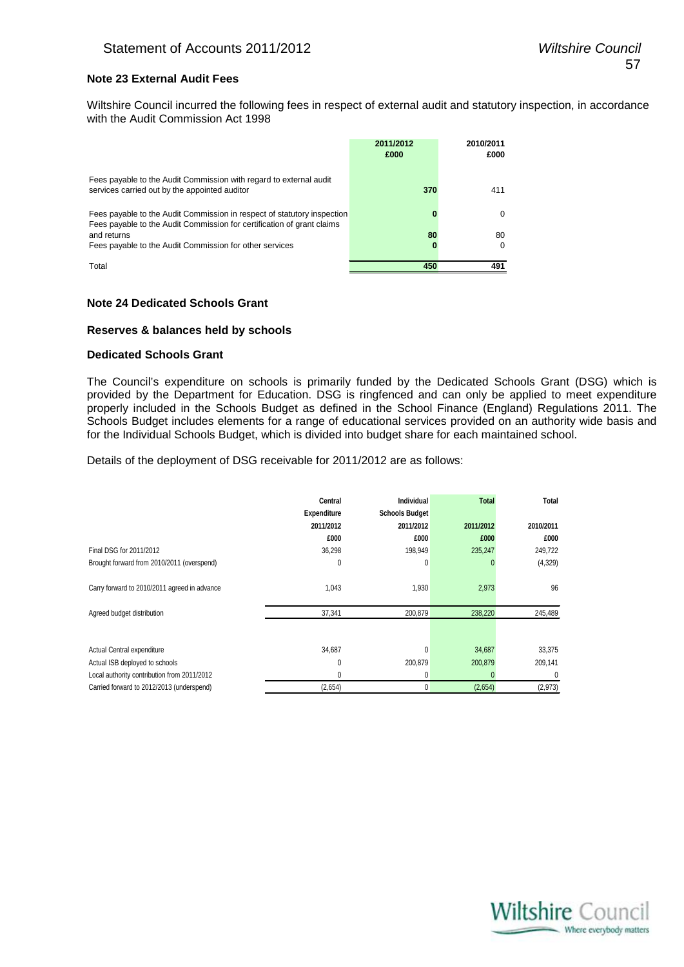# **Note 23 External Audit Fees**

Wiltshire Council incurred the following fees in respect of external audit and statutory inspection, in accordance with the Audit Commission Act 1998

|                                                                                                                                                   | 2011/2012<br>£000 | 2010/2011<br>£000 |
|---------------------------------------------------------------------------------------------------------------------------------------------------|-------------------|-------------------|
| Fees payable to the Audit Commission with regard to external audit<br>services carried out by the appointed auditor                               | 370               | 411               |
| Fees payable to the Audit Commission in respect of statutory inspection<br>Fees payable to the Audit Commission for certification of grant claims |                   | 0                 |
| and returns                                                                                                                                       | 80                | 80                |
| Fees payable to the Audit Commission for other services                                                                                           |                   | 0                 |
| Total                                                                                                                                             | 450               | 491               |

#### **Note 24 Dedicated Schools Grant**

#### **Reserves & balances held by schools**

#### **Dedicated Schools Grant**

The Council's expenditure on schools is primarily funded by the Dedicated Schools Grant (DSG) which is provided by the Department for Education. DSG is ringfenced and can only be applied to meet expenditure properly included in the Schools Budget as defined in the School Finance (England) Regulations 2011. The Schools Budget includes elements for a range of educational services provided on an authority wide basis and for the Individual Schools Budget, which is divided into budget share for each maintained school.

Details of the deployment of DSG receivable for 2011/2012 are as follows:

|                                              | Central<br><b>Expenditure</b> | Individual<br><b>Schools Budget</b> | <b>Total</b> | Total     |
|----------------------------------------------|-------------------------------|-------------------------------------|--------------|-----------|
|                                              | 2011/2012                     | 2011/2012                           | 2011/2012    | 2010/2011 |
|                                              | £000                          | £000                                | £000         | £000      |
| Final DSG for 2011/2012                      | 36,298                        | 198,949                             | 235,247      | 249,722   |
| Brought forward from 2010/2011 (overspend)   | 0                             | $\Omega$                            |              | (4,329)   |
| Carry forward to 2010/2011 agreed in advance | 1,043                         | 1,930                               | 2,973        | 96        |
| Agreed budget distribution                   | 37,341                        | 200,879                             | 238,220      | 245,489   |
|                                              |                               |                                     |              |           |
| Actual Central expenditure                   | 34,687                        | $\Omega$                            | 34,687       | 33,375    |
| Actual ISB deployed to schools               | 0                             | 200,879                             | 200,879      | 209,141   |
| Local authority contribution from 2011/2012  | 0                             | 0                                   |              | 0         |
| Carried forward to 2012/2013 (underspend)    | (2,654)                       | 0                                   | (2,654)      | (2,973)   |

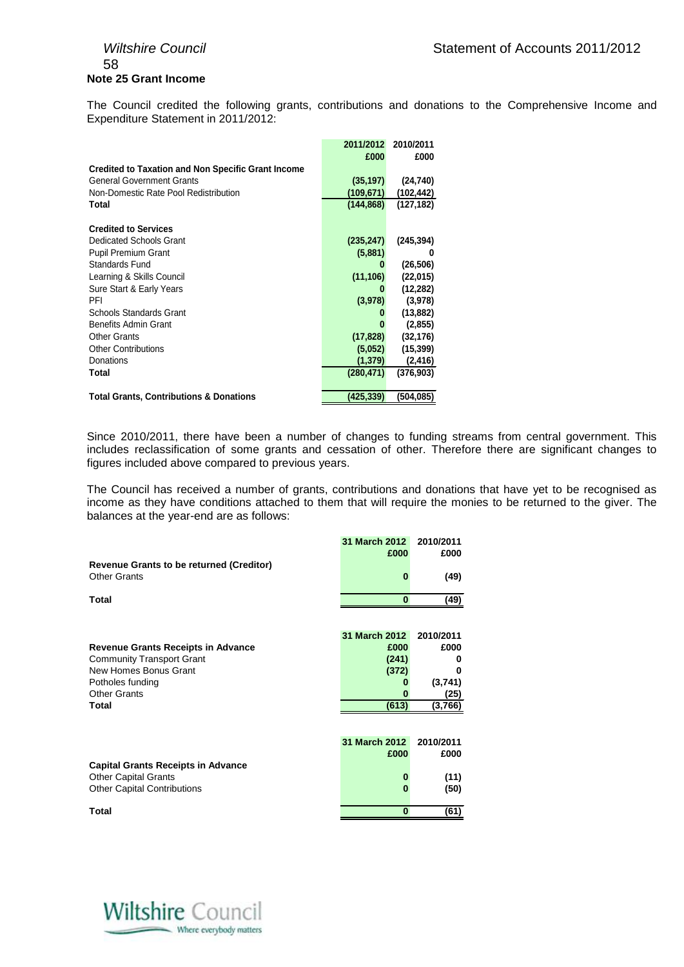# 58 **Note 25 Grant Income**

The Council credited the following grants, contributions and donations to the Comprehensive Income and Expenditure Statement in 2011/2012:

|                                                           | 2011/2012  | 2010/2011  |
|-----------------------------------------------------------|------------|------------|
|                                                           | £000       | £000       |
| <b>Credited to Taxation and Non Specific Grant Income</b> |            |            |
| <b>General Government Grants</b>                          | (35, 197)  | (24, 740)  |
| Non-Domestic Rate Pool Redistribution                     | (109, 671) | (102, 442) |
| Total                                                     | (144, 868) | (127, 182) |
| <b>Credited to Services</b>                               |            |            |
| Dedicated Schools Grant                                   | (235, 247) | (245, 394) |
| <b>Pupil Premium Grant</b>                                | (5,881)    | 0          |
| Standards Fund                                            | o          | (26, 506)  |
| Learning & Skills Council                                 | (11, 106)  | (22, 015)  |
| Sure Start & Early Years                                  |            | (12,282)   |
| PFI                                                       | (3,978)    | (3,978)    |
| Schools Standards Grant                                   |            | (13, 882)  |
| <b>Benefits Admin Grant</b>                               |            | (2, 855)   |
| <b>Other Grants</b>                                       | (17, 828)  | (32, 176)  |
| <b>Other Contributions</b>                                | (5,052)    | (15, 399)  |
| Donations                                                 | (1, 379)   | (2, 416)   |
| Total                                                     | (280, 471) | (376, 903) |
| <b>Total Grants, Contributions &amp; Donations</b>        | (425,339)  | (504,085)  |

Since 2010/2011, there have been a number of changes to funding streams from central government. This includes reclassification of some grants and cessation of other. Therefore there are significant changes to figures included above compared to previous years.

The Council has received a number of grants, contributions and donations that have yet to be recognised as income as they have conditions attached to them that will require the monies to be returned to the giver. The balances at the year-end are as follows:

|                                                 | 31 March 2012 | 2010/2011 |
|-------------------------------------------------|---------------|-----------|
|                                                 | £000          | £000      |
| <b>Revenue Grants to be returned (Creditor)</b> |               |           |
|                                                 |               |           |
| <b>Other Grants</b>                             | $\bf{0}$      | (49)      |
|                                                 |               |           |
| Total                                           | $\bf{0}$      | (49)      |
|                                                 |               |           |
|                                                 |               |           |
|                                                 |               |           |
|                                                 | 31 March 2012 | 2010/2011 |
| <b>Revenue Grants Receipts in Advance</b>       | £000          | £000      |
|                                                 |               | 0         |
| <b>Community Transport Grant</b>                | (241)         |           |
| New Homes Bonus Grant                           | (372)         | 0         |
| Potholes funding                                |               | (3,741)   |
| <b>Other Grants</b>                             |               | (25)      |
| Total                                           | (613)         | (3,766)   |
|                                                 |               |           |
|                                                 |               |           |
|                                                 |               |           |
|                                                 | 31 March 2012 | 2010/2011 |
|                                                 | £000          | £000      |
|                                                 |               |           |
| <b>Capital Grants Receipts in Advance</b>       |               |           |
| <b>Other Capital Grants</b>                     | 0             | (11)      |
| <b>Other Capital Contributions</b>              | 0             | (50)      |
|                                                 |               |           |
|                                                 | $\bf{0}$      |           |
| Total                                           |               | (61)      |

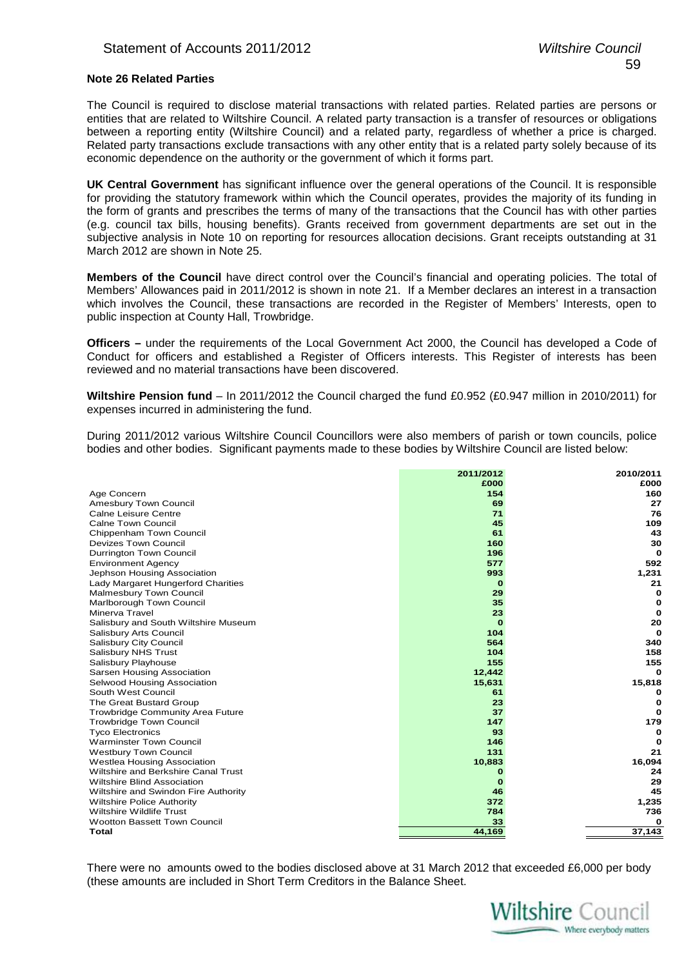# **Note 26 Related Parties**

The Council is required to disclose material transactions with related parties. Related parties are persons or entities that are related to Wiltshire Council. A related party transaction is a transfer of resources or obligations between a reporting entity (Wiltshire Council) and a related party, regardless of whether a price is charged. Related party transactions exclude transactions with any other entity that is a related party solely because of its economic dependence on the authority or the government of which it forms part.

**UK Central Government** has significant influence over the general operations of the Council. It is responsible for providing the statutory framework within which the Council operates, provides the majority of its funding in the form of grants and prescribes the terms of many of the transactions that the Council has with other parties (e.g. council tax bills, housing benefits). Grants received from government departments are set out in the subjective analysis in Note 10 on reporting for resources allocation decisions. Grant receipts outstanding at 31 March 2012 are shown in Note 25.

**Members of the Council** have direct control over the Council's financial and operating policies. The total of Members' Allowances paid in 2011/2012 is shown in note 21. If a Member declares an interest in a transaction which involves the Council, these transactions are recorded in the Register of Members' Interests, open to public inspection at County Hall, Trowbridge.

**Officers –** under the requirements of the Local Government Act 2000, the Council has developed a Code of Conduct for officers and established a Register of Officers interests. This Register of interests has been reviewed and no material transactions have been discovered.

**Wiltshire Pension fund** – In 2011/2012 the Council charged the fund £0.952 (£0.947 million in 2010/2011) for expenses incurred in administering the fund.

During 2011/2012 various Wiltshire Council Councillors were also members of parish or town councils, police bodies and other bodies. Significant payments made to these bodies by Wiltshire Council are listed below:

|                                         | 2011/2012 | 2010/2011   |
|-----------------------------------------|-----------|-------------|
|                                         | £000      | £000        |
| Age Concern                             | 154       | 160         |
| Amesbury Town Council                   | 69        | 27          |
| <b>Calne Leisure Centre</b>             | 71        | 76          |
| <b>Calne Town Council</b>               | 45        | 109         |
| Chippenham Town Council                 | 61        | 43          |
| <b>Devizes Town Council</b>             | 160       | 30          |
| Durrington Town Council                 | 196       | $\Omega$    |
| <b>Environment Agency</b>               | 577       | 592         |
| Jephson Housing Association             | 993       | 1,231       |
| Lady Margaret Hungerford Charities      | o         | 21          |
| Malmesbury Town Council                 | 29        | 0           |
| Marlborough Town Council                | 35        | 0           |
| Minerva Travel                          | 23        | 0           |
| Salisbury and South Wiltshire Museum    | o         | 20          |
| Salisbury Arts Council                  | 104       | $\mathbf 0$ |
| Salisbury City Council                  | 564       | 340         |
| Salisbury NHS Trust                     | 104       | 158         |
| Salisbury Playhouse                     | 155       | 155         |
| Sarsen Housing Association              | 12,442    | $\Omega$    |
| Selwood Housing Association             | 15,631    | 15,818      |
| South West Council                      | 61        | O           |
| The Great Bustard Group                 | 23        | $\mathbf 0$ |
| <b>Trowbridge Community Area Future</b> | 37        | $\Omega$    |
| <b>Trowbridge Town Council</b>          | 147       | 179         |
| <b>Tyco Electronics</b>                 | 93        | o           |
| <b>Warminster Town Council</b>          | 146       | 0           |
| <b>Westbury Town Council</b>            | 131       | 21          |
| Westlea Housing Association             | 10,883    | 16,094      |
| Wiltshire and Berkshire Canal Trust     | 0         | 24          |
| <b>Wiltshire Blind Association</b>      | o         | 29          |
| Wiltshire and Swindon Fire Authority    | 46        | 45          |
| <b>Wiltshire Police Authority</b>       | 372       | 1,235       |
| <b>Wiltshire Wildlife Trust</b>         | 784       | 736         |
| <b>Wootton Bassett Town Council</b>     | 33        | 0           |
| <b>Total</b>                            | 44,169    | 37,143      |
|                                         |           |             |

There were no amounts owed to the bodies disclosed above at 31 March 2012 that exceeded £6,000 per body (these amounts are included in Short Term Creditors in the Balance Sheet.

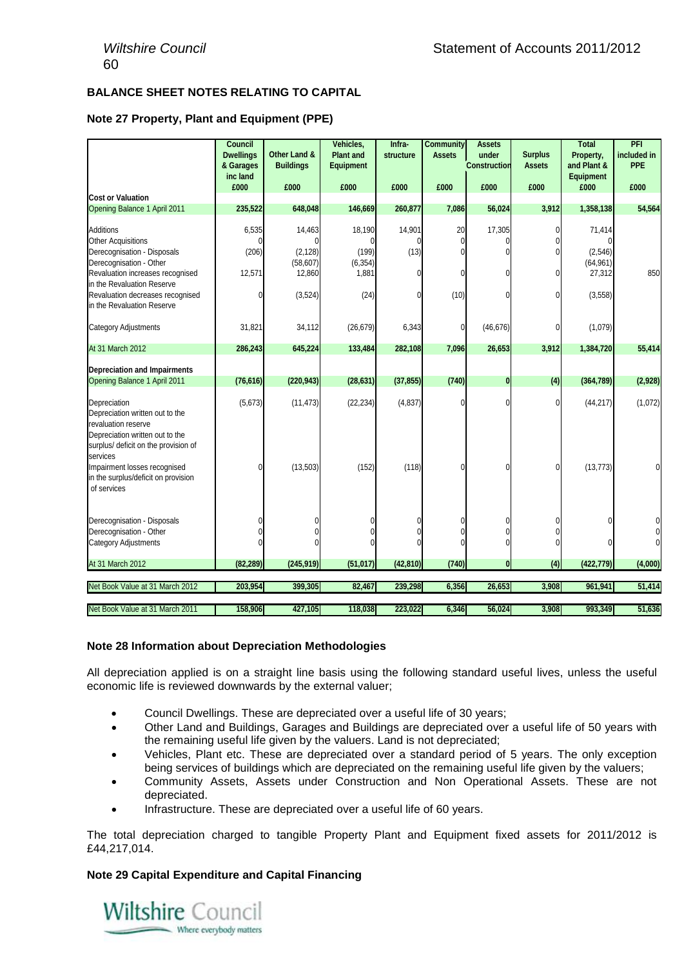# **BALANCE SHEET NOTES RELATING TO CAPITAL**

# **Note 27 Property, Plant and Equipment (PPE)**

|                                                                                                                                                                                                                                             | <b>Council</b><br><b>Dwellings</b><br>& Garages | Other Land &<br><b>Buildings</b>                      | Vehicles,<br><b>Plant and</b><br><b>Equipment</b> | Infra-<br>structure      | <b>Community</b><br><b>Assets</b> | <b>Assets</b><br>under<br><b>Construction</b> | <b>Surplus</b><br><b>Assets</b> | <b>Total</b><br>Property,<br>and Plant &             | PFI<br>included in<br>PPE |
|---------------------------------------------------------------------------------------------------------------------------------------------------------------------------------------------------------------------------------------------|-------------------------------------------------|-------------------------------------------------------|---------------------------------------------------|--------------------------|-----------------------------------|-----------------------------------------------|---------------------------------|------------------------------------------------------|---------------------------|
|                                                                                                                                                                                                                                             | inc land<br>£000                                | £000                                                  | £000                                              | £000                     | £000                              | £000                                          | £000                            | <b>Equipment</b><br>£000                             | £000                      |
| <b>Cost or Valuation</b>                                                                                                                                                                                                                    |                                                 |                                                       |                                                   |                          |                                   |                                               |                                 |                                                      |                           |
| Opening Balance 1 April 2011                                                                                                                                                                                                                | 235,522                                         | 648,048                                               | 146,669                                           | 260,877                  | 7,086                             | 56,024                                        | 3,912                           | 1,358,138                                            | 54,564                    |
| <b>Additions</b><br><b>Other Acquisitions</b><br>Derecognisation - Disposals<br>Derecognisation - Other<br>Revaluation increases recognised<br>in the Revaluation Reserve<br>Revaluation decreases recognised<br>in the Revaluation Reserve | 6,535<br>(206)<br>12,571<br>$\Omega$            | 14,463<br>(2, 128)<br>(58, 607)<br>12,860<br>(3, 524) | 18,190<br>0<br>(199)<br>(6, 354)<br>1,881<br>(24) | 14,901<br>(13)<br>N<br>U | 20<br>0<br>0<br>0<br>(10)         | 17,305<br>N                                   | 0<br>0<br>0<br>0<br>0           | 71,414<br>(2,546)<br>(64, 961)<br>27,312<br>(3, 558) | 850                       |
| Category Adjustments                                                                                                                                                                                                                        | 31,821                                          | 34,112                                                | (26, 679)                                         | 6,343                    | 0                                 | (46, 676)                                     | 0                               | (1,079)                                              |                           |
| At 31 March 2012                                                                                                                                                                                                                            | 286,243                                         | 645,224                                               | 133,484                                           | 282,108                  | 7,096                             | 26,653                                        | 3,912                           | 1,384,720                                            | 55,414                    |
| <b>Depreciation and Impairments</b><br>Opening Balance 1 April 2011                                                                                                                                                                         | (76, 616)                                       | (220, 943)                                            | (28, 631)                                         | (37, 855)                | (740)                             | $\bf{0}$                                      | (4)                             | (364, 789)                                           | (2,928)                   |
| Depreciation<br>Depreciation written out to the<br>revaluation reserve<br>Depreciation written out to the<br>surplus/ deficit on the provision of<br>services                                                                               | (5,673)                                         | (11, 473)                                             | (22, 234)                                         | (4, 837)                 | U                                 | 0                                             | $\Omega$                        | (44, 217)                                            | (1,072)                   |
| Impairment losses recognised<br>in the surplus/deficit on provision<br>of services                                                                                                                                                          | $\theta$                                        | (13,503)                                              | (152)                                             | (118)                    | $\mathbf{0}$                      | 0                                             | 0                               | (13, 773)                                            |                           |
| Derecognisation - Disposals                                                                                                                                                                                                                 | $\Omega$                                        |                                                       | 0                                                 |                          | 0                                 | 0                                             |                                 | 0                                                    |                           |
| Derecognisation - Other                                                                                                                                                                                                                     | $\Omega$                                        | $\Omega$                                              |                                                   |                          | $\overline{0}$                    | 0                                             |                                 |                                                      | 0                         |
| <b>Category Adjustments</b>                                                                                                                                                                                                                 | $\Omega$                                        |                                                       |                                                   |                          | ŋ                                 | 0                                             |                                 | U                                                    | $\Omega$                  |
| At 31 March 2012                                                                                                                                                                                                                            | (82, 289)                                       | (245, 919)                                            | (51, 017)                                         | (42, 810)                | (740)                             | $\bf{0}$                                      | (4)                             | (422, 779)                                           | (4,000)                   |
| Net Book Value at 31 March 2012                                                                                                                                                                                                             | 203,954                                         | 399,305                                               | 82,467                                            | 239,298                  | 6,356                             | 26,653                                        | 3,908                           | 961,941                                              | 51,414                    |
|                                                                                                                                                                                                                                             |                                                 |                                                       |                                                   |                          |                                   |                                               |                                 |                                                      |                           |
| Net Book Value at 31 March 2011                                                                                                                                                                                                             | 158,906                                         | 427,105                                               | 118,038                                           | 223,022                  | 6,346                             | 56,024                                        | 3,908                           | 993,349                                              | 51,636                    |

# **Note 28 Information about Depreciation Methodologies**

All depreciation applied is on a straight line basis using the following standard useful lives, unless the useful economic life is reviewed downwards by the external valuer;

- Council Dwellings. These are depreciated over a useful life of 30 years;
- Other Land and Buildings, Garages and Buildings are depreciated over a useful life of 50 years with the remaining useful life given by the valuers. Land is not depreciated;
- Vehicles, Plant etc. These are depreciated over a standard period of 5 years. The only exception being services of buildings which are depreciated on the remaining useful life given by the valuers;
- Community Assets, Assets under Construction and Non Operational Assets. These are not depreciated.
- Infrastructure. These are depreciated over a useful life of 60 years.

The total depreciation charged to tangible Property Plant and Equipment fixed assets for 2011/2012 is £44,217,014.

# **Note 29 Capital Expenditure and Capital Financing**

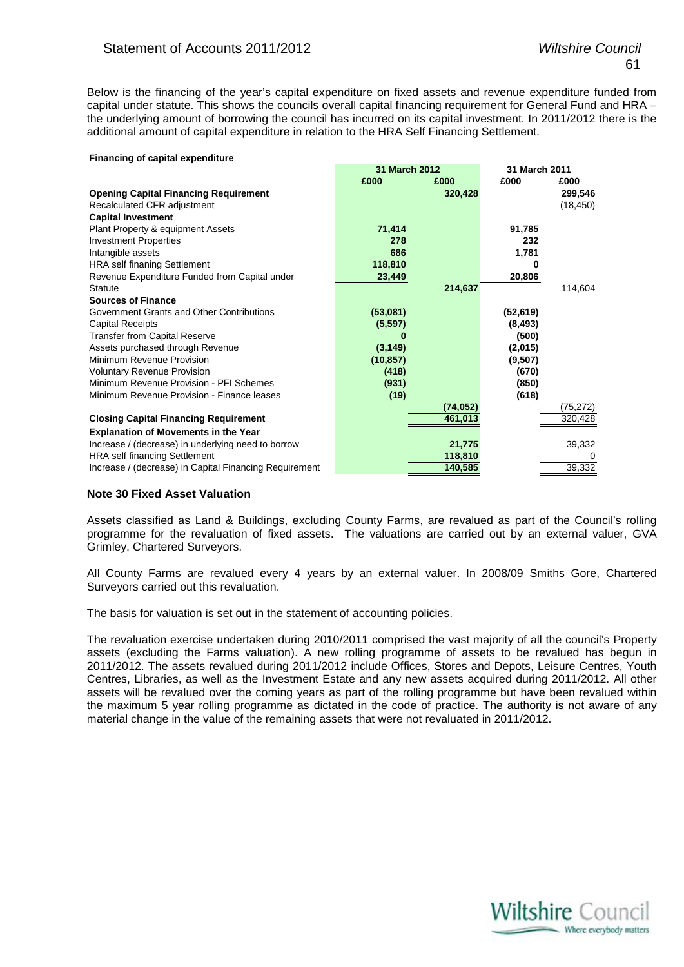Below is the financing of the year's capital expenditure on fixed assets and revenue expenditure funded from capital under statute. This shows the councils overall capital financing requirement for General Fund and HRA – the underlying amount of borrowing the council has incurred on its capital investment. In 2011/2012 there is the additional amount of capital expenditure in relation to the HRA Self Financing Settlement.

#### **Financing of capital expenditure**

|                                                        |           | <b>31 March 2012</b> |           | 31 March 2011 |  |
|--------------------------------------------------------|-----------|----------------------|-----------|---------------|--|
|                                                        | £000      | £000                 | £000      | £000          |  |
| <b>Opening Capital Financing Requirement</b>           |           | 320,428              |           | 299,546       |  |
| Recalculated CFR adjustment                            |           |                      |           | (18, 450)     |  |
| <b>Capital Investment</b>                              |           |                      |           |               |  |
| Plant Property & equipment Assets                      | 71,414    |                      | 91,785    |               |  |
| <b>Investment Properties</b>                           | 278       |                      | 232       |               |  |
| Intangible assets                                      | 686       |                      | 1,781     |               |  |
| <b>HRA</b> self finaning Settlement                    | 118,810   |                      | 0         |               |  |
| Revenue Expenditure Funded from Capital under          | 23,449    |                      | 20,806    |               |  |
| <b>Statute</b>                                         |           | 214,637              |           | 114,604       |  |
| <b>Sources of Finance</b>                              |           |                      |           |               |  |
| Government Grants and Other Contributions              | (53,081)  |                      | (52, 619) |               |  |
| <b>Capital Receipts</b>                                | (5,597)   |                      | (8, 493)  |               |  |
| <b>Transfer from Capital Reserve</b>                   |           |                      | (500)     |               |  |
| Assets purchased through Revenue                       | (3, 149)  |                      | (2,015)   |               |  |
| Minimum Revenue Provision                              | (10, 857) |                      | (9,507)   |               |  |
| <b>Voluntary Revenue Provision</b>                     | (418)     |                      | (670)     |               |  |
| Minimum Revenue Provision - PFI Schemes                | (931)     |                      | (850)     |               |  |
| Minimum Revenue Provision - Finance leases             | (19)      |                      | (618)     |               |  |
|                                                        |           | (74, 052)            |           | (75, 272)     |  |
| <b>Closing Capital Financing Requirement</b>           |           | 461,013              |           | 320,428       |  |
| <b>Explanation of Movements in the Year</b>            |           |                      |           |               |  |
| Increase / (decrease) in underlying need to borrow     |           | 21,775               |           | 39,332        |  |
| <b>HRA</b> self financing Settlement                   |           | 118,810              |           | 0             |  |
| Increase / (decrease) in Capital Financing Requirement |           | 140,585              |           | 39,332        |  |

# **Note 30 Fixed Asset Valuation**

Assets classified as Land & Buildings, excluding County Farms, are revalued as part of the Council's rolling programme for the revaluation of fixed assets. The valuations are carried out by an external valuer, GVA Grimley, Chartered Surveyors.

All County Farms are revalued every 4 years by an external valuer. In 2008/09 Smiths Gore, Chartered Surveyors carried out this revaluation.

The basis for valuation is set out in the statement of accounting policies.

The revaluation exercise undertaken during 2010/2011 comprised the vast majority of all the council's Property assets (excluding the Farms valuation). A new rolling programme of assets to be revalued has begun in 2011/2012. The assets revalued during 2011/2012 include Offices, Stores and Depots, Leisure Centres, Youth Centres, Libraries, as well as the Investment Estate and any new assets acquired during 2011/2012. All other assets will be revalued over the coming years as part of the rolling programme but have been revalued within the maximum 5 year rolling programme as dictated in the code of practice. The authority is not aware of any material change in the value of the remaining assets that were not revaluated in 2011/2012.

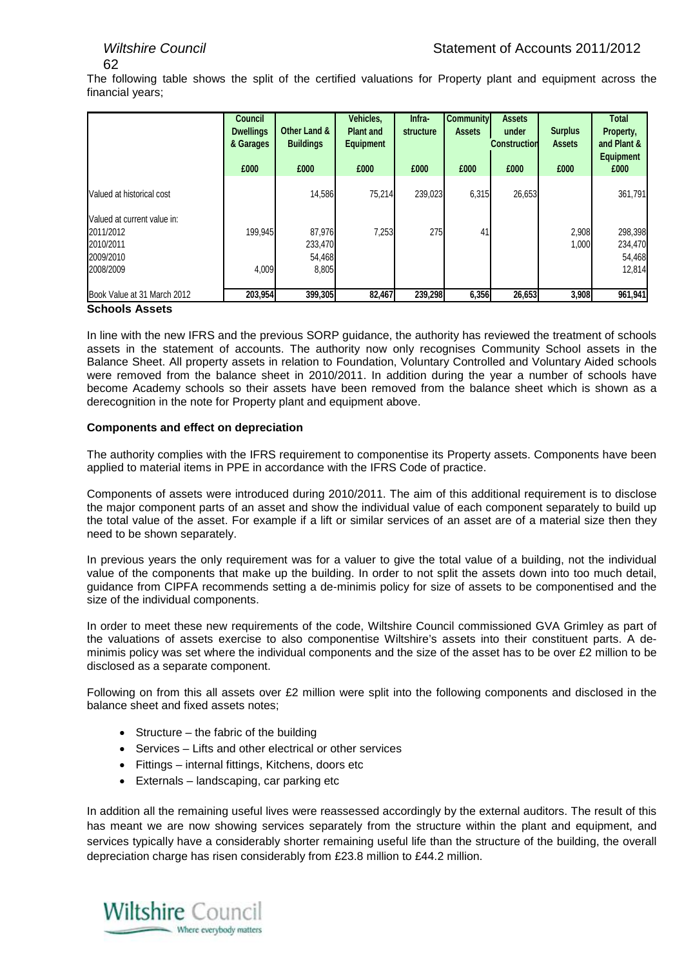The following table shows the split of the certified valuations for Property plant and equipment across the financial years;

|                                                                                 | <b>Council</b><br><b>Dwellings</b><br>& Garages<br>£000 | Other Land &<br><b>Buildings</b><br>£000 | Vehicles,<br><b>Plant and</b><br><b>Equipment</b><br>£000 | Infra-<br>structure<br>£000 | <b>Community</b><br><b>Assets</b><br>£000 | <b>Assets</b><br>under<br><b>Construction</b><br>£000 | <b>Surplus</b><br><b>Assets</b><br>£000 | <b>Total</b><br>Property,<br>and Plant &<br><b>Equipment</b><br>£000 |
|---------------------------------------------------------------------------------|---------------------------------------------------------|------------------------------------------|-----------------------------------------------------------|-----------------------------|-------------------------------------------|-------------------------------------------------------|-----------------------------------------|----------------------------------------------------------------------|
| Valued at historical cost                                                       |                                                         | 14,586                                   | 75.214                                                    | 239,023                     | 6,315                                     | 26,653                                                |                                         | 361,791                                                              |
| Valued at current value in:<br>2011/2012<br>2010/2011<br>2009/2010<br>2008/2009 | 199.945<br>4,009                                        | 87,976<br>233,470<br>54,468<br>8,805     | 7,253                                                     | 275                         | 41                                        |                                                       | 2,908<br>1,000                          | 298,398<br>234,470<br>54,468<br>12,814                               |
| Book Value at 31 March 2012                                                     | 203,954                                                 | 399,305                                  | 82,467                                                    | 239,298                     | 6,356                                     | 26,653                                                | 3,908                                   | 961,941                                                              |

# **Schools Assets**

In line with the new IFRS and the previous SORP guidance, the authority has reviewed the treatment of schools assets in the statement of accounts. The authority now only recognises Community School assets in the Balance Sheet. All property assets in relation to Foundation, Voluntary Controlled and Voluntary Aided schools were removed from the balance sheet in 2010/2011. In addition during the year a number of schools have become Academy schools so their assets have been removed from the balance sheet which is shown as a derecognition in the note for Property plant and equipment above.

# **Components and effect on depreciation**

The authority complies with the IFRS requirement to componentise its Property assets. Components have been applied to material items in PPE in accordance with the IFRS Code of practice.

Components of assets were introduced during 2010/2011. The aim of this additional requirement is to disclose the major component parts of an asset and show the individual value of each component separately to build up the total value of the asset. For example if a lift or similar services of an asset are of a material size then they need to be shown separately.

In previous years the only requirement was for a valuer to give the total value of a building, not the individual value of the components that make up the building. In order to not split the assets down into too much detail, guidance from CIPFA recommends setting a de-minimis policy for size of assets to be componentised and the size of the individual components.

In order to meet these new requirements of the code, Wiltshire Council commissioned GVA Grimley as part of the valuations of assets exercise to also componentise Wiltshire's assets into their constituent parts. A deminimis policy was set where the individual components and the size of the asset has to be over  $E2$  million to be disclosed as a separate component.

Following on from this all assets over £2 million were split into the following components and disclosed in the balance sheet and fixed assets notes;

- Structure the fabric of the building
- Services Lifts and other electrical or other services
- Fittings internal fittings, Kitchens, doors etc
- Externals landscaping, car parking etc

In addition all the remaining useful lives were reassessed accordingly by the external auditors. The result of this has meant we are now showing services separately from the structure within the plant and equipment, and services typically have a considerably shorter remaining useful life than the structure of the building, the overall depreciation charge has risen considerably from £23.8 million to £44.2 million.

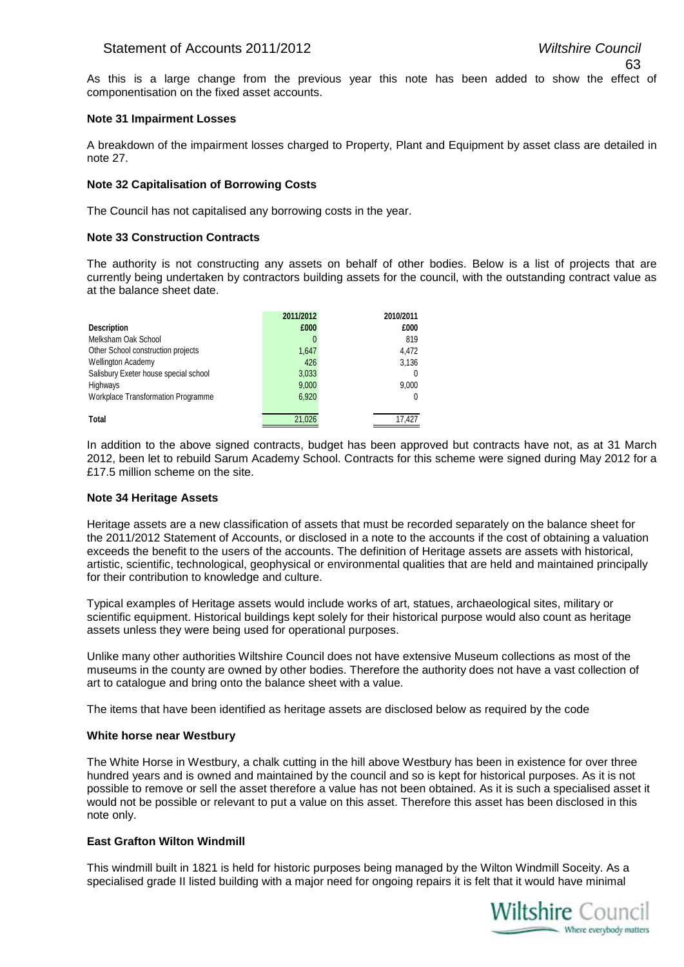As this is a large change from the previous year this note has been added to show the effect of componentisation on the fixed asset accounts.

# **Note 31 Impairment Losses**

A breakdown of the impairment losses charged to Property, Plant and Equipment by asset class are detailed in note 27.

# **Note 32 Capitalisation of Borrowing Costs**

The Council has not capitalised any borrowing costs in the year.

#### **Note 33 Construction Contracts**

The authority is not constructing any assets on behalf of other bodies. Below is a list of projects that are currently being undertaken by contractors building assets for the council, with the outstanding contract value as at the balance sheet date.

|                                           | 2011/2012 | 2010/2011 |
|-------------------------------------------|-----------|-----------|
| <b>Description</b>                        | £000      | £000      |
| Melksham Oak School                       |           | 819       |
| Other School construction projects        | 1.647     | 4.472     |
| <b>Wellington Academy</b>                 | 426       | 3,136     |
| Salisbury Exeter house special school     | 3,033     | 0         |
| Highways                                  | 9,000     | 9,000     |
| <b>Workplace Transformation Programme</b> | 6,920     | 0         |
|                                           |           |           |
| Total                                     | 21.026    | 17.427    |

In addition to the above signed contracts, budget has been approved but contracts have not, as at 31 March 2012, been let to rebuild Sarum Academy School. Contracts for this scheme were signed during May 2012 for a £17.5 million scheme on the site.

# **Note 34 Heritage Assets**

Heritage assets are a new classification of assets that must be recorded separately on the balance sheet for the 2011/2012 Statement of Accounts, or disclosed in a note to the accounts if the cost of obtaining a valuation exceeds the benefit to the users of the accounts. The definition of Heritage assets are assets with historical, artistic, scientific, technological, geophysical or environmental qualities that are held and maintained principally for their contribution to knowledge and culture.

Typical examples of Heritage assets would include works of art, statues, archaeological sites, military or scientific equipment. Historical buildings kept solely for their historical purpose would also count as heritage assets unless they were being used for operational purposes.

Unlike many other authorities Wiltshire Council does not have extensive Museum collections as most of the museums in the county are owned by other bodies. Therefore the authority does not have a vast collection of art to catalogue and bring onto the balance sheet with a value.

The items that have been identified as heritage assets are disclosed below as required by the code

#### **White horse near Westbury**

The White Horse in Westbury, a chalk cutting in the hill above Westbury has been in existence for over three hundred years and is owned and maintained by the council and so is kept for historical purposes. As it is not possible to remove or sell the asset therefore a value has not been obtained. As it is such a specialised asset it would not be possible or relevant to put a value on this asset. Therefore this asset has been disclosed in this note only.

# **East Grafton Wilton Windmill**

This windmill built in 1821 is held for historic purposes being managed by the Wilton Windmill Soceity. As a specialised grade II listed building with a major need for ongoing repairs it is felt that it would have minimal

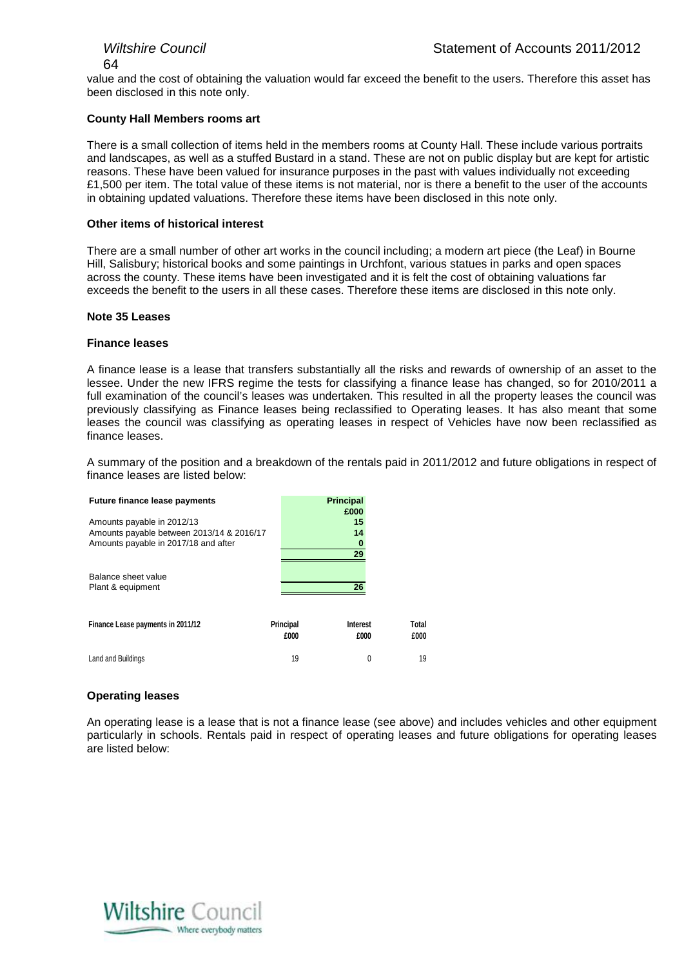value and the cost of obtaining the valuation would far exceed the benefit to the users. Therefore this asset has been disclosed in this note only.

# **County Hall Members rooms art**

There is a small collection of items held in the members rooms at County Hall. These include various portraits and landscapes, as well as a stuffed Bustard in a stand. These are not on public display but are kept for artistic reasons. These have been valued for insurance purposes in the past with values individually not exceeding £1,500 per item. The total value of these items is not material, nor is there a benefit to the user of the accounts in obtaining updated valuations. Therefore these items have been disclosed in this note only.

# **Other items of historical interest**

There are a small number of other art works in the council including; a modern art piece (the Leaf) in Bourne Hill, Salisbury; historical books and some paintings in Urchfont, various statues in parks and open spaces across the county. These items have been investigated and it is felt the cost of obtaining valuations far exceeds the benefit to the users in all these cases. Therefore these items are disclosed in this note only.

# **Note 35 Leases**

# **Finance leases**

A finance lease is a lease that transfers substantially all the risks and rewards of ownership of an asset to the lessee. Under the new IFRS regime the tests for classifying a finance lease has changed, so for 2010/2011 a full examination of the council's leases was undertaken. This resulted in all the property leases the council was previously classifying as Finance leases being reclassified to Operating leases. It has also meant that some leases the council was classifying as operating leases in respect of Vehicles have now been reclassified as finance leases.

A summary of the position and a breakdown of the rentals paid in 2011/2012 and future obligations in respect of finance leases are listed below:

| <b>Future finance lease payments</b>      |                   | <b>Principal</b><br>£000 |               |
|-------------------------------------------|-------------------|--------------------------|---------------|
| Amounts payable in 2012/13                |                   | 15                       |               |
| Amounts payable between 2013/14 & 2016/17 |                   | 14                       |               |
| Amounts payable in 2017/18 and after      |                   | 0                        |               |
|                                           |                   | 29                       |               |
| Balance sheet value<br>Plant & equipment  |                   | 26                       |               |
| Finance Lease payments in 2011/12         | Principal<br>£000 | <b>Interest</b><br>£000  | Total<br>£000 |
| Land and Buildings                        | 19                | 0                        | 19            |

# **Operating leases**

An operating lease is a lease that is not a finance lease (see above) and includes vehicles and other equipment particularly in schools. Rentals paid in respect of operating leases and future obligations for operating leases are listed below:

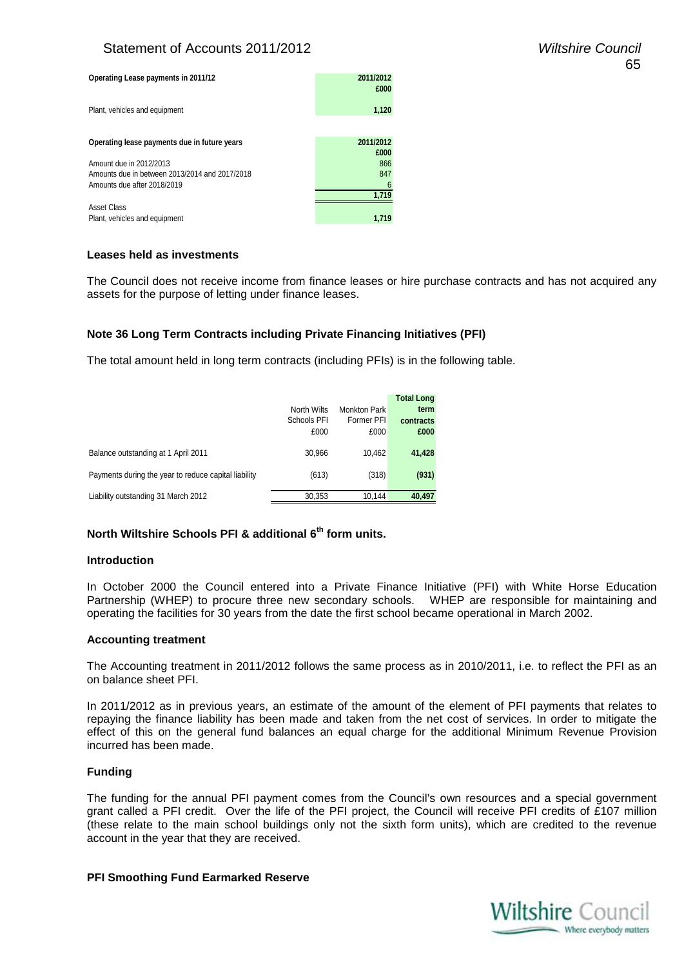# Statement of Accounts 2011/2012 *Wiltshire Council*

| Operating Lease payments in 2011/12            | 2011/2012<br>£000 |
|------------------------------------------------|-------------------|
| Plant, vehicles and equipment                  | 1,120             |
| Operating lease payments due in future years   | 2011/2012         |
|                                                | £000              |
| Amount due in 2012/2013                        | 866               |
| Amounts due in between 2013/2014 and 2017/2018 | 847               |
| Amounts due after 2018/2019                    | 6                 |
|                                                | 1.719             |
| Asset Class                                    |                   |
| Plant, vehicles and equipment                  | 1.719             |

# **Leases held as investments**

The Council does not receive income from finance leases or hire purchase contracts and has not acquired any assets for the purpose of letting under finance leases.

# **Note 36 Long Term Contracts including Private Financing Initiatives (PFI)**

The total amount held in long term contracts (including PFIs) is in the following table.

|                                                      | North Wilts<br>Schools PFI<br>£000 | <b>Monkton Park</b><br>Former PFI<br>£000 | <b>Total Long</b><br>term<br>contracts<br>£000 |
|------------------------------------------------------|------------------------------------|-------------------------------------------|------------------------------------------------|
| Balance outstanding at 1 April 2011                  | 30,966                             | 10.462                                    | 41,428                                         |
| Payments during the year to reduce capital liability | (613)                              | (318)                                     | (931)                                          |
| Liability outstanding 31 March 2012                  | 30,353                             | 10.144                                    | 40,497                                         |

# **North Wiltshire Schools PFI & additional 6th form units.**

#### **Introduction**

In October 2000 the Council entered into a Private Finance Initiative (PFI) with White Horse Education Partnership (WHEP) to procure three new secondary schools. WHEP are responsible for maintaining and operating the facilities for 30 years from the date the first school became operational in March 2002.

# **Accounting treatment**

The Accounting treatment in 2011/2012 follows the same process as in 2010/2011, i.e. to reflect the PFI as an on balance sheet PFI.

In 2011/2012 as in previous years, an estimate of the amount of the element of PFI payments that relates to repaying the finance liability has been made and taken from the net cost of services. In order to mitigate the effect of this on the general fund balances an equal charge for the additional Minimum Revenue Provision incurred has been made.

# **Funding**

The funding for the annual PFI payment comes from the Council's own resources and a special government grant called a PFI credit. Over the life of the PFI project, the Council will receive PFI credits of £107 million (these relate to the main school buildings only not the sixth form units), which are credited to the revenue account in the year that they are received.

# **PFI Smoothing Fund Earmarked Reserve**

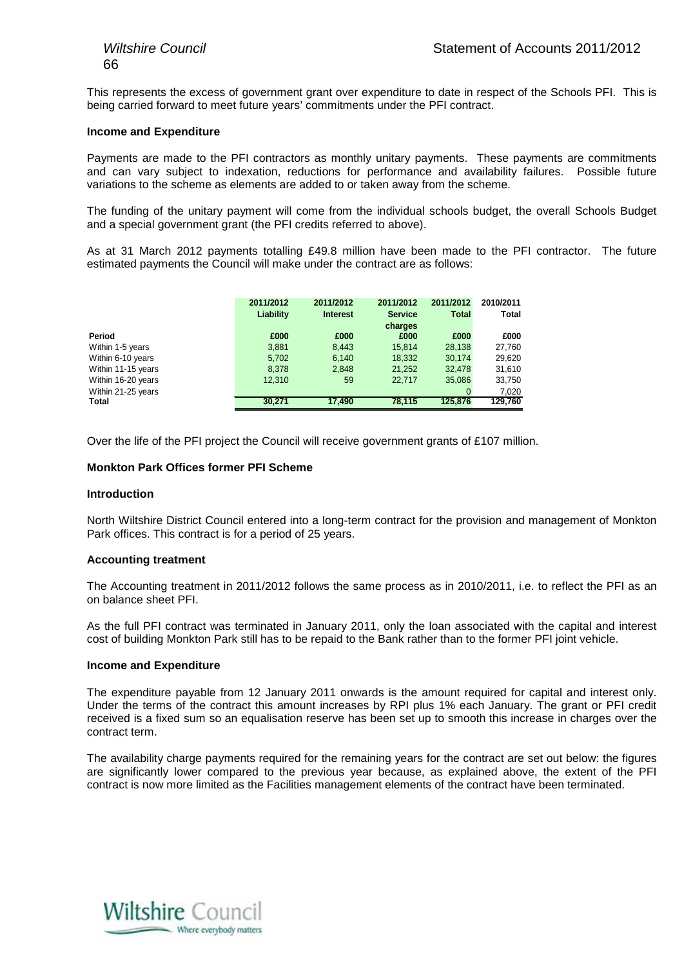This represents the excess of government grant over expenditure to date in respect of the Schools PFI. This is being carried forward to meet future years' commitments under the PFI contract.

#### **Income and Expenditure**

Payments are made to the PFI contractors as monthly unitary payments. These payments are commitments and can vary subject to indexation, reductions for performance and availability failures. Possible future variations to the scheme as elements are added to or taken away from the scheme.

The funding of the unitary payment will come from the individual schools budget, the overall Schools Budget and a special government grant (the PFI credits referred to above).

As at 31 March 2012 payments totalling £49.8 million have been made to the PFI contractor. The future estimated payments the Council will make under the contract are as follows:

|                    | 2011/2012<br>Liability | 2011/2012<br><b>Interest</b> | 2011/2012<br><b>Service</b><br>charges | 2011/2012<br>Total | 2010/2011<br>Total |
|--------------------|------------------------|------------------------------|----------------------------------------|--------------------|--------------------|
| Period             | £000                   | £000                         | £000                                   | £000               | £000               |
| Within 1-5 years   | 3,881                  | 8,443                        | 15,814                                 | 28,138             | 27,760             |
| Within 6-10 years  | 5,702                  | 6,140                        | 18,332                                 | 30.174             | 29,620             |
| Within 11-15 years | 8.378                  | 2.848                        | 21,252                                 | 32.478             | 31,610             |
| Within 16-20 years | 12,310                 | 59                           | 22.717                                 | 35,086             | 33,750             |
| Within 21-25 years |                        |                              |                                        | $\mathbf 0$        | 7,020              |
| Total              | 30.271                 | 17.490                       | 78.115                                 | 125,876            | 129.760            |

Over the life of the PFI project the Council will receive government grants of £107 million.

#### **Monkton Park Offices former PFI Scheme**

#### **Introduction**

North Wiltshire District Council entered into a long-term contract for the provision and management of Monkton Park offices. This contract is for a period of 25 years.

#### **Accounting treatment**

The Accounting treatment in 2011/2012 follows the same process as in 2010/2011, i.e. to reflect the PFI as an on balance sheet PFI.

As the full PFI contract was terminated in January 2011, only the loan associated with the capital and interest cost of building Monkton Park still has to be repaid to the Bank rather than to the former PFI joint vehicle.

#### **Income and Expenditure**

The expenditure payable from 12 January 2011 onwards is the amount required for capital and interest only. Under the terms of the contract this amount increases by RPI plus 1% each January. The grant or PFI credit received is a fixed sum so an equalisation reserve has been set up to smooth this increase in charges over the contract term.

The availability charge payments required for the remaining years for the contract are set out below: the figures are significantly lower compared to the previous year because, as explained above, the extent of the PFI contract is now more limited as the Facilities management elements of the contract have been terminated.

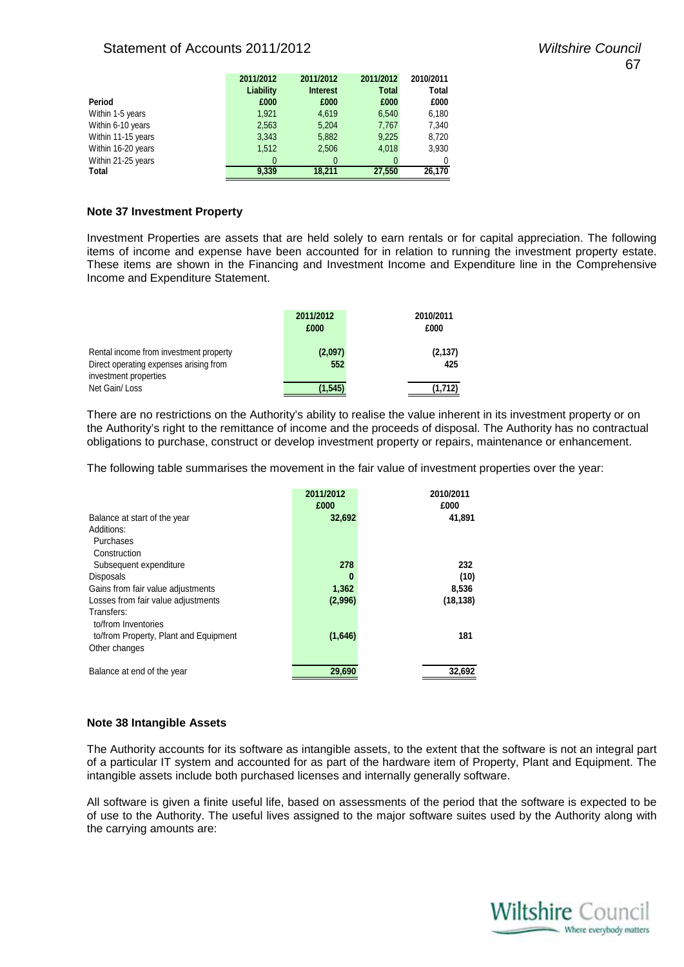# Statement of Accounts 2011/2012 *Wiltshire Council*

|                    | 2011/2012 | 2011/2012       | 2011/2012    | 2010/2011 |
|--------------------|-----------|-----------------|--------------|-----------|
|                    | Liability | <b>Interest</b> | <b>Total</b> | Total     |
| Period             | £000      | £000            | £000         | £000      |
| Within 1-5 years   | 1,921     | 4,619           | 6,540        | 6,180     |
| Within 6-10 years  | 2,563     | 5,204           | 7,767        | 7,340     |
| Within 11-15 years | 3,343     | 5,882           | 9,225        | 8,720     |
| Within 16-20 years | 1,512     | 2,506           | 4.018        | 3,930     |
| Within 21-25 years | $\theta$  | 0               |              | 0         |
| Total              | 9.339     | 18.211          | 27,550       | 26,170    |
|                    |           |                 |              |           |

# **Note 37 Investment Property**

Investment Properties are assets that are held solely to earn rentals or for capital appreciation. The following items of income and expense have been accounted for in relation to running the investment property estate. These items are shown in the Financing and Investment Income and Expenditure line in the Comprehensive Income and Expenditure Statement.

|                                                                                  | 2011/2012<br>£000 | 2010/2011<br>£000 |
|----------------------------------------------------------------------------------|-------------------|-------------------|
| Rental income from investment property<br>Direct operating expenses arising from | (2,097)<br>552    | (2, 137)<br>425   |
| investment properties<br>Net Gain/Loss                                           | (1.545)           | (1.712)           |

There are no restrictions on the Authority's ability to realise the value inherent in its investment property or on the Authority's right to the remittance of income and the proceeds of disposal. The Authority has no contractual obligations to purchase, construct or develop investment property or repairs, maintenance or enhancement.

The following table summarises the movement in the fair value of investment properties over the year:

|                                                                            | 2011/2012<br>£000 | 2010/2011<br>£000 |
|----------------------------------------------------------------------------|-------------------|-------------------|
| Balance at start of the year                                               | 32,692            | 41,891            |
| Additions:                                                                 |                   |                   |
| Purchases                                                                  |                   |                   |
| Construction                                                               |                   |                   |
| Subsequent expenditure                                                     | 278               | 232               |
| <b>Disposals</b>                                                           | 0                 | (10)              |
| Gains from fair value adjustments                                          | 1,362             | 8,536             |
| Losses from fair value adjustments                                         | (2,996)           | (18, 138)         |
| Transfers:<br>to/from Inventories<br>to/from Property, Plant and Equipment | (1,646)           | 181               |
| Other changes                                                              |                   |                   |
| Balance at end of the year                                                 | 29,690            | 32,692            |

# **Note 38 Intangible Assets**

The Authority accounts for its software as intangible assets, to the extent that the software is not an integral part of a particular IT system and accounted for as part of the hardware item of Property, Plant and Equipment. The intangible assets include both purchased licenses and internally generally software.

All software is given a finite useful life, based on assessments of the period that the software is expected to be of use to the Authority. The useful lives assigned to the major software suites used by the Authority along with the carrying amounts are:

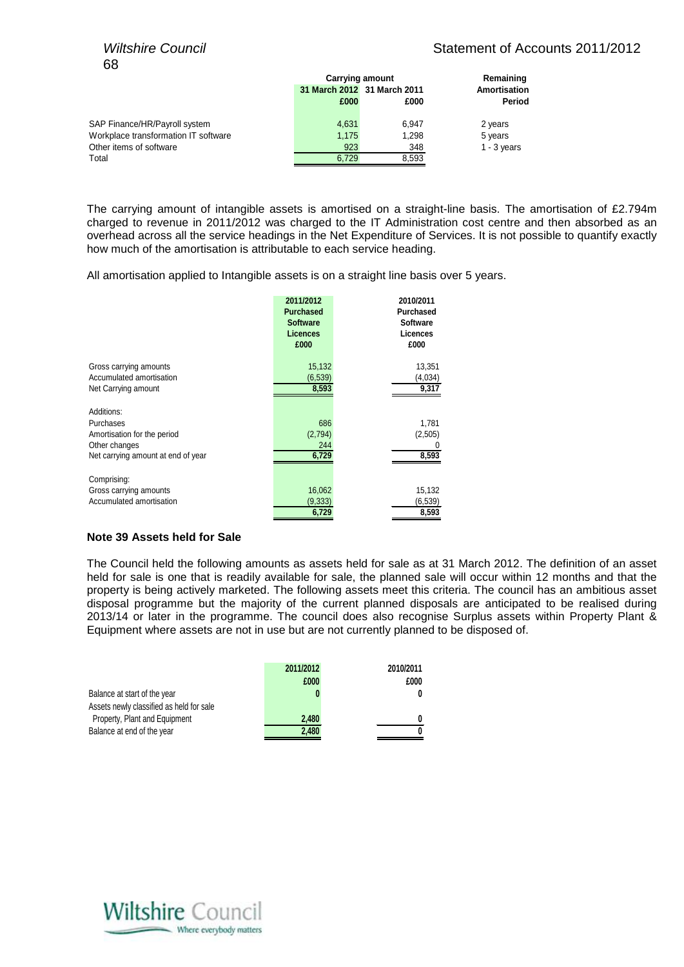# *Wiltshire Council* Military Statement of Accounts 2011/2012

|                                      | <b>Carrying amount</b> |                             | Remaining     |
|--------------------------------------|------------------------|-----------------------------|---------------|
|                                      |                        | 31 March 2012 31 March 2011 | Amortisation  |
|                                      | £000                   | £000                        | Period        |
| SAP Finance/HR/Payroll system        | 4,631                  | 6.947                       | 2 years       |
| Workplace transformation IT software | 1.175                  | 1.298                       | 5 years       |
| Other items of software              | 923                    | 348                         | $1 - 3$ years |
| Total                                | 6.729                  | 8.593                       |               |

The carrying amount of intangible assets is amortised on a straight-line basis. The amortisation of £2.794m charged to revenue in 2011/2012 was charged to the IT Administration cost centre and then absorbed as an overhead across all the service headings in the Net Expenditure of Services. It is not possible to quantify exactly how much of the amortisation is attributable to each service heading.

All amortisation applied to Intangible assets is on a straight line basis over 5 years.

|                                                                                                               | 2011/2012<br><b>Purchased</b><br><b>Software</b><br><b>Licences</b><br>£000 | 2010/2011<br><b>Purchased</b><br><b>Software</b><br>Licences<br>£000 |
|---------------------------------------------------------------------------------------------------------------|-----------------------------------------------------------------------------|----------------------------------------------------------------------|
| Gross carrying amounts                                                                                        | 15,132                                                                      | 13,351                                                               |
| Accumulated amortisation                                                                                      | (6, 539)                                                                    | (4,034)                                                              |
| Net Carrying amount                                                                                           | 8,593                                                                       | 9,317                                                                |
| Additions:<br>Purchases<br>Amortisation for the period<br>Other changes<br>Net carrying amount at end of year | 686<br>(2,794)<br>244<br>6,729                                              | 1,781<br>(2,505)<br>8,593                                            |
| Comprising:                                                                                                   |                                                                             |                                                                      |
| Gross carrying amounts                                                                                        | 16,062                                                                      | 15,132                                                               |
| Accumulated amortisation                                                                                      | (9, 333)                                                                    | (6, 539)                                                             |
|                                                                                                               | 6,729                                                                       | 8,593                                                                |

# **Note 39 Assets held for Sale**

The Council held the following amounts as assets held for sale as at 31 March 2012. The definition of an asset held for sale is one that is readily available for sale, the planned sale will occur within 12 months and that the property is being actively marketed. The following assets meet this criteria. The council has an ambitious asset disposal programme but the majority of the current planned disposals are anticipated to be realised during 2013/14 or later in the programme. The council does also recognise Surplus assets within Property Plant & Equipment where assets are not in use but are not currently planned to be disposed of.

|                                          | 2011/2012 | 2010/2011 |
|------------------------------------------|-----------|-----------|
|                                          | £000      | £000      |
| Balance at start of the year             |           |           |
| Assets newly classified as held for sale |           |           |
| Property, Plant and Equipment            | 2.480     | 0         |
| Balance at end of the year               | 2,480     | O         |

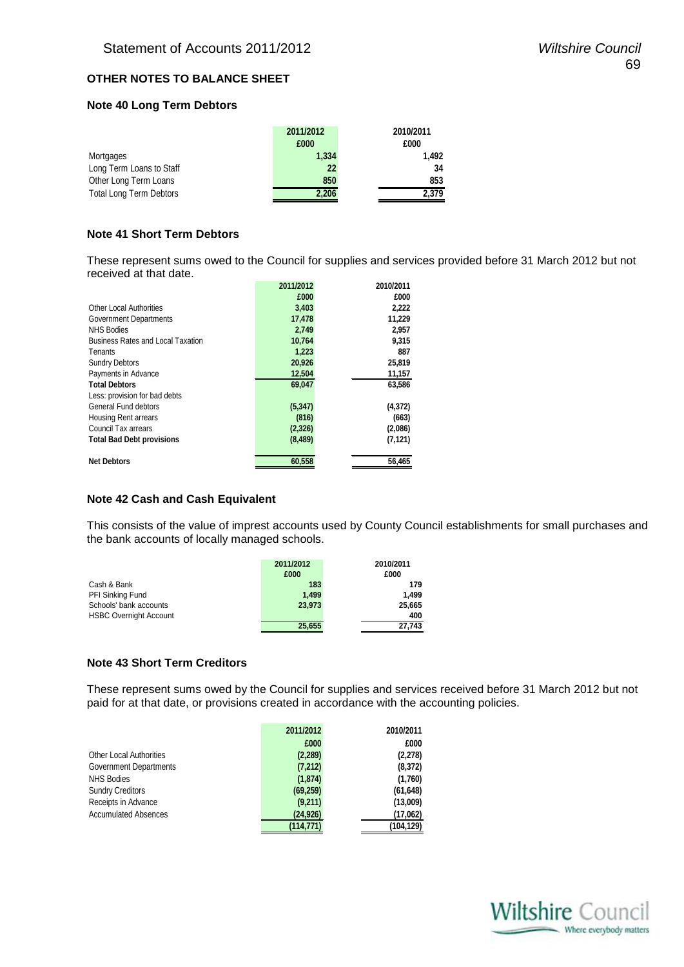# **OTHER NOTES TO BALANCE SHEET**

# **Note 40 Long Term Debtors**

| 2011/2012 | 2010/2011 |
|-----------|-----------|
| £000      | £000      |
| 1.334     | 1.492     |
| 22        | 34        |
| 850       | 853       |
| 2.206     | 2.379     |
|           |           |

# **Note 41 Short Term Debtors**

These represent sums owed to the Council for supplies and services provided before 31 March 2012 but not received at that date.

|                                          | 2011/2012 | 2010/2011 |
|------------------------------------------|-----------|-----------|
|                                          | £000      | £000      |
| <b>Other Local Authorities</b>           | 3,403     | 2,222     |
| Government Departments                   | 17,478    | 11,229    |
| <b>NHS Bodies</b>                        | 2,749     | 2,957     |
| <b>Business Rates and Local Taxation</b> | 10,764    | 9,315     |
| Tenants                                  | 1,223     | 887       |
| <b>Sundry Debtors</b>                    | 20,926    | 25,819    |
| Payments in Advance                      | 12,504    | 11,157    |
| <b>Total Debtors</b>                     | 69,047    | 63.586    |
| Less: provision for bad debts            |           |           |
| General Fund debtors                     | (5, 347)  | (4, 372)  |
| <b>Housing Rent arrears</b>              | (816)     | (663)     |
| Council Tax arrears                      | (2, 326)  | (2,086)   |
| <b>Total Bad Debt provisions</b>         | (8, 489)  | (7, 121)  |
| <b>Net Debtors</b>                       | 60,558    | 56,465    |

# **Note 42 Cash and Cash Equivalent**

This consists of the value of imprest accounts used by County Council establishments for small purchases and the bank accounts of locally managed schools.

|                               | 2011/2012 | 2010/2011 |
|-------------------------------|-----------|-----------|
|                               | £000      | £000      |
| Cash & Bank                   | 183       | 179       |
| PFI Sinking Fund              | 1.499     | 1.499     |
| Schools' bank accounts        | 23.973    | 25,665    |
| <b>HSBC Overnight Account</b> |           | 400       |
|                               | 25,655    | 27,743    |

# **Note 43 Short Term Creditors**

These represent sums owed by the Council for supplies and services received before 31 March 2012 but not paid for at that date, or provisions created in accordance with the accounting policies.

|                                | 2011/2012  | 2010/2011  |
|--------------------------------|------------|------------|
|                                | £000       | £000       |
| <b>Other Local Authorities</b> | (2,289)    | (2,278)    |
| Government Departments         | (7,212)    | (8,372)    |
| <b>NHS Bodies</b>              | (1,874)    | (1,760)    |
| <b>Sundry Creditors</b>        | (69, 259)  | (61, 648)  |
| Receipts in Advance            | (9,211)    | (13,009)   |
| <b>Accumulated Absences</b>    | (24, 926)  | (17,062)   |
|                                | (114, 771) | (104, 129) |

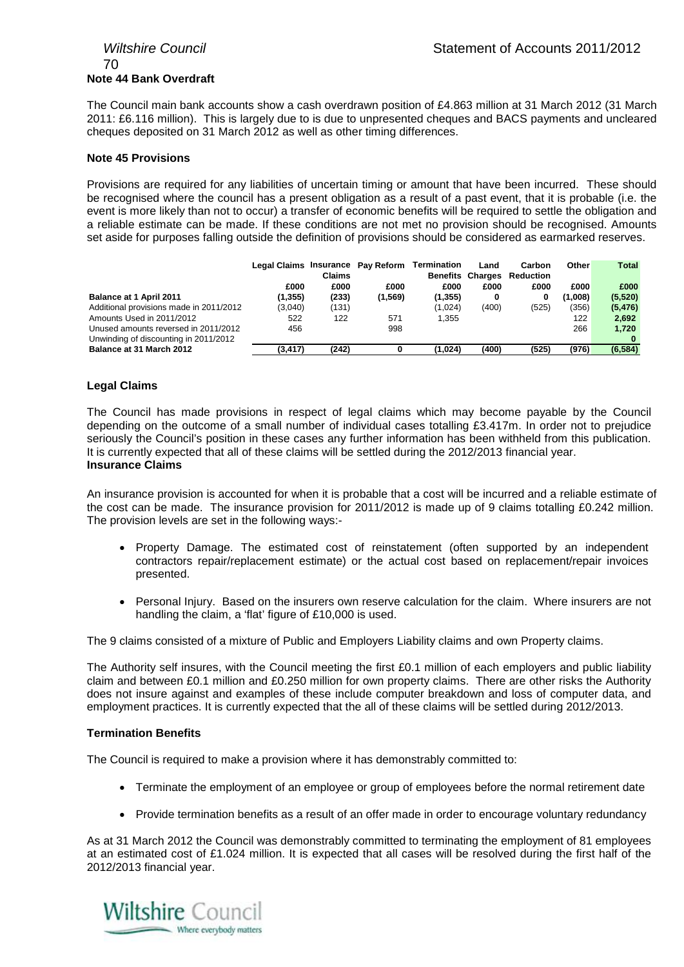# 70 **Note 44 Bank Overdraft**

The Council main bank accounts show a cash overdrawn position of £4.863 million at 31 March 2012 (31 March 2011: £6.116 million). This is largely due to is due to unpresented cheques and BACS payments and uncleared cheques deposited on 31 March 2012 as well as other timing differences.

# **Note 45 Provisions**

Provisions are required for any liabilities of uncertain timing or amount that have been incurred. These should be recognised where the council has a present obligation as a result of a past event, that it is probable (i.e. the event is more likely than not to occur) a transfer of economic benefits will be required to settle the obligation and a reliable estimate can be made. If these conditions are not met no provision should be recognised. Amounts set aside for purposes falling outside the definition of provisions should be considered as earmarked reserves.

|                                         | Legal Claims Insurance Pay Reform | <b>Claims</b> |         | Termination | Land<br><b>Benefits Charges</b> | Carbon<br><b>Reduction</b> | Other   | <b>Total</b> |
|-----------------------------------------|-----------------------------------|---------------|---------|-------------|---------------------------------|----------------------------|---------|--------------|
|                                         | £000                              | £000          | £000    | £000        | £000                            | £000                       | £000    | £000         |
| Balance at 1 April 2011                 | (1,355)                           | (233)         | (1,569) | (1, 355)    | 0                               | 0                          | (1,008) | (5,520)      |
| Additional provisions made in 2011/2012 | (3,040)                           | (131)         |         | (1,024)     | (400)                           | (525)                      | (356)   | (5, 476)     |
| Amounts Used in 2011/2012               | 522                               | 122           | 571     | 1.355       |                                 |                            | 122     | 2,692        |
| Unused amounts reversed in 2011/2012    | 456                               |               | 998     |             |                                 |                            | 266     | 1.720        |
| Unwinding of discounting in 2011/2012   |                                   |               |         |             |                                 |                            |         |              |
| Balance at 31 March 2012                | (3, 417)                          | (242)         |         | (1,024)     | (400)                           | (525)                      | (976)   | (6, 584)     |

# **Legal Claims**

The Council has made provisions in respect of legal claims which may become payable by the Council depending on the outcome of a small number of individual cases totalling £3.417m. In order not to prejudice seriously the Council's position in these cases any further information has been withheld from this publication. It is currently expected that all of these claims will be settled during the 2012/2013 financial year. **Insurance Claims**

An insurance provision is accounted for when it is probable that a cost will be incurred and a reliable estimate of the cost can be made. The insurance provision for 2011/2012 is made up of 9 claims totalling £0.242 million. The provision levels are set in the following ways:-

- Property Damage. The estimated cost of reinstatement (often supported by an independent contractors repair/replacement estimate) or the actual cost based on replacement/repair invoices presented.
- Personal Injury. Based on the insurers own reserve calculation for the claim. Where insurers are not handling the claim, a 'flat' figure of £10,000 is used.

The 9 claims consisted of a mixture of Public and Employers Liability claims and own Property claims.

The Authority self insures, with the Council meeting the first £0.1 million of each employers and public liability claim and between £0.1 million and £0.250 million for own property claims. There are other risks the Authority does not insure against and examples of these include computer breakdown and loss of computer data, and employment practices. It is currently expected that the all of these claims will be settled during 2012/2013.

# **Termination Benefits**

The Council is required to make a provision where it has demonstrably committed to:

- Terminate the employment of an employee or group of employees before the normal retirement date
- Provide termination benefits as a result of an offer made in order to encourage voluntary redundancy

As at 31 March 2012 the Council was demonstrably committed to terminating the employment of 81 employees at an estimated cost of £1.024 million. It is expected that all cases will be resolved during the first half of the 2012/2013 financial year.

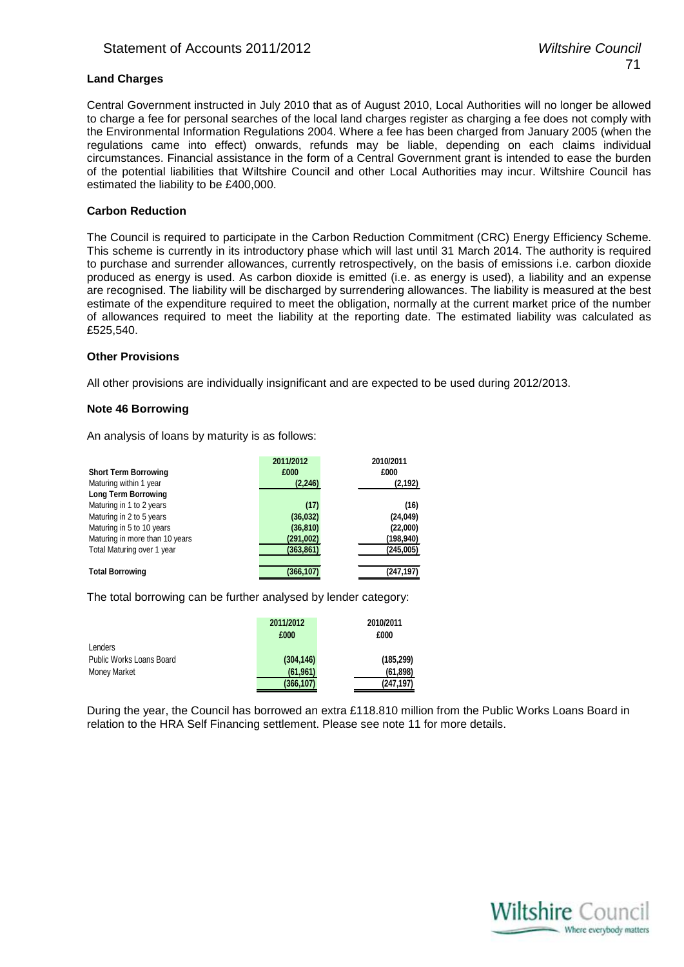# **Land Charges**

Central Government instructed in July 2010 that as of August 2010, Local Authorities will no longer be allowed to charge a fee for personal searches of the local land charges register as charging a fee does not comply with the Environmental Information Regulations 2004. Where a fee has been charged from January 2005 (when the regulations came into effect) onwards, refunds may be liable, depending on each claims individual circumstances. Financial assistance in the form of a Central Government grant is intended to ease the burden of the potential liabilities that Wiltshire Council and other Local Authorities may incur. Wiltshire Council has estimated the liability to be £400,000.

# **Carbon Reduction**

The Council is required to participate in the Carbon Reduction Commitment (CRC) Energy Efficiency Scheme. This scheme is currently in its introductory phase which will last until 31 March 2014. The authority is required to purchase and surrender allowances, currently retrospectively, on the basis of emissions i.e. carbon dioxide produced as energy is used. As carbon dioxide is emitted (i.e. as energy is used), a liability and an expense are recognised. The liability will be discharged by surrendering allowances. The liability is measured at the best estimate of the expenditure required to meet the obligation, normally at the current market price of the number of allowances required to meet the liability at the reporting date. The estimated liability was calculated as £525,540.

# **Other Provisions**

All other provisions are individually insignificant and are expected to be used during 2012/2013.

# **Note 46 Borrowing**

An analysis of loans by maturity is as follows:

|                                | 2011/2012  | 2010/2011 |
|--------------------------------|------------|-----------|
| <b>Short Term Borrowing</b>    | £000       | £000      |
| Maturing within 1 year         | (2, 246)   | (2, 192)  |
| <b>Long Term Borrowing</b>     |            |           |
| Maturing in 1 to 2 years       | (17)       | (16)      |
| Maturing in 2 to 5 years       | (36, 032)  | (24, 049) |
| Maturing in 5 to 10 years      | (36, 810)  | (22,000)  |
| Maturing in more than 10 years | (291,002)  | (198,940) |
| Total Maturing over 1 year     | (363, 861) | (245,005) |
|                                |            |           |
| <b>Total Borrowing</b>         | (366,107   | (247,197) |

The total borrowing can be further analysed by lender category:

| Lenders                  | 2011/2012<br>£000 | 2010/2011<br>£000 |
|--------------------------|-------------------|-------------------|
| Public Works Loans Board | (304, 146)        | (185, 299)        |
| Money Market             | (61, 961)         | (61, 898)         |
|                          | (366, 107)        | (247, 197)        |

During the year, the Council has borrowed an extra £118.810 million from the Public Works Loans Board in relation to the HRA Self Financing settlement. Please see note 11 for more details.

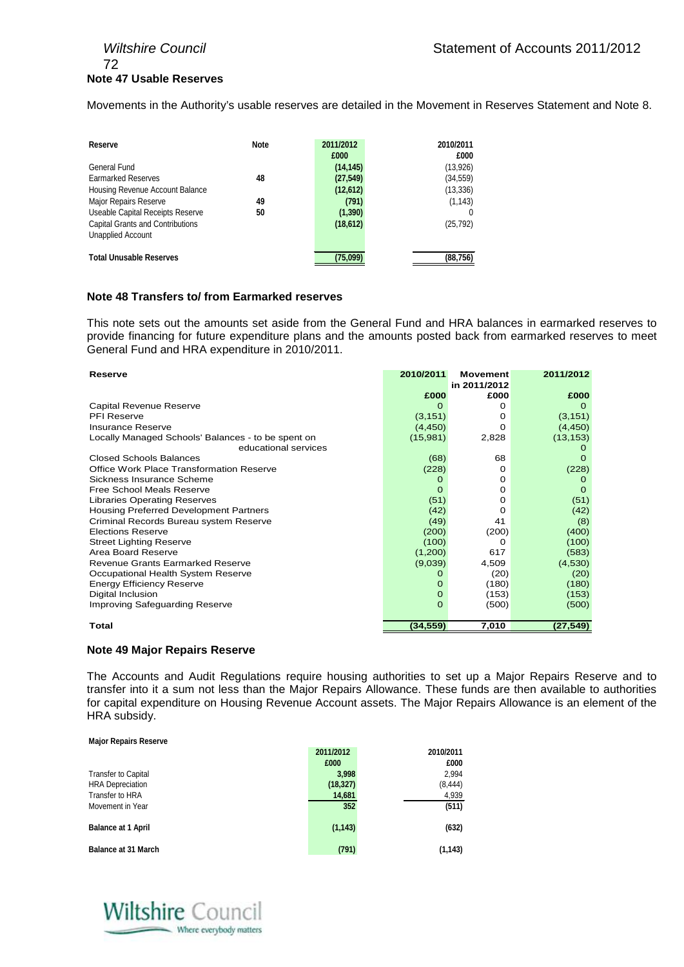# 72 **Note 47 Usable Reserves**

Movements in the Authority's usable reserves are detailed in the Movement in Reserves Statement and Note 8.

| Reserve                                 | <b>Note</b> | 2011/2012 | 2010/2011 |
|-----------------------------------------|-------------|-----------|-----------|
|                                         |             | £000      | £000      |
| General Fund                            |             | (14, 145) | (13,926)  |
| <b>Earmarked Reserves</b>               | 48          | (27, 549) | (34, 559) |
| Housing Revenue Account Balance         |             | (12, 612) | (13, 336) |
| Major Repairs Reserve                   | 49          | (791)     | (1, 143)  |
| Useable Capital Receipts Reserve        | 50          | (1, 390)  |           |
| <b>Capital Grants and Contributions</b> |             | (18, 612) | (25, 792) |
| <b>Unapplied Account</b>                |             |           |           |
| <b>Total Unusable Reserves</b>          |             | (75.099)  | (88,756)  |

# **Note 48 Transfers to/ from Earmarked reserves**

This note sets out the amounts set aside from the General Fund and HRA balances in earmarked reserves to provide financing for future expenditure plans and the amounts posted back from earmarked reserves to meet General Fund and HRA expenditure in 2010/2011.

| Reserve                                            | 2010/2011 | <b>Movement</b><br>in 2011/2012 | 2011/2012 |
|----------------------------------------------------|-----------|---------------------------------|-----------|
|                                                    | £000      | £000                            | £000      |
| Capital Revenue Reserve                            | O         | O                               |           |
| <b>PFI Reserve</b>                                 | (3, 151)  | Ω                               | (3, 151)  |
| Insurance Reserve                                  | (4, 450)  | Ω                               | (4, 450)  |
| Locally Managed Schools' Balances - to be spent on | (15,981)  | 2,828                           | (13, 153) |
| educational services                               |           |                                 |           |
| <b>Closed Schools Balances</b>                     | (68)      | 68                              |           |
| Office Work Place Transformation Reserve           | (228)     | 0                               | (228)     |
| Sickness Insurance Scheme                          | O         | O                               |           |
| Free School Meals Reserve                          | 0         | O                               | $\Omega$  |
| <b>Libraries Operating Reserves</b>                | (51)      | O                               | (51)      |
| Housing Preferred Development Partners             | (42)      | Ω                               | (42)      |
| Criminal Records Bureau system Reserve             | (49)      | 41                              | (8)       |
| <b>Elections Reserve</b>                           | (200)     | (200)                           | (400)     |
| <b>Street Lighting Reserve</b>                     | (100)     | Ω                               | (100)     |
| Area Board Reserve                                 | (1,200)   | 617                             | (583)     |
| Revenue Grants Earmarked Reserve                   | (9,039)   | 4,509                           | (4,530)   |
| Occupational Health System Reserve                 | O         | (20)                            | (20)      |
| <b>Energy Efficiency Reserve</b>                   | 0         | (180)                           | (180)     |
| Digital Inclusion                                  | $\Omega$  | (153)                           | (153)     |
| Improving Safeguarding Reserve                     | $\Omega$  | (500)                           | (500)     |
| Total                                              | (34,559)  | 7,010                           | (27, 549) |

# **Note 49 Major Repairs Reserve**

The Accounts and Audit Regulations require housing authorities to set up a Major Repairs Reserve and to transfer into it a sum not less than the Major Repairs Allowance. These funds are then available to authorities for capital expenditure on Housing Revenue Account assets. The Major Repairs Allowance is an element of the HRA subsidy.

#### **Major Repairs Reserve**

|                            | 2011/2012 | 2010/2011 |
|----------------------------|-----------|-----------|
|                            | £000      | £000      |
| <b>Transfer to Capital</b> | 3,998     | 2,994     |
| <b>HRA</b> Depreciation    | (18, 327) | (8, 444)  |
| Transfer to HRA            | 14,681    | 4,939     |
| Movement in Year           | 352       | (511)     |
|                            |           |           |
| <b>Balance at 1 April</b>  | (1, 143)  | (632)     |
|                            |           |           |
| <b>Balance at 31 March</b> | (791)     | (1, 143)  |

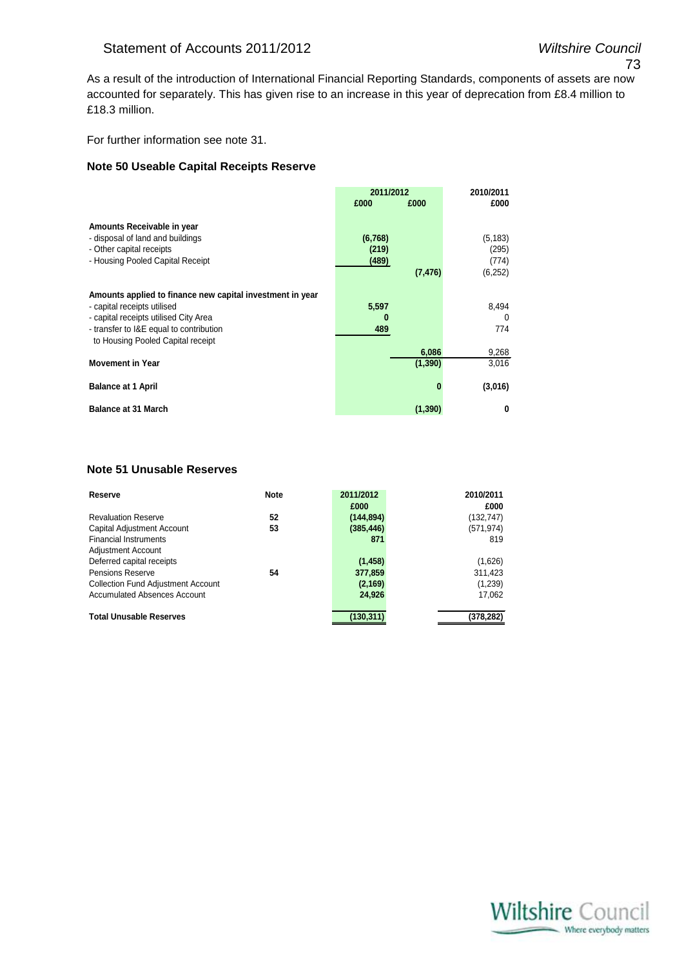As a result of the introduction of International Financial Reporting Standards, components of assets are now accounted for separately. This has given rise to an increase in this year of deprecation from £8.4 million to £18.3 million.

For further information see note 31.

#### **Note 50 Useable Capital Receipts Reserve**

|                                                           | 2011/2012 |          | 2010/2011 |
|-----------------------------------------------------------|-----------|----------|-----------|
|                                                           | £000      | £000     | £000      |
| Amounts Receivable in year                                |           |          |           |
| - disposal of land and buildings                          | (6,768)   |          | (5, 183)  |
| - Other capital receipts                                  | (219)     |          | (295)     |
| - Housing Pooled Capital Receipt                          | (489)     |          | (774)     |
|                                                           |           | (7, 476) | (6,252)   |
|                                                           |           |          |           |
| Amounts applied to finance new capital investment in year |           |          |           |
| - capital receipts utilised                               | 5,597     |          | 8,494     |
| - capital receipts utilised City Area                     | 0         |          | $\Omega$  |
| - transfer to I&E equal to contribution                   | 489       |          | 774       |
| to Housing Pooled Capital receipt                         |           |          |           |
|                                                           |           | 6,086    | 9,268     |
| <b>Movement in Year</b>                                   |           | (1, 390) | 3,016     |
| <b>Balance at 1 April</b>                                 |           | n        | (3,016)   |
| <b>Balance at 31 March</b>                                |           | (1, 390) | 0         |

#### **Note 51 Unusable Reserves**

| Reserve                                   | <b>Note</b> | 2011/2012  | 2010/2011  |
|-------------------------------------------|-------------|------------|------------|
|                                           |             | £000       | £000       |
| <b>Revaluation Reserve</b>                | 52          | (144, 894) | (132, 747) |
| Capital Adjustment Account                | 53          | (385, 446) | (571, 974) |
| <b>Financial Instruments</b>              |             | 871        | 819        |
| <b>Adjustment Account</b>                 |             |            |            |
| Deferred capital receipts                 |             | (1, 458)   | (1,626)    |
| <b>Pensions Reserve</b>                   | 54          | 377,859    | 311,423    |
| <b>Collection Fund Adjustment Account</b> |             | (2, 169)   | (1,239)    |
| <b>Accumulated Absences Account</b>       |             | 24.926     | 17,062     |
|                                           |             |            |            |
| <b>Total Unusable Reserves</b>            |             | (130,311)  | (378, 282) |

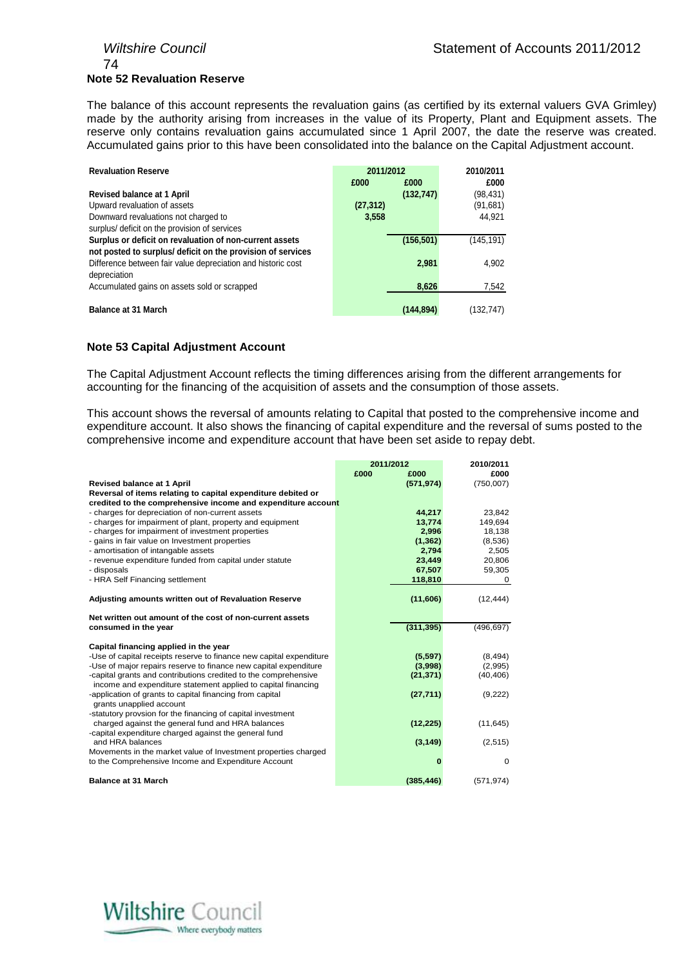# 74 **Note 52 Revaluation Reserve**

The balance of this account represents the revaluation gains (as certified by its external valuers GVA Grimley) made by the authority arising from increases in the value of its Property, Plant and Equipment assets. The reserve only contains revaluation gains accumulated since 1 April 2007, the date the reserve was created. Accumulated gains prior to this have been consolidated into the balance on the Capital Adjustment account.

| <b>Revaluation Reserve</b>                                   | 2011/2012 |            | 2010/2011  |
|--------------------------------------------------------------|-----------|------------|------------|
|                                                              | £000      | £000       | £000       |
| Revised balance at 1 April                                   |           | (132, 747) | (98,431)   |
| Upward revaluation of assets                                 | (27, 312) |            | (91,681)   |
| Downward revaluations not charged to                         | 3,558     |            | 44,921     |
| surplus/ deficit on the provision of services                |           |            |            |
| Surplus or deficit on revaluation of non-current assets      |           | (156, 501) | (145, 191) |
| not posted to surplus/ deficit on the provision of services  |           |            |            |
| Difference between fair value depreciation and historic cost |           | 2,981      | 4.902      |
| depreciation                                                 |           |            |            |
| Accumulated gains on assets sold or scrapped                 |           | 8,626      | 7,542      |
|                                                              |           |            |            |
| <b>Balance at 31 March</b>                                   |           | (144.894)  | (132.747)  |

#### **Note 53 Capital Adjustment Account**

The Capital Adjustment Account reflects the timing differences arising from the different arrangements for accounting for the financing of the acquisition of assets and the consumption of those assets.

This account shows the reversal of amounts relating to Capital that posted to the comprehensive income and expenditure account. It also shows the financing of capital expenditure and the reversal of sums posted to the comprehensive income and expenditure account that have been set aside to repay debt.

|                                                                           | 2011/2012 |            | 2010/2011   |
|---------------------------------------------------------------------------|-----------|------------|-------------|
|                                                                           | £000      | £000       | £000        |
| Revised balance at 1 April                                                |           | (571, 974) | (750,007)   |
| Reversal of items relating to capital expenditure debited or              |           |            |             |
| credited to the comprehensive income and expenditure account              |           |            |             |
| - charges for depreciation of non-current assets                          |           | 44,217     | 23,842      |
| - charges for impairment of plant, property and equipment                 |           | 13.774     | 149.694     |
| - charges for impairment of investment properties                         |           | 2,996      | 18,138      |
| - gains in fair value on Investment properties                            |           | (1, 362)   | (8,536)     |
| - amortisation of intangable assets                                       |           | 2,794      | 2,505       |
| - revenue expenditure funded from capital under statute                   |           | 23,449     | 20,806      |
| - disposals                                                               |           | 67,507     | 59,305      |
| - HRA Self Financing settlement                                           |           | 118,810    | 0           |
|                                                                           |           |            |             |
| Adjusting amounts written out of Revaluation Reserve                      |           | (11,606)   | (12, 444)   |
|                                                                           |           |            |             |
| Net written out amount of the cost of non-current assets                  |           |            |             |
| consumed in the year                                                      |           | (311, 395) | (496, 697)  |
|                                                                           |           |            |             |
| Capital financing applied in the year                                     |           |            |             |
| -Use of capital receipts reserve to finance new capital expenditure       |           | (5,597)    | (8, 494)    |
| -Use of major repairs reserve to finance new capital expenditure          |           | (3,998)    | (2,995)     |
| -capital grants and contributions credited to the comprehensive           |           | (21, 371)  | (40, 406)   |
| income and expenditure statement applied to capital financing             |           |            |             |
| -application of grants to capital financing from capital                  |           | (27, 711)  | (9,222)     |
| grants unapplied account                                                  |           |            |             |
| -statutory provsion for the financing of capital investment               |           |            |             |
| charged against the general fund and HRA balances                         |           | (12, 225)  | (11, 645)   |
| -capital expenditure charged against the general fund<br>and HRA balances |           |            |             |
|                                                                           |           | (3, 149)   | (2,515)     |
| Movements in the market value of Investment properties charged            |           | O          | $\mathbf 0$ |
| to the Comprehensive Income and Expenditure Account                       |           |            |             |
| <b>Balance at 31 March</b>                                                |           | (385, 446) | (571, 974)  |
|                                                                           |           |            |             |

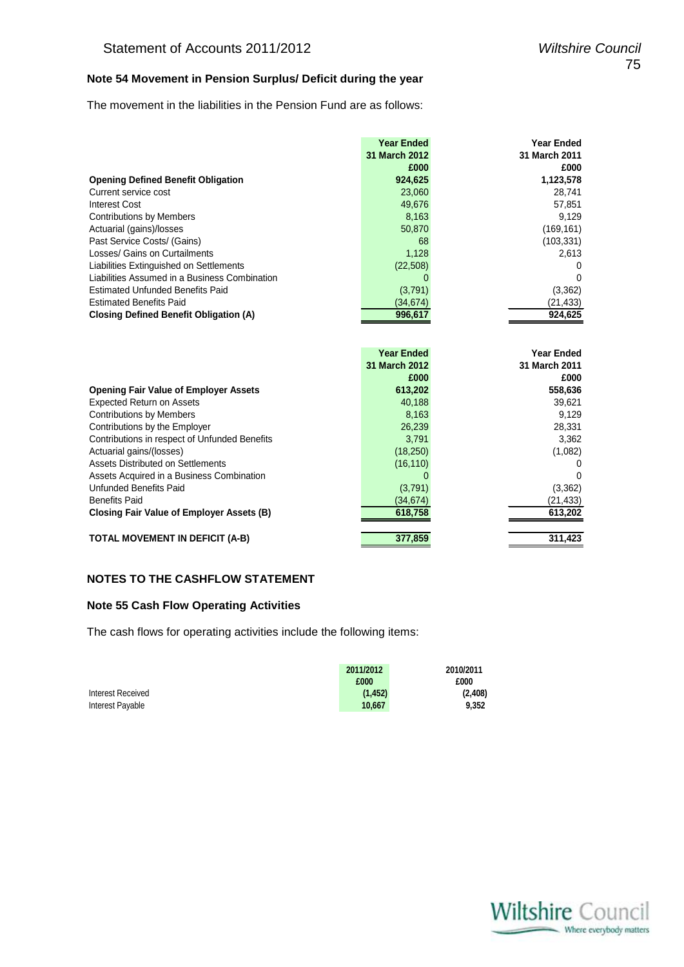## **Note 54 Movement in Pension Surplus/ Deficit during the year**

The movement in the liabilities in the Pension Fund are as follows:

| <b>Year Ended</b> | <b>Year Ended</b> |
|-------------------|-------------------|
| 31 March 2012     | 31 March 2011     |
| £000              | £000              |
| 924,625           | 1,123,578         |
| 23,060            | 28,741            |
| 49,676            | 57,851            |
| 8,163             | 9,129             |
| 50,870            | (169, 161)        |
| 68                | (103, 331)        |
| 1,128             | 2.613             |
| (22,508)          | 0                 |
|                   | 0                 |
| (3,791)           | (3,362)           |
| (34.674)          | (21,433)          |
| 996.617           | 924,625           |
|                   |                   |

|                                               | <b>Year Ended</b> | <b>Year Ended</b> |
|-----------------------------------------------|-------------------|-------------------|
|                                               | 31 March 2012     | 31 March 2011     |
|                                               | £000              | £000              |
| <b>Opening Fair Value of Employer Assets</b>  | 613,202           | 558,636           |
| <b>Expected Return on Assets</b>              | 40,188            | 39,621            |
| <b>Contributions by Members</b>               | 8,163             | 9,129             |
| Contributions by the Employer                 | 26,239            | 28,331            |
| Contributions in respect of Unfunded Benefits | 3.791             | 3,362             |
| Actuarial gains/(losses)                      | (18, 250)         | (1,082)           |
| Assets Distributed on Settlements             | (16, 110)         | 0                 |
| Assets Acquired in a Business Combination     |                   | 0                 |
| Unfunded Benefits Paid                        | (3,791)           | (3,362)           |
| <b>Benefits Paid</b>                          | (34, 674)         | (21,433)          |
| Closing Fair Value of Employer Assets (B)     | 618,758           | 613,202           |
| <b>TOTAL MOVEMENT IN DEFICIT (A-B)</b>        | 377.859           | 311.423           |

#### **NOTES TO THE CASHFLOW STATEMENT**

#### **Note 55 Cash Flow Operating Activities**

The cash flows for operating activities include the following items:

|                   | 2011/2012 | 2010/2011 |
|-------------------|-----------|-----------|
|                   | £000      | £000      |
| Interest Received | (1, 452)  | (2,408)   |
| Interest Payable  | 10.667    | 9.352     |

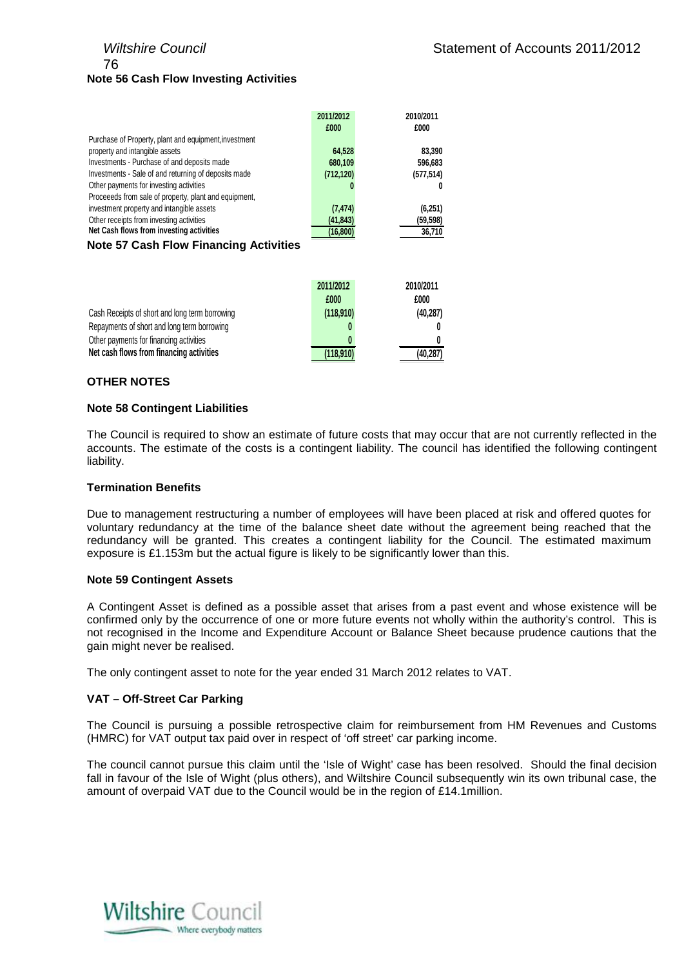# 76 **Note 56 Cash Flow Investing Activities**

|                                                       | <b>2011/2012</b> | <b>ZU1U/ZU11</b> |
|-------------------------------------------------------|------------------|------------------|
|                                                       | £000             | £000             |
| Purchase of Property, plant and equipment, investment |                  |                  |
| property and intangible assets                        | 64,528           | 83.390           |
| Investments - Purchase of and deposits made           | 680,109          | 596,683          |
| Investments - Sale of and returning of deposits made  | (712, 120)       | (577, 514)       |
| Other payments for investing activities               |                  |                  |
| Proceeeds from sale of property, plant and equipment, |                  |                  |
| investment property and intangible assets             | (7, 474)         | (6,251)          |
| Other receipts from investing activities              | (41, 843)        | (59, 598)        |
| Net Cash flows from investing activities              | (16,800)         | 36,710           |
| トリンド・アラブウェット アリンシンアリン こうしょう きょくしきど                    |                  |                  |

#### **Note 57 Cash Flow Financing Activities**

|                                                | 2011/2012 | 2010/2011 |
|------------------------------------------------|-----------|-----------|
|                                                | £000      | £000      |
| Cash Receipts of short and long term borrowing | (118,910) | (40, 287) |
| Repayments of short and long term borrowing    |           |           |
| Other payments for financing activities        |           |           |
| Net cash flows from financing activities       | (118,910) | (40, 287) |

#### **OTHER NOTES**

#### **Note 58 Contingent Liabilities**

The Council is required to show an estimate of future costs that may occur that are not currently reflected in the accounts. The estimate of the costs is a contingent liability. The council has identified the following contingent liability.

#### **Termination Benefits**

Due to management restructuring a number of employees will have been placed at risk and offered quotes for voluntary redundancy at the time of the balance sheet date without the agreement being reached that the redundancy will be granted. This creates a contingent liability for the Council. The estimated maximum exposure is £1.153m but the actual figure is likely to be significantly lower than this.

#### **Note 59 Contingent Assets**

A Contingent Asset is defined as a possible asset that arises from a past event and whose existence will be confirmed only by the occurrence of one or more future events not wholly within the authority's control. This is not recognised in the Income and Expenditure Account or Balance Sheet because prudence cautions that the gain might never be realised.

The only contingent asset to note for the year ended 31 March 2012 relates to VAT.

#### **VAT – Off-Street Car Parking**

The Council is pursuing a possible retrospective claim for reimbursement from HM Revenues and Customs (HMRC) for VAT output tax paid over in respect of 'off street' car parking income.

The council cannot pursue this claim until the 'Isle of Wight' case has been resolved. Should the final decision fall in favour of the Isle of Wight (plus others), and Wiltshire Council subsequently win its own tribunal case, the amount of overpaid VAT due to the Council would be in the region of £14.1million.

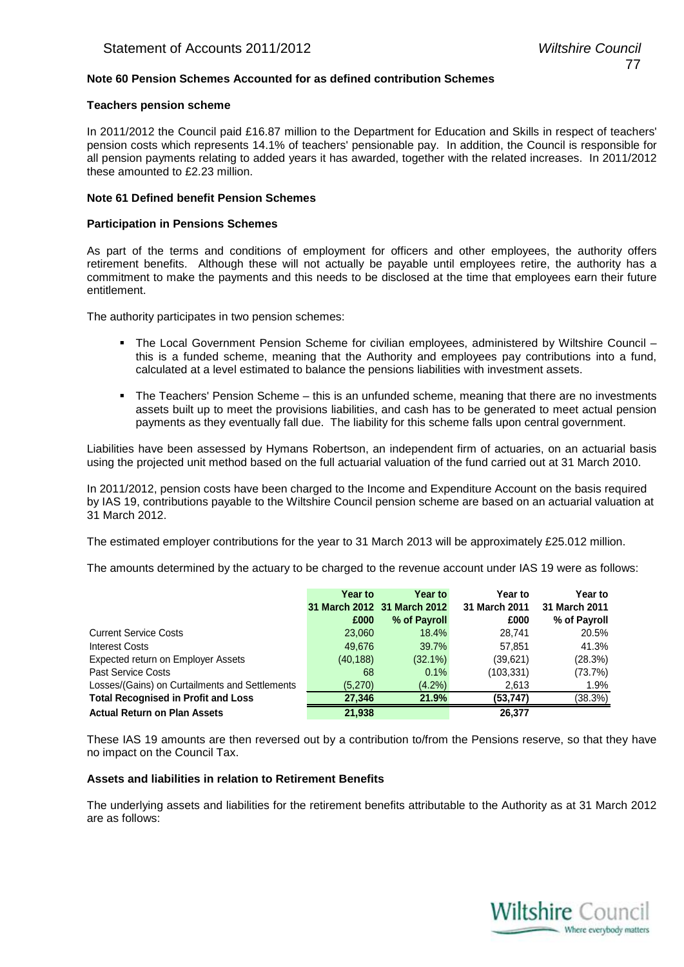#### **Note 60 Pension Schemes Accounted for as defined contribution Schemes**

#### **Teachers pension scheme**

In 2011/2012 the Council paid £16.87 million to the Department for Education and Skills in respect of teachers' pension costs which represents 14.1% of teachers' pensionable pay. In addition, the Council is responsible for all pension payments relating to added years it has awarded, together with the related increases. In 2011/2012 these amounted to £2.23 million.

#### **Note 61 Defined benefit Pension Schemes**

#### **Participation in Pensions Schemes**

As part of the terms and conditions of employment for officers and other employees, the authority offers retirement benefits. Although these will not actually be payable until employees retire, the authority has a commitment to make the payments and this needs to be disclosed at the time that employees earn their future entitlement.

The authority participates in two pension schemes:

- The Local Government Pension Scheme for civilian employees, administered by Wiltshire Council this is a funded scheme, meaning that the Authority and employees pay contributions into a fund, calculated at a level estimated to balance the pensions liabilities with investment assets.
- The Teachers' Pension Scheme this is an unfunded scheme, meaning that there are no investments assets built up to meet the provisions liabilities, and cash has to be generated to meet actual pension payments as they eventually fall due. The liability for this scheme falls upon central government.

Liabilities have been assessed by Hymans Robertson, an independent firm of actuaries, on an actuarial basis using the projected unit method based on the full actuarial valuation of the fund carried out at 31 March 2010.

In 2011/2012, pension costs have been charged to the Income and Expenditure Account on the basis required by IAS 19, contributions payable to the Wiltshire Council pension scheme are based on an actuarial valuation at 31 March 2012.

The estimated employer contributions for the year to 31 March 2013 will be approximately £25.012 million.

The amounts determined by the actuary to be charged to the revenue account under IAS 19 were as follows:

|                                                | Year to   | <b>Year to</b>              | Year to       | Year to       |
|------------------------------------------------|-----------|-----------------------------|---------------|---------------|
|                                                |           | 31 March 2012 31 March 2012 | 31 March 2011 | 31 March 2011 |
|                                                | £000      | % of Payroll                | £000          | % of Payroll  |
| <b>Current Service Costs</b>                   | 23,060    | 18.4%                       | 28.741        | 20.5%         |
| Interest Costs                                 | 49,676    | 39.7%                       | 57,851        | 41.3%         |
| Expected return on Employer Assets             | (40, 188) | $(32.1\%)$                  | (39,621)      | (28.3%)       |
| <b>Past Service Costs</b>                      | 68        | 0.1%                        | (103, 331)    | (73.7%)       |
| Losses/(Gains) on Curtailments and Settlements | (5,270)   | $(4.2\%)$                   | 2,613         | 1.9%          |
| <b>Total Recognised in Profit and Loss</b>     | 27,346    | 21.9%                       | (53, 747)     | (38.3%)       |
| <b>Actual Return on Plan Assets</b>            | 21,938    |                             | 26.377        |               |

These IAS 19 amounts are then reversed out by a contribution to/from the Pensions reserve, so that they have no impact on the Council Tax.

#### **Assets and liabilities in relation to Retirement Benefits**

The underlying assets and liabilities for the retirement benefits attributable to the Authority as at 31 March 2012 are as follows:

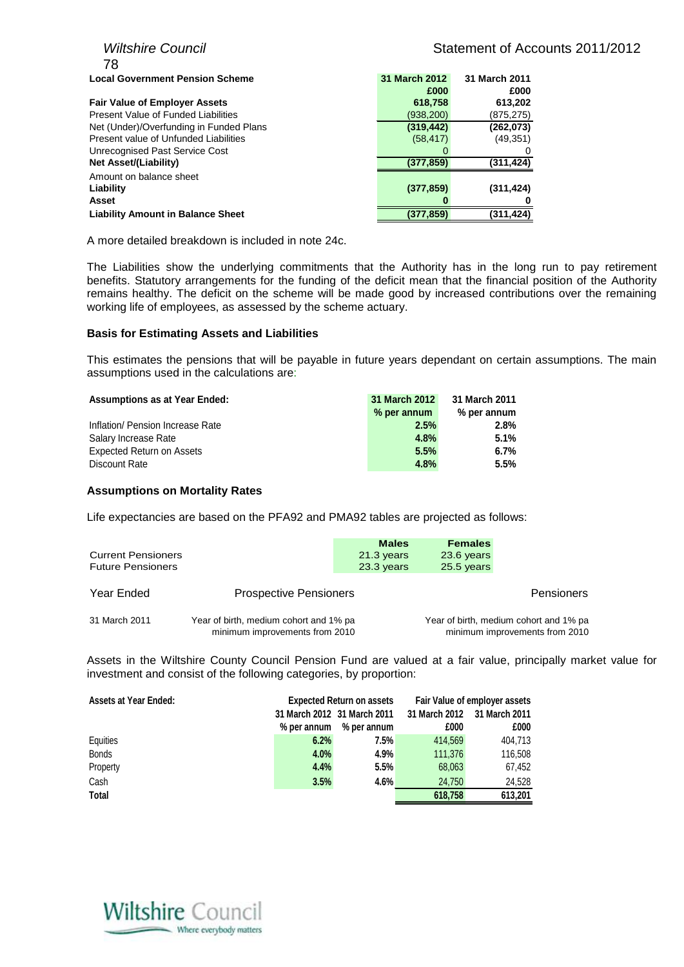| <b>Wiltshire Council</b>                 | Statement of Accounts 2011/2012 |               |  |
|------------------------------------------|---------------------------------|---------------|--|
| 78                                       |                                 |               |  |
| <b>Local Government Pension Scheme</b>   | 31 March 2012                   | 31 March 2011 |  |
|                                          | £000                            | £000          |  |
| <b>Fair Value of Employer Assets</b>     | 618,758                         | 613,202       |  |
| Present Value of Funded Liabilities      | (938, 200)                      | (875,275)     |  |
| Net (Under)/Overfunding in Funded Plans  | (319, 442)                      | (262,073)     |  |
| Present value of Unfunded Liabilities    | (58, 417)                       | (49, 351)     |  |
| Unrecognised Past Service Cost           | $\Omega$                        |               |  |
| <b>Net Asset/(Liability)</b>             | (377, 859)                      | (311,424)     |  |
| Amount on balance sheet                  |                                 |               |  |
| Liability                                | (377, 859)                      | (311, 424)    |  |
| <b>Asset</b>                             |                                 |               |  |
| <b>Liability Amount in Balance Sheet</b> | (377,859)                       | (311, 424)    |  |
|                                          |                                 |               |  |

A more detailed breakdown is included in note 24c.

The Liabilities show the underlying commitments that the Authority has in the long run to pay retirement benefits. Statutory arrangements for the funding of the deficit mean that the financial position of the Authority remains healthy. The deficit on the scheme will be made good by increased contributions over the remaining working life of employees, as assessed by the scheme actuary.

#### **Basis for Estimating Assets and Liabilities**

This estimates the pensions that will be payable in future years dependant on certain assumptions. The main assumptions used in the calculations are:

| <b>Assumptions as at Year Ended:</b> | 31 March 2012 | 31 March 2011 |
|--------------------------------------|---------------|---------------|
|                                      | % per annum   | % per annum   |
| Inflation/ Pension Increase Rate     | 2.5%          | 2.8%          |
| Salary Increase Rate                 | 4.8%          | 5.1%          |
| <b>Expected Return on Assets</b>     | 5.5%          | $6.7\%$       |
| Discount Rate                        | 4.8%          | 5.5%          |

#### **Assumptions on Mortality Rates**

Life expectancies are based on the PFA92 and PMA92 tables are projected as follows:

| <b>Current Pensioners</b><br><b>Future Pensioners</b> |                                                                          | <b>Males</b><br>21.3 years<br>23.3 years | <b>Females</b><br>23.6 years<br>25.5 years |                                                                          |
|-------------------------------------------------------|--------------------------------------------------------------------------|------------------------------------------|--------------------------------------------|--------------------------------------------------------------------------|
| Year Ended                                            | <b>Prospective Pensioners</b>                                            |                                          |                                            | <b>Pensioners</b>                                                        |
| 31 March 2011                                         | Year of birth, medium cohort and 1% pa<br>minimum improvements from 2010 |                                          |                                            | Year of birth, medium cohort and 1% pa<br>minimum improvements from 2010 |

Assets in the Wiltshire County Council Pension Fund are valued at a fair value, principally market value for investment and consist of the following categories, by proportion:

| <b>Assets at Year Ended:</b> |             | <b>Expected Return on assets</b> | Fair Value of employer assets |               |  |  |
|------------------------------|-------------|----------------------------------|-------------------------------|---------------|--|--|
|                              |             | 31 March 2012 31 March 2011      | 31 March 2012                 | 31 March 2011 |  |  |
|                              | % per annum | % per annum                      | £000                          | £000          |  |  |
| Equities                     | 6.2%        | 7.5%                             | 414.569                       | 404.713       |  |  |
| <b>Bonds</b>                 | 4.0%        | 4.9%                             | 111.376                       | 116.508       |  |  |
| Property                     | 4.4%        | 5.5%                             | 68,063                        | 67,452        |  |  |
| Cash                         | 3.5%        | 4.6%                             | 24.750                        | 24.528        |  |  |
| Total                        |             |                                  | 618.758                       | 613,201       |  |  |

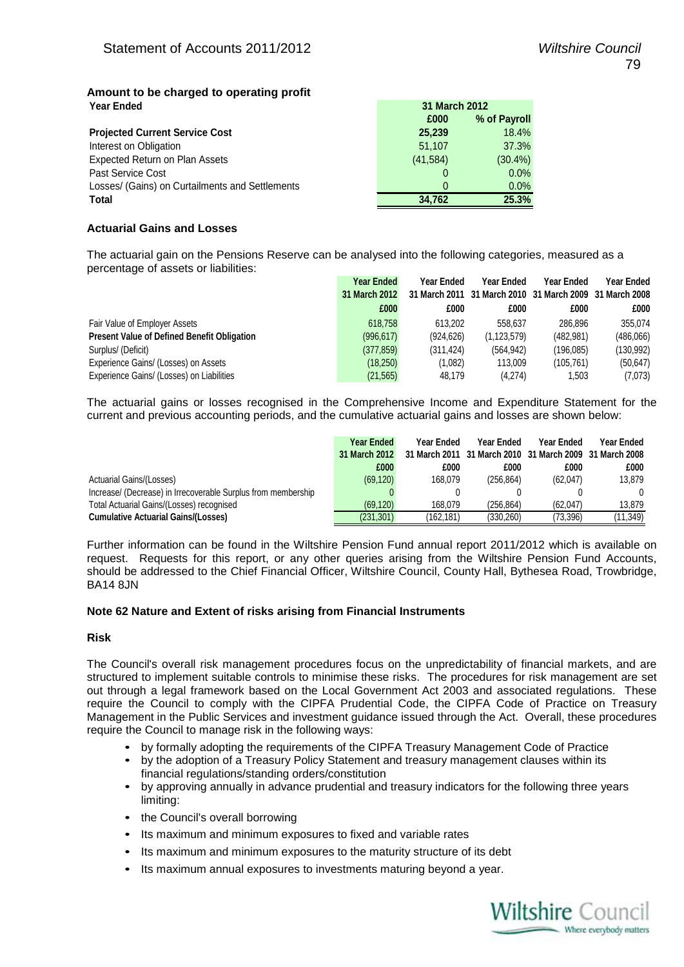#### **Amount to be charged to operating profit Year Ended**

| £000      | % of Payroll |  |  |  |
|-----------|--------------|--|--|--|
| 25,239    | 18.4%        |  |  |  |
| 51.107    | 37.3%        |  |  |  |
| (41, 584) | $(30.4\%)$   |  |  |  |
| 0         | 0.0%         |  |  |  |
| $\Omega$  | 0.0%         |  |  |  |
| 34.762    | 25.3%        |  |  |  |
|           |              |  |  |  |

#### **Actuarial Gains and Losses**

The actuarial gain on the Pensions Reserve can be analysed into the following categories, measured as a percentage of assets or liabilities:

|                                                    | Year Ended    | <b>Year Ended</b> | Year Ended    | Year Ended                                              | Year Ended |
|----------------------------------------------------|---------------|-------------------|---------------|---------------------------------------------------------|------------|
|                                                    | 31 March 2012 |                   |               | 31 March 2011 31 March 2010 31 March 2009 31 March 2008 |            |
|                                                    | £000          | £000              | £000          | £000                                                    | £000       |
| Fair Value of Employer Assets                      | 618.758       | 613.202           | 558.637       | 286.896                                                 | 355,074    |
| <b>Present Value of Defined Benefit Obligation</b> | (996, 617)    | (924, 626)        | (1, 123, 579) | (482, 981)                                              | (486,066)  |
| Surplus/ (Deficit)                                 | (377, 859)    | (311.424)         | (564, 942)    | (196,085)                                               | (130, 992) |
| Experience Gains/ (Losses) on Assets               | (18,250)      | (1,082)           | 113,009       | (105.761)                                               | (50, 647)  |
| Experience Gains/ (Losses) on Liabilities          | (21, 565)     | 48.179            | (4,274)       | 1,503                                                   | (7,073)    |

**31 March 2012**

The actuarial gains or losses recognised in the Comprehensive Income and Expenditure Statement for the current and previous accounting periods, and the cumulative actuarial gains and losses are shown below:

|                                                               | <b>Year Ended</b> | <b>Year Ended</b> | Year Ended | <b>Year Ended</b>                                       | Year Ended |
|---------------------------------------------------------------|-------------------|-------------------|------------|---------------------------------------------------------|------------|
|                                                               | 31 March 2012     |                   |            | 31 March 2011 31 March 2010 31 March 2009 31 March 2008 |            |
|                                                               | £000              | £000              | £000       | £000                                                    | £000       |
| Actuarial Gains/(Losses)                                      | (69, 120)         | 168.079           | (256, 864) | (62,047)                                                | 13.879     |
| Increase/ (Decrease) in Irrecoverable Surplus from membership |                   |                   |            |                                                         |            |
| Total Actuarial Gains/(Losses) recognised                     | (69.120)          | 168.079           | (256.864)  | (62.047)                                                | 13.879     |
| <b>Cumulative Actuarial Gains/(Losses)</b>                    | (231, 301)        | (162,181)         | (330,260)  | (73,396)                                                | (11,349)   |

Further information can be found in the Wiltshire Pension Fund annual report 2011/2012 which is available on request. Requests for this report, or any other queries arising from the Wiltshire Pension Fund Accounts, should be addressed to the Chief Financial Officer, Wiltshire Council, County Hall, Bythesea Road, Trowbridge, BA14 8JN

#### **Note 62 Nature and Extent of risks arising from Financial Instruments**

#### **Risk**

The Council's overall risk management procedures focus on the unpredictability of financial markets, and are structured to implement suitable controls to minimise these risks. The procedures for risk management are set out through a legal framework based on the Local Government Act 2003 and associated regulations. These require the Council to comply with the CIPFA Prudential Code, the CIPFA Code of Practice on Treasury Management in the Public Services and investment guidance issued through the Act. Overall, these procedures require the Council to manage risk in the following ways:

- by formally adopting the requirements of the CIPFA Treasury Management Code of Practice
- by the adoption of a Treasury Policy Statement and treasury management clauses within its financial regulations/standing orders/constitution
- by approving annually in advance prudential and treasury indicators for the following three years limiting:
- the Council's overall borrowing
- Its maximum and minimum exposures to fixed and variable rates
- Its maximum and minimum exposures to the maturity structure of its debt
- Its maximum annual exposures to investments maturing beyond a year.

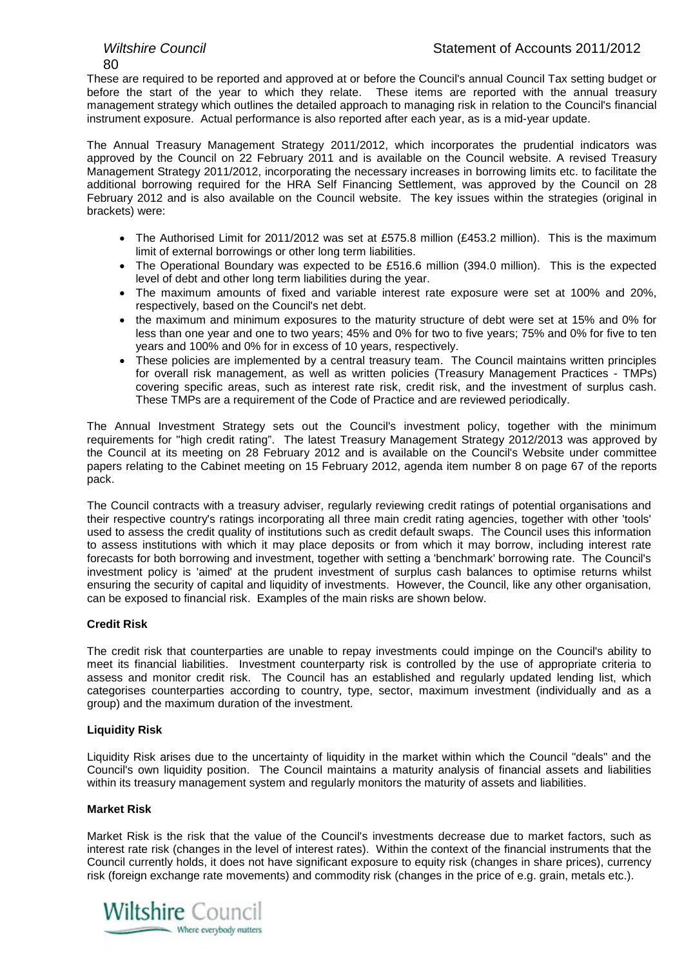80

These are required to be reported and approved at or before the Council's annual Council Tax setting budget or before the start of the year to which they relate. These items are reported with the annual treasury management strategy which outlines the detailed approach to managing risk in relation to the Council's financial instrument exposure. Actual performance is also reported after each year, as is a mid-year update.

The Annual Treasury Management Strategy 2011/2012, which incorporates the prudential indicators was approved by the Council on 22 February 2011 and is available on the Council website. A revised Treasury Management Strategy 2011/2012, incorporating the necessary increases in borrowing limits etc. to facilitate the additional borrowing required for the HRA Self Financing Settlement, was approved by the Council on 28 February 2012 and is also available on the Council website. The key issues within the strategies (original in brackets) were:

- The Authorised Limit for 2011/2012 was set at £575.8 million (£453.2 million). This is the maximum limit of external borrowings or other long term liabilities.
- The Operational Boundary was expected to be £516.6 million (394.0 million). This is the expected level of debt and other long term liabilities during the year.
- The maximum amounts of fixed and variable interest rate exposure were set at 100% and 20%, respectively, based on the Council's net debt.
- the maximum and minimum exposures to the maturity structure of debt were set at 15% and 0% for less than one year and one to two years; 45% and 0% for two to five years; 75% and 0% for five to ten years and 100% and 0% for in excess of 10 years, respectively.
- These policies are implemented by a central treasury team. The Council maintains written principles for overall risk management, as well as written policies (Treasury Management Practices - TMPs) covering specific areas, such as interest rate risk, credit risk, and the investment of surplus cash. These TMPs are a requirement of the Code of Practice and are reviewed periodically.

The Annual Investment Strategy sets out the Council's investment policy, together with the minimum requirements for "high credit rating". The latest Treasury Management Strategy 2012/2013 was approved by the Council at its meeting on 28 February 2012 and is available on the Council's Website under committee papers relating to the Cabinet meeting on 15 February 2012, agenda item number 8 on page 67 of the reports pack.

The Council contracts with a treasury adviser, regularly reviewing credit ratings of potential organisations and their respective country's ratings incorporating all three main credit rating agencies, together with other 'tools' used to assess the credit quality of institutions such as credit default swaps. The Council uses this information to assess institutions with which it may place deposits or from which it may borrow, including interest rate forecasts for both borrowing and investment, together with setting a 'benchmark' borrowing rate. The Council's investment policy is 'aimed' at the prudent investment of surplus cash balances to optimise returns whilst ensuring the security of capital and liquidity of investments. However, the Council, like any other organisation, can be exposed to financial risk. Examples of the main risks are shown below.

## **Credit Risk**

The credit risk that counterparties are unable to repay investments could impinge on the Council's ability to meet its financial liabilities. Investment counterparty risk is controlled by the use of appropriate criteria to assess and monitor credit risk. The Council has an established and regularly updated lending list, which categorises counterparties according to country, type, sector, maximum investment (individually and as a group) and the maximum duration of the investment.

#### **Liquidity Risk**

Liquidity Risk arises due to the uncertainty of liquidity in the market within which the Council "deals" and the Council's own liquidity position. The Council maintains a maturity analysis of financial assets and liabilities within its treasury management system and regularly monitors the maturity of assets and liabilities.

#### **Market Risk**

Market Risk is the risk that the value of the Council's investments decrease due to market factors, such as interest rate risk (changes in the level of interest rates). Within the context of the financial instruments that the Council currently holds, it does not have significant exposure to equity risk (changes in share prices), currency risk (foreign exchange rate movements) and commodity risk (changes in the price of e.g. grain, metals etc.).

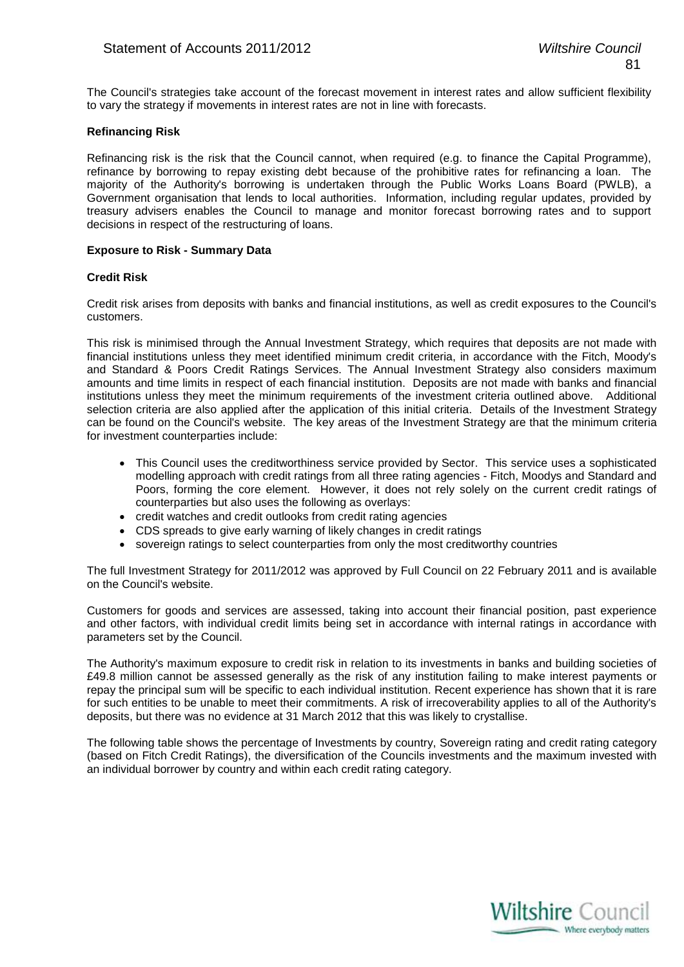The Council's strategies take account of the forecast movement in interest rates and allow sufficient flexibility to vary the strategy if movements in interest rates are not in line with forecasts.

#### **Refinancing Risk**

Refinancing risk is the risk that the Council cannot, when required (e.g. to finance the Capital Programme), refinance by borrowing to repay existing debt because of the prohibitive rates for refinancing a loan. The majority of the Authority's borrowing is undertaken through the Public Works Loans Board (PWLB), a Government organisation that lends to local authorities. Information, including regular updates, provided by treasury advisers enables the Council to manage and monitor forecast borrowing rates and to support decisions in respect of the restructuring of loans.

#### **Exposure to Risk - Summary Data**

#### **Credit Risk**

Credit risk arises from deposits with banks and financial institutions, as well as credit exposures to the Council's customers.

This risk is minimised through the Annual Investment Strategy, which requires that deposits are not made with financial institutions unless they meet identified minimum credit criteria, in accordance with the Fitch, Moody's and Standard & Poors Credit Ratings Services. The Annual Investment Strategy also considers maximum amounts and time limits in respect of each financial institution. Deposits are not made with banks and financial institutions unless they meet the minimum requirements of the investment criteria outlined above. Additional selection criteria are also applied after the application of this initial criteria. Details of the Investment Strategy can be found on the Council's website. The key areas of the Investment Strategy are that the minimum criteria for investment counterparties include:

- This Council uses the creditworthiness service provided by Sector. This service uses a sophisticated modelling approach with credit ratings from all three rating agencies - Fitch, Moodys and Standard and Poors, forming the core element. However, it does not rely solely on the current credit ratings of counterparties but also uses the following as overlays:
- credit watches and credit outlooks from credit rating agencies
- CDS spreads to give early warning of likely changes in credit ratings
- sovereign ratings to select counterparties from only the most creditworthy countries

The full Investment Strategy for 2011/2012 was approved by Full Council on 22 February 2011 and is available on the Council's website.

Customers for goods and services are assessed, taking into account their financial position, past experience and other factors, with individual credit limits being set in accordance with internal ratings in accordance with parameters set by the Council.

The Authority's maximum exposure to credit risk in relation to its investments in banks and building societies of £49.8 million cannot be assessed generally as the risk of any institution failing to make interest payments or repay the principal sum will be specific to each individual institution. Recent experience has shown that it is rare for such entities to be unable to meet their commitments. A risk of irrecoverability applies to all of the Authority's deposits, but there was no evidence at 31 March 2012 that this was likely to crystallise.

The following table shows the percentage of Investments by country, Sovereign rating and credit rating category (based on Fitch Credit Ratings), the diversification of the Councils investments and the maximum invested with an individual borrower by country and within each credit rating category.

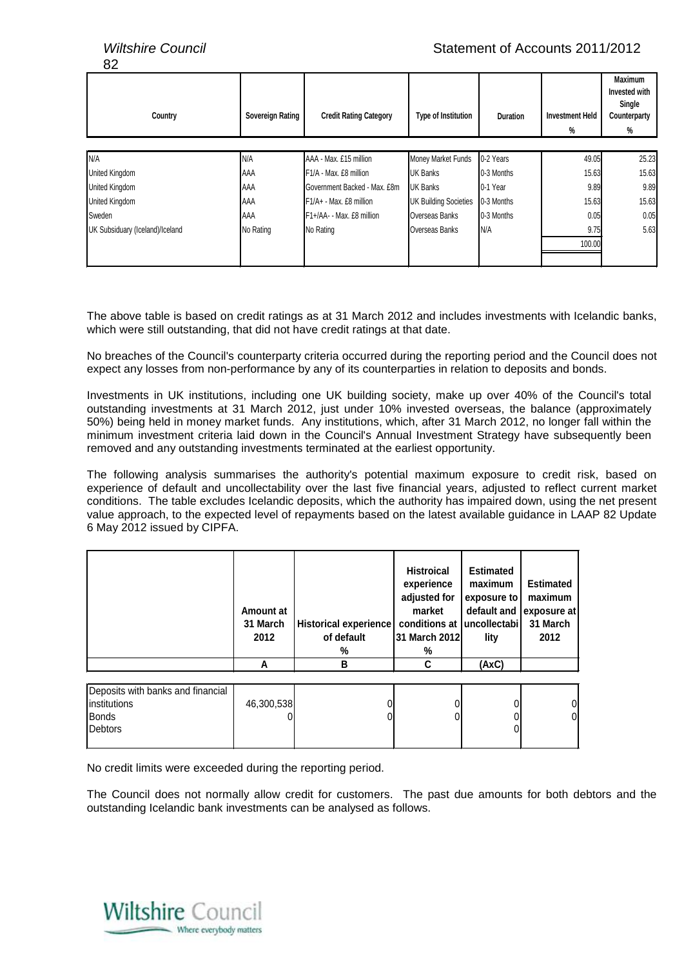*Wiltshire Council* Statement of Accounts 2011/2012

| Country                         | Sovereign Rating | <b>Credit Rating Category</b>       | <b>Type of Institution</b>   | <b>Duration</b> | <b>Investment Held</b> | <b>Maximum</b><br>Invested with<br>Single<br>Counterparty |
|---------------------------------|------------------|-------------------------------------|------------------------------|-----------------|------------------------|-----------------------------------------------------------|
|                                 |                  |                                     |                              |                 | %                      | %                                                         |
| N/A                             | N/A              | AAA - Max. £15 million              | Money Market Funds           | 0-2 Years       | 49.05                  | 25.23                                                     |
| United Kingdom                  | AAA              | F <sub>1</sub> /A - Max. £8 million | <b>UK Banks</b>              | 0-3 Months      | 15.63                  | 15.63                                                     |
| United Kingdom                  | AAA              | Government Backed - Max. £8m        | <b>UK Banks</b>              | 0-1 Year        | 9.89                   | 9.89                                                      |
| United Kingdom                  | <b>AAA</b>       | $F1/A + - Max.$ £8 million          | <b>UK Building Societies</b> | 0-3 Months      | 15.63                  | 15.63                                                     |
| Sweden                          | AAA              | F1+/AA- - Max. £8 million           | Overseas Banks               | 0-3 Months      | 0.05                   | 0.05                                                      |
| UK Subsiduary (Iceland)/Iceland | No Rating        | No Rating                           | Overseas Banks               | N/A             | 9.75                   | 5.63                                                      |
|                                 |                  |                                     |                              |                 | 100.00                 |                                                           |
|                                 |                  |                                     |                              |                 |                        |                                                           |

The above table is based on credit ratings as at 31 March 2012 and includes investments with Icelandic banks, which were still outstanding, that did not have credit ratings at that date.

No breaches of the Council's counterparty criteria occurred during the reporting period and the Council does not expect any losses from non-performance by any of its counterparties in relation to deposits and bonds.

Investments in UK institutions, including one UK building society, make up over 40% of the Council's total outstanding investments at 31 March 2012, just under 10% invested overseas, the balance (approximately 50%) being held in money market funds. Any institutions, which, after 31 March 2012, no longer fall within the minimum investment criteria laid down in the Council's Annual Investment Strategy have subsequently been removed and any outstanding investments terminated at the earliest opportunity.

The following analysis summarises the authority's potential maximum exposure to credit risk, based on experience of default and uncollectability over the last five financial years, adjusted to reflect current market conditions. The table excludes Icelandic deposits, which the authority has impaired down, using the net present value approach, to the expected level of repayments based on the latest available guidance in LAAP 82 Update 6 May 2012 issued by CIPFA.

|                                                                        | Amount at<br>31 March<br>2012 | <b>Historical experience</b><br>of default<br>% | <b>Histroical</b><br>experience<br>adjusted for<br>market<br>conditions at luncollectabil<br>31 March 2012<br>% | <b>Estimated</b><br>maximum<br>exposure to<br>default and<br>lity | <b>Estimated</b><br>maximum<br>exposure at<br>31 March<br>2012 |
|------------------------------------------------------------------------|-------------------------------|-------------------------------------------------|-----------------------------------------------------------------------------------------------------------------|-------------------------------------------------------------------|----------------------------------------------------------------|
|                                                                        | A                             | в                                               | C                                                                                                               | (AxC)                                                             |                                                                |
| Deposits with banks and financial<br>Iinstitutions<br>Bonds<br>Debtors | 46,300,538                    |                                                 |                                                                                                                 |                                                                   | 01                                                             |

No credit limits were exceeded during the reporting period.

The Council does not normally allow credit for customers. The past due amounts for both debtors and the outstanding Icelandic bank investments can be analysed as follows.

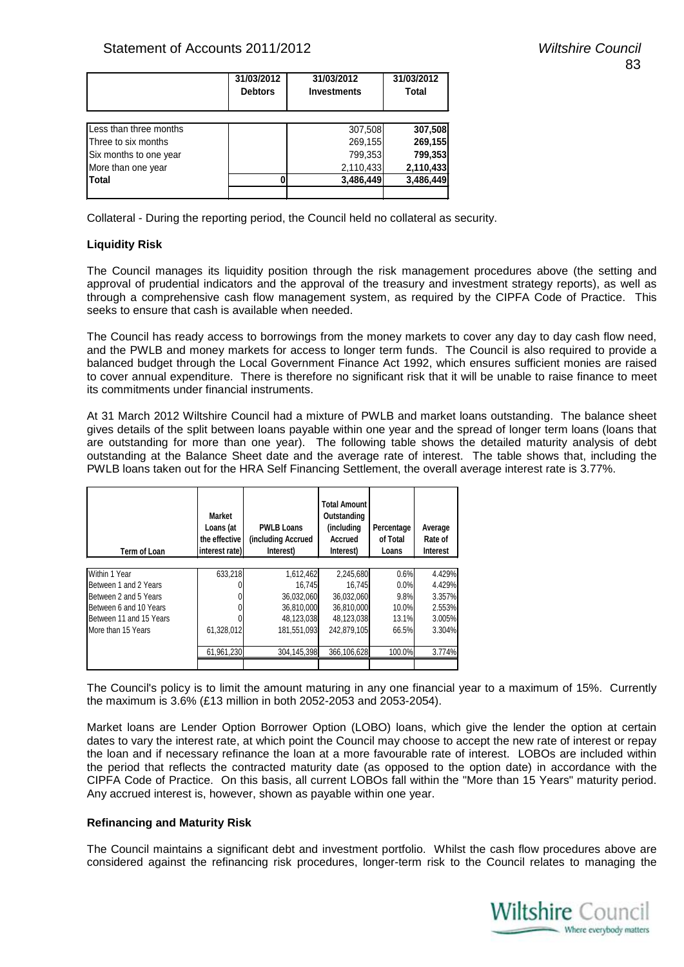|                        | 31/03/2012<br><b>Debtors</b> | 31/03/2012<br><b>Investments</b> | 31/03/2012<br>Total |
|------------------------|------------------------------|----------------------------------|---------------------|
| Less than three months |                              | 307,508                          | 307,508             |
| Three to six months    |                              | 269,155                          | 269,155             |
| Six months to one year |                              | 799,353                          | 799,353             |
| More than one year     |                              | 2,110,433                        | 2,110,433           |
| <b>Total</b>           |                              | 3,486,449                        | 3,486,449           |
|                        |                              |                                  |                     |

Collateral - During the reporting period, the Council held no collateral as security.

#### **Liquidity Risk**

The Council manages its liquidity position through the risk management procedures above (the setting and approval of prudential indicators and the approval of the treasury and investment strategy reports), as well as through a comprehensive cash flow management system, as required by the CIPFA Code of Practice. This seeks to ensure that cash is available when needed.

The Council has ready access to borrowings from the money markets to cover any day to day cash flow need, and the PWLB and money markets for access to longer term funds. The Council is also required to provide a balanced budget through the Local Government Finance Act 1992, which ensures sufficient monies are raised to cover annual expenditure. There is therefore no significant risk that it will be unable to raise finance to meet its commitments under financial instruments.

At 31 March 2012 Wiltshire Council had a mixture of PWLB and market loans outstanding. The balance sheet gives details of the split between loans payable within one year and the spread of longer term loans (loans that are outstanding for more than one year). The following table shows the detailed maturity analysis of debt outstanding at the Balance Sheet date and the average rate of interest. The table shows that, including the PWLB loans taken out for the HRA Self Financing Settlement, the overall average interest rate is 3.77%.

| Term of Loan            | <b>Market</b><br>Loans (at<br>the effective<br>interest rate) | <b>PWLB Loans</b><br>(including Accrued<br>Interest) | <b>Total Amount</b><br>Outstanding<br>(including<br>Accrued<br>Interest) | Percentage<br>of Total<br>Loans | Average<br>Rate of<br><b>Interest</b> |
|-------------------------|---------------------------------------------------------------|------------------------------------------------------|--------------------------------------------------------------------------|---------------------------------|---------------------------------------|
| Within 1 Year           | 633,218                                                       | 1,612,462                                            | 2,245,680                                                                | 0.6%                            | 4.429%                                |
| Between 1 and 2 Years   |                                                               | 16.745                                               | 16.745                                                                   | 0.0%                            | 4.429%                                |
| Between 2 and 5 Years   |                                                               | 36,032,060                                           | 36,032,060                                                               | 9.8%                            | 3.357%                                |
| Between 6 and 10 Years  |                                                               | 36,810,000                                           | 36.810.000                                                               | 10.0%                           | 2.553%                                |
| Between 11 and 15 Years |                                                               | 48,123,038                                           | 48.123.038                                                               | 13.1%                           | 3.005%                                |
| More than 15 Years      | 61,328,012                                                    | 181,551,093                                          | 242.879.105                                                              | 66.5%                           | 3.304%                                |
|                         |                                                               |                                                      |                                                                          |                                 |                                       |
|                         | 61.961.230                                                    | 304.145.398                                          | 366.106.628                                                              | 100.0%                          | 3.774%                                |
|                         |                                                               |                                                      |                                                                          |                                 |                                       |

The Council's policy is to limit the amount maturing in any one financial year to a maximum of 15%. Currently the maximum is 3.6% (£13 million in both 2052-2053 and 2053-2054).

Market loans are Lender Option Borrower Option (LOBO) loans, which give the lender the option at certain dates to vary the interest rate, at which point the Council may choose to accept the new rate of interest or repay the loan and if necessary refinance the loan at a more favourable rate of interest. LOBOs are included within the period that reflects the contracted maturity date (as opposed to the option date) in accordance with the CIPFA Code of Practice. On this basis, all current LOBOs fall within the "More than 15 Years" maturity period. Any accrued interest is, however, shown as payable within one year.

#### **Refinancing and Maturity Risk**

The Council maintains a significant debt and investment portfolio. Whilst the cash flow procedures above are considered against the refinancing risk procedures, longer-term risk to the Council relates to managing the

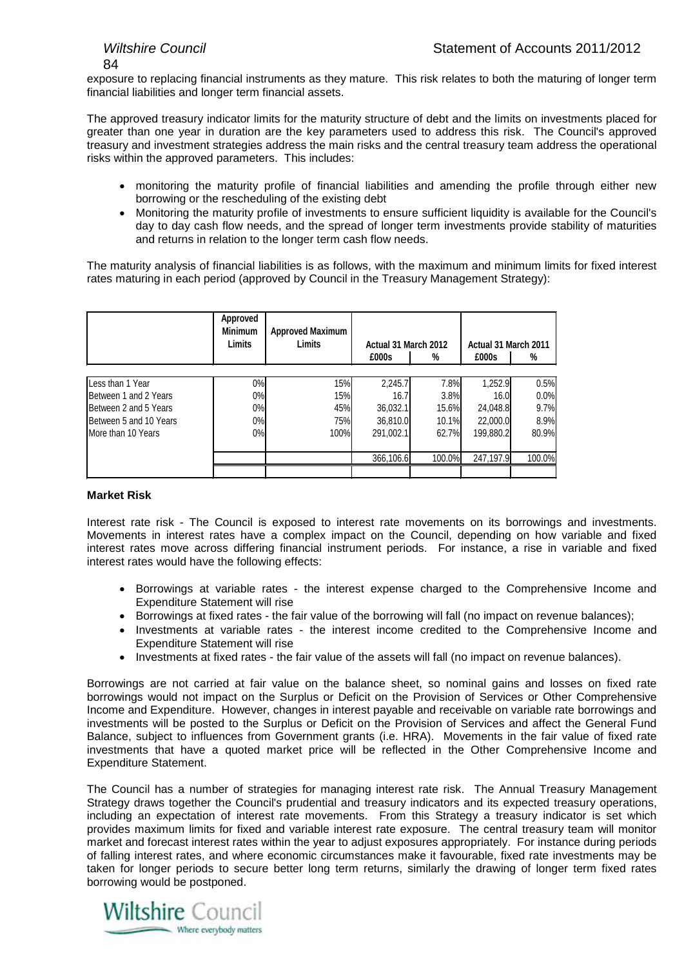$\mathsf{R}$ 

exposure to replacing financial instruments as they mature. This risk relates to both the maturing of longer term financial liabilities and longer term financial assets.

The approved treasury indicator limits for the maturity structure of debt and the limits on investments placed for greater than one year in duration are the key parameters used to address this risk. The Council's approved treasury and investment strategies address the main risks and the central treasury team address the operational risks within the approved parameters. This includes:

- monitoring the maturity profile of financial liabilities and amending the profile through either new borrowing or the rescheduling of the existing debt
- Monitoring the maturity profile of investments to ensure sufficient liquidity is available for the Council's day to day cash flow needs, and the spread of longer term investments provide stability of maturities and returns in relation to the longer term cash flow needs.

The maturity analysis of financial liabilities is as follows, with the maximum and minimum limits for fixed interest rates maturing in each period (approved by Council in the Treasury Management Strategy):

|                               | Approved<br><b>Minimum</b><br><b>Limits</b> | <b>Approved Maximum</b><br><b>Limits</b> | Actual 31 March 2012 |        | Actual 31 March 2011 |        |
|-------------------------------|---------------------------------------------|------------------------------------------|----------------------|--------|----------------------|--------|
|                               |                                             |                                          | £000s                | %      | £000s                | %      |
|                               |                                             |                                          |                      |        |                      |        |
| Less than 1 Year              | 0%                                          | 15%                                      | 2,245.7              | 7.8%   | 1,252.9              | 0.5%   |
| <b>IBetween 1 and 2 Years</b> | 0%                                          | 15%                                      | 16.7                 | 3.8%   | 16.0                 | 0.0%   |
| Between 2 and 5 Years         | 0%                                          | 45%                                      | 36.032.1             | 15.6%  | 24.048.8             | 9.7%   |
| Between 5 and 10 Years        | 0%                                          | 75%                                      | 36.810.0             | 10.1%  | 22,000.0             | 8.9%   |
| More than 10 Years            | 0%                                          | 100%                                     | 291,002.1            | 62.7%  | 199,880.2            | 80.9%  |
|                               |                                             |                                          |                      |        |                      |        |
|                               |                                             |                                          | 366,106.6            | 100.0% | 247.197.9            | 100.0% |
|                               |                                             |                                          |                      |        |                      |        |

#### **Market Risk**

Interest rate risk - The Council is exposed to interest rate movements on its borrowings and investments. Movements in interest rates have a complex impact on the Council, depending on how variable and fixed interest rates move across differing financial instrument periods. For instance, a rise in variable and fixed interest rates would have the following effects:

- Borrowings at variable rates the interest expense charged to the Comprehensive Income and Expenditure Statement will rise
- Borrowings at fixed rates the fair value of the borrowing will fall (no impact on revenue balances);
- Investments at variable rates the interest income credited to the Comprehensive Income and Expenditure Statement will rise
- Investments at fixed rates the fair value of the assets will fall (no impact on revenue balances).

Borrowings are not carried at fair value on the balance sheet, so nominal gains and losses on fixed rate borrowings would not impact on the Surplus or Deficit on the Provision of Services or Other Comprehensive Income and Expenditure. However, changes in interest payable and receivable on variable rate borrowings and investments will be posted to the Surplus or Deficit on the Provision of Services and affect the General Fund Balance, subject to influences from Government grants (i.e. HRA). Movements in the fair value of fixed rate investments that have a quoted market price will be reflected in the Other Comprehensive Income and Expenditure Statement.

The Council has a number of strategies for managing interest rate risk. The Annual Treasury Management Strategy draws together the Council's prudential and treasury indicators and its expected treasury operations, including an expectation of interest rate movements. From this Strategy a treasury indicator is set which provides maximum limits for fixed and variable interest rate exposure. The central treasury team will monitor market and forecast interest rates within the year to adjust exposures appropriately. For instance during periods of falling interest rates, and where economic circumstances make it favourable, fixed rate investments may be taken for longer periods to secure better long term returns, similarly the drawing of longer term fixed rates borrowing would be postponed.

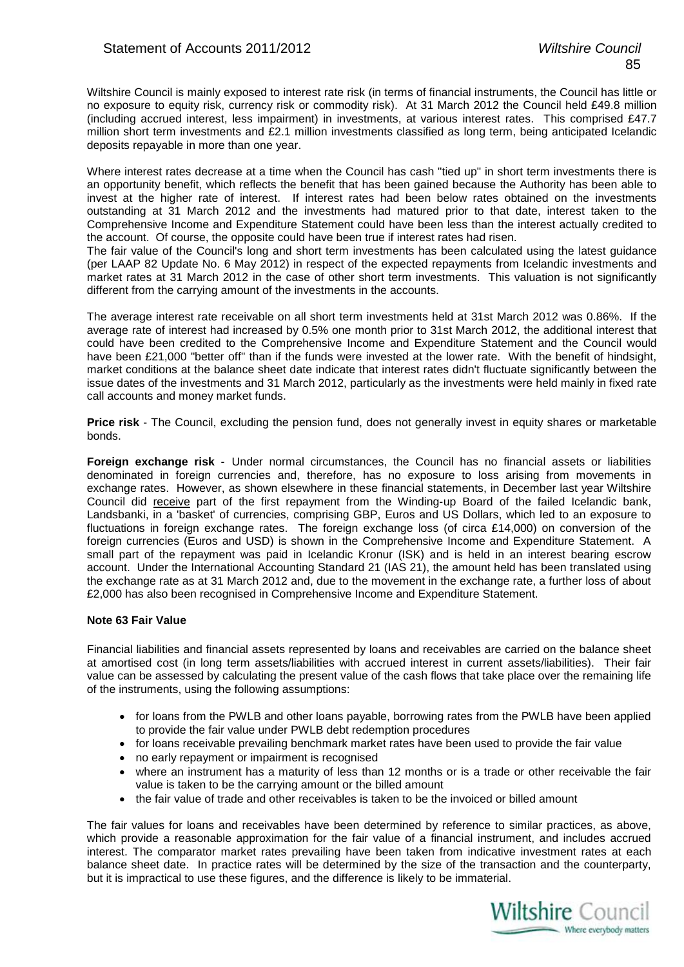Wiltshire Council is mainly exposed to interest rate risk (in terms of financial instruments, the Council has little or no exposure to equity risk, currency risk or commodity risk). At 31 March 2012 the Council held £49.8 million (including accrued interest, less impairment) in investments, at various interest rates. This comprised £47.7 million short term investments and £2.1 million investments classified as long term, being anticipated Icelandic deposits repayable in more than one year.

Where interest rates decrease at a time when the Council has cash "tied up" in short term investments there is an opportunity benefit, which reflects the benefit that has been gained because the Authority has been able to invest at the higher rate of interest. If interest rates had been below rates obtained on the investments outstanding at 31 March 2012 and the investments had matured prior to that date, interest taken to the Comprehensive Income and Expenditure Statement could have been less than the interest actually credited to the account. Of course, the opposite could have been true if interest rates had risen.

The fair value of the Council's long and short term investments has been calculated using the latest guidance (per LAAP 82 Update No. 6 May 2012) in respect of the expected repayments from Icelandic investments and market rates at 31 March 2012 in the case of other short term investments. This valuation is not significantly different from the carrying amount of the investments in the accounts.

The average interest rate receivable on all short term investments held at 31st March 2012 was 0.86%. If the average rate of interest had increased by 0.5% one month prior to 31st March 2012, the additional interest that could have been credited to the Comprehensive Income and Expenditure Statement and the Council would have been £21,000 "better off" than if the funds were invested at the lower rate. With the benefit of hindsight, market conditions at the balance sheet date indicate that interest rates didn't fluctuate significantly between the issue dates of the investments and 31 March 2012, particularly as the investments were held mainly in fixed rate call accounts and money market funds.

**Price risk** - The Council, excluding the pension fund, does not generally invest in equity shares or marketable bonds.

**Foreign exchange risk** - Under normal circumstances, the Council has no financial assets or liabilities denominated in foreign currencies and, therefore, has no exposure to loss arising from movements in exchange rates. However, as shown elsewhere in these financial statements, in December last year Wiltshire Council did receive part of the first repayment from the Winding-up Board of the failed Icelandic bank, Landsbanki, in a 'basket' of currencies, comprising GBP, Euros and US Dollars, which led to an exposure to fluctuations in foreign exchange rates. The foreign exchange loss (of circa £14,000) on conversion of the foreign currencies (Euros and USD) is shown in the Comprehensive Income and Expenditure Statement. A small part of the repayment was paid in Icelandic Kronur (ISK) and is held in an interest bearing escrow account. Under the International Accounting Standard 21 (IAS 21), the amount held has been translated using the exchange rate as at 31 March 2012 and, due to the movement in the exchange rate, a further loss of about £2,000 has also been recognised in Comprehensive Income and Expenditure Statement.

#### **Note 63 Fair Value**

Financial liabilities and financial assets represented by loans and receivables are carried on the balance sheet at amortised cost (in long term assets/liabilities with accrued interest in current assets/liabilities). Their fair value can be assessed by calculating the present value of the cash flows that take place over the remaining life of the instruments, using the following assumptions:

- for loans from the PWLB and other loans payable, borrowing rates from the PWLB have been applied to provide the fair value under PWLB debt redemption procedures
- for loans receivable prevailing benchmark market rates have been used to provide the fair value
- no early repayment or impairment is recognised
- where an instrument has a maturity of less than 12 months or is a trade or other receivable the fair value is taken to be the carrying amount or the billed amount
- the fair value of trade and other receivables is taken to be the invoiced or billed amount

The fair values for loans and receivables have been determined by reference to similar practices, as above, which provide a reasonable approximation for the fair value of a financial instrument, and includes accrued interest. The comparator market rates prevailing have been taken from indicative investment rates at each balance sheet date. In practice rates will be determined by the size of the transaction and the counterparty, but it is impractical to use these figures, and the difference is likely to be immaterial.

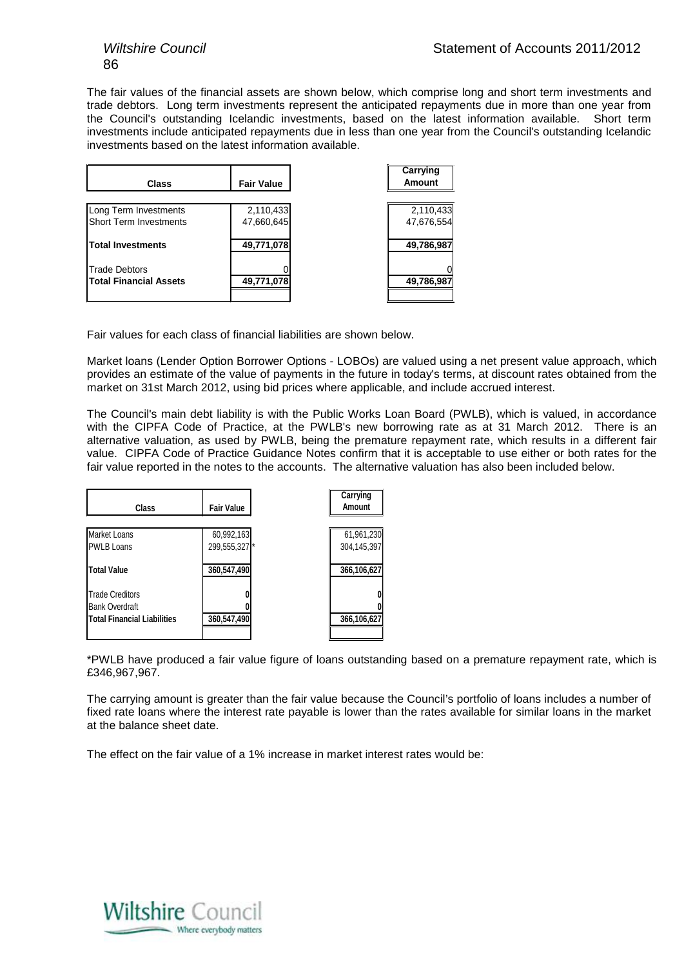The fair values of the financial assets are shown below, which comprise long and short term investments and trade debtors. Long term investments represent the anticipated repayments due in more than one year from the Council's outstanding Icelandic investments, based on the latest information available. Short term investments include anticipated repayments due in less than one year from the Council's outstanding Icelandic investments based on the latest information available.

| <b>Class</b>                  | <b>Fair Value</b> | Carrying<br><b>Amount</b> |
|-------------------------------|-------------------|---------------------------|
|                               |                   |                           |
| Long Term Investments         | 2,110,433         | 2,110,433                 |
| <b>Short Term Investments</b> | 47,660,645        | 47,676,554                |
| <b>Total Investments</b>      | 49,771,078        | 49,786,987                |
| <b>Trade Debtors</b>          |                   | O                         |
| <b>Total Financial Assets</b> | 49,771,078        | 49,786,987                |
|                               |                   |                           |

Fair values for each class of financial liabilities are shown below.

Market loans (Lender Option Borrower Options - LOBOs) are valued using a net present value approach, which provides an estimate of the value of payments in the future in today's terms, at discount rates obtained from the market on 31st March 2012, using bid prices where applicable, and include accrued interest.

The Council's main debt liability is with the Public Works Loan Board (PWLB), which is valued, in accordance with the CIPFA Code of Practice, at the PWLB's new borrowing rate as at 31 March 2012. There is an alternative valuation, as used by PWLB, being the premature repayment rate, which results in a different fair value. CIPFA Code of Practice Guidance Notes confirm that it is acceptable to use either or both rates for the fair value reported in the notes to the accounts. The alternative valuation has also been included below.

| Class                              | <b>Fair Value</b> | Carrying<br>Amount |
|------------------------------------|-------------------|--------------------|
| <b>Market Loans</b>                | 60,992,163        | 61,961,230         |
| <b>PWLB Loans</b>                  | 299,555,327 *     | 304,145,397        |
| <b>Total Value</b>                 | 360,547,490       | 366,106,627        |
| <b>Trade Creditors</b>             |                   |                    |
| <b>Bank Overdraft</b>              |                   |                    |
| <b>Total Financial Liabilities</b> | 360,547,490       | 366,106,627        |
|                                    |                   |                    |

\*PWLB have produced a fair value figure of loans outstanding based on a premature repayment rate, which is £346,967,967.

The carrying amount is greater than the fair value because the Council's portfolio of loans includes a number of fixed rate loans where the interest rate payable is lower than the rates available for similar loans in the market at the balance sheet date.

The effect on the fair value of a 1% increase in market interest rates would be:

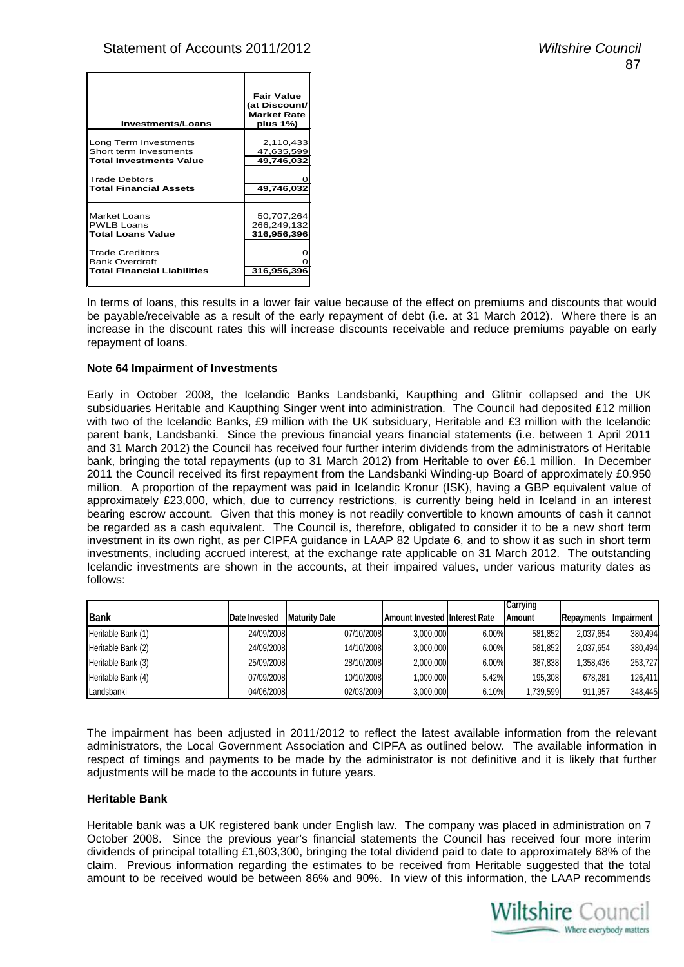| <b>Investments/Loans</b>                                                                                                                                      | <b>Fair Value</b><br>(at Discount/<br><b>Market Rate</b><br>plus 1%) |
|---------------------------------------------------------------------------------------------------------------------------------------------------------------|----------------------------------------------------------------------|
| Long Term Investments<br>Short term Investments<br><b>Total Investments Value</b><br><b>Trade Debtors</b><br><b>Total Financial Assets</b>                    | 2,110,433<br>47,635,599<br>49,746,032<br>49,746,032                  |
| <b>Market Loans</b><br><b>PWLB Loans</b><br><b>Total Loans Value</b><br><b>Trade Creditors</b><br><b>Bank Overdraft</b><br><b>Total Financial Liabilities</b> | 50,707,264<br>266,249,132<br>316,956,396<br>316,956,396              |

In terms of loans, this results in a lower fair value because of the effect on premiums and discounts that would be payable/receivable as a result of the early repayment of debt (i.e. at 31 March 2012). Where there is an increase in the discount rates this will increase discounts receivable and reduce premiums payable on early repayment of loans.

#### **Note 64 Impairment of Investments**

Early in October 2008, the Icelandic Banks Landsbanki, Kaupthing and Glitnir collapsed and the UK subsiduaries Heritable and Kaupthing Singer went into administration. The Council had deposited £12 million with two of the Icelandic Banks, £9 million with the UK subsiduary, Heritable and £3 million with the Icelandic parent bank, Landsbanki. Since the previous financial years financial statements (i.e. between 1 April 2011 and 31 March 2012) the Council has received four further interim dividends from the administrators of Heritable bank, bringing the total repayments (up to 31 March 2012) from Heritable to over £6.1 million. In December 2011 the Council received its first repayment from the Landsbanki Winding-up Board of approximately £0.950 million. A proportion of the repayment was paid in Icelandic Kronur (ISK), having a GBP equivalent value of approximately £23,000, which, due to currency restrictions, is currently being held in Iceland in an interest bearing escrow account. Given that this money is not readily convertible to known amounts of cash it cannot be regarded as a cash equivalent. The Council is, therefore, obligated to consider it to be a new short term investment in its own right, as per CIPFA guidance in LAAP 82 Update 6, and to show it as such in short term investments, including accrued interest, at the exchange rate applicable on 31 March 2012. The outstanding Icelandic investments are shown in the accounts, at their impaired values, under various maturity dates as follows:

|                    |               |                       |                                       |       | <b>Carrying</b> |            |                    |
|--------------------|---------------|-----------------------|---------------------------------------|-------|-----------------|------------|--------------------|
| <b>Bank</b>        | Date Invested | <b>IMaturity Date</b> | <b>Amount Invested IInterest Rate</b> |       | <b>Amount</b>   | Repayments | <b>Ilmpairment</b> |
| Heritable Bank (1) | 24/09/2008    | 07/10/2008            | 3,000,000                             | 6.00% | 581,852         | 2.037.654  | 380,494            |
| Heritable Bank (2) | 24/09/2008    | 14/10/2008            | 3,000,000                             | 6.00% | 581,852         | 2.037.654  | 380,494            |
| Heritable Bank (3) | 25/09/2008    | 28/10/2008            | 2,000,000                             | 6.00% | 387,838         | .358.436   | 253,727            |
| Heritable Bank (4) | 07/09/2008    | 10/10/2008            | 1,000,000                             | 5.42% | 195,308         | 678.281    | 126,411            |
| Landsbanki         | 04/06/2008    | 02/03/2009            | 3,000,000                             | 6.10% | ,739,599        | 911.957    | 348,445            |

The impairment has been adjusted in 2011/2012 to reflect the latest available information from the relevant administrators, the Local Government Association and CIPFA as outlined below. The available information in respect of timings and payments to be made by the administrator is not definitive and it is likely that further adjustments will be made to the accounts in future years.

#### **Heritable Bank**

Heritable bank was a UK registered bank under English law. The company was placed in administration on 7 October 2008. Since the previous year's financial statements the Council has received four more interim dividends of principal totalling £1,603,300, bringing the total dividend paid to date to approximately 68% of the claim. Previous information regarding the estimates to be received from Heritable suggested that the total amount to be received would be between 86% and 90%. In view of this information, the LAAP recommends

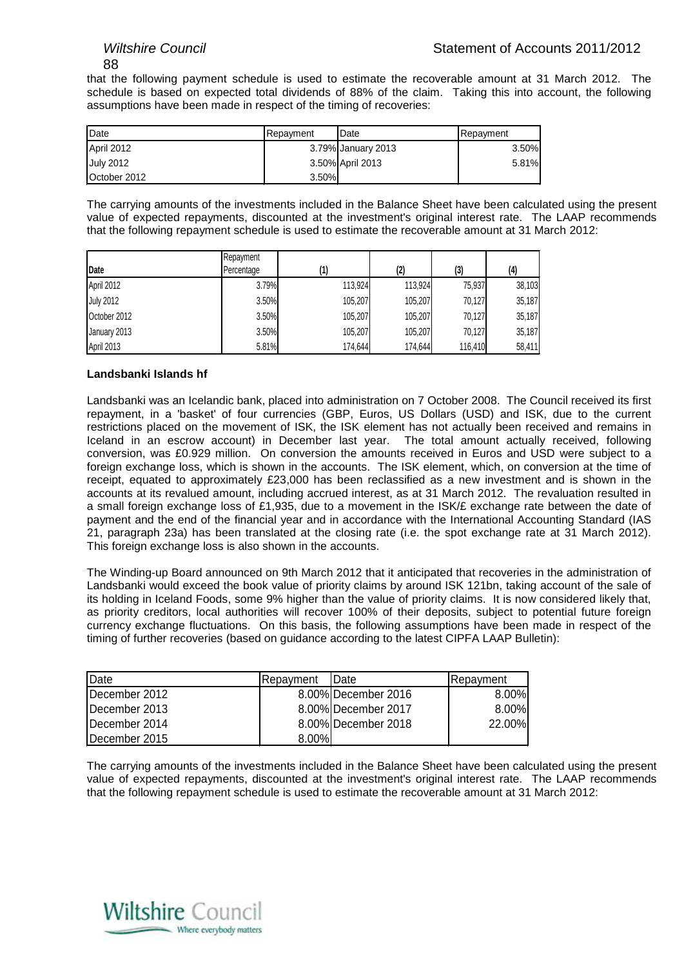88

that the following payment schedule is used to estimate the recoverable amount at 31 March 2012. The schedule is based on expected total dividends of 88% of the claim. Taking this into account, the following assumptions have been made in respect of the timing of recoveries:

| Date             | Repayment | <b>I</b> Date      | Repayment |
|------------------|-----------|--------------------|-----------|
| April 2012       |           | 3.79% January 2013 | $3.50\%$  |
| <b>July 2012</b> |           | 3.50% April 2013   | 5.81%     |
| October 2012     | 3.50%     |                    |           |

The carrying amounts of the investments included in the Balance Sheet have been calculated using the present value of expected repayments, discounted at the investment's original interest rate. The LAAP recommends that the following repayment schedule is used to estimate the recoverable amount at 31 March 2012:

| Date             | Repayment<br>Percentage |         | (2)     | (3)     | (4)    |
|------------------|-------------------------|---------|---------|---------|--------|
| April 2012       | 3.79%                   | 113,924 | 113.924 | 75.937  | 38,103 |
| <b>July 2012</b> | 3.50%                   | 105,207 | 105.207 | 70.127  | 35,187 |
| October 2012     | 3.50%                   | 105,207 | 105,207 | 70.127  | 35,187 |
| January 2013     | 3.50%                   | 105,207 | 105.207 | 70.127  | 35,187 |
| April 2013       | 5.81%                   | 174,644 | 174,644 | 116,410 | 58,411 |

#### **Landsbanki Islands hf**

Landsbanki was an Icelandic bank, placed into administration on 7 October 2008. The Council received its first repayment, in a 'basket' of four currencies (GBP, Euros, US Dollars (USD) and ISK, due to the current restrictions placed on the movement of ISK, the ISK element has not actually been received and remains in Iceland in an escrow account) in December last year. The total amount actually received, following conversion, was £0.929 million. On conversion the amounts received in Euros and USD were subject to a foreign exchange loss, which is shown in the accounts. The ISK element, which, on conversion at the time of receipt, equated to approximately £23,000 has been reclassified as a new investment and is shown in the accounts at its revalued amount, including accrued interest, as at 31 March 2012. The revaluation resulted in a small foreign exchange loss of £1,935, due to a movement in the ISK/£ exchange rate between the date of payment and the end of the financial year and in accordance with the International Accounting Standard (IAS 21, paragraph 23a) has been translated at the closing rate (i.e. the spot exchange rate at 31 March 2012). This foreign exchange loss is also shown in the accounts.

The Winding-up Board announced on 9th March 2012 that it anticipated that recoveries in the administration of Landsbanki would exceed the book value of priority claims by around ISK 121bn, taking account of the sale of its holding in Iceland Foods, some 9% higher than the value of priority claims. It is now considered likely that, as priority creditors, local authorities will recover 100% of their deposits, subject to potential future foreign currency exchange fluctuations. On this basis, the following assumptions have been made in respect of the timing of further recoveries (based on guidance according to the latest CIPFA LAAP Bulletin):

| <b>IDate</b>  | Repayment | <b>IDate</b>        | <b>Repavment</b> |
|---------------|-----------|---------------------|------------------|
| December 2012 |           | 8.00% December 2016 | $8.00\%$         |
| December 2013 |           | 8.00% December 2017 | $8.00\%$         |
| December 2014 |           | 8.00% December 2018 | 22.00%           |
| December 2015 | $8.00\%$  |                     |                  |

The carrying amounts of the investments included in the Balance Sheet have been calculated using the present value of expected repayments, discounted at the investment's original interest rate. The LAAP recommends that the following repayment schedule is used to estimate the recoverable amount at 31 March 2012:

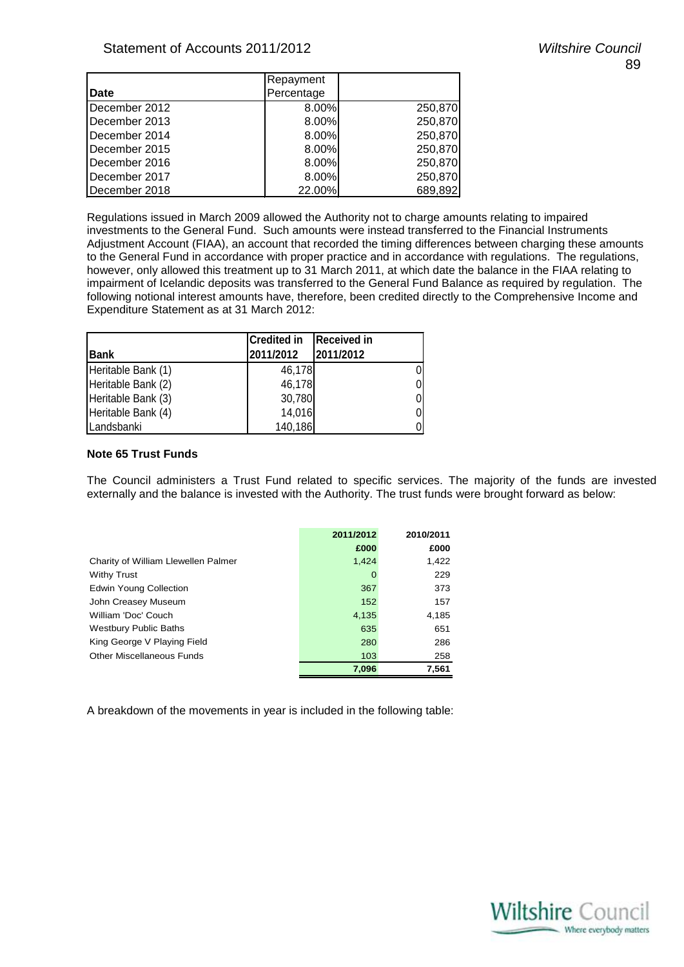|               | Repayment  |         |
|---------------|------------|---------|
| Date          | Percentage |         |
| December 2012 | 8.00%      | 250,870 |
| December 2013 | 8.00%      | 250,870 |
| December 2014 | 8.00%      | 250,870 |
| December 2015 | 8.00%      | 250,870 |
| December 2016 | 8.00%      | 250,870 |
| December 2017 | 8.00%      | 250,870 |
| December 2018 | 22.00%     | 689,892 |

Regulations issued in March 2009 allowed the Authority not to charge amounts relating to impaired investments to the General Fund. Such amounts were instead transferred to the Financial Instruments Adjustment Account (FIAA), an account that recorded the timing differences between charging these amounts to the General Fund in accordance with proper practice and in accordance with regulations. The regulations, however, only allowed this treatment up to 31 March 2011, at which date the balance in the FIAA relating to impairment of Icelandic deposits was transferred to the General Fund Balance as required by regulation. The following notional interest amounts have, therefore, been credited directly to the Comprehensive Income and Expenditure Statement as at 31 March 2012:

| <b>Bank</b>        | <b>Credited in</b><br>2011/2012 | <b>Received in</b><br>2011/2012 |
|--------------------|---------------------------------|---------------------------------|
| Heritable Bank (1) | 46,178                          |                                 |
| Heritable Bank (2) | 46,178                          |                                 |
| Heritable Bank (3) | 30,780                          |                                 |
| Heritable Bank (4) | 14,016                          |                                 |
| Landsbanki         | 140,186                         |                                 |

#### **Note 65 Trust Funds**

The Council administers a Trust Fund related to specific services. The majority of the funds are invested externally and the balance is invested with the Authority. The trust funds were brought forward as below:

|                                     | 2011/2012 | 2010/2011 |
|-------------------------------------|-----------|-----------|
|                                     | £000      | £000      |
| Charity of William Llewellen Palmer | 1,424     | 1.422     |
| <b>Withy Trust</b>                  | 0         | 229       |
| <b>Edwin Young Collection</b>       | 367       | 373       |
| John Creasey Museum                 | 152       | 157       |
| William 'Doc' Couch                 | 4,135     | 4,185     |
| <b>Westbury Public Baths</b>        | 635       | 651       |
| King George V Playing Field         | 280       | 286       |
| Other Miscellaneous Funds           | 103       | 258       |
|                                     | 7,096     | 7,561     |

A breakdown of the movements in year is included in the following table:

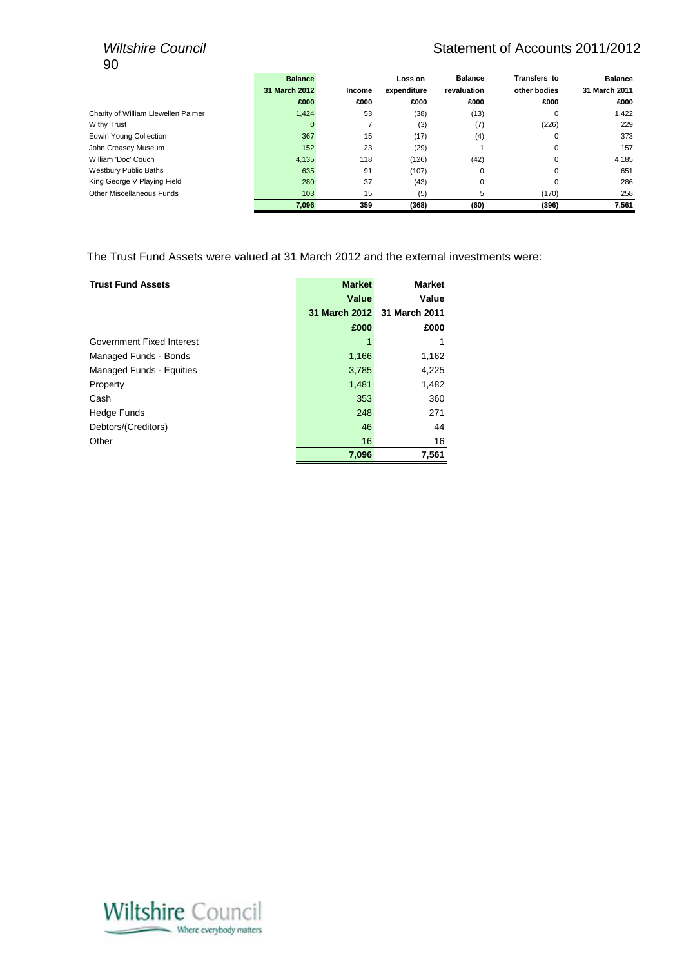# 90

## *Wiltshire Council* Matement of Accounts 2011/2012

|                                     | <b>Balance</b> |        | Loss on     | <b>Balance</b> | Transfers to | <b>Balance</b> |
|-------------------------------------|----------------|--------|-------------|----------------|--------------|----------------|
|                                     | 31 March 2012  | Income | expenditure | revaluation    | other bodies | 31 March 2011  |
|                                     | £000           | £000   | £000        | £000           | £000         | £000           |
| Charity of William Llewellen Palmer | 1,424          | 53     | (38)        | (13)           | 0            | 1,422          |
| <b>Withy Trust</b>                  | 0              |        | (3)         | (7)            | (226)        | 229            |
| <b>Edwin Young Collection</b>       | 367            | 15     | (17)        | (4)            | 0            | 373            |
| John Creasey Museum                 | 152            | 23     | (29)        |                | 0            | 157            |
| William 'Doc' Couch                 | 4,135          | 118    | (126)       | (42)           | 0            | 4,185          |
| <b>Westbury Public Baths</b>        | 635            | 91     | (107)       | $\Omega$       | $\Omega$     | 651            |
| King George V Playing Field         | 280            | 37     | (43)        | 0              | 0            | 286            |
| Other Miscellaneous Funds           | 103            | 15     | (5)         | 5              | (170)        | 258            |
|                                     | 7,096          | 359    | (368)       | (60)           | (396)        | 7,561          |

The Trust Fund Assets were valued at 31 March 2012 and the external investments were:

| <b>Trust Fund Assets</b>        | <b>Market</b> | <b>Market</b> |
|---------------------------------|---------------|---------------|
|                                 | Value         | Value         |
|                                 | 31 March 2012 | 31 March 2011 |
|                                 | £000          | £000          |
| Government Fixed Interest       |               | 1             |
| Managed Funds - Bonds           | 1,166         | 1,162         |
| <b>Managed Funds - Equities</b> | 3,785         | 4,225         |
| Property                        | 1,481         | 1,482         |
| Cash                            | 353           | 360           |
| <b>Hedge Funds</b>              | 248           | 271           |
| Debtors/(Creditors)             | 46            | 44            |
| Other                           | 16            | 16            |
|                                 | 7,096         | 7,561         |

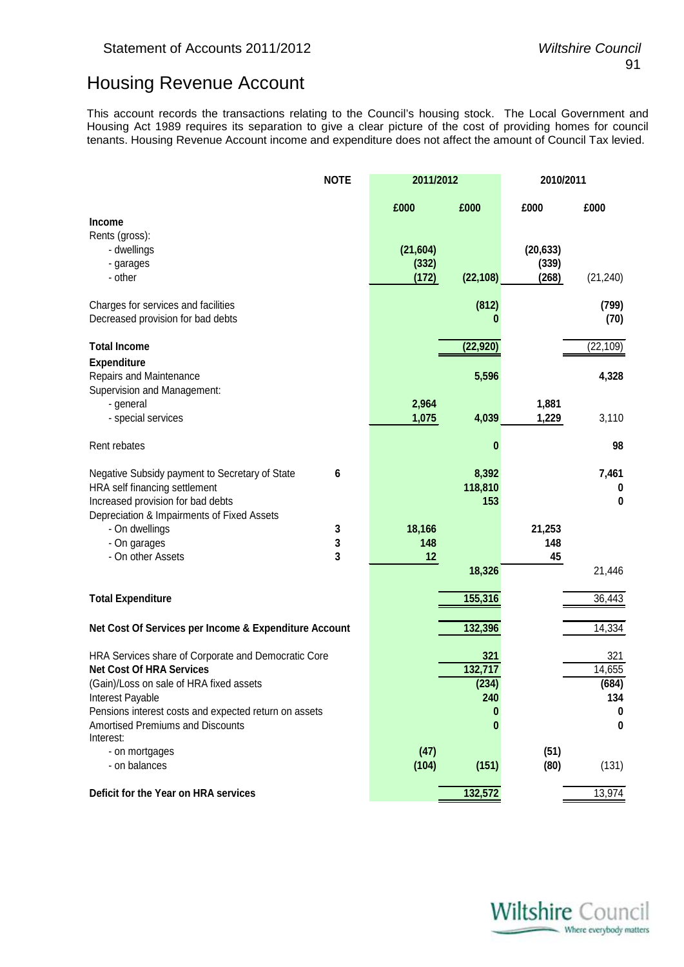# Housing Revenue Account

This account records the transactions relating to the Council's housing stock. The Local Government and Housing Act 1989 requires its separation to give a clear picture of the cost of providing homes for council tenants. Housing Revenue Account income and expenditure does not affect the amount of Council Tax levied.

|                                                       | <b>NOTE</b> | 2011/2012 |           |           | 2010/2011 |  |
|-------------------------------------------------------|-------------|-----------|-----------|-----------|-----------|--|
|                                                       |             | £000      | £000      | £000      | £000      |  |
| <b>Income</b>                                         |             |           |           |           |           |  |
| Rents (gross):                                        |             |           |           |           |           |  |
| - dwellings                                           |             | (21, 604) |           | (20, 633) |           |  |
| - garages                                             |             | (332)     |           | (339)     |           |  |
| - other                                               |             | (172)     | (22, 108) | (268)     | (21, 240) |  |
| Charges for services and facilities                   |             |           | (812)     |           | (799)     |  |
| Decreased provision for bad debts                     |             |           | 0         |           | (70)      |  |
| <b>Total Income</b>                                   |             |           | (22, 920) |           | (22, 109) |  |
| <b>Expenditure</b>                                    |             |           |           |           |           |  |
| Repairs and Maintenance                               |             |           | 5,596     |           | 4,328     |  |
| Supervision and Management:                           |             |           |           |           |           |  |
| - general                                             |             | 2,964     |           | 1,881     |           |  |
| - special services                                    |             | 1,075     | 4,039     | 1,229     | 3,110     |  |
| Rent rebates                                          |             |           | $\bf{0}$  |           | 98        |  |
| Negative Subsidy payment to Secretary of State        | 6           |           | 8,392     |           | 7,461     |  |
| HRA self financing settlement                         |             |           | 118,810   |           | $\bf{0}$  |  |
| Increased provision for bad debts                     |             |           | 153       |           | 0         |  |
| Depreciation & Impairments of Fixed Assets            |             |           |           |           |           |  |
| - On dwellings                                        | 3           | 18,166    |           | 21,253    |           |  |
| - On garages                                          | 3           | 148       |           | 148       |           |  |
| - On other Assets                                     | 3           | 12        |           | 45        |           |  |
|                                                       |             |           | 18,326    |           | 21,446    |  |
| <b>Total Expenditure</b>                              |             |           | 155,316   |           | 36,443    |  |
|                                                       |             |           |           |           |           |  |
| Net Cost Of Services per Income & Expenditure Account |             |           | 132,396   |           | 14,334    |  |
| HRA Services share of Corporate and Democratic Core   |             |           | 321       |           | 321       |  |
| <b>Net Cost Of HRA Services</b>                       |             |           | 132,717   |           | 14,655    |  |
| (Gain)/Loss on sale of HRA fixed assets               |             |           | (234)     |           | (684)     |  |
| Interest Payable                                      |             |           | 240       |           | 134       |  |
| Pensions interest costs and expected return on assets |             |           | 0         |           | $\bf{0}$  |  |
| <b>Amortised Premiums and Discounts</b><br>Interest:  |             |           | 0         |           | 0         |  |
| - on mortgages                                        |             | (47)      |           | (51)      |           |  |
| - on balances                                         |             | (104)     | (151)     | (80)      | (131)     |  |
|                                                       |             |           |           |           |           |  |
| Deficit for the Year on HRA services                  |             |           | 132,572   |           | 13,974    |  |

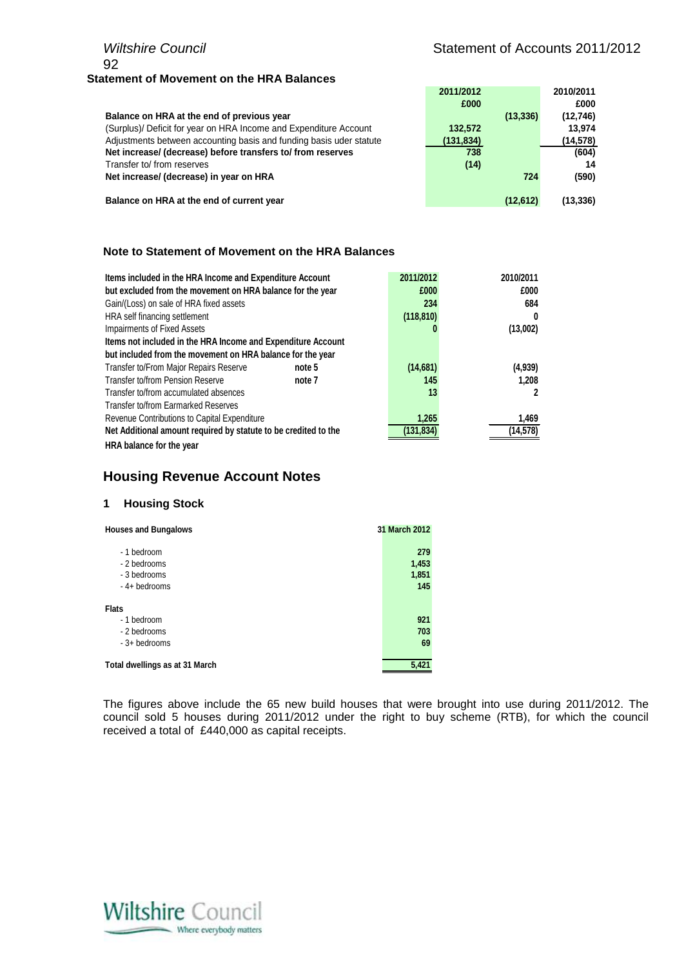## *Wiltshire Council* Military 3011/2012 92 **Statement of Movement on the HRA Balances**

|                                                                     | 2011/2012 | 2010/2011 |
|---------------------------------------------------------------------|-----------|-----------|
|                                                                     | £000      | £000      |
| Balance on HRA at the end of previous year                          | (13, 336) | (12,746)  |
| (Surplus)/ Deficit for year on HRA Income and Expenditure Account   | 132,572   | 13.974    |
| Adjustments between accounting basis and funding basis uder statute | (131,834) | (14,578)  |
| Net increase/ (decrease) before transfers to/ from reserves         | 738       | (604)     |
| Transfer to/ from reserves                                          | (14)      | 14        |
| Net increase/ (decrease) in year on HRA                             | 724       | (590)     |
|                                                                     |           |           |
| Balance on HRA at the end of current year                           | (12,612)  | (13,336)  |

#### **Note to Statement of Movement on the HRA Balances**

| Items included in the HRA Income and Expenditure Account        |        | 2011/2012  | 2010/2011 |
|-----------------------------------------------------------------|--------|------------|-----------|
| but excluded from the movement on HRA balance for the year      |        | £000       | £000      |
| Gain/(Loss) on sale of HRA fixed assets                         |        | 234        | 684       |
| HRA self financing settlement                                   |        | (118, 810) | 0         |
| Impairments of Fixed Assets                                     |        |            | (13,002)  |
| Items not included in the HRA Income and Expenditure Account    |        |            |           |
| but included from the movement on HRA balance for the year      |        |            |           |
| Transfer to/From Major Repairs Reserve                          | note 5 | (14,681)   | (4,939)   |
| Transfer to/from Pension Reserve                                | note 7 | 145        | 1.208     |
| Transfer to/from accumulated absences                           |        | 13         |           |
| Transfer to/from Earmarked Reserves                             |        |            |           |
| Revenue Contributions to Capital Expenditure                    |        | 1,265      | 1,469     |
| Net Additional amount required by statute to be credited to the |        | (131,834   | (14,578)  |
| HRA balance for the year                                        |        |            |           |

## **Housing Revenue Account Notes**

#### **1 Housing Stock**

| <b>Houses and Bungalows</b>    | 31 March 2012 |
|--------------------------------|---------------|
| - 1 bedroom                    | 279           |
| - 2 bedrooms                   | 1,453         |
| - 3 bedrooms                   | 1,851         |
| $-4+$ bedrooms                 | 145           |
| <b>Flats</b>                   |               |
| - 1 bedroom                    | 921           |
| - 2 bedrooms                   | 703           |
| $-3+$ bedrooms                 | 69            |
| Total dwellings as at 31 March | 5,421         |

The figures above include the 65 new build houses that were brought into use during 2011/2012. The council sold 5 houses during 2011/2012 under the right to buy scheme (RTB), for which the council received a total of £440,000 as capital receipts.

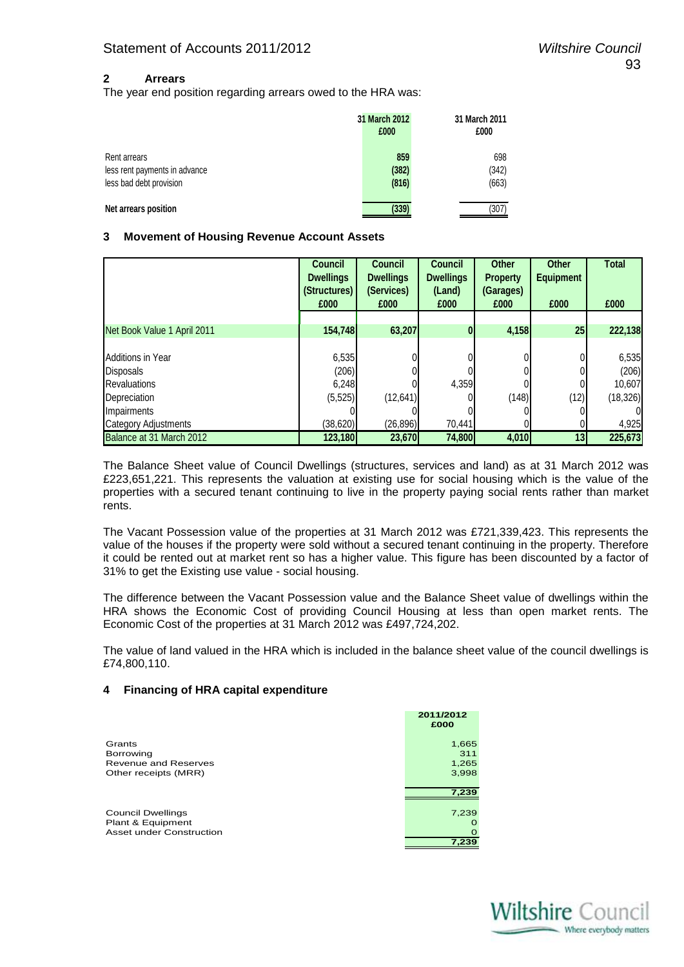#### **2 Arrears**

The year end position regarding arrears owed to the HRA was:

|                               | <b>31 March 2012</b><br>£000 | 31 March 2011<br>£000 |
|-------------------------------|------------------------------|-----------------------|
| Rent arrears                  | 859                          | 698                   |
| less rent payments in advance | (382)                        | (342)                 |
| less bad debt provision       | (816)                        | (663)                 |
| Net arrears position          | (339)                        | (307                  |

#### **3 Movement of Housing Revenue Account Assets**

|                             | <b>Council</b><br><b>Dwellings</b><br>(Structures)<br>£000 | <b>Council</b><br><b>Dwellings</b><br>(Services)<br>£000 | <b>Council</b><br><b>Dwellings</b><br>(Land)<br>£000 | <b>Other</b><br><b>Property</b><br>(Garages)<br>£000 | <b>Other</b><br><b>Equipment</b><br>£000 | <b>Total</b><br>£000 |
|-----------------------------|------------------------------------------------------------|----------------------------------------------------------|------------------------------------------------------|------------------------------------------------------|------------------------------------------|----------------------|
|                             |                                                            |                                                          |                                                      |                                                      |                                          |                      |
| Net Book Value 1 April 2011 | 154,748                                                    | 63,207                                                   | $\mathbf{0}$                                         | 4,158                                                | 25                                       | 222,138              |
|                             |                                                            |                                                          |                                                      |                                                      |                                          |                      |
| <b>Additions in Year</b>    | 6,535                                                      |                                                          |                                                      |                                                      | 0                                        | 6,535                |
| <b>Disposals</b>            | (206)                                                      |                                                          |                                                      |                                                      | 0                                        | (206)                |
| <b>Revaluations</b>         | 6,248                                                      |                                                          | 4,359                                                |                                                      |                                          | 10,607               |
| Depreciation                | (5, 525)                                                   | (12, 641)                                                |                                                      | (148)                                                | (12)                                     | (18, 326)            |
| Impairments                 |                                                            |                                                          |                                                      |                                                      |                                          |                      |
| <b>Category Adjustments</b> | (38,620)                                                   | (26, 896)                                                | 70.441                                               |                                                      | 0                                        | 4,925                |
| Balance at 31 March 2012    | 123,180                                                    | 23,670                                                   | 74,800                                               | 4,010                                                | 13                                       | 225,673              |

The Balance Sheet value of Council Dwellings (structures, services and land) as at 31 March 2012 was £223,651,221. This represents the valuation at existing use for social housing which is the value of the properties with a secured tenant continuing to live in the property paying social rents rather than market rents.

The Vacant Possession value of the properties at 31 March 2012 was £721,339,423. This represents the value of the houses if the property were sold without a secured tenant continuing in the property. Therefore it could be rented out at market rent so has a higher value. This figure has been discounted by a factor of 31% to get the Existing use value - social housing.

The difference between the Vacant Possession value and the Balance Sheet value of dwellings within the HRA shows the Economic Cost of providing Council Housing at less than open market rents. The Economic Cost of the properties at 31 March 2012 was £497,724,202.

The value of land valued in the HRA which is included in the balance sheet value of the council dwellings is £74,800,110.

#### **4 Financing of HRA capital expenditure**

|                          | 2011/2012<br>£000 |
|--------------------------|-------------------|
| Grants                   | 1,665             |
| Borrowing                | 311               |
| Revenue and Reserves     | 1,265             |
| Other receipts (MRR)     | 3,998             |
|                          | 7,239             |
| <b>Council Dwellings</b> | 7,239             |
| Plant & Equipment        |                   |
| Asset under Construction |                   |
|                          | 7.239             |

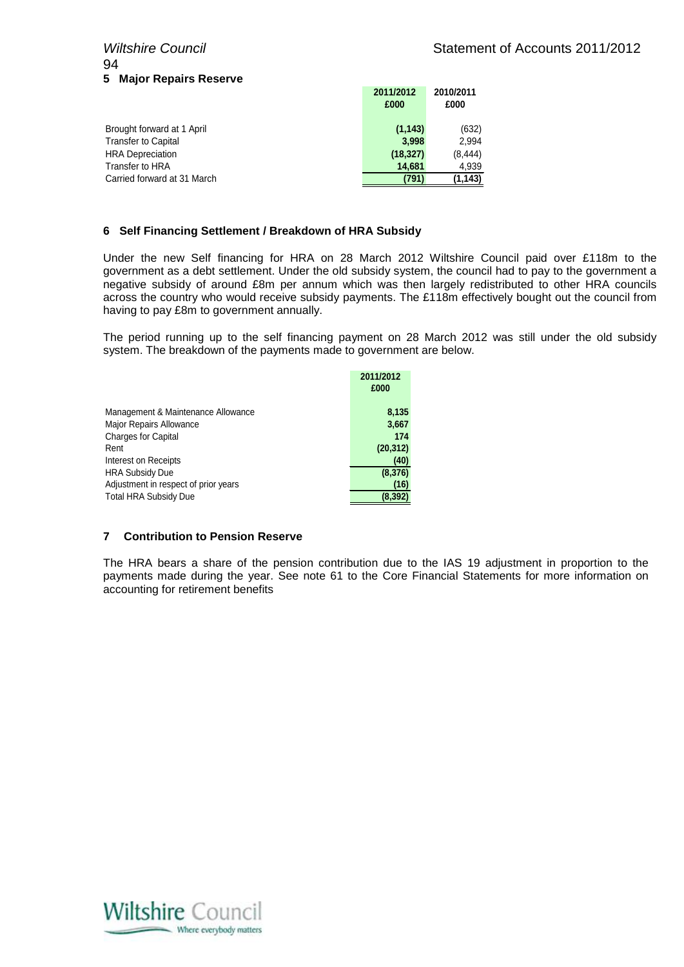# 94 **5 Major Repairs Reserve**

|                             | 2011/2012<br>£000 | 2010/2011<br>£000 |
|-----------------------------|-------------------|-------------------|
| Brought forward at 1 April  | (1, 143)          | (632)             |
| <b>Transfer to Capital</b>  | 3.998             | 2.994             |
| <b>HRA</b> Depreciation     | (18, 327)         | (8, 444)          |
| Transfer to HRA             | 14.681            | 4.939             |
| Carried forward at 31 March | (791)             | (1, 143)          |

#### **6 Self Financing Settlement / Breakdown of HRA Subsidy**

Under the new Self financing for HRA on 28 March 2012 Wiltshire Council paid over £118m to the government as a debt settlement. Under the old subsidy system, the council had to pay to the government a negative subsidy of around £8m per annum which was then largely redistributed to other HRA councils across the country who would receive subsidy payments. The £118m effectively bought out the council from having to pay £8m to government annually.

The period running up to the self financing payment on 28 March 2012 was still under the old subsidy system. The breakdown of the payments made to government are below.

| 8,135     |
|-----------|
| 3,667     |
| 174       |
| (20, 312) |
| (40)      |
| (8,376)   |
| (16)      |
| (8,392    |
|           |

#### **7 Contribution to Pension Reserve**

The HRA bears a share of the pension contribution due to the IAS 19 adjustment in proportion to the payments made during the year. See note 61 to the Core Financial Statements for more information on accounting for retirement benefits

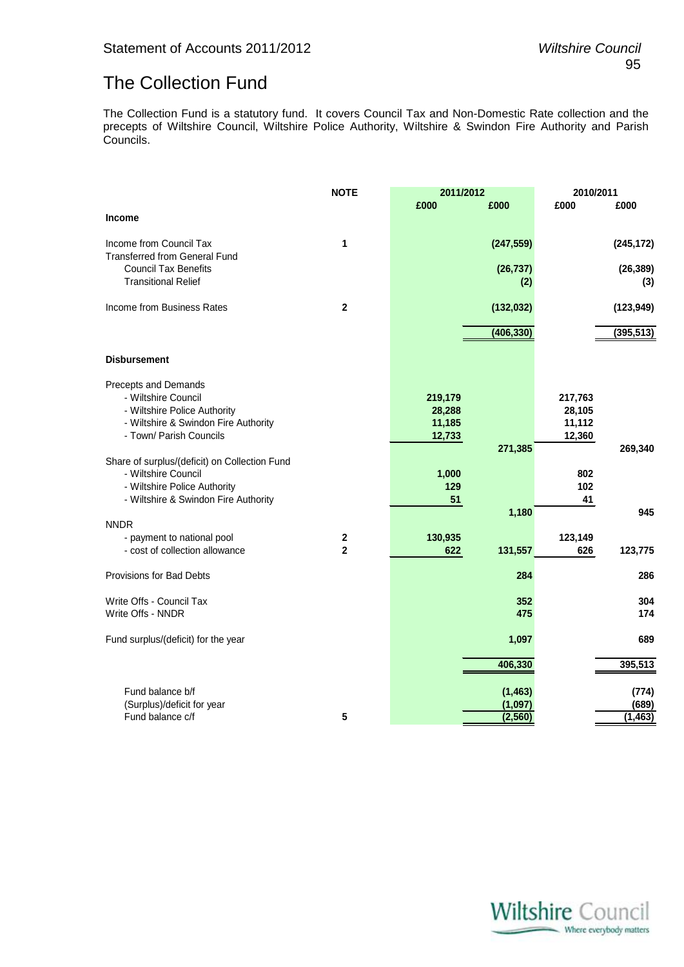# The Collection Fund

The Collection Fund is a statutory fund. It covers Council Tax and Non-Domestic Rate collection and the precepts of Wiltshire Council, Wiltshire Police Authority, Wiltshire & Swindon Fire Authority and Parish Councils.

|                                                                 | <b>NOTE</b>                        | 2011/2012 |            | 2010/2011      |            |
|-----------------------------------------------------------------|------------------------------------|-----------|------------|----------------|------------|
|                                                                 |                                    | £000      | £000       | £000           | £000       |
| <b>Income</b>                                                   |                                    |           |            |                |            |
| Income from Council Tax<br><b>Transferred from General Fund</b> | 1                                  |           | (247, 559) |                | (245, 172) |
| <b>Council Tax Benefits</b>                                     |                                    |           | (26, 737)  |                | (26, 389)  |
| <b>Transitional Relief</b>                                      |                                    |           | (2)        |                | (3)        |
| Income from Business Rates                                      | $\overline{2}$                     |           | (132, 032) |                | (123, 949) |
|                                                                 |                                    |           | (406, 330) |                | (395, 513) |
| <b>Disbursement</b>                                             |                                    |           |            |                |            |
| Precepts and Demands                                            |                                    |           |            |                |            |
| - Wiltshire Council                                             |                                    | 219,179   |            | 217,763        |            |
| - Wiltshire Police Authority                                    |                                    | 28,288    |            | 28,105         |            |
| - Wiltshire & Swindon Fire Authority                            |                                    | 11,185    |            | 11,112         |            |
| - Town/ Parish Councils                                         |                                    | 12,733    | 271,385    | 12,360         | 269,340    |
| Share of surplus/(deficit) on Collection Fund                   |                                    |           |            |                |            |
| - Wiltshire Council                                             |                                    | 1,000     |            | 802            |            |
| - Wiltshire Police Authority                                    |                                    | 129       |            | 102            |            |
| - Wiltshire & Swindon Fire Authority                            |                                    | 51        |            | 41             |            |
|                                                                 |                                    |           | 1,180      |                | 945        |
| <b>NNDR</b>                                                     |                                    |           |            |                |            |
| - payment to national pool<br>- cost of collection allowance    | $\boldsymbol{2}$<br>$\overline{2}$ | 130,935   | 131,557    | 123,149<br>626 | 123,775    |
|                                                                 |                                    | 622       |            |                |            |
| <b>Provisions for Bad Debts</b>                                 |                                    |           | 284        |                | 286        |
| Write Offs - Council Tax                                        |                                    |           | 352        |                | 304        |
| Write Offs - NNDR                                               |                                    |           | 475        |                | 174        |
| Fund surplus/(deficit) for the year                             |                                    |           | 1,097      |                | 689        |
|                                                                 |                                    |           | 406,330    |                | 395,513    |
| Fund balance b/f                                                |                                    |           | (1, 463)   |                | (774)      |
| (Surplus)/deficit for year                                      |                                    |           | (1,097)    |                | (689)      |
| Fund balance c/f                                                | 5                                  |           | (2, 560)   |                | (1, 463)   |

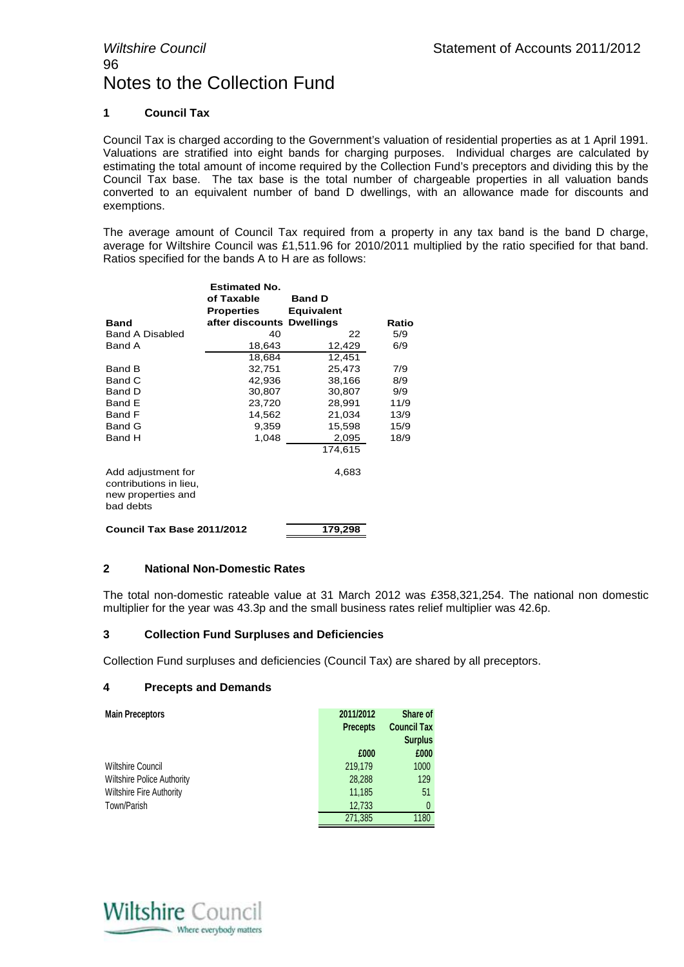#### **1 Council Tax**

Council Tax is charged according to the Government's valuation of residential properties as at 1 April 1991. Valuations are stratified into eight bands for charging purposes. Individual charges are calculated by estimating the total amount of income required by the Collection Fund's preceptors and dividing this by the Council Tax base. The tax base is the total number of chargeable properties in all valuation bands converted to an equivalent number of band D dwellings, with an allowance made for discounts and exemptions.

The average amount of Council Tax required from a property in any tax band is the band D charge, average for Wiltshire Council was £1,511.96 for 2010/2011 multiplied by the ratio specified for that band. Ratios specified for the bands A to H are as follows:

|                                                                                 | <b>Estimated No.</b>      |                   |       |
|---------------------------------------------------------------------------------|---------------------------|-------------------|-------|
|                                                                                 | of Taxable                | <b>Band D</b>     |       |
|                                                                                 | <b>Properties</b>         | <b>Equivalent</b> |       |
| <b>Band</b>                                                                     | after discounts Dwellings |                   | Ratio |
| <b>Band A Disabled</b>                                                          | 40                        | 22                | 5/9   |
| Band A                                                                          | 18,643                    | 12,429            | 6/9   |
|                                                                                 | 18,684                    | 12,451            |       |
| Band B                                                                          | 32,751                    | 25,473            | 7/9   |
| Band C                                                                          | 42,936                    | 38,166            | 8/9   |
| Band D                                                                          | 30,807                    | 30,807            | 9/9   |
| Band E                                                                          | 23,720                    | 28,991            | 11/9  |
| Band F                                                                          | 14,562                    | 21,034            | 13/9  |
| Band G                                                                          | 9,359                     | 15,598            | 15/9  |
| Band H                                                                          | 1,048                     | 2,095             | 18/9  |
|                                                                                 |                           | 174,615           |       |
| Add adjustment for<br>contributions in lieu,<br>new properties and<br>bad debts |                           | 4,683             |       |
| Council Tax Base 2011/2012                                                      |                           | 179,298           |       |

#### **2 National Non-Domestic Rates**

The total non-domestic rateable value at 31 March 2012 was £358,321,254. The national non domestic multiplier for the year was 43.3p and the small business rates relief multiplier was 42.6p.

#### **3 Collection Fund Surpluses and Deficiencies**

Collection Fund surpluses and deficiencies (Council Tax) are shared by all preceptors.

#### **4 Precepts and Demands**

| <b>Main Preceptors</b>            | 2011/2012<br><b>Precepts</b> | Share of<br><b>Council Tax</b> |
|-----------------------------------|------------------------------|--------------------------------|
|                                   |                              | <b>Surplus</b>                 |
|                                   | £000                         | £000                           |
| <b>Wiltshire Council</b>          | 219,179                      | 1000                           |
| <b>Wiltshire Police Authority</b> | 28,288                       | 129                            |
| <b>Wiltshire Fire Authority</b>   | 11,185                       | 51                             |
| Town/Parish                       | 12,733                       | $\theta$                       |
|                                   | 271,385                      | 1180                           |

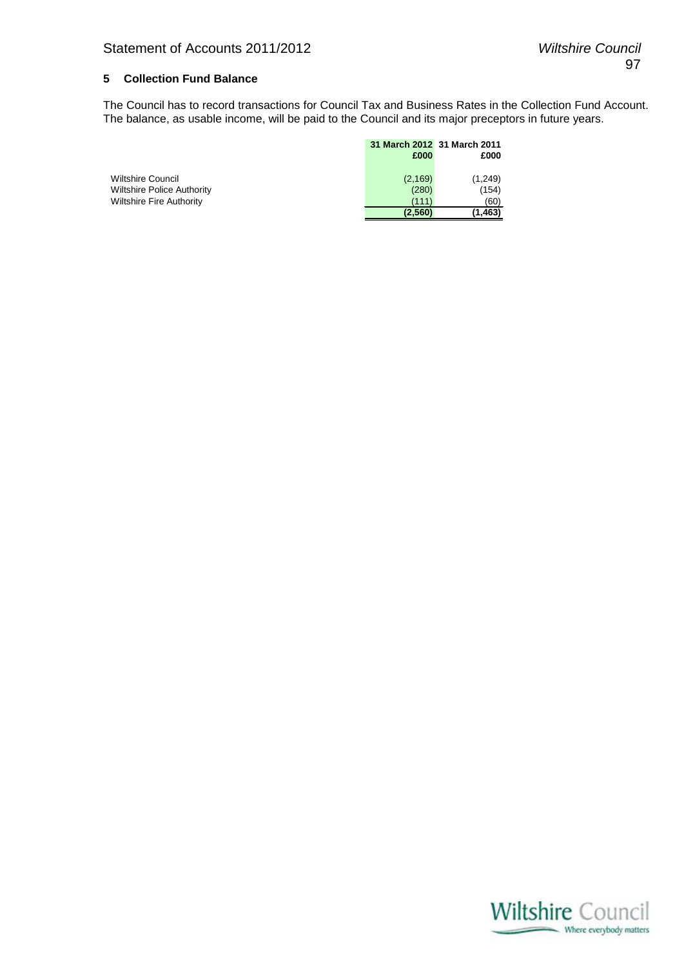#### **5 Collection Fund Balance**

The Council has to record transactions for Council Tax and Business Rates in the Collection Fund Account. The balance, as usable income, will be paid to the Council and its major preceptors in future years.

|                                   | 31 March 2012 31 March 2011 |         |
|-----------------------------------|-----------------------------|---------|
|                                   | £000                        | £000    |
|                                   |                             |         |
| <b>Wiltshire Council</b>          | (2, 169)                    | (1,249) |
| <b>Wiltshire Police Authority</b> | (280)                       | (154)   |
| <b>Wiltshire Fire Authority</b>   | (111)                       | (60)    |
|                                   | (2.560)                     | 1.463)  |

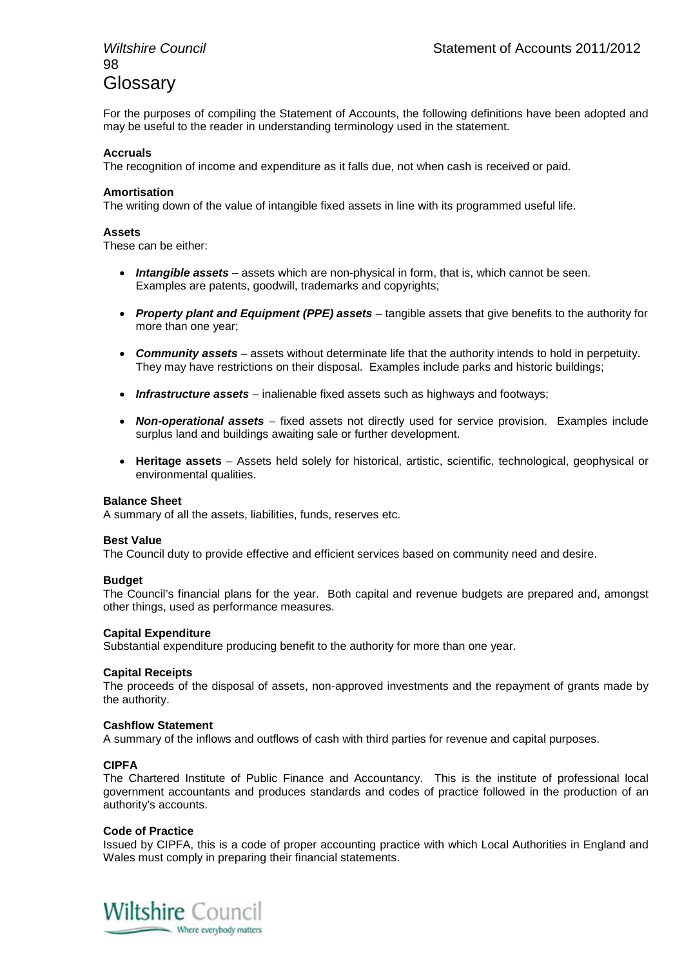# 98 **Glossary**

For the purposes of compiling the Statement of Accounts, the following definitions have been adopted and may be useful to the reader in understanding terminology used in the statement.

#### **Accruals**

The recognition of income and expenditure as it falls due, not when cash is received or paid.

#### **Amortisation**

The writing down of the value of intangible fixed assets in line with its programmed useful life.

#### **Assets**

These can be either:

- *Intangible assets* assets which are non-physical in form, that is, which cannot be seen. Examples are patents, goodwill, trademarks and copyrights;
- *Property plant and Equipment (PPE) assets* tangible assets that give benefits to the authority for more than one year;
- *Community assets* assets without determinate life that the authority intends to hold in perpetuity. They may have restrictions on their disposal. Examples include parks and historic buildings;
- **Infrastructure assets** inalienable fixed assets such as highways and footways;
- *Non-operational assets* fixed assets not directly used for service provision. Examples include surplus land and buildings awaiting sale or further development.
- **Heritage assets** Assets held solely for historical, artistic, scientific, technological, geophysical or environmental qualities.

#### **Balance Sheet**

A summary of all the assets, liabilities, funds, reserves etc.

#### **Best Value**

The Council duty to provide effective and efficient services based on community need and desire.

#### **Budget**

The Council's financial plans for the year. Both capital and revenue budgets are prepared and, amongst other things, used as performance measures.

#### **Capital Expenditure**

Substantial expenditure producing benefit to the authority for more than one year.

#### **Capital Receipts**

The proceeds of the disposal of assets, non-approved investments and the repayment of grants made by the authority.

#### **Cashflow Statement**

A summary of the inflows and outflows of cash with third parties for revenue and capital purposes.

#### **CIPFA**

The Chartered Institute of Public Finance and Accountancy. This is the institute of professional local government accountants and produces standards and codes of practice followed in the production of an authority's accounts.

#### **Code of Practice**

Issued by CIPFA, this is a code of proper accounting practice with which Local Authorities in England and Wales must comply in preparing their financial statements.

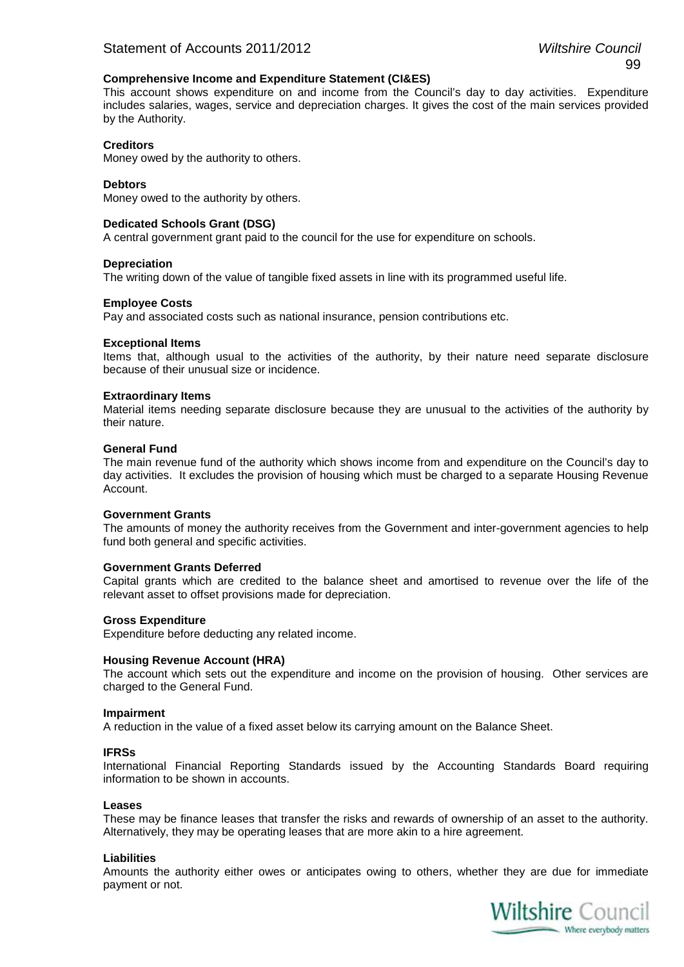#### **Comprehensive Income and Expenditure Statement (CI&ES)**

This account shows expenditure on and income from the Council's day to day activities. Expenditure includes salaries, wages, service and depreciation charges. It gives the cost of the main services provided by the Authority.

#### **Creditors**

Money owed by the authority to others.

#### **Debtors**

Money owed to the authority by others.

#### **Dedicated Schools Grant (DSG)**

A central government grant paid to the council for the use for expenditure on schools.

#### **Depreciation**

The writing down of the value of tangible fixed assets in line with its programmed useful life.

#### **Employee Costs**

Pay and associated costs such as national insurance, pension contributions etc.

#### **Exceptional Items**

Items that, although usual to the activities of the authority, by their nature need separate disclosure because of their unusual size or incidence.

#### **Extraordinary Items**

Material items needing separate disclosure because they are unusual to the activities of the authority by their nature.

#### **General Fund**

The main revenue fund of the authority which shows income from and expenditure on the Council's day to day activities. It excludes the provision of housing which must be charged to a separate Housing Revenue Account.

#### **Government Grants**

The amounts of money the authority receives from the Government and inter-government agencies to help fund both general and specific activities.

#### **Government Grants Deferred**

Capital grants which are credited to the balance sheet and amortised to revenue over the life of the relevant asset to offset provisions made for depreciation.

#### **Gross Expenditure**

Expenditure before deducting any related income.

#### **Housing Revenue Account (HRA)**

The account which sets out the expenditure and income on the provision of housing. Other services are charged to the General Fund.

#### **Impairment**

A reduction in the value of a fixed asset below its carrying amount on the Balance Sheet.

#### **IFRSs**

International Financial Reporting Standards issued by the Accounting Standards Board requiring information to be shown in accounts.

#### **Leases**

These may be finance leases that transfer the risks and rewards of ownership of an asset to the authority. Alternatively, they may be operating leases that are more akin to a hire agreement.

#### **Liabilities**

Amounts the authority either owes or anticipates owing to others, whether they are due for immediate payment or not.

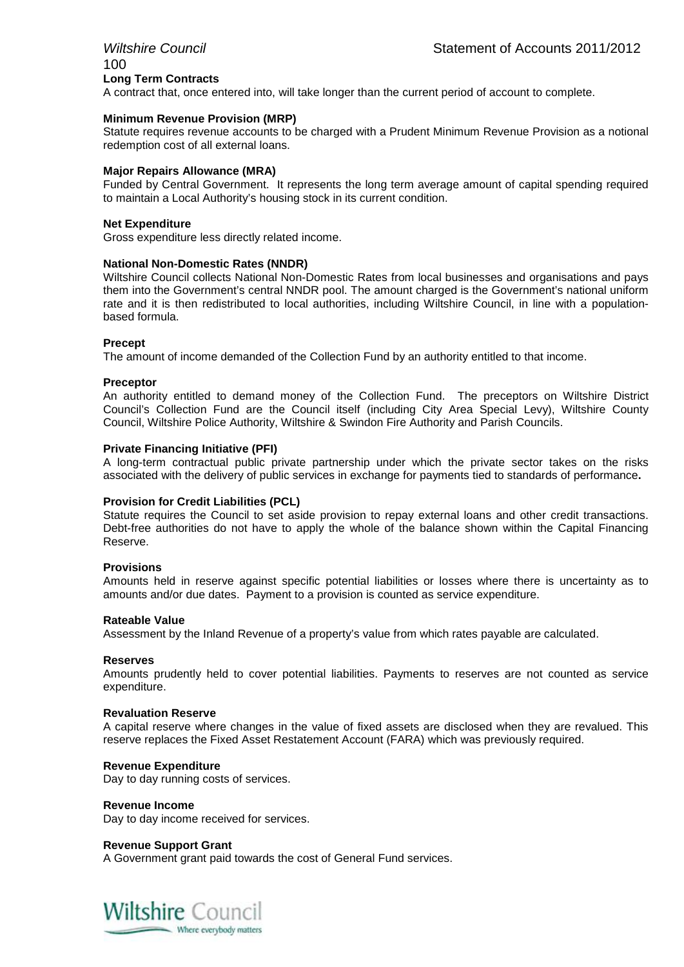# 100 **Long Term Contracts**

A contract that, once entered into, will take longer than the current period of account to complete.

#### **Minimum Revenue Provision (MRP)**

Statute requires revenue accounts to be charged with a Prudent Minimum Revenue Provision as a notional redemption cost of all external loans.

#### **Major Repairs Allowance (MRA)**

Funded by Central Government. It represents the long term average amount of capital spending required to maintain a Local Authority's housing stock in its current condition.

#### **Net Expenditure**

Gross expenditure less directly related income.

#### **National Non-Domestic Rates (NNDR)**

Wiltshire Council collects National Non-Domestic Rates from local businesses and organisations and pays them into the Government's central NNDR pool. The amount charged is the Government's national uniform rate and it is then redistributed to local authorities, including Wiltshire Council, in line with a populationbased formula.

#### **Precept**

The amount of income demanded of the Collection Fund by an authority entitled to that income.

#### **Preceptor**

An authority entitled to demand money of the Collection Fund. The preceptors on Wiltshire District Council's Collection Fund are the Council itself (including City Area Special Levy), Wiltshire County Council, Wiltshire Police Authority, Wiltshire & Swindon Fire Authority and Parish Councils.

#### **Private Financing Initiative (PFI)**

A long-term contractual public private partnership under which the private sector takes on the risks associated with the delivery of public services in exchange for payments tied to standards of performance**.**

#### **Provision for Credit Liabilities (PCL)**

Statute requires the Council to set aside provision to repay external loans and other credit transactions. Debt-free authorities do not have to apply the whole of the balance shown within the Capital Financing Reserve.

#### **Provisions**

Amounts held in reserve against specific potential liabilities or losses where there is uncertainty as to amounts and/or due dates. Payment to a provision is counted as service expenditure.

#### **Rateable Value**

Assessment by the Inland Revenue of a property's value from which rates payable are calculated.

#### **Reserves**

Amounts prudently held to cover potential liabilities. Payments to reserves are not counted as service expenditure.

#### **Revaluation Reserve**

A capital reserve where changes in the value of fixed assets are disclosed when they are revalued. This reserve replaces the Fixed Asset Restatement Account (FARA) which was previously required.

#### **Revenue Expenditure**

Day to day running costs of services.

#### **Revenue Income**

Day to day income received for services.

#### **Revenue Support Grant**

A Government grant paid towards the cost of General Fund services.